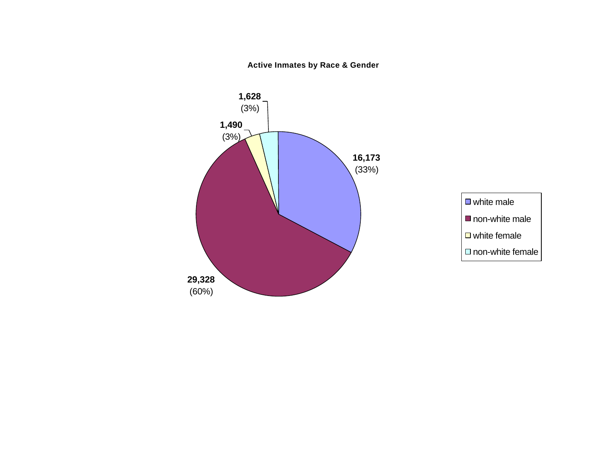### **Active Inmates by Race & Gender**



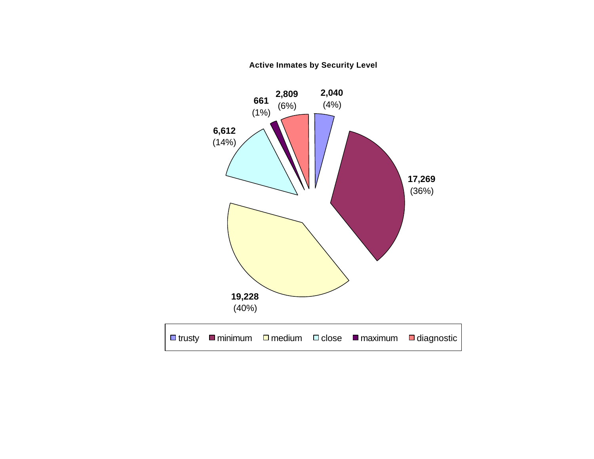**Active Inmates by Security Level**

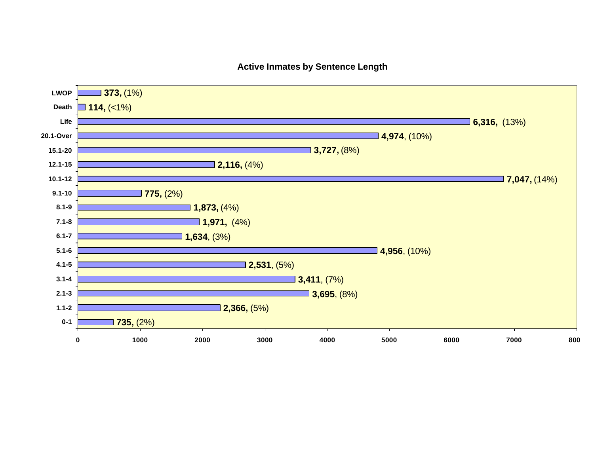### **Active Inmates by Sentence Length**

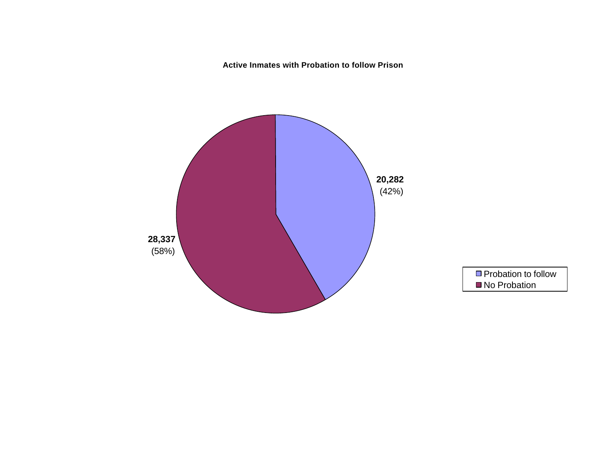**Active Inmates with Probation to follow Prison**



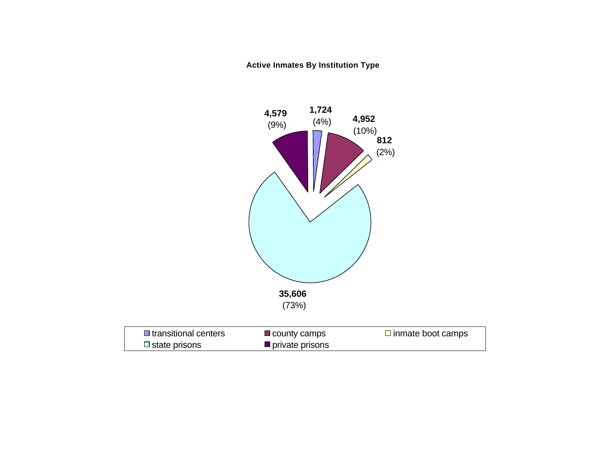**Active Inmates By Institution Type** 

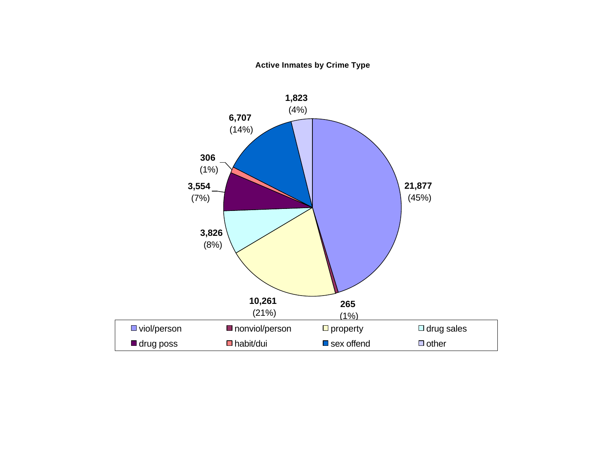**Active Inmates by Crime Type**

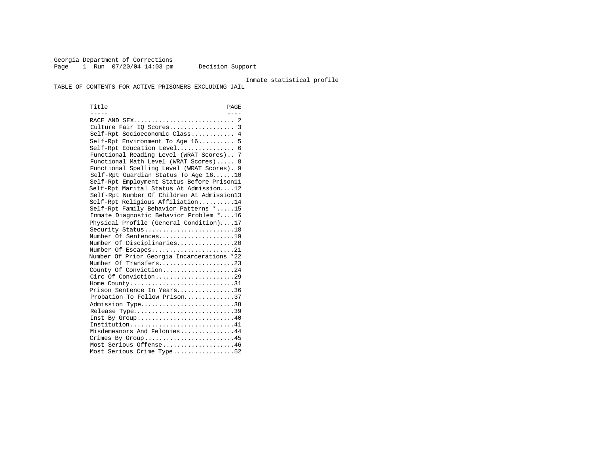Georgia Department of Corrections Page 1 Run 07/20/04 14:03 pm Decision Support

Inmate statistical profile

TABLE OF CONTENTS FOR ACTIVE PRISONERS EXCLUDING JAIL

Title PAGE ----- ---- RACE AND SEX............................ 2 Culture Fair IQ Scores.................. 3 Self-Rpt Socioeconomic Class............ 4 Self-Rpt Environment To Age 16.......... 5 Self-Rpt Education Level................ 6 Functional Reading Level (WRAT Scores).. 7 Functional Math Level (WRAT Scores)..... 8 Functional Spelling Level (WRAT Scores). 9 Self-Rpt Guardian Status To Age 16......10 Self-Rpt Employment Status Before Prison11 Self-Rpt Marital Status At Admission....12 Self-Rpt Number Of Children At Admission13 Self-Rpt Religious Affiliation..........14 Self-Rpt Family Behavior Patterns \*.....15 Inmate Diagnostic Behavior Problem \*....16 Physical Profile (General Condition)....17 Security Status...........................18 Number Of Sentences.....................19 Number Of Disciplinaries................20 Number Of Escapes.........................21 Number Of Prior Georgia Incarcerations \*22 Number Of Transfers.......................23 County Of Conviction....................24 Circ Of Conviction........................29 Home County.............................31 Prison Sentence In Years................36 Probation To Follow Prison..............37 Admission Type..............................38 Release Type...............................39 Inst By  $Group \ldots \ldots \ldots \ldots \ldots \ldots \ldots \ldots \ldots 40$  Institution.............................41 Misdemeanors And Felonies...............44 Crimes By Group..........................45 Most Serious Offense....................46 Most Serious Crime Type.................52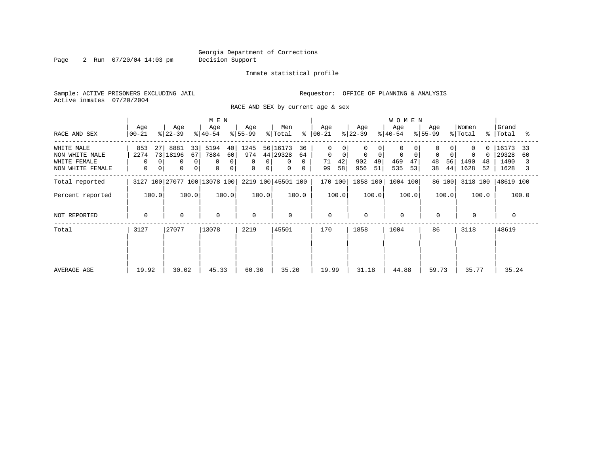Page 2 Run 07/20/04 14:03 pm Decision Support

### Inmate statistical profile

Sample: ACTIVE PRISONERS EXCLUDING JAIL **Requestor:** OFFICE OF PLANNING & ANALYSIS Active inmates 07/20/2004

RACE AND SEX by current age & sex

|                                                                  |                                  |                                                  | M E N                                                                       |                                 |                                                                            |                                                 |                                         | <b>WOMEN</b>                       |                                  |                                      |                                            |
|------------------------------------------------------------------|----------------------------------|--------------------------------------------------|-----------------------------------------------------------------------------|---------------------------------|----------------------------------------------------------------------------|-------------------------------------------------|-----------------------------------------|------------------------------------|----------------------------------|--------------------------------------|--------------------------------------------|
| RACE AND SEX                                                     | Age<br>$ 00-21 $                 | Age<br>$ 22-39 $                                 | Age<br>$ 40-54 $                                                            | Age<br>$ 55-99 $                | Men<br>% Total                                                             | Age<br>$8   00 - 21$                            | Age<br>$ 22-39 $                        | Age<br>$8 40-54$                   | Age<br>$8155 - 99$               | Women<br>% Total                     | Grand<br>%   Total<br>°≈                   |
| WHITE MALE<br>NON WHITE MALE<br>WHITE FEMALE<br>NON WHITE FEMALE | 853<br>27<br>2274<br>0<br>0<br>0 | 8881<br>33<br>73 18196<br>67<br>0<br>0<br>0<br>0 | 5194<br>40 <sup>1</sup><br>7884<br>60<br>0<br>$\Omega$<br>$\mathbf{0}$<br>0 | 1245<br>974<br>0<br>0<br>0<br>0 | 56 16173<br>36<br>44 29328<br>64<br>$\mathbf{0}$<br>0<br>$\mathbf{0}$<br>0 | $\Omega$<br>$\mathbf 0$<br>42<br>71<br>58<br>99 | 0<br>$\Omega$<br>49<br>902<br>956<br>51 | $\Omega$<br>469<br>47<br>535<br>53 | $\Omega$<br>48<br>56<br>44<br>38 | $\Omega$<br>1490<br>48<br>1628<br>52 | 16173<br>33<br>29328<br>60<br>1490<br>1628 |
| Total reported                                                   |                                  | 3127 100 27077 100 13078 100                     |                                                                             |                                 | 2219 100 45501 100                                                         | 170 100                                         | 1858 100                                | 1004 100                           | 86 100                           | 3118 100                             | 48619 100                                  |
| Percent reported                                                 | 100.0                            | 100.0                                            | 100.0                                                                       | 100.0                           | 100.0                                                                      | 100.0                                           | 100.0                                   | 100.0                              | 100.0                            | 100.0                                | 100.0                                      |
| NOT REPORTED                                                     | $\mathbf{0}$                     | $\mathbf 0$                                      | $\mathbf 0$                                                                 | $\Omega$                        | 0                                                                          | $\mathbf 0$                                     | $\Omega$                                | $\mathbf 0$                        | $\mathbf 0$                      | $\Omega$                             |                                            |
| Total                                                            | 3127                             | 27077                                            | 13078                                                                       | 2219                            | 45501                                                                      | 170                                             | 1858                                    | 1004                               | 86                               | 3118                                 | 48619                                      |
| AVERAGE AGE                                                      | 19.92                            | 30.02                                            | 45.33                                                                       | 60.36                           | 35.20                                                                      | 19.99                                           | 31.18                                   | 44.88                              | 59.73                            | 35.77                                | 35.24                                      |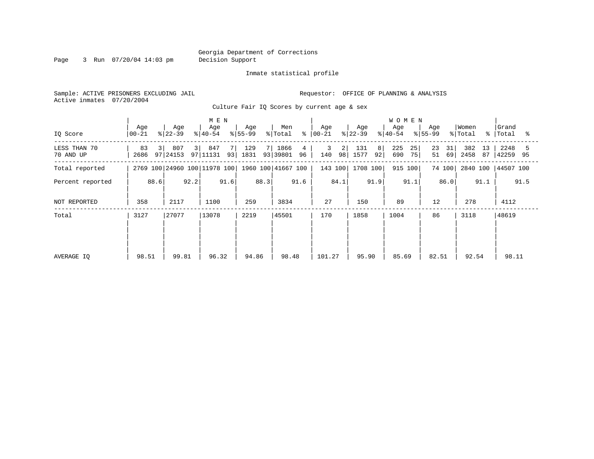Page 3 Run 07/20/04 14:03 pm Decision Support

Inmate statistical profile

Sample: ACTIVE PRISONERS EXCLUDING JAIL **Requestor:** OFFICE OF PLANNING & ANALYSIS Active inmates 07/20/2004

Culture Fair IQ Scores by current age & sex

|                           |                                              |                                   | M E N                |                       |                             |                                  |                        | <b>WOMEN</b>                        |                      |                           |                     |
|---------------------------|----------------------------------------------|-----------------------------------|----------------------|-----------------------|-----------------------------|----------------------------------|------------------------|-------------------------------------|----------------------|---------------------------|---------------------|
| IQ Score                  | Age<br>$00 - 21$                             | Age<br>$ 22-39 $                  | Age<br>$ 40-54 $     | Age<br>$ 55-99$       | Men<br>% Total              | Age<br>$8   00 - 21$             | Age<br>$ 22-39 $       | Age<br>$ 40-54 $                    | Age<br>$ 55-99 $     | Women<br>% Total<br>- 응 · | Grand<br>Total<br>ം |
| LESS THAN 70<br>70 AND UP | 83<br>$\overline{3}$<br>2686                 | 807<br>3 <sup>1</sup><br>97 24153 | 847<br>7<br>97 11131 | 129<br>7 I<br>93 1831 | 1866<br>4<br>93 39801<br>96 | 3<br>$\overline{2}$<br>98<br>140 | 131<br>8<br>92<br>1577 | 225<br>25 <sub>1</sub><br>690<br>75 | 23<br>31<br>51<br>69 | 382<br>13<br>2458<br>87   | 2248<br>42259 95    |
| Total reported            |                                              |                                   |                      |                       | 1960 100 41667 100          | 143 100                          | 1708 100               | 915 100                             | 74 100               | 2840 100                  | 44507 100           |
| Percent reported          | 2769 100 24960 100 11978 100<br>92.2<br>88.6 |                                   |                      | 88.3                  | 91.6                        | 84.1                             | 91.9                   | 91.1                                | 86.0                 | 91.1                      | 91.5                |
| NOT REPORTED              | 358                                          | 2117                              | 1100                 | 259                   | 3834                        | 27                               | 150                    | 89                                  | 12                   | 278                       | 4112                |
| Total                     | 3127                                         | 27077                             | 13078                | 2219                  | 45501                       | 170                              | 1858                   | 1004                                | 86                   | 3118                      | 48619               |
|                           |                                              |                                   |                      |                       |                             |                                  |                        |                                     |                      |                           |                     |
|                           |                                              |                                   |                      |                       |                             |                                  |                        |                                     |                      |                           |                     |
| AVERAGE IQ                | 98.51                                        | 99.81                             | 96.32                | 94.86                 | 98.48                       | 101.27                           | 95.90                  | 85.69                               | 82.51                | 92.54                     | 98.11               |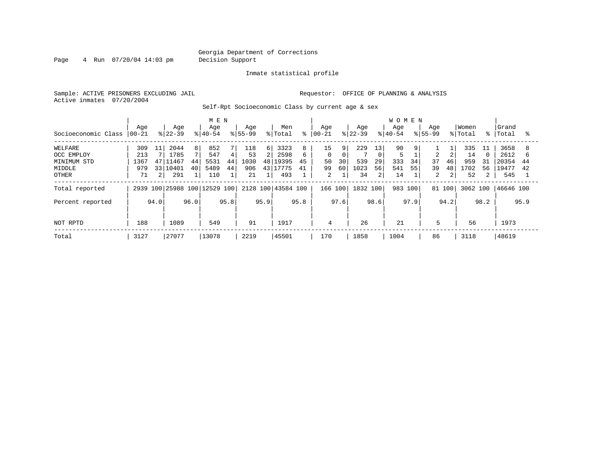Page 4 Run 07/20/04 14:03 pm Decision Support

#### Inmate statistical profile

Sample: ACTIVE PRISONERS EXCLUDING JAIL **Requestor:** OFFICE OF PLANNING & ANALYSIS Active inmates 07/20/2004

Self-Rpt Socioeconomic Class by current age & sex

|                     |           |                 |           |                | M E N                   |      |             |                |                    |      |          |      |           |                 | <b>WOMEN</b> |                |                |      |          |      |           |      |
|---------------------|-----------|-----------------|-----------|----------------|-------------------------|------|-------------|----------------|--------------------|------|----------|------|-----------|-----------------|--------------|----------------|----------------|------|----------|------|-----------|------|
|                     | Age       |                 | Age       |                | Age                     |      | Age         |                | Men                |      | Aqe      |      | Age       |                 | Age          |                | Age            |      | Women    |      | Grand     |      |
| Socioeconomic Class | $00 - 21$ |                 | $ 22-39 $ |                | $ 40-54$                |      | $8155 - 99$ |                | % Total            | ⊱    | $ 00-21$ |      | $ 22-39 $ |                 | $8 40-54$    |                | $8155 - 99$    |      | % Total  | °≈   | Total     | ႜ    |
| WELFARE             | 309       | 11              | 2044      | 8 <sup>1</sup> | 852                     |      | 118         | $6 \mid$       | 3323               | 8    | 15       | 9    | 229       | 13 <sub>1</sub> | 90           | 9 <sub>1</sub> |                |      | 335      | 11   | 3658      |      |
| OCC EMPLOY          | 213       |                 | 1785      |                | 547                     | 4    | 53          | $\overline{2}$ | 2598               | 6    | $\Omega$ | 0    |           | $\mathbf 0$     |              |                | $\overline{a}$ |      | 14       |      | 2612      | 6    |
| MINIMUM STD         | 1367      | 47              | 1467      | 44             | 5531                    | 44   | 1030        | 48             | 19395              | 45   | 50       | 30   | 539       | 29              | 333          | 34             | 37             | 46   | 959      | 31   | 20354     | 44   |
| MIDDLE              | 979       | 33 <sup>1</sup> | 10401     | 40             | 5489                    | 44   | 906         |                | 43 17775           | 41   | 99       | 60   | 1023      | 56              | 541          | 55             | 39             | 48   | 1702     | 56   | 19477     | 42   |
| OTHER               | 71        | $\overline{2}$  | 291       |                | 110                     |      | 21          |                | 493                |      | 2        |      | 34        | 2               | 14           |                | 2              |      | 52       | 2    | 545       |      |
| Total reported      | 2939      |                 |           |                | 100 25988 100 12529 100 |      |             |                | 2128 100 43584 100 |      | 166 100  |      | 1832 100  |                 | 983 100      |                | 81 100         |      | 3062 100 |      | 46646 100 |      |
| Percent reported    |           | 94.0            |           | 96.0           |                         | 95.8 |             | 95.9           |                    | 95.8 |          | 97.6 |           | 98.6            |              | 97.9           |                | 94.2 |          | 98.2 |           | 95.9 |
| NOT RPTD            | 188       |                 | 1089      |                | 549                     |      | 91          |                | 1917               |      | 4        |      | 26        |                 | 21           |                | 5              |      | 56       |      | 1973      |      |
|                     |           |                 |           |                |                         |      |             |                |                    |      |          |      |           |                 |              |                |                |      |          |      |           |      |
| Total               | 3127      |                 | 27077     |                | 13078                   |      | 2219        |                | 45501              |      | 170      |      | 1858      |                 | 1004         |                | 86             |      | 3118     |      | 48619     |      |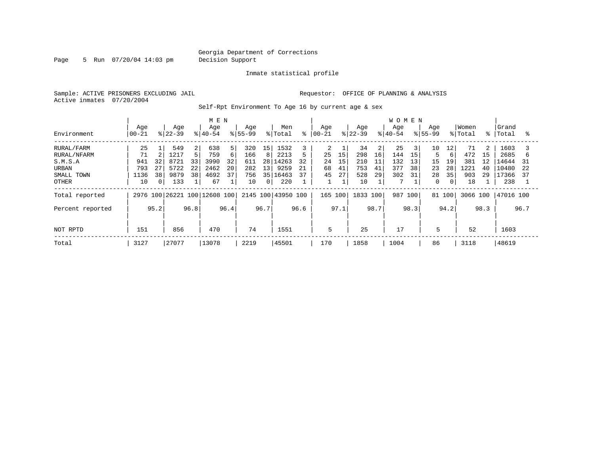Page 5 Run 07/20/04 14:03 pm Decision Support

Inmate statistical profile

Active inmates 07/20/2004

Sample: ACTIVE PRISONERS EXCLUDING JAIL **Requestor:** OFFICE OF PLANNING & ANALYSIS

Self-Rpt Environment To Age 16 by current age & sex

|                  |                   |          |                  |      | M E N                        |              |                  |                 |                |      |                  |      |                  |      | <b>WOMEN</b>     |                |                    |                |                  |                |                    |      |
|------------------|-------------------|----------|------------------|------|------------------------------|--------------|------------------|-----------------|----------------|------|------------------|------|------------------|------|------------------|----------------|--------------------|----------------|------------------|----------------|--------------------|------|
| Environment      | Age<br>$ 00 - 21$ |          | Age<br>$ 22-39 $ |      | Age<br>$ 40-54 $             |              | Age<br>$8 55-99$ |                 | Men<br>% Total | နွ   | Age<br>$00 - 21$ |      | Age<br>$8 22-39$ |      | Age<br>$8 40-54$ |                | Age<br>$8155 - 99$ |                | Women<br>% Total |                | Grand<br>%   Total | °    |
|                  |                   |          |                  |      |                              |              |                  |                 |                |      |                  |      |                  |      |                  |                |                    |                |                  |                |                    |      |
| RURAL/FARM       | 25                |          | 549              | 2    | 638                          | 5            | 320              | 15              | 1532           |      | 2                |      | 34               |      | 25               | $\overline{3}$ | 10                 | 12             | 71               | $\overline{2}$ | 1603               |      |
| RURAL/NFARM      | 71                |          | 1217             |      | 759                          | 6            | 166              | 8               | 2213           |      | 25               | 15   | 298              | 16   | 144              | 15             | 5                  | 6              | 472              | 15             | 2685               | b    |
| S.M.S.A          | 941               | 32       | 8721             | 33   | 3990                         | 32           | 611              |                 | 28 14263       | 32   | 24               | 15   | 210              | 11   | 132              | 13             | 15                 | 19             | 381              | 12             | 14644              | 31   |
| URBAN            | 793               | 27       | 5722             | 22   | 2462                         | 20           | 282              | 13 <sup>1</sup> | 9259           | 21   | 68               | 41   | 753              | 41   | 377              | 38             | 23                 | 28             | 1221             | 40             | 10480              | 22   |
| SMALL TOWN       | 1136              | 38       | 9879             | 38   | 4692                         | 37           | 756              | 35              | 16463          | 37   | 45               | 27   | 528              | 29   | 302              | 31             | 28                 | 35             | 903              | 29             | 17366              | 37   |
| OTHER            | 10                | $\Omega$ | 133              |      | 67                           | $\mathbf{1}$ | 10               | $\overline{0}$  | 220            |      |                  |      | 10               |      | 7                |                | $\mathbf{0}$       | $\overline{0}$ | 18               |                | 238                |      |
| Total reported   |                   |          |                  |      | 2976 100 26221 100 12608 100 |              | 2145 100         |                 | 43950 100      |      | 165 100          |      | 1833 100         |      | 987              | 100            |                    | 81 100         | 3066 100         |                | 47016 100          |      |
| Percent reported |                   | 95.2     |                  | 96.8 |                              | 96.4         |                  | 96.7            |                | 96.6 |                  | 97.1 |                  | 98.7 |                  | 98.3           |                    | 94.2           |                  | 98.3           |                    | 96.7 |
|                  |                   |          |                  |      |                              |              |                  |                 |                |      |                  |      |                  |      |                  |                |                    |                |                  |                |                    |      |
| NOT RPTD         | 151<br>470<br>856 |          |                  |      |                              |              | 74               |                 | 1551           |      | 5                |      | 25               |      | 17               |                | 5                  |                | 52               |                | 1603               |      |
| Total            | 3127              |          | 27077            |      | 13078                        |              | 2219             |                 | 45501          |      | 170              |      | 1858             |      | 1004             |                | 86                 |                | 3118             |                | 48619              |      |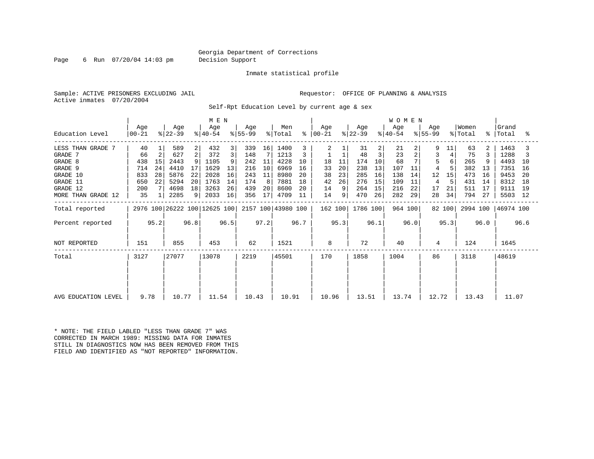Page 6 Run 07/20/04 14:03 pm Decision Support

Inmate statistical profile

Sample: ACTIVE PRISONERS EXCLUDING JAIL **Requestor:** OFFICE OF PLANNING & ANALYSIS Active inmates 07/20/2004

Self-Rpt Education Level by current age & sex

|                     | M E N                                                           |              |                  |                |                  |    |                  |                 |                |    |                      |    |                  |                | <b>WOMEN</b>     |    |                  |        |                  |    |                    |      |
|---------------------|-----------------------------------------------------------------|--------------|------------------|----------------|------------------|----|------------------|-----------------|----------------|----|----------------------|----|------------------|----------------|------------------|----|------------------|--------|------------------|----|--------------------|------|
| Education Level     | Age<br>  00-21                                                  |              | Age<br>$ 22-39 $ |                | Age<br>$ 40-54 $ |    | Age<br>$ 55-99 $ |                 | Men<br>% Total |    | Age<br>$8   00 - 21$ |    | Age<br>$ 22-39 $ |                | Age<br>$ 40-54 $ |    | Aqe<br>$ 55-99 $ |        | Women<br>% Total | ႜႜ | Grand<br>Total     | °≈   |
| LESS THAN GRADE 7   | 40                                                              |              | 589              | $\overline{2}$ | 432              | 3  | 339              | 16              | 1400           |    | 2                    |    | 31               | $\overline{2}$ | 21               |    |                  | 11     | 63               |    | 1463               |      |
| GRADE 7             | 66                                                              |              | 627              | $\overline{2}$ | 372              | 3  | 148              |                 | 1213           |    |                      |    | 48               | 3              | 23               |    | 3                |        | 75               |    | 1288               |      |
| GRADE 8             | 438                                                             | 15           | 2443             |                | 1105             |    | 242              | 11              | 4228           | 10 | 18                   | 11 | 174              | 10             | 68               |    |                  |        | 265              |    | 4493               | 10   |
| GRADE 9             | 714                                                             | 24           | 4410             | 17             | 1629             | 13 | 216              | 10              | 6969           | 16 | 33                   | 20 | 238              | 13             | 107              | 11 | 4                |        | 382              | 13 | 7351               | 16   |
| GRADE 10            | 833                                                             | 28           | 5876             | 22             | 2028             | 16 | 243              | 11              | 8980           | 20 | 38                   | 23 | 285              | 16             | 138              | 14 | 12               | 15     | 473              | 16 | 9453               | -20  |
| GRADE 11            | 650                                                             | 22           | 5294             | 20             | 1763             | 14 | 174              | 8               | 7881           | 18 | 42                   | 26 | 276              | 15             | 109              | 11 | 4                |        | 431              | 14 | 8312               | 18   |
| GRADE 12            | 200                                                             |              | 4698             | 18             | 3263             | 26 | 439              | 20              | 8600           | 20 | 14                   | 9  | 264              | 15             | 216              | 22 | 17               | 21     | 511              | 17 | 9111               | 19   |
| MORE THAN GRADE 12  | 35                                                              | $\mathbf{1}$ | 2285             |                | 2033             | 16 | 356              | 17 <sup>1</sup> | 4709           | 11 | 14                   | 9  | 470              | 26             | 282              | 29 | 28               | 34     | 794              | 27 | 5503               | - 12 |
| Total reported      |                                                                 |              |                  |                |                  |    |                  |                 |                |    | 162 100              |    | 1786 100         |                | 964 100          |    |                  | 82 100 |                  |    | 2994 100 46974 100 |      |
| Percent reported    | 2976 100 26222 100 12625 100 2157 100 43980 100<br>95.2<br>96.8 |              |                  |                | 96.5             |    | 97.2             |                 | 96.7           |    | 95.3                 |    | 96.1             |                | 96.0             |    | 95.3             |        | 96.0             |    | 96.6               |      |
| NOT REPORTED        | 151                                                             |              | 855              |                | 453              |    | 62               |                 | 1521           |    | 8                    |    | 72               |                | 40               |    | 4                |        | 124              |    | 1645               |      |
| Total               | 3127                                                            |              | 27077            |                | 13078            |    | 2219             |                 | 45501          |    | 170                  |    | 1858             |                | 1004             |    | 86               |        | 3118             |    | 48619              |      |
|                     |                                                                 |              |                  |                |                  |    |                  |                 |                |    |                      |    |                  |                |                  |    |                  |        |                  |    |                    |      |
| AVG EDUCATION LEVEL | 9.78                                                            |              | 10.77            |                | 11.54            |    | 10.43            |                 | 10.91          |    | 10.96                |    | 13.51            |                | 13.74            |    | 12.72            |        | 13.43            |    | 11.07              |      |

\* NOTE: THE FIELD LABLED "LESS THAN GRADE 7" WAS CORRECTED IN MARCH 1989: MISSING DATA FOR INMATES STILL IN DIAGNOSTICS NOW HAS BEEN REMOVED FROM THIS FIELD AND IDENTIFIED AS "NOT REPORTED" INFORMATION.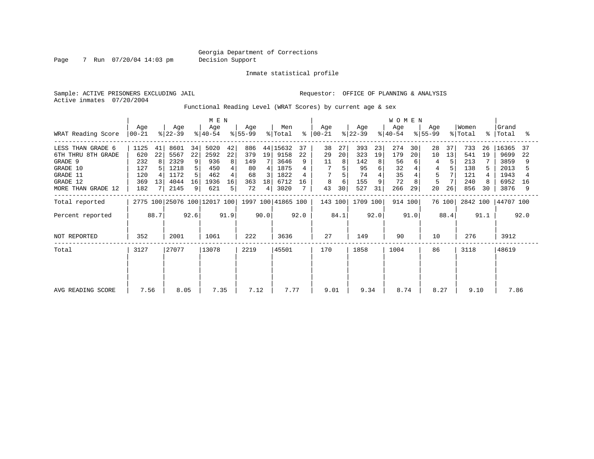Page 7 Run 07/20/04 14:03 pm Decision Support

Inmate statistical profile

Active inmates 07/20/2004

Sample: ACTIVE PRISONERS EXCLUDING JAIL **Requestor:** OFFICE OF PLANNING & ANALYSIS

Functional Reading Level (WRAT Scores) by current age & sex

| WRAT Reading Score                                                                                           | M E N<br>Age<br>Age<br>Age<br>Aqe<br>$ 22-39 $<br>$ 55-99 $<br>$ 40-54 $<br>$ 00-21 $ |                     |                                                      |                                    |                                                  |                               |                                            |                         | Men<br>% Total                                           | $\approx$      | Age<br>  00-21            |                     | Age<br>$ 22-39 $                            |                          | <b>WOMEN</b><br>Age<br>$ 40-54 $          |                     | Aqe<br>$ 55-99 $                   |                | Women<br>% Total                              |                | Grand<br>%   Total                                    | ႜ                   |
|--------------------------------------------------------------------------------------------------------------|---------------------------------------------------------------------------------------|---------------------|------------------------------------------------------|------------------------------------|--------------------------------------------------|-------------------------------|--------------------------------------------|-------------------------|----------------------------------------------------------|----------------|---------------------------|---------------------|---------------------------------------------|--------------------------|-------------------------------------------|---------------------|------------------------------------|----------------|-----------------------------------------------|----------------|-------------------------------------------------------|---------------------|
| LESS THAN GRADE 6<br>6TH THRU 8TH GRADE<br>GRADE 9<br>GRADE 10<br>GRADE 11<br>GRADE 12<br>MORE THAN GRADE 12 | 1125<br>620<br>232<br>127<br>120<br>369<br>182                                        | 41<br>22<br>8<br>13 | 8601<br>5567<br>2329<br>1218<br>1172<br>4044<br>2145 | 34<br>22<br>9<br>5<br>5<br>16<br>9 | 5020<br>2592<br>936<br>450<br>462<br>1936<br>621 | 42<br>22<br>8<br>4<br>16<br>5 | 886<br>379<br>149<br>80<br>68<br>363<br>72 | 19<br>4<br>3<br>18<br>4 | 44 15632<br>9158<br>3646<br>1875<br>1822<br>6712<br>3020 | 37<br>22<br>16 | 38<br>29<br>11<br>8<br>43 | 27<br>20<br>6<br>30 | 393<br>323<br>142<br>95<br>74<br>155<br>527 | 23<br>19<br>8<br>6<br>31 | 274<br>179<br>56<br>32<br>35<br>72<br>266 | 30<br>20<br>6<br>29 | 28<br>10<br>4<br>4<br>5<br>5<br>20 | 37<br>13<br>26 | 733<br>541<br>213<br>138<br>121<br>240<br>856 | 26<br>19<br>30 | 16365<br>9699<br>3859<br>2013<br>1943<br>6952<br>3876 | 37<br>22<br>16<br>9 |
| Total reported                                                                                               |                                                                                       |                     |                                                      |                                    | 2775 100 25076 100 12017 100                     |                               |                                            |                         | 1997 100 41865 100                                       |                | 143 100                   |                     | 1709 100                                    |                          | 914 100                                   |                     |                                    | 76 100         | 2842 100                                      |                | 44707 100                                             |                     |
| Percent reported<br>NOT REPORTED                                                                             | 352                                                                                   | 88.7                | 2001                                                 | 92.6                               | 1061                                             | 91.9                          | 222                                        | 90.0                    | 3636                                                     | 92.0           | 27                        | 84.1                | 149                                         | 92.0                     | 90                                        | 91.0                | 10                                 | 88.4           | 276                                           | 91.1           | 3912                                                  | 92.0                |
| Total                                                                                                        | 3127                                                                                  |                     | 27077                                                |                                    | 13078                                            |                               | 2219                                       |                         | 45501                                                    |                | 170                       |                     | 1858                                        |                          | 1004                                      |                     | 86                                 |                | 3118                                          |                | 48619                                                 |                     |
| AVG READING SCORE                                                                                            | 7.56                                                                                  |                     | 8.05                                                 |                                    | 7.35                                             |                               | 7.12                                       |                         | 7.77                                                     |                | 9.01                      |                     | 9.34                                        |                          | 8.74                                      |                     | 8.27                               |                | 9.10                                          |                | 7.86                                                  |                     |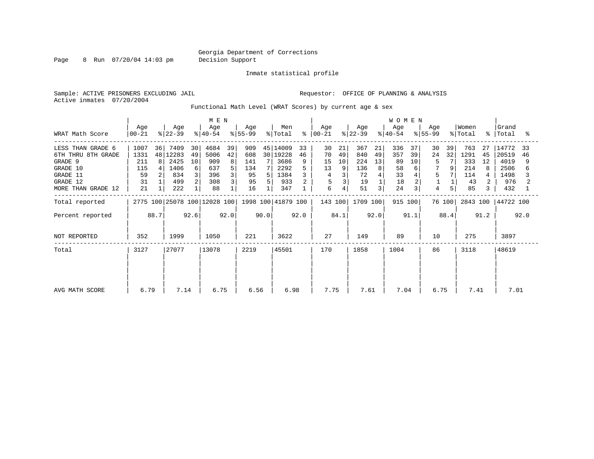Page 8 Run 07/20/04 14:03 pm Decision Support

Inmate statistical profile

Active inmates 07/20/2004

Sample: ACTIVE PRISONERS EXCLUDING JAIL **Requestor:** OFFICE OF PLANNING & ANALYSIS

Functional Math Level (WRAT Scores) by current age & sex

|                                                                            | M E N                                        |         |                                         |                          |                                   |                    |                                |        |                                              |               |                           |                          |                                |                     | <b>WOMEN</b>                 |                     |                    |          |                                  |                |                                        |          |
|----------------------------------------------------------------------------|----------------------------------------------|---------|-----------------------------------------|--------------------------|-----------------------------------|--------------------|--------------------------------|--------|----------------------------------------------|---------------|---------------------------|--------------------------|--------------------------------|---------------------|------------------------------|---------------------|--------------------|----------|----------------------------------|----------------|----------------------------------------|----------|
| WRAT Math Score                                                            | Age<br>$00 - 21$                             |         | Age<br>$ 22-39 $                        |                          | Age<br>$ 40-54 $                  |                    | Age<br>$ 55-99 $               |        | Men<br>% Total                               | ႜၟ            | Age<br>$ 00-21 $          |                          | Age<br>$ 22-39 $               |                     | Age<br>$8 40-54$             |                     | Age<br>$ 55-99 $   |          | Women<br>% Total                 |                | Grand<br>%   Total                     | °≈       |
| LESS THAN GRADE 6<br>6TH THRU 8TH GRADE<br>GRADE 9<br>GRADE 10<br>GRADE 11 | 1007<br>1331<br>211<br>115<br>59             | 36<br>8 | 7409<br>48 12283<br>2425<br>1406<br>834 | 30<br>49<br>10<br>6<br>3 | 4684<br>5006<br>909<br>637<br>396 | 39<br>42<br>8<br>5 | 909<br>608<br>141<br>134<br>95 | 7<br>7 | 45 14009<br>30 19228<br>3686<br>2292<br>1384 | 33<br>46<br>9 | 30<br>70<br>15<br>13<br>4 | 21<br>49<br>10<br>9<br>3 | 367<br>840<br>224<br>136<br>72 | 21<br>49<br>13<br>8 | 336<br>357<br>89<br>58<br>33 | 37<br>39<br>10<br>6 | 30<br>24<br>5<br>5 | 39<br>32 | 763<br>1291<br>333<br>214<br>114 | 27<br>45<br>12 | 14772<br>20519<br>4019<br>2506<br>1498 | 33<br>46 |
| GRADE 12<br>MORE THAN GRADE 12                                             | 31<br>21                                     |         | 499<br>222                              | 2                        | 308<br>88                         |                    | 95<br>16                       | 5      | 933<br>347                                   |               | 6                         | 4                        | 19<br>51                       | 3                   | 18<br>24                     | 2<br>$\overline{3}$ | 4                  | 5        | 43<br>85                         |                | 976<br>432                             |          |
| Total reported                                                             |                                              |         |                                         |                          |                                   |                    |                                |        | 1998 100 41879 100                           |               | 143 100                   |                          | 1709 100                       |                     | 915 100                      |                     |                    | 76 100   | 2843 100                         |                | 44722 100                              |          |
| Percent reported                                                           | 2775 100 25078 100 12028 100<br>92.6<br>88.7 |         |                                         |                          | 92.0                              |                    | 90.0                           |        | 92.0                                         |               | 84.1                      |                          | 92.0                           |                     | 91.1                         |                     | 88.4               |          | 91.2                             |                | 92.0                                   |          |
| NOT REPORTED                                                               | 352<br>1999                                  |         |                                         | 1050                     |                                   | 221                |                                | 3622   |                                              | 27            |                           | 149                      |                                | 89                  |                              | 10                  |                    | 275      |                                  | 3897           |                                        |          |
| Total                                                                      | 3127                                         |         | 27077                                   |                          | 13078                             |                    | 2219                           |        | 45501                                        |               | 170                       |                          | 1858                           |                     | 1004                         |                     | 86                 |          | 3118                             |                | 48619                                  |          |
| AVG MATH SCORE                                                             | 6.79                                         |         | 7.14                                    |                          | 6.75                              |                    | 6.56                           |        | 6.98                                         |               | 7.75                      |                          | 7.61                           |                     | 7.04                         |                     | 6.75               |          | 7.41                             |                | 7.01                                   |          |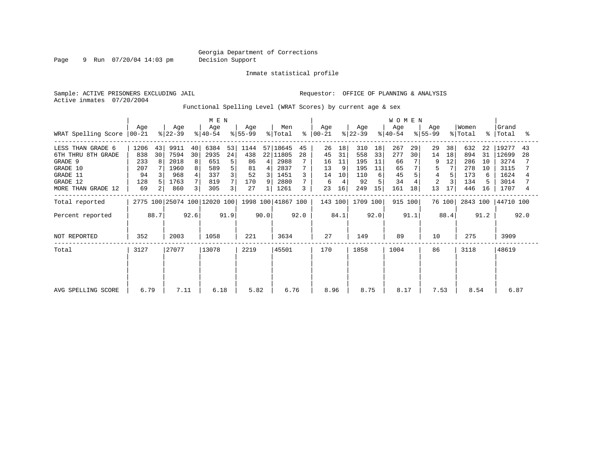Page 9 Run 07/20/04 14:03 pm Decision Support

Inmate statistical profile

Active inmates 07/20/2004

Sample: ACTIVE PRISONERS EXCLUDING JAIL **Requestor:** OFFICE OF PLANNING & ANALYSIS

Functional Spelling Level (WRAT Scores) by current age & sex

|                                                                | M E N<br>Men<br>Age<br>Age<br>Age<br>Age     |          |                              |               |                          |                    |                       |                      |                              |          | Aqe                  |                | Age                     |                | <b>WOMEN</b><br>Age   |          | Aqe                  |                | Women                    |                      | Grand                        |          |
|----------------------------------------------------------------|----------------------------------------------|----------|------------------------------|---------------|--------------------------|--------------------|-----------------------|----------------------|------------------------------|----------|----------------------|----------------|-------------------------|----------------|-----------------------|----------|----------------------|----------------|--------------------------|----------------------|------------------------------|----------|
| WRAT Spelling Score                                            | $ 00-21 $                                    |          | $ 22-39 $                    |               | $ 40-54 $                |                    | $8 55-99$             |                      | % Total                      | ి        | $ 00-21 $            |                | $ 22-39 $               |                | $ 40-54 $             |          | $ 55-99 $            |                | % Total                  | $\approx$ 1          | Total                        |          |
| LESS THAN GRADE 6<br>6TH THRU 8TH GRADE<br>GRADE 9<br>GRADE 10 | 1206<br>838<br>233<br>207                    | 43<br>30 | 9911<br>7594<br>2018<br>1960 | 40<br>30<br>8 | 6384<br>2935<br>651      | 53<br>24<br>5<br>5 | 1144<br>438<br>86     | 41<br>$\overline{4}$ | 57 18645<br>22 11805<br>2988 | 45<br>28 | 26<br>45<br>16<br>13 | 18<br>31<br>11 | 310<br>558<br>195       | 18<br>33<br>11 | 267<br>277<br>66      | 29<br>30 | 29<br>14             | 38<br>18<br>12 | 632<br>894<br>286<br>278 | 22<br>31<br>10<br>10 | 19277<br>12699<br>3274       | 43<br>28 |
| GRADE 11<br>GRADE 12<br>MORE THAN GRADE 12                     | 94<br>128<br>69                              |          | 968<br>1763<br>860           | 8             | 589<br>337<br>819<br>305 | 3                  | 81<br>52<br>170<br>27 | 3<br>9               | 2837<br>1451<br>2880<br>1261 | 3        | 14<br>6<br>23        | 10<br>16       | 195<br>110<br>92<br>249 | 11<br>6<br>15  | 65<br>45<br>34<br>161 | 18       | $\overline{c}$<br>13 | 17             | 173<br>134<br>446        | 6<br>16              | 3115<br>1624<br>3014<br>1707 |          |
| Total reported                                                 |                                              |          |                              |               |                          |                    |                       |                      | 1998 100 41867 100           |          | 143 100              |                | 1709 100                |                | 915 100               |          |                      | 76 100         | 2843 100                 |                      | 44710 100                    |          |
| Percent reported                                               | 2775 100 25074 100 12020 100<br>92.6<br>88.7 |          |                              |               | 91.9                     |                    | 90.0                  |                      | 92.0                         |          | 84.1                 |                | 92.0                    |                | 91.1                  |          | 88.4                 |                | 91.2                     |                      | 92.0                         |          |
| NOT REPORTED                                                   | 352                                          |          | 2003                         |               | 1058                     |                    | 221                   |                      | 3634                         |          | 27                   |                | 149                     |                | 89                    |          | 10                   |                | 275                      |                      | 3909                         |          |
| Total                                                          | 3127                                         |          | 27077                        |               | 13078                    |                    | 2219                  |                      | 45501                        |          | 170                  |                | 1858                    |                | 1004                  |          | 86                   |                | 3118                     |                      | 48619                        |          |
| AVG SPELLING SCORE                                             | 6.79                                         |          | 7.11                         |               | 6.18                     |                    | 5.82                  |                      | 6.76                         |          | 8.96                 |                | 8.75                    |                | 8.17                  |          | 7.53                 |                | 8.54                     |                      | 6.87                         |          |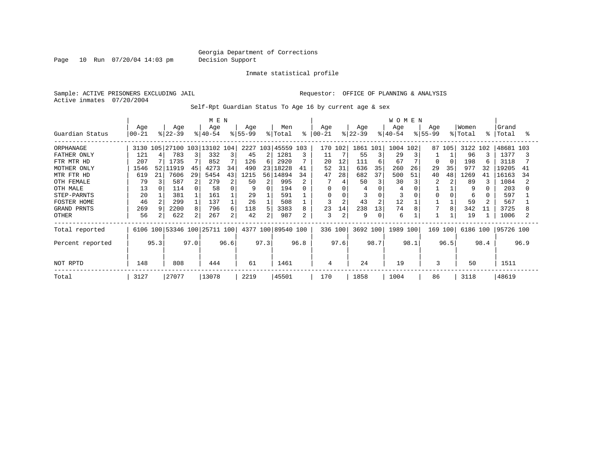Page 10 Run 07/20/04 14:03 pm Decision Support

Inmate statistical profile

Sample: ACTIVE PRISONERS EXCLUDING JAIL **Requestor:** OFFICE OF PLANNING & ANALYSIS Active inmates 07/20/2004

Self-Rpt Guardian Status To Age 16 by current age & sex

|                  |                 |      |                  |      | M E N                        |      |                  |      |                    |      |                  |                |                  |                | <b>WOMEN</b>     |      |                    |        |                  |      |                 |      |
|------------------|-----------------|------|------------------|------|------------------------------|------|------------------|------|--------------------|------|------------------|----------------|------------------|----------------|------------------|------|--------------------|--------|------------------|------|-----------------|------|
| Guardian Status  | Age<br>$ 00-21$ |      | Age<br>$ 22-39 $ |      | Age<br>$ 40-54 $             |      | Age<br>$ 55-99 $ |      | Men<br>% Total     | ⊱    | Age<br>$ 00-21 $ |                | Age<br>$ 22-39 $ |                | Age<br>$8 40-54$ |      | Age<br>$8155 - 99$ |        | Women<br>% Total | °    | Grand<br> Total | °≈   |
| ORPHANAGE        | 3130            |      |                  |      | 105 27100 103 13102 104      |      |                  |      | 2227 103 45559 103 |      | 170              | 102            | 1861 101         |                | 1004             | 102  |                    | 87 105 | 3122 102         |      | 48681 103       |      |
| FATHER ONLY      | 121             |      | 783              |      | 332                          | 3    | 45               | 2    | 1281               | 3    | 11               |                | 55               |                | 29               |      |                    |        | 96               |      | 1377            |      |
| FTR MTR HD       | 207             |      | 1735             |      | 852                          |      | 126              | 6    | 2920               |      | 20               | 12             | 111              | 6              | 67               |      | O                  |        | 198              |      | 3118            |      |
| MOTHER ONLY      | 1546            |      | 52 11919         | 45   | 4273                         | 34   | 490              | 23   | 18228              | 41   | 52               | 31             | 636              | 35             | 260              | 26   | 29                 | 35     | 977              | 32   | 19205           | 41   |
| MTR FTR HD       | 619             | 21   | 7606             | 29   | 5454                         | 43   | 1215             | 561  | 14894              | 34   | 47               | 28             | 682              | 37             | 500              | 51   | 40                 | 48     | 1269             | 41   | 16163           | 34   |
| OTH FEMALE       | 79              |      | 587              | 2    | 279                          | 2    | 50               | 2    | 995                |      |                  |                | 50               | 3              | 30               |      |                    |        | 89               |      | 1084            |      |
| OTH MALE         | 13              |      | 114              |      | 58                           | 0    | 9                | 0    | 194                | 0    | $\Omega$         |                |                  |                | 4                |      |                    |        | 9                |      | 203             |      |
| STEP-PARNTS      | 20              |      | 381              |      | 161                          |      | 29               |      | 591                |      | 0                |                |                  | $\Omega$       |                  |      | O                  |        | 6                |      | 597             |      |
| FOSTER HOME      | 46              |      | 299              |      | 137                          |      | 26               |      | 508                |      | 3                | $\overline{2}$ | 43               | $\overline{2}$ | 12               |      |                    |        | 59               |      | 567             |      |
| GRAND PRNTS      | 269             |      | 2200             | 8    | 796                          | 6    | 118              | 5.   | 3383               | 8    | 23               | 14             | 238              | 13             | 74               |      |                    | 8      | 342              | 11   | 3725            |      |
| OTHER            | 56              |      | 622              | 2    | 267                          | 2    | 42               | 2    | 987                | 2    | 3                | 2              | 9                | 0              | 6                |      |                    |        | 19               |      | 1006            |      |
| Total reported   |                 |      |                  |      | 6106 100 53346 100 25711 100 |      |                  |      | 4377 100 89540 100 |      |                  | 336 100        | 3692 100         |                | 1989 100         |      | 169 100            |        | 6186 100         |      | 95726 100       |      |
| Percent reported |                 | 95.3 |                  | 97.0 |                              | 96.6 |                  | 97.3 |                    | 96.8 |                  | 97.6           |                  | 98.7           |                  | 98.1 |                    | 96.5   |                  | 98.4 |                 | 96.9 |
| NOT RPTD         | 148             |      | 808              |      | 444                          |      | 61               |      | 1461               |      | 4                |                | 24               |                | 19               |      | 3                  |        | 50               |      | 1511            |      |
| Total            | 3127            |      | 27077            |      | 13078                        |      | 2219             |      | 45501              |      | 170              |                | 1858             |                | 1004             |      | 86                 |        | 3118             |      | 48619           |      |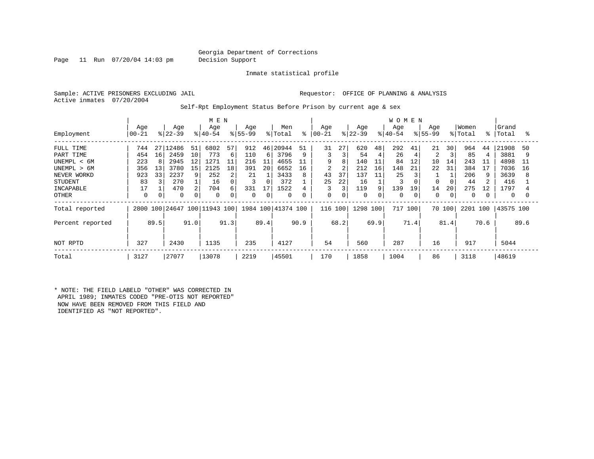Page 11 Run 07/20/04 14:03 pm Decision Support

Inmate statistical profile

Active inmates 07/20/2004

Sample: ACTIVE PRISONERS EXCLUDING JAIL **Requestor:** OFFICE OF PLANNING & ANALYSIS

Self-Rpt Employment Status Before Prison by current age & sex

|                                                                                                                    |                                                         |                                |                                                          |                           |                                                                |                                         | <b>WOMEN</b>                                              |                                 |                                                              |                                    |                               |                                         |                                                         |                                     |                                                 |                      |                                                                |                                     |                                                  |                           |                                                           |                          |
|--------------------------------------------------------------------------------------------------------------------|---------------------------------------------------------|--------------------------------|----------------------------------------------------------|---------------------------|----------------------------------------------------------------|-----------------------------------------|-----------------------------------------------------------|---------------------------------|--------------------------------------------------------------|------------------------------------|-------------------------------|-----------------------------------------|---------------------------------------------------------|-------------------------------------|-------------------------------------------------|----------------------|----------------------------------------------------------------|-------------------------------------|--------------------------------------------------|---------------------------|-----------------------------------------------------------|--------------------------|
| Employment                                                                                                         | Age<br>  00-21                                          |                                | Age<br>$ 22-39$                                          |                           | Age<br>$ 40-54 $                                               |                                         | Age<br>$8155 - 99$                                        |                                 | Men<br>% Total                                               | ႜ                                  | Age<br>$ 00-21$               |                                         | Age<br>$ 22-39 $                                        |                                     | Age<br>$ 40-54 $                                |                      | Age<br>$8155 - 99$                                             |                                     | Women<br>% Total                                 | °                         | Grand<br>Total                                            | ႜႜ                       |
| FULL TIME<br>PART TIME<br>UNEMPL < 6M<br>UNEMPL > 6M<br>NEVER WORKD<br><b>STUDENT</b><br>INCAPABLE<br><b>OTHER</b> | 744<br>454<br>223<br>356<br>923<br>83<br>17<br>$\Omega$ | 27<br>16<br>8<br>13<br>33<br>0 | 12486<br>2459<br>2945<br>3780<br>2237<br>270<br>470<br>0 | 51<br>10<br>12<br>15<br>9 | 6802<br>773<br>1271<br>2125<br>252<br>16<br>704<br>$\mathbf 0$ | 57<br>6<br>11<br>18<br>2<br>0<br>6<br>0 | 912<br>110<br>216<br>391<br>21<br>3<br>331<br>$\mathbf 0$ | 6 <br>11<br>20<br>$\Omega$<br>0 | 46 20944<br>3796<br>4655<br>6652<br>3433<br>372<br>1522<br>0 | 51<br>9<br>11<br>16<br>8<br>4<br>0 | 31<br>9<br>2<br>43<br>25<br>0 | 27<br>3<br>8<br>2<br>37<br>22<br>3<br>0 | 620<br>54<br>140<br>212<br>137<br>16<br>119<br>$\Omega$ | 48<br>4<br>11<br>16<br>11<br>9<br>0 | 292<br>26<br>84<br>148<br>25<br>139<br>$\Omega$ | 41<br>12<br>21<br>19 | 21<br>$\overline{c}$<br>10<br>22<br>$\Omega$<br>14<br>$\Omega$ | 30<br>14<br>31<br>20<br>$\mathbf 0$ | 964<br>85<br>243<br>384<br>206<br>44<br>275<br>0 | 44<br>11<br>17<br>9<br>12 | 21908<br>3881<br>4898<br>7036<br>3639<br>416<br>1797<br>0 | 50<br>9<br>11<br>16<br>8 |
| Total reported                                                                                                     | 2800                                                    |                                |                                                          |                           | 100 24647 100 11943 100                                        |                                         |                                                           |                                 | 1984 100 41374 100                                           |                                    | 116 100                       |                                         | 1298 100                                                |                                     | 717                                             | 100                  | 70 100                                                         |                                     | 2201                                             | 100                       | 43575 100                                                 |                          |
| Percent reported<br>NOT RPTD                                                                                       | 327                                                     | 89.5                           | 2430                                                     | 91.0                      | 1135                                                           | 91.3                                    | 235                                                       | 89.4                            | 4127                                                         | 90.9                               | 54                            | 68.2                                    | 560                                                     | 69.9                                | 287                                             | 71.4                 | 16                                                             | 81.4                                | 917                                              | 70.6                      | 5044                                                      | 89.6                     |
| Total                                                                                                              | 3127                                                    |                                | 27077                                                    |                           | 13078                                                          |                                         | 2219                                                      |                                 | 45501                                                        |                                    | 170                           |                                         | 1858                                                    |                                     | 1004                                            |                      | 86                                                             |                                     | 3118                                             |                           | 48619                                                     |                          |

\* NOTE: THE FIELD LABELD "OTHER" WAS CORRECTED IN APRIL 1989; INMATES CODED "PRE-OTIS NOT REPORTED" NOW HAVE BEEN REMOVED FROM THIS FIELD AND IDENTIFIED AS "NOT REPORTED".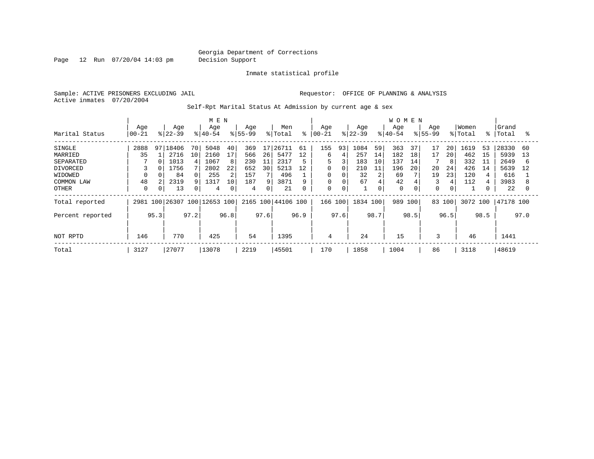Page 12 Run 07/20/04 14:03 pm Decision Support

Inmate statistical profile

Active inmates 07/20/2004

Sample: ACTIVE PRISONERS EXCLUDING JAIL **Requestor:** OFFICE OF PLANNING & ANALYSIS

Self-Rpt Marital Status At Admission by current age & sex

|                  |           |      | M E N     |      |                         |      |           |      |                    |      | <b>WOMEN</b> |             |           |      |           |      |           |      |         |      |           |      |
|------------------|-----------|------|-----------|------|-------------------------|------|-----------|------|--------------------|------|--------------|-------------|-----------|------|-----------|------|-----------|------|---------|------|-----------|------|
|                  | Age       |      | Age       |      | Age                     |      | Age       |      | Men                |      | Age          |             | Age       |      | Age       |      | Age       |      | Women   |      | Grand     |      |
| Marital Status   | $00 - 21$ |      | $8 22-39$ |      | $8 40-54$               |      | $8 55-99$ |      | % Total            | ៖    | $ 00 - 21$   |             | $ 22-39 $ |      | $8 40-54$ |      | $8 55-99$ |      | % Total | ႜႜ   | Total     | °≈   |
| SINGLE           | 2888      | 97   | 18406     | 70   | 5048                    | 40   | 369       | 17   | 26711              | 61   | 155          | 93          | 1084      | 59   | 363       | 37   | 17        | 20   | 1619    | 53   | 28330     | 60   |
| MARRIED          | 35        |      | 2716      | 10   | 2160                    | 17   | 566       | 26   | 5477               | 12   | 6            |             | 257       | 14   | 182       | 18   | 17        | 20   | 462     | 15   | 5939      | 13   |
| SEPARATED        |           | 0    | 1013      |      | 1067                    | 8    | 230       | 11   | 2317               | 5    | 5            | २           | 183       | 10   | 137       | 14   |           | 8    | 332     | 11   | 2649      | 6    |
| DIVORCED         |           |      | 1756      |      | 2802                    | 22   | 652       | 30   | 5213               | 12   | 0            | $\Omega$    | 210       | 11   | 196       | 20   | 20        | 24   | 426     | 14   | 5639      | 12   |
| WIDOWED          |           |      | 84        |      | 255                     | 2    | 157       |      | 496                |      | 0            |             | 32        | 2    | 69        |      | 19        | 23   | 120     |      | 616       |      |
| COMMON LAW       | 48        |      | 2319      |      | 1317                    | 10   | 187       | q    | 3871               | 9    | 0            |             | 67        | 4    | 42        |      | 3         | 4    | 112     |      | 3983      |      |
| OTHER            | $\Omega$  | 0    | 13        |      | 4                       | 0    | 4         | 0    | 21                 | 0    | 0            | $\mathbf 0$ |           | 0    | 0         |      | 0         | 0    |         |      | 22        |      |
| Total reported   | 2981      |      |           |      | 100 26307 100 12653 100 |      |           |      | 2165 100 44106 100 |      | 166 100      |             | 1834 100  |      | 989       | 100  | 83 100    |      | 3072    | 100  | 47178 100 |      |
| Percent reported |           | 95.3 |           | 97.2 |                         | 96.8 |           | 97.6 |                    | 96.9 |              | 97.6        |           | 98.7 |           | 98.5 |           | 96.5 |         | 98.5 |           | 97.0 |
|                  |           |      |           |      |                         |      |           |      |                    |      |              |             |           |      |           |      |           |      |         |      |           |      |
| NOT RPTD         | 146       |      | 770       |      | 425                     |      | 54        |      | 1395               |      | 4            |             | 24        |      | 15        |      | 3         |      | 46      |      | 1441      |      |
| Total            | 3127      |      | 27077     |      | 13078                   |      | 2219      |      | 45501              |      | 170          |             | 1858      |      | 1004      |      | 86        |      | 3118    |      | 48619     |      |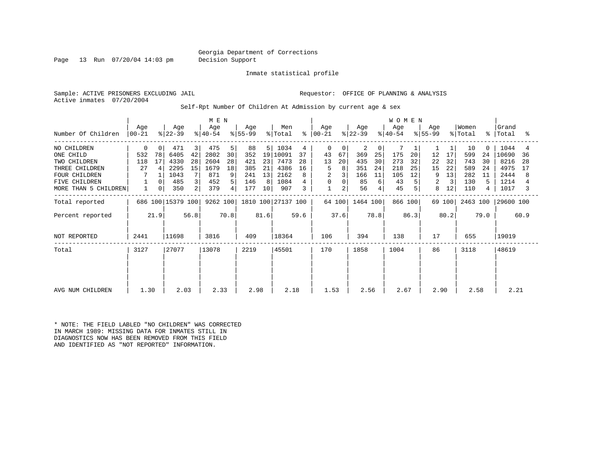#### Georgia Department of Corrections Page 13 Run 07/20/04 14:03 pm Decision Support

Inmate statistical profile

Active inmates 07/20/2004

Sample: ACTIVE PRISONERS EXCLUDING JAIL **Requestor:** OFFICE OF PLANNING & ANALYSIS

Self-Rpt Number Of Children At Admission by current age & sex

|                      |                 |          | M E N             |      |                  |      |                  |                |                    |      | W O M E N            |          |                  |      |                  |      |                  |        |                  |             |                |      |
|----------------------|-----------------|----------|-------------------|------|------------------|------|------------------|----------------|--------------------|------|----------------------|----------|------------------|------|------------------|------|------------------|--------|------------------|-------------|----------------|------|
| Number Of Children   | Age<br>$ 00-21$ |          | Age<br>$ 22-39 $  |      | Age<br>$ 40-54 $ |      | Age<br>$ 55-99 $ |                | Men<br>% Total     |      | Age<br>$8   00 - 21$ |          | Age<br>$ 22-39 $ |      | Age<br>$ 40-54 $ |      | Age<br>$ 55-99 $ |        | Women<br>% Total | $\approx$ 1 | Grand<br>Total | ႜ    |
| NO CHILDREN          | 0               | 0        | 471               | 3    | 475              | 5    | 88               | 5 <sup>1</sup> | 1034               | 4    | 0                    | $\Omega$ | 2                | 0    |                  |      |                  |        | 10               | $\Omega$    | 1044           | 4    |
| ONE CHILD            | 532             | 78       | 6405              | 42   | 2802             | 30   | 352              | 19             | 10091              | 37   | 43                   | 67       | 369              | 25   | 175              | 20   | 12               | 17     | 599              | 24          | 10690          | 36   |
| TWO CHILDREN         | 118             | 17       | 4330              | 28   | 2604             | 28   | 421              | 23             | 7473               | 28   | 13                   | 20       | 435              | 30   | 273              | 32   | 22               | 32     | 743              | 30          | 8216           | 28   |
| THREE CHILDREN       | 27              | 4        | 2295              | 15   | 1679             | 18   | 385              | 21             | 4386               | 16   | 5                    | 8        | 351              | 24   | 218              | 25   | 15               | 22     | 589              | 24          | 4975           | 17   |
| <b>FOUR CHILDREN</b> | 7               |          | 1043              |      | 871              | 9    | 241              | 13             | 2162               |      | 2                    |          | 166              | 11   | 105              | 12   | 9                | 13     | 282              | 11          | 2444           | 8    |
| <b>FIVE CHILDREN</b> |                 | $\Omega$ | 485               | 3    | 452              | 5    | 146              | 8              | 1084               |      | 0                    |          | 85               | 6    | 43               |      | 2                | 3      | 130              |             | 1214           |      |
| MORE THAN 5 CHILDREN |                 | 0        | 350               | 2    | 379              | 4    | 177              | 10             | 907                | 3    | $\mathbf{1}$         | 2        | 56               |      | 45               |      | 8                | 12     | 110              | 4           | 1017           |      |
| Total reported       |                 |          | 686 100 15379 100 |      | 9262 100         |      |                  |                | 1810 100 27137 100 |      |                      | 64 100   | 1464 100         |      | 866 100          |      |                  | 69 100 | 2463 100         |             | 29600 100      |      |
| Percent reported     |                 | 21.9     |                   | 56.8 |                  | 70.8 |                  | 81.6           |                    | 59.6 |                      | 37.6     |                  | 78.8 |                  | 86.3 |                  | 80.2   |                  | 79.0        |                | 60.9 |
| NOT REPORTED         | 2441            |          | 11698             |      | 3816             |      | 409              |                | 18364              |      | 106                  |          | 394              |      | 138              |      | 17               |        | 655              |             | 19019          |      |
| Total                | 3127            |          | 27077             |      | 13078            |      | 2219             |                | 45501              |      | 170                  |          | 1858             |      | 1004             |      | 86               |        | 3118             |             | 48619          |      |
|                      |                 |          |                   |      |                  |      |                  |                |                    |      |                      |          |                  |      |                  |      |                  |        |                  |             |                |      |
|                      |                 |          |                   |      |                  |      |                  |                |                    |      |                      |          |                  |      |                  |      |                  |        |                  |             |                |      |
| AVG NUM CHILDREN     | 1.30            |          | 2.03              |      | 2.33             |      | 2.98             |                | 2.18               |      | 1.53                 |          | 2.56             |      | 2.67             |      | 2.90             |        | 2.58             |             | 2.21           |      |

\* NOTE: THE FIELD LABLED "NO CHILDREN" WAS CORRECTED IN MARCH 1989: MISSING DATA FOR INMATES STILL IN DIAGNOSTICS NOW HAS BEEN REMOVED FROM THIS FIELD AND IDENTIFIED AS "NOT REPORTED" INFORMATION.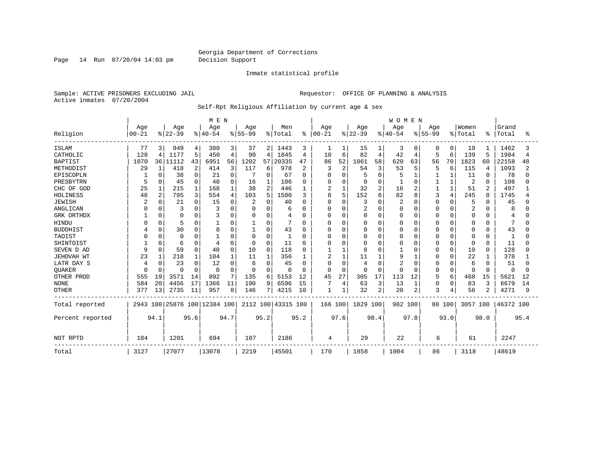Page 14 Run 07/20/04 14:03 pm Decision Support

### Inmate statistical profile

Sample: ACTIVE PRISONERS EXCLUDING JAIL **Requestor:** OFFICE OF PLANNING & ANALYSIS Active inmates 07/20/2004

Self-Rpt Religious Affiliation by current age & sex

|                  |           |                |                              |          | M E N    |          |           |          |                    |                |           |                |                |                | WOMEN    |          |           |              |          |              |           |      |
|------------------|-----------|----------------|------------------------------|----------|----------|----------|-----------|----------|--------------------|----------------|-----------|----------------|----------------|----------------|----------|----------|-----------|--------------|----------|--------------|-----------|------|
|                  | Age       |                | Age                          |          | Age      |          | Age       |          | Men                |                | Age       |                | Age            |                | Age      |          | Aqe       |              | Women    |              | Grand     |      |
| Religion         | $00 - 21$ |                | $ 22-39$                     |          | $ 40-54$ |          | $8 55-99$ |          | % Total            | $\frac{1}{6}$  | $00 - 21$ |                | $ 22-39$       |                | $ 40-54$ |          | $8 55-99$ |              | % Total  | ႜ            | Total     | °    |
| ISLAM            | 77        | 3              | 949                          | 4        | 380      | 3        | 37        | 2        | 1443               | 3              | 1         |                | 15             | 1              | 3        | 0        | 0         | 0            | 19       |              | 1462      |      |
| CATHOLIC         | 128       | 4              | 1177                         | 5        | 450      | 4        | 90        | 4        | 1845               | 4              | 10        | 6              | 82             | 4              | 42       | 4        | 5         | 6            | 139      | 5            | 1984      | 4    |
| <b>BAPTIST</b>   | 1070      |                | 36 11112                     | 43       | 6951     | 56       | 1202      | 57       | 20335              | 47             | 86        | 52             | 1061           | 58             | 620      | 63       | 56        | 70           | 1823     | 60           | 22158     | 48   |
| METHODIST        | 29        | -1             | 418                          | 2        | 414      | 3        | 117       | 6        | 978                | $\overline{2}$ | 3         | $\overline{2}$ | 54             | 3              | 53       | 5        | 5         | 6            | 115      | 4            | 1093      |      |
| EPISCOPLN        |           | 0              | 38                           | $\Omega$ | 21       | 0        |           | 0        | 67                 | U              |           | $\Omega$       |                | $\Omega$       | 5        |          |           |              | 11       | 0            | 78        |      |
| PRESBYTRN        | 5         | 0              | 45                           | $\Omega$ | 40       | $\Omega$ | 16        |          | 106                | U              |           | $\Omega$       | 0              | <sup>0</sup>   |          | $\Omega$ |           |              | 2        | $\Omega$     | 108       |      |
| CHC OF GOD       | 25        |                | 215                          |          | 168      | 1        | 38        | 2        | 446                | 1              | 2         | $\mathbf{1}$   | 32             | $\mathfrak{D}$ | 16       | 2        |           | $\mathbf{1}$ | 51       | 2            | 497       |      |
| HOLINESS         | 48        | $\overline{2}$ | 795                          | 3        | 554      | 4        | 103       | 5        | 1500               | ζ              | 8         | 5              | 152            | 8              | 82       | 8        | 3         | 4            | 245      | 8            | 1745      |      |
| <b>JEWISH</b>    | 2         |                | 21                           | U        | 15       | 0        | 2         | 0        | 40                 | 0              | O         | $\Omega$       | 3              | 0              | 2        | 0        | Ω         | 0            | 5        | 0            | 45        |      |
| ANGLICAN         |           |                | 3                            |          |          |          | 0         | 0        | 6                  | 0              |           | $\Omega$       | $\overline{2}$ | O              | 0        | 0        | Ω         | 0            | 2        | O            | 8         |      |
| GRK ORTHDX       |           | $\Omega$       | 0                            | 0        |          | 0        | 0         | 0        | 4                  | 0              | $\Omega$  | $\Omega$       | <sup>0</sup>   | $\Omega$       | O        | 0        | O         | $\Omega$     | 0        | $\Omega$     | 4         |      |
| <b>HINDU</b>     |           |                | 5                            |          |          |          |           | 0        |                    | U              |           | $\Omega$       |                | $\Omega$       |          | 0        |           | $\Omega$     | 0        | O            |           |      |
| <b>BUDDHIST</b>  |           | $\Omega$       | 30                           | O        | 8        | $\Omega$ |           | 0        | 43                 | O              |           | $\Omega$       |                | $\Omega$       |          | $\Omega$ | ი         | $\Omega$     | U        | <sup>0</sup> | 43        |      |
| TAOIST           |           | $\Omega$       | $\Omega$                     | U        |          | O        | $\Omega$  | O        | -1                 | U              |           | $\Omega$       |                | $\cap$         | O        | $\Omega$ | O         | $\Omega$     | 0        | $\Omega$     |           |      |
| SHINTOIST        |           | U              | 6                            | 0        |          | 0        | $\Omega$  | O        | 11                 | U              |           | $\Omega$       | <sup>0</sup>   | U              | 0        | 0        | 0         | $\Omega$     | 0        | $\Omega$     | 11        |      |
| SEVEN D AD       | 9         | $\Omega$       | 59                           | $\Omega$ | 40       | $\Omega$ | 10        | 0        | 118                | O              |           |                | 8              | O              |          | $\Omega$ | 0         | $\Omega$     | 10       | 0            | 128       |      |
| JEHOVAH WT       | 23        |                | 218                          |          | 104      |          | 11        |          | 356                |                | 2         |                | 11             |                | q        |          | Ω         | 0            | 22       |              | 378       |      |
| LATR DAY S       |           | <sup>0</sup>   | 23                           | $\Omega$ | 12       | $\Omega$ | 6         | 0        | 45                 | 0              | O         | $\Omega$       | 4              | $\Omega$       |          | $\Omega$ | O         | $\Omega$     | 6        | $\Omega$     | 51        |      |
| <b>OUAKER</b>    | $\cap$    | $\Omega$       | $\Omega$                     | $\Omega$ | 0        | $\Omega$ | 0         | $\Omega$ | $\Omega$           | $\Omega$       | $\Omega$  | 0              | $\Omega$       | $\Omega$       | O        | $\Omega$ | 0         | $\mathbf 0$  | $\Omega$ | $\Omega$     | $\Omega$  |      |
| OTHER PROD       | 555       | 19             | 3571                         | 14       | 892      | 7        | 135       | 6        | 5153               | 12             | 45        | 27             | 305            | 17             | 113      | 12       | 5         | 6            | 468      | 15           | 5621      | 12   |
| <b>NONE</b>      | 584       | 20             | 4456                         | 17       | 1366     | 11       | 190       | 9        | 6596               | 15             |           | 4              | 63             | 3              | 13       | 1        | 0         | $\mathbf 0$  | 83       | 3            | 6679      | 14   |
| <b>OTHER</b>     | 377       | 13             | 2735                         | 11       | 957      | 8        | 146       | 7        | 4215               | 10             |           |                | 32             | 2              | 20       | 2        | 3         | 4            | 56       | 2            | 4271      | q    |
| Total reported   |           |                | 2943 100 25876 100 12384 100 |          |          |          |           |          | 2112 100 43315 100 |                | 166 100   |                | 1829 100       |                | 982 100  |          |           | 80 100       | 3057 100 |              | 46372 100 |      |
| Percent reported |           | 94.1           |                              | 95.6     |          | 94.7     |           | 95.2     |                    | 95.2           |           | 97.6           |                | 98.4           |          | 97.8     |           | 93.0         |          | 98.0         |           | 95.4 |
| NOT RPTD         | 184       |                | 1201                         |          | 694      |          | 107       |          | 2186               |                | 4         |                | 29             |                | 22       |          | 6         |              | 61       |              | 2247      |      |
| Total            | 3127      |                | 27077                        |          | 13078    |          | 2219      |          | 45501              |                | 170       |                | 1858           |                | 1004     |          | 86        |              | 3118     |              | 48619     |      |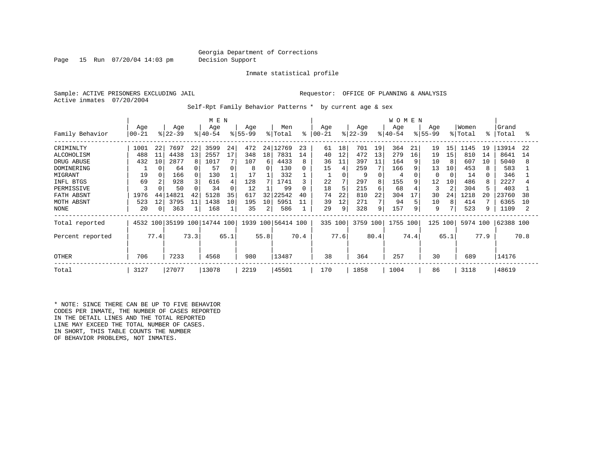Page 15 Run 07/20/04 14:03 pm Decision Support

Inmate statistical profile

Sample: ACTIVE PRISONERS EXCLUDING JAIL **Requestor:** OFFICE OF PLANNING & ANALYSIS Active inmates 07/20/2004

Self-Rpt Family Behavior Patterns \* by current age & sex

|                   | M E N     |                |          |      |                         |          |           |      |                    |      |           |      |           |                | <b>WOMEN</b> |      |              |                |          |      |           |      |
|-------------------|-----------|----------------|----------|------|-------------------------|----------|-----------|------|--------------------|------|-----------|------|-----------|----------------|--------------|------|--------------|----------------|----------|------|-----------|------|
|                   | Age       |                | Age      |      | Age                     |          | Age       |      | Men                |      | Age       |      | Age       |                | Age          |      | Age          |                | Women    |      | Grand     |      |
| Family Behavior   | $00 - 21$ |                | $ 22-39$ |      | $ 40-54 $               |          | $8 55-99$ |      | % Total            | ి    | $00 - 21$ |      | $ 22-39 $ |                | $8 40-54$    |      | $8155 - 99$  |                | % Total  | °    | Total     | °    |
| CRIMINLTY         | 1001      | 22             | 7697     | 22   | 3599                    | 24       | 472       |      | 24 12769           | 23   | 61        | 18   | 701       | 19             | 364          | 21   | 19           | 15             | 1145     | 19   | 13914     | 22   |
| <b>ALCOHOLISM</b> | 488       | 11             | 4438     | 13   | 2557                    | 17       | 348       | 18   | 7831               | 14   | 40        | 12   | 472       | 13             | 279          | 16   | 19           | 15             | 810      | 14   | 8641      | 14   |
| DRUG ABUSE        | 432       | 10             | 2877     | 8    | 1017                    |          | 107       | 6    | 4433               | 8    | 36        | 11   | 397       | 11             | 164          | 9    | 10           |                | 607      | 10   | 5040      | 8    |
| DOMINERING        |           | O              | 64       |      | 57                      | 0        | 8         | 0    | 130                | 0    | 15        | 4    | 259       | 7              | 166          | 9    | 13           | 10             | 453      |      | 583       |      |
| MIGRANT           | 19        |                | 166      |      | 130                     |          | 17        |      | 332                |      | щ         |      | 9         | $\Omega$       | 4            |      | <sup>0</sup> | $\Omega$       | 14       |      | 346       |      |
| INFL BTGS         | 69        |                | 928      |      | 616                     | 4        | 128       |      | 1741               |      | 22        |      | 297       | 8              | 155          | 9    | 12           | 10             | 486      |      | 2227      |      |
| PERMISSIVE        | κ         |                | 50       |      | 34                      | $\Omega$ | 12        |      | 99                 | U    | 18        | 5    | 215       | 6              | 68           |      | 3            | $\overline{c}$ | 304      |      | 403       |      |
| FATH ABSNT        | 1976      | 44             | .4821    | 42   | 5128                    | 35       | 617       | 32   | 22542              | 40   | 74        | 22   | 810       | 22             | 304          | 17   | 30           | 24             | 1218     | 20   | 23760     | 38   |
| MOTH ABSNT        | 523       | 12             | 3795     | 11   | 1438                    | 10       | 195       | 10   | 5951               | 11   | 39        | 12   | 271       | 7 <sub>1</sub> | 94           |      | 10           | 8              | 414      |      | 6365      | 10   |
| NONE              | 20        | $\overline{0}$ | 363      |      | 168                     |          | 35        | 2    | 586                |      | 29        | 9    | 328       | 9              | 157          | 9    | 9            |                | 523      |      | 1109      |      |
| Total reported    | 4532      |                |          |      | 100 35199 100 14744 100 |          |           |      | 1939 100 56414 100 |      | 335 100   |      | 3759 100  |                | 1755 100     |      | 125          | 100            | 5974 100 |      | 62388 100 |      |
| Percent reported  |           | 77.4           |          | 73.3 |                         | 65.1     |           | 55.8 |                    | 70.4 |           | 77.6 |           | 80.4           |              | 74.4 |              | 65.1           |          | 77.9 |           | 70.8 |
| <b>OTHER</b>      | 706       |                | 7233     |      | 4568                    |          | 980       |      | 13487              |      | 38        |      | 364       |                | 257          |      | 30           |                | 689      |      | 14176     |      |
| Total             | 3127      |                | 27077    |      | 13078                   |          | 2219      |      | 45501              |      | 170       |      | 1858      |                | 1004         |      | 86           |                | 3118     |      | 48619     |      |

\* NOTE: SINCE THERE CAN BE UP TO FIVE BEHAVIOR CODES PER INMATE, THE NUMBER OF CASES REPORTED IN THE DETAIL LINES AND THE TOTAL REPORTED LINE MAY EXCEED THE TOTAL NUMBER OF CASES. IN SHORT, THIS TABLE COUNTS THE NUMBER OF BEHAVIOR PROBLEMS, NOT INMATES.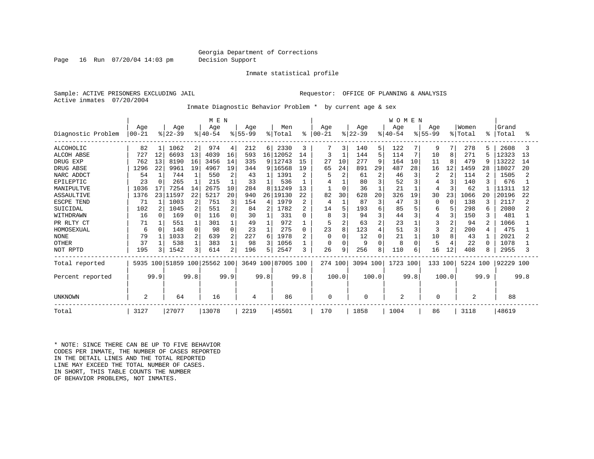#### Georgia Department of Corrections Page 16 Run 07/20/04 14:03 pm Decision Support

Inmate statistical profile

Sample: ACTIVE PRISONERS EXCLUDING JAIL **Requestor:** OFFICE OF PLANNING & ANALYSIS Active inmates 07/20/2004

Inmate Diagnostic Behavior Problem \* by current age & sex

|                    |           |              |                         | M E N          |          |                |           |                 |                    |                |           |                |           | <b>WOMEN</b>   |             |      |             |                |                |          |           |      |
|--------------------|-----------|--------------|-------------------------|----------------|----------|----------------|-----------|-----------------|--------------------|----------------|-----------|----------------|-----------|----------------|-------------|------|-------------|----------------|----------------|----------|-----------|------|
|                    | Age       |              | Age                     |                | Age      |                | Age       |                 | Men                |                | Age       |                | Age       |                | Age         |      | Age         |                | Women          |          | Grand     |      |
| Diagnostic Problem | $00 - 21$ |              | $ 22-39$                |                | $ 40-54$ |                | $ 55-99 $ |                 | % Total            | ွေ             | $00 - 21$ |                | $ 22-39 $ |                | $8140 - 54$ |      | $8155 - 99$ |                | % Total        | ႜ        | Total     | °≈   |
| ALCOHOLIC          | 82        |              | 1062                    | $\overline{2}$ | 974      | 4              | 212       | 6 <sup>1</sup>  | 2330               | 3              | 7         | 3              | 140       | 5              | 122         |      | 9           | 7              | 278            | 5        | 2608      |      |
| <b>ALCOH ABSE</b>  | 727       | 12           | 6693                    | 13             | 4039     | 16             | 593       | 16 <sup>1</sup> | 12052              | 14             |           | $\mathbf{1}$   | 144       | 5              | 114         |      | 10          | 8              | 271            |          | 12323     | 13   |
| DRUG EXP           | 762       | 13           | 8190                    | 16             | 3456     | 14             | 335       |                 | 9 12743            | 15             | 27        | 10             | 277       | 9              | 164         | 10   | 11          | $\mathsf{R}$   | 479            | 9        | 13222     | 14   |
| DRUG ABSE          | 1296      | 22           | 9961                    | 19             | 4967     | 19             | 344       | 9               | 6568<br>-1         | 19             | 65        | 24             | 891       | 29             | 487         | 28   | 16          | 12             | 1459           | 28       | 18027     | 20   |
| NARC ADDCT         | 54        |              | 744                     |                | 550      | 2              | 43        |                 | 1391               | 2              |           | $\overline{2}$ | 61        | $\overline{c}$ | 46          |      | 2           | $\overline{c}$ | 114            | 2        | 1505      |      |
| EPILEPTIC          | 23        | $\Omega$     | 265                     |                | 215      |                | 33        |                 | 536                |                |           |                | 80        | 3              | 52          |      |             | 3              | 140            |          | 676       |      |
| MANIPULTVE         | 1036      | 17           | 7254                    | 14             | 2675     | 10             | 284       | 8               | 11249              | 13             |           | $\mathbf 0$    | 36        |                | 21          |      | 4           | 3              | 62             |          | 11311     | 12   |
| ASSAULTIVE         | 1376      | 23           | 11597                   | 22             | 5217     | 20             | 940       | 26              | 19130              | 22             | 82        | 30             | 628       | 20             | 326         | 19   | 30          | 23             | 1066           | 20       | 20196     | 22   |
| <b>ESCPE TEND</b>  | 71        |              | 1003                    | 2              | 751      | 3              | 154       | 4               | 1979               | 2              | 4         |                | 87        | 3              | 47          | 3    | ∩           | n              | 138            | 3        | 2117      |      |
| SUICIDAL           | 102       | 2            | 1045                    | 2              | 551      | 2              | 84        | 2               | 1782               | 2              | 14        | 5              | 193       | 6              | 85          |      | 6           | 5              | 298            | -6       | 2080      |      |
| WITHDRAWN          | 16        | <sup>0</sup> | 169                     | 0              | 116      | 0              | 30        |                 | 331                | U              | 8         | ζ              | 94        | 3              | 44          |      | 4           | 3              | 150            | 3        | 481       |      |
| PR RLTY CT         | 71        |              | 551                     |                | 301      |                | 49        |                 | 972                |                | 5         | $\overline{2}$ | 63        | 2              | 23          |      |             | 2              | 94             | 2        | 1066      |      |
| HOMOSEXUAL         | 6         |              | 148                     |                | 98       | $\Omega$       | 23        |                 | 275                | 0              | 23        | 8              | 123       | $\overline{4}$ | 51          |      | 3           | 2              | 200            |          | 475       |      |
| <b>NONE</b>        | 79        |              | 1033                    |                | 639      | 2              | 227       | 6               | 1978               | $\overline{2}$ | $\Omega$  | $\Omega$       | 12        | $\Omega$       | 21          |      | 10          | 8              | 43             |          | 2021      |      |
| <b>OTHER</b>       | 37        |              | 538                     |                | 383      |                | 98        |                 | 1056               |                | $\Omega$  | 0              |           | $\Omega$       | 8           |      |             |                | 22             | $\Omega$ | 1078      |      |
| NOT RPTD           | 195       |              | 1542                    | 3              | 614      | $\overline{a}$ | 196       | 5.              | 2547               | 3              | 26        | 9              | 256       | 8              | 110         | 6    | 16          | 12             | 408            | 8        | 2955      |      |
| Total reported     | 5935      |              | 100 51859 100 25562 100 |                |          |                |           |                 | 3649 100 87005 100 |                | 274 100   |                | 3094 100  |                | 1723 100    |      | 133 100     |                | 5224 100       |          | 92229 100 |      |
| Percent reported   |           | 99.9         |                         | 99.8           |          | 99.9           |           | 99.8            |                    | 99.8           |           | 100.0          |           | 100.0          |             | 99.8 |             | 100.0          |                | 99.9     |           | 99.8 |
| UNKNOWN            | 2         |              | 64                      |                | 16       |                | 4         |                 | 86                 |                | 0         |                | 0         |                | 2           |      | O           |                | $\overline{c}$ |          | 88        |      |
| Total              | 3127      |              | 27077                   |                | 13078    |                | 2219      |                 | 45501              |                | 170       |                | 1858      |                | 1004        |      | 86          |                | 3118           |          | 48619     |      |

\* NOTE: SINCE THERE CAN BE UP TO FIVE BEHAVIOR CODES PER INMATE, THE NUMBER OF CASES REPORTED IN THE DETAIL LINES AND THE TOTAL REPORTED LINE MAY EXCEED THE TOTAL NUMBER OF CASES. IN SHORT, THIS TABLE COUNTS THE NUMBER OF BEHAVIOR PROBLEMS, NOT INMATES.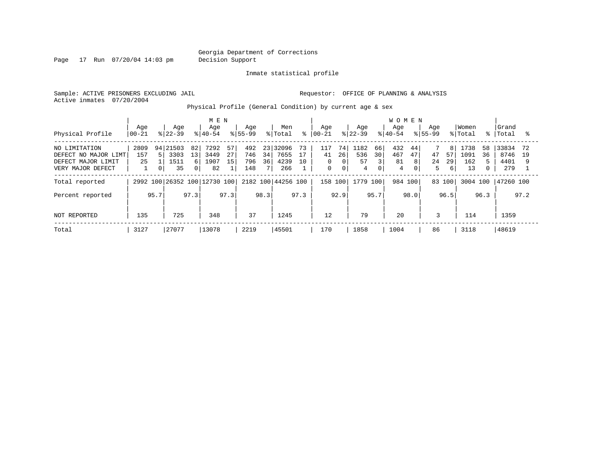Page 17 Run 07/20/04 14:03 pm Decision Support

Inmate statistical profile

Sample: ACTIVE PRISONERS EXCLUDING JAIL **Requestor:** OFFICE OF PLANNING & ANALYSIS Active inmates 07/20/2004

Physical Profile (General Condition) by current age & sex

|                                                                                  |                   |                                                  | M E N                                                  |                                            |                                                |                                                                      |                                                                        | <b>WOMEN</b>                                            |                                                       |               |                                            |
|----------------------------------------------------------------------------------|-------------------|--------------------------------------------------|--------------------------------------------------------|--------------------------------------------|------------------------------------------------|----------------------------------------------------------------------|------------------------------------------------------------------------|---------------------------------------------------------|-------------------------------------------------------|---------------|--------------------------------------------|
| Physical Profile                                                                 | Age<br>$ 00 - 21$ | Age<br>$8122 - 39$                               | Age<br>$8 40-54$                                       | Age<br>$8155 - 99$                         | Men<br>% Total                                 | Aqe<br>$8   00 - 21$                                                 | Age<br>$ 22-39 $                                                       | Aqe<br>Aqe<br>$8140 - 54$<br>$8155 - 99$                | Women<br>% Total                                      | $\approx$ 1   | Grand<br> Total                            |
| NO LIMITATION<br>DEFECT NO MAJOR LIMT<br>DEFECT MAJOR LIMIT<br>VERY MAJOR DEFECT | 2809<br>157<br>25 | 94 21503<br>82<br>Б.<br>3303<br>13<br>1511<br>35 | 57<br>7292<br>27<br>3449<br>15<br>1907<br>6<br>0<br>82 | 492<br>23<br>746<br>34<br>796<br>36<br>148 | 32096<br>73<br>7655<br>17<br>4239<br>10<br>266 | 74<br>117<br>26<br>41<br>$\Omega$<br>0<br>$\mathbf 0$<br>$\mathbf 0$ | 1182<br>66<br>536<br>30 <sup>°</sup><br>57<br>$\overline{3}$<br>0<br>4 | 432<br>44<br>467<br>47<br>47<br>8<br>81<br>24<br>4<br>0 | 1738<br>8<br>57<br>1091<br>162<br>29<br>5.<br>6<br>13 | 58<br>36<br>0 | 33834<br>72<br>8746<br>- 19<br>4401<br>279 |
| Total reported                                                                   |                   |                                                  | 2992 100 26352 100 12730 100                           |                                            | 2182 100 44256 100                             | 158 100                                                              | 1779 100                                                               | 984 100                                                 | 83 100                                                | 3004 100      | 47260 100                                  |
| Percent reported                                                                 | 95.7              | 97.3                                             | 97.3                                                   | 98.3                                       | 97.3                                           | 92.9                                                                 | 95.7                                                                   | 98.0                                                    | 96.5                                                  | 96.3          | 97.2                                       |
| <b>NOT REPORTED</b>                                                              | 135               | 725                                              | 348                                                    | 37                                         | 1245                                           | 12                                                                   | 79                                                                     | 20                                                      | 3<br>114                                              |               | 1359                                       |
| Total                                                                            | 3127              | 27077                                            | 13078                                                  | 2219                                       | 45501                                          | 170                                                                  | 1858                                                                   | 1004                                                    | 86<br>3118                                            |               | 48619                                      |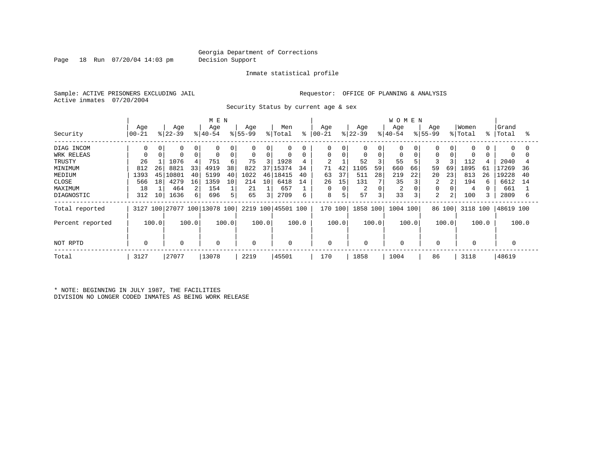Page 18 Run 07/20/04 14:03 pm Decision Support

#### Inmate statistical profile

Sample: ACTIVE PRISONERS EXCLUDING JAIL **Requestor:** OFFICE OF PLANNING & ANALYSIS Active inmates 07/20/2004

Security Status by current age & sex

|                  |                |       |                  |       | M E N                        |       |                 |       |                    |       |                   |       |                  |             | <b>WOMEN</b>     |       |                    |                |                  |       |                |       |
|------------------|----------------|-------|------------------|-------|------------------------------|-------|-----------------|-------|--------------------|-------|-------------------|-------|------------------|-------------|------------------|-------|--------------------|----------------|------------------|-------|----------------|-------|
| Security         | Age<br>  00-21 |       | Age<br>$ 22-39 $ |       | Age<br>$ 40-54$              |       | Age<br>$ 55-99$ |       | Men<br>% Total     | ႜ     | Age<br>$ 00 - 21$ |       | Age<br>$ 22-39 $ |             | Age<br>$ 40-54 $ |       | Age<br>$8155 - 99$ |                | Women<br>% Total | °≈    | Grand<br>Total | °     |
| DIAG INCOM       | 0              | 0     |                  |       | 0                            |       | 0               | 0     | 0                  |       | 0                 |       | 0                | 0           | 0                |       |                    |                | 0                |       | $\Omega$       | 0     |
| WRK RELEAS       |                |       |                  |       | $\mathbf 0$                  | 0     |                 | 0     | $\mathbf 0$        |       | 0                 | 0     |                  | $\mathbf 0$ | 0                |       | $\Omega$           |                | $\Omega$         |       |                |       |
| TRUSTY           | 26             |       | 1076             |       | 751                          | 6     | 75              |       | 1928               | 4     | $\overline{2}$    |       | 52               |             | 55               |       | 3                  |                | 112              |       | 2040           |       |
| MINIMUM          | 812            | 26    | 8821             | 33    | 4919                         | 38    | 822             | 37    | 15374              | 34    | 71                | 42    | 1105             | 59          | 660              | 66    | 59                 | 69             | 1895             | 61    | 7269           | 36    |
| MEDIUM           | 1393           | 45    | L0801            | 40    | 5199                         | 40    | 1022            | 46    | 18415              | 40    | 63                | 37    | 511              | 28          | 219              | 22    | 20                 | 23             | 813              | 26    | 19228          | 40    |
| CLOSE            | 566            | 18    | 4279             | 16    | 1359                         | 10    | 214             | 10    | 6418               | 14    | 26                | 15    | 131              |             | 35               |       | 2                  |                | 194              |       | 6612           | 14    |
| MAXIMUM          | 18             |       | 464              | 2     | 154                          |       | 21              |       | 657                |       | 0                 |       | 2                | $\Omega$    | 2                |       |                    |                | 4                |       | 661            |       |
| DIAGNOSTIC       | 312            | 10    | 1636             | 61    | 696                          | 5     | 65              | 3     | 2709               | 6     | 8                 | 5     | 57               | 3           | 33               | 3     | $\overline{2}$     | $\overline{2}$ | 100              |       | 2809           | 6     |
| Total reported   |                |       |                  |       | 3127 100 27077 100 13078 100 |       |                 |       | 2219 100 45501 100 |       | 170 100           |       | 1858 100         |             | 1004 100         |       |                    | 86 100         | 3118 100         |       | 48619 100      |       |
| Percent reported |                | 100.0 |                  | 100.0 |                              | 100.0 |                 | 100.0 |                    | 100.0 |                   | 100.0 |                  | 100.0       |                  | 100.0 |                    | 100.0          |                  | 100.0 |                | 100.0 |
| NOT RPTD         | $\Omega$       |       | 0                |       | 0                            |       | 0               |       | $\mathbf 0$        |       | 0                 |       | 0                |             |                  |       | $\mathbf 0$        |                |                  |       |                |       |
| Total            | 3127           |       | 27077            |       | 13078                        |       | 2219            |       | 45501              |       | 170               |       | 1858             |             | 1004             |       | 86                 |                | 3118             |       | 48619          |       |

\* NOTE: BEGINNING IN JULY 1987, THE FACILITIES DIVISION NO LONGER CODED INMATES AS BEING WORK RELEASE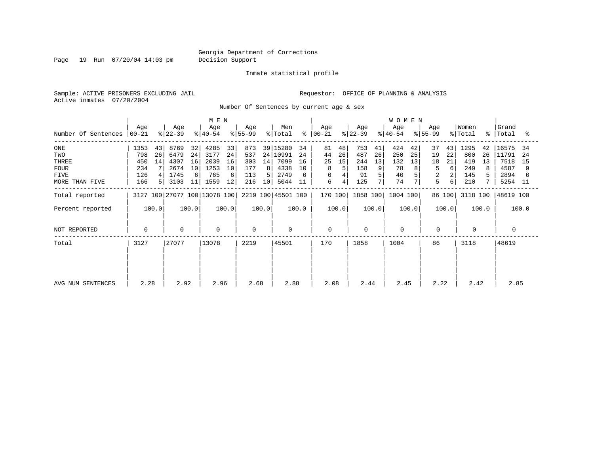Page 19 Run 07/20/04 14:03 pm Decision Support

#### Inmate statistical profile

Sample: ACTIVE PRISONERS EXCLUDING JAIL **Requestor:** OFFICE OF PLANNING & ANALYSIS Active inmates 07/20/2004

Number Of Sentences by current age & sex

|                     |                  |       |                  |       | M E N                        |       |                  |       |                    |       |                      |       |                  |                | <b>WOMEN</b>     |       |                  |        |                  |       |                    |       |
|---------------------|------------------|-------|------------------|-------|------------------------------|-------|------------------|-------|--------------------|-------|----------------------|-------|------------------|----------------|------------------|-------|------------------|--------|------------------|-------|--------------------|-------|
| Number Of Sentences | Age<br>$ 00-21 $ |       | Age<br>$ 22-39 $ |       | Age<br>$ 40-54 $             |       | Age<br>$8 55-99$ |       | Men<br>% Total     |       | Age<br>$8   00 - 21$ |       | Age<br>$ 22-39 $ |                | Age<br>$ 40-54 $ |       | Age<br>$ 55-99 $ |        | Women<br>% Total |       | Grand<br>%   Total | ႜ     |
| $_{\rm ONE}$        | 1353             | 43    | 8769             | 32    | 4285                         | 33    | 873              |       | 39 15280           | 34    | 81                   | 48    | 753              | 41             | 424              | 42    | 37               | 43     | 1295             | 42    | 16575              | -34   |
| TWO                 | 798              | 26    | 6479             | 24    | 3177                         | 24    | 537              |       | 24 10991           | 24    | 44                   | 26    | 487              | 26             | 250              | 25    | 19               | 22     | 800              | 26    | 11791              | -24   |
| THREE               | 450              | 14    | 4307             | 16    | 2039                         | 16    | 303              | 14    | 7099               | 16    | 25                   | 15    | 244              | 13             | 132              | 13    | 18               | 21     | 419              | 13    | 7518               | 15    |
| <b>FOUR</b>         | 234              |       | 2674             | 10    | 1253                         | 10    | 177              | 8     | 4338               | 10    | 8                    |       | 158              | 9 <sup>°</sup> | 78               |       | 5                | 6      | 249              | 8     | 4587               |       |
| FIVE                | 126              |       | 1745             | 6     | 765                          | 6     | 113              | 5.    | 2749               |       | 6                    |       | 91               |                | 46               |       | 2                |        | 145              |       | 2894               |       |
| MORE THAN FIVE      | 166              |       | 3103             | 11    | 1559                         | 12    | 216              | 10    | 5044               | 11    | 6                    | 4     | 125              |                | 74               |       | 5                | 6      | 210              |       | 5254 11            |       |
| Total reported      |                  |       |                  |       | 3127 100 27077 100 13078 100 |       |                  |       | 2219 100 45501 100 |       | 170 100              |       | 1858 100         |                | 1004 100         |       |                  | 86 100 | 3118 100         |       | 48619 100          |       |
| Percent reported    |                  | 100.0 |                  | 100.0 |                              | 100.0 |                  | 100.0 |                    | 100.0 |                      | 100.0 |                  | 100.0          |                  | 100.0 |                  | 100.0  |                  | 100.0 |                    | 100.0 |
| NOT REPORTED        | 0                |       | $\Omega$         |       | $\mathbf 0$                  |       | $\Omega$         |       | $\mathbf 0$        |       | $\mathbf 0$          |       | 0                |                | $\mathbf 0$      |       | $\mathbf 0$      |        |                  |       | 0                  |       |
| Total               | 3127             |       | 27077            |       | 13078                        |       | 2219             |       | 45501              |       | 170                  |       | 1858             |                | 1004             |       | 86               |        | 3118             |       | 48619              |       |
|                     |                  |       |                  |       |                              |       |                  |       |                    |       |                      |       |                  |                |                  |       |                  |        |                  |       |                    |       |
| AVG NUM SENTENCES   | 2.28             |       | 2.92             |       | 2.96                         |       | 2.68             |       | 2.88               |       | 2.08                 |       | 2.44             |                | 2.45             |       | 2.22             |        | 2.42             |       | 2.85               |       |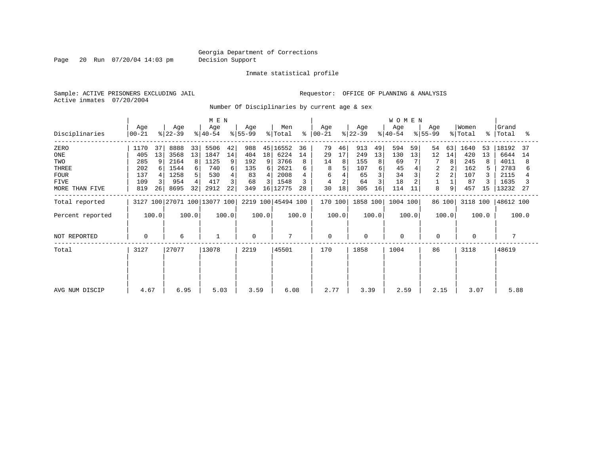Page 20 Run 07/20/04 14:03 pm Decision Support

Inmate statistical profile

Sample: ACTIVE PRISONERS EXCLUDING JAIL **Requestor:** OFFICE OF PLANNING & ANALYSIS Active inmates 07/20/2004

Number Of Disciplinaries by current age & sex

|                  | M E N            |       |                  |       |                              |       |                  |       |                    |       |                      |       | WOMEN            |                |                  |       |                  |        |                              |       |                    |       |
|------------------|------------------|-------|------------------|-------|------------------------------|-------|------------------|-------|--------------------|-------|----------------------|-------|------------------|----------------|------------------|-------|------------------|--------|------------------------------|-------|--------------------|-------|
| Disciplinaries   | Age<br>$00 - 21$ |       | Age<br>$ 22-39 $ |       | Age<br>$ 40-54 $             |       | Age<br>$ 55-99 $ |       | Men<br>% Total     |       | Age<br>$8   00 - 21$ |       | Age<br>$ 22-39 $ |                | Age<br>$ 40-54 $ |       | Age<br>$ 55-99 $ |        | Women<br>$\frac{1}{2}$ Total |       | Grand<br>%   Total | ႜ     |
| ZERO             | 1170             | 37    | 8888             | 33    | 5506                         | 42    | 988              | 45    | 16552              | 36    | 79                   | 46    | 913              | 49             | 594              | 59    | 54               | 63     | 1640                         | 53    | 18192              | 37    |
| ONE              | 405              | 13    | 3568             | 13    | 1847                         | 14    | 404              | 18    | 6224               | 14    | 29                   | 17    | 249              | 13             | 130              | 13    | 12               | 14     | 420                          | 13    | 6644               | 14    |
| TWO              | 285              | 9     | 2164             | 8     | 1125                         | 9     | 192              | 9     | 3766               | 8     | 14                   | 8     | 155              | 8 <sup>1</sup> | 69               |       | 7                | 8      | 245                          | 8     | 4011               | 8     |
| THREE            | 202              |       | 1544             | 6     | 740                          | 6     | 135              | 6     | 2621               |       | 8                    |       | 107              |                | 45               |       |                  |        | 162                          | 5.    | 2783               |       |
| <b>FOUR</b>      | 137              |       | 1258             |       | 530                          |       | 83               | 4     | 2008               |       | 6                    |       | 65               |                | 34               |       | $\overline{2}$   |        | 107                          |       | 2115               |       |
| <b>FIVE</b>      | 109              |       | 954              |       | 417                          |       | 68               |       | 1548               |       | 4                    |       | 64               |                | 18               |       |                  |        | 87                           |       | 1635               |       |
| MORE THAN FIVE   | 819              | 26    | 8695             | 32    | 2912                         | 22    | 349              | 16    | 12775              | 28    | 30                   | 18    | 305              | 16             | 114              | 11    | 8                | 9      | 457                          | 15    | 13232              | -27   |
| Total reported   |                  |       |                  |       | 3127 100 27071 100 13077 100 |       |                  |       | 2219 100 45494 100 |       | 170 100              |       | 1858 100         |                | 1004 100         |       |                  | 86 100 | 3118 100                     |       | 48612 100          |       |
| Percent reported |                  | 100.0 |                  | 100.0 |                              | 100.0 |                  | 100.0 |                    | 100.0 |                      | 100.0 |                  | 100.0          |                  | 100.0 |                  | 100.0  |                              | 100.0 |                    | 100.0 |
| NOT REPORTED     | 0                |       | 6                |       |                              |       | $\Omega$         |       | 7                  |       | $\mathbf 0$          |       | $\mathbf 0$      |                | $\mathbf 0$      |       | $\mathbf 0$      |        | $\mathbf 0$                  |       |                    |       |
| Total            | 3127             |       | 27077            |       | 13078                        |       | 2219             |       | 45501              |       | 170                  |       | 1858             |                | 1004             |       | 86               |        | 3118                         |       | 48619              |       |
|                  |                  |       |                  |       |                              |       |                  |       |                    |       |                      |       |                  |                |                  |       |                  |        |                              |       |                    |       |
|                  |                  |       |                  |       |                              |       |                  |       |                    |       |                      |       |                  |                |                  |       |                  |        |                              |       |                    |       |
| AVG NUM DISCIP   | 4.67             |       | 6.95             |       | 5.03                         |       | 3.59             |       | 6.08               |       | 2.77                 |       | 3.39             |                | 2.59             |       | 2.15             |        | 3.07                         |       | 5.88               |       |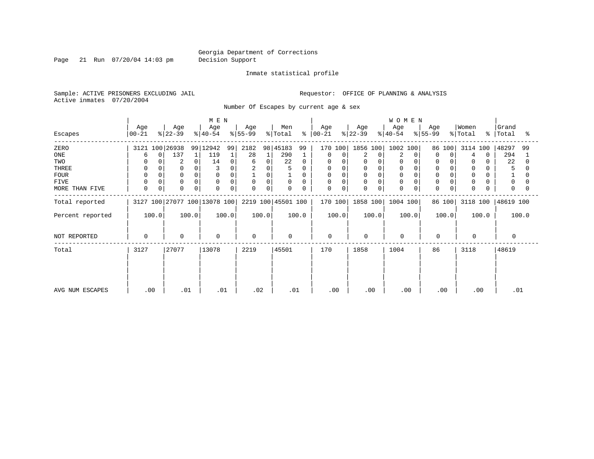Page 21 Run 07/20/04 14:03 pm Decision Support

Inmate statistical profile

Active inmates 07/20/2004

Sample: ACTIVE PRISONERS EXCLUDING JAIL **Requestor:** OFFICE OF PLANNING & ANALYSIS

Number Of Escapes by current age & sex

|                  |                            |                         | M E N                        |                  |                    |                         |                  | <b>WOMEN</b>     |                         |                            |                         |
|------------------|----------------------------|-------------------------|------------------------------|------------------|--------------------|-------------------------|------------------|------------------|-------------------------|----------------------------|-------------------------|
| Escapes          | Age<br>$00 - 21$           | Age<br>$ 22-39 $        | Age<br>$ 40-54 $             | Age<br>$ 55-99 $ | Men<br>% Total     | Age<br>$8   00 - 21$    | Age<br>$ 22-39 $ | Age<br>$ 40-54 $ | Age<br>$ 55-99 $        | Women<br>% Total           | Grand<br>%   Total<br>° |
| ZERO             | 3121 100 26938             |                         | 99 12942<br>99               | 2182<br>98       | 45183<br>99        | 170 100                 | 1856 100 1002    | 100              | 86 100                  | 3114 100                   | 48297<br>99             |
| ONE              | $\Omega$<br>h              | 137                     | 119<br>$\mathbf{1}$          | 28               | 290                | 0<br>0                  | 2<br>$\Omega$    | 2                | $\Omega$<br>$\Omega$    | $\overline{4}$<br>$\Omega$ | 294                     |
| TWO              |                            | $\overline{2}$          | 14<br>0                      | 0<br>6           | 22<br>$\Omega$     | 0<br>$\Omega$           | 0                | $\Omega$         |                         | 0                          | 22                      |
| THREE            | 0                          |                         |                              | 2<br>0           | 5                  | 0<br>0                  | 0                | 0                |                         | $\mathbf 0$                | 5                       |
| <b>FOUR</b>      | $\Omega$                   |                         | $\Omega$                     | 0                |                    | $\Omega$                |                  | $\Omega$         |                         | $\mathbf 0$                |                         |
| FIVE             | $\Omega$                   | $\Omega$                | $\Omega$                     | 0<br>$\mathbf 0$ | $\mathbf 0$<br>0   | $\mathbf 0$<br>$\Omega$ | 0<br>$\Omega$    | $\Omega$         |                         | 0                          | 0                       |
| MORE THAN FIVE   | $\mathbf 0$<br>$\mathbf 0$ | $\mathbf 0$<br>$\Omega$ | $\mathbf 0$<br>0             | 0<br>0           | $\mathbf 0$<br>0   | 0<br>0                  | 0<br>$\Omega$    | $\mathbf 0$      | $\Omega$<br>$\mathbf 0$ | 0                          | $\Omega$                |
| Total reported   |                            |                         | 3127 100 27077 100 13078 100 |                  | 2219 100 45501 100 | 170 100                 | 1858 100         | 1004 100         | 86 100                  | 3118 100                   | 48619 100               |
| Percent reported | 100.0                      | 100.0                   | 100.0                        | 100.0            | 100.0              | 100.0                   | 100.0            | 100.0            | 100.0                   | 100.0                      | 100.0                   |
| NOT REPORTED     | $\Omega$                   | 0                       | 0                            | $\Omega$         | $\Omega$           | $\mathbf 0$             | $\Omega$         | $\mathbf 0$      | 0                       | $\Omega$                   | $\Omega$                |
| Total            | 3127                       | 27077                   | 13078                        | 2219             | 45501              | 170                     | 1858             | 1004             | 86                      | 3118                       | 48619                   |
|                  |                            |                         |                              |                  |                    |                         |                  |                  |                         |                            |                         |
|                  |                            |                         |                              |                  |                    |                         |                  |                  |                         |                            |                         |
| AVG NUM ESCAPES  | .00                        | .01                     | .01                          | .02              | .01                | .00                     | .00              | .00.             | .00                     | .00                        | .01                     |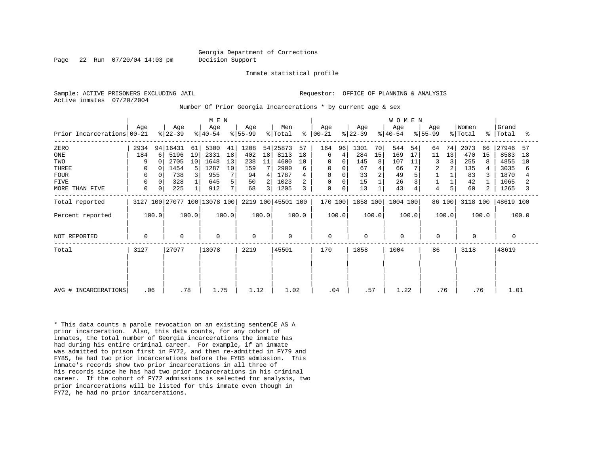Page 22 Run 07/20/04 14:03 pm Decision Support

Inmate statistical profile

Active inmates 07/20/2004

Sample: ACTIVE PRISONERS EXCLUDING JAIL **Requestor:** OFFICE OF PLANNING & ANALYSIS

Number Of Prior Georgia Incarcerations \* by current age & sex

|                                              | M E N                 |             |                                    |                     |                              |                      |                           |          |                                  | W O M E N           |                    |         |                          |               |                         |                |                                 |          |                           |               |                               |                     |
|----------------------------------------------|-----------------------|-------------|------------------------------------|---------------------|------------------------------|----------------------|---------------------------|----------|----------------------------------|---------------------|--------------------|---------|--------------------------|---------------|-------------------------|----------------|---------------------------------|----------|---------------------------|---------------|-------------------------------|---------------------|
| Prior Incarcerations 00-21                   | Age                   |             | Age<br>$ 22-39 $                   |                     | Age<br>$ 40-54 $             |                      | Age<br>$ 55-99 $          |          | Men<br>$\frac{1}{2}$ Total       | န္                  | Age<br>$ 00-21 $   |         | Age<br>$ 22-39 $         |               | Age<br>$ 40-54 $        |                | Age<br>$ 55-99 $                |          | Women<br>% Total          | $\approx$ 1   | Grand<br>Total                | ႜ                   |
| ZERO<br>ONE<br>TWO<br>THREE                  | 2934<br>184<br>9<br>0 | 6<br>$\cap$ | 94   16431<br>5196<br>2705<br>1454 | 61<br>19<br>10<br>5 | 5300<br>2331<br>1648<br>1287 | 41<br>18<br>13<br>10 | 1208<br>402<br>238<br>159 | 18<br>11 | 54 25873<br>8113<br>4600<br>2900 | 57<br>18<br>10<br>6 | 164<br>6<br>0<br>0 | 96<br>4 | 1301<br>284<br>145<br>67 | 70<br>15<br>8 | 544<br>169<br>107<br>66 | 54<br>17<br>11 | 64<br>11<br>3<br>$\overline{2}$ | 74<br>13 | 2073<br>470<br>255<br>135 | 66<br>15<br>8 | 27946<br>8583<br>4855<br>3035 | 57<br>18<br>10<br>6 |
| <b>FOUR</b><br><b>FIVE</b><br>MORE THAN FIVE | 0<br>0<br>0           | 0<br>0      | 738<br>328<br>225                  | 3                   | 955<br>645<br>912            | 7<br>5<br>7          | 94<br>50<br>68            | 4<br>3   | 1787<br>1023<br>1205             | 3                   | 0<br>0<br>0        | 0       | 33<br>15<br>13           |               | 49<br>26<br>43          |                | 4                               | 5        | 83<br>42<br>60            | 2             | 1870<br>1065<br>1265          | 3                   |
| Total reported                               |                       |             |                                    |                     | 3127 100 27077 100 13078 100 |                      |                           |          | 2219 100 45501 100               |                     | 170 100            |         | 1858 100                 |               | 1004 100                |                |                                 | 86 100   | 3118 100                  |               | 48619 100                     |                     |
| Percent reported                             |                       | 100.0       |                                    | 100.0               |                              | 100.0                |                           | 100.0    |                                  | 100.0               |                    | 100.0   |                          | 100.0         |                         | 100.0          |                                 | 100.0    |                           | 100.0         |                               | 100.0               |
| NOT REPORTED                                 | $\mathbf 0$           |             | $\mathbf 0$                        |                     | $\mathbf 0$                  |                      | $\Omega$                  |          | 0                                |                     | $\mathbf 0$        |         | $\mathbf 0$              |               | $\Omega$                |                | 0                               |          | $\Omega$                  |               | $\Omega$                      |                     |
| Total                                        | 3127                  |             | 27077                              |                     | 13078                        |                      | 2219                      |          | 45501                            |                     | 170                |         | 1858                     |               | 1004                    |                | 86                              |          | 3118                      |               | 48619                         |                     |
| AVG # INCARCERATIONS                         | .06                   |             | .78                                |                     | 1.75                         |                      | 1.12                      |          | 1.02                             |                     | .04                |         | .57                      |               | 1.22                    |                | .76                             |          |                           | .76           | 1.01                          |                     |

\* This data counts a parole revocation on an existing sentenCE AS A prior incarceration. Also, this data counts, for any cohort of inmates, the total number of Georgia incarcerations the inmate has had during his entire criminal career. For example, if an inmate was admitted to prison first in FY72, and then re-admitted in FY79 and FY85, he had two prior incarcerations before the FY85 admission. This inmate's records show two prior incarcerations in all three of his records since he has had two prior incarcerations in his criminal career. If the cohort of FY72 admissions is selected for analysis, two prior incarcerations will be listed for this inmate even though in FY72, he had no prior incarcerations.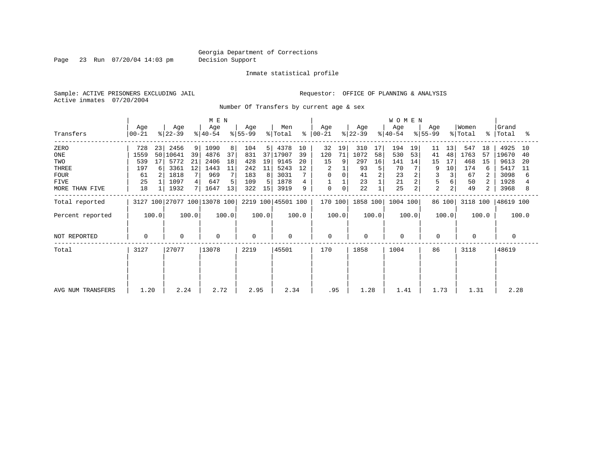Page 23 Run 07/20/04 14:03 pm Decision Support

#### Inmate statistical profile

Sample: ACTIVE PRISONERS EXCLUDING JAIL **Requestor:** OFFICE OF PLANNING & ANALYSIS Active inmates 07/20/2004

Number Of Transfers by current age & sex

|                   | M E N            |                |                  |       |                              |       |                  |       |                    |       |                      |                |                  | <b>WOMEN</b> |                  |       |                  |        |                  |       |                   |       |
|-------------------|------------------|----------------|------------------|-------|------------------------------|-------|------------------|-------|--------------------|-------|----------------------|----------------|------------------|--------------|------------------|-------|------------------|--------|------------------|-------|-------------------|-------|
| Transfers         | Age<br>$ 00-21 $ |                | Age<br>$ 22-39 $ |       | Age<br>$ 40-54 $             |       | Age<br>$8 55-99$ |       | Men<br>% Total     |       | Age<br>$8   00 - 21$ |                | Age<br>$ 22-39 $ |              | Age<br>$8 40-54$ |       | Age<br>$ 55-99 $ |        | Women<br>% Total |       | Grand<br>%  Total | ႜ     |
|                   |                  |                |                  |       |                              |       |                  |       |                    |       |                      |                |                  |              |                  |       |                  |        |                  |       |                   |       |
| ZERO              | 728              | 23             | 2456             | 9     | 1090                         | 8     | 104              | 5     | 4378               | 10    | 32                   | 19             | 310              | 17           | 194              | 19    | 11               | 13     | 547              | 18    | 4925              | 10    |
| ONE               | 1559             | 50             | 10641            | 39    | 4876                         | 37    | 831              | 37    | 17907              | 39    | 120                  | 71             | 1072             | 58           | 530              | 53    | 41               | 48     | 1763             | 57    | 19670             | 40    |
| TWO               | 539              | 17             | 5772             | 21    | 2406                         | 18    | 428              | 19    | 9145               | 20    | 15                   | 9 <sup>1</sup> | 297              | 16           | 141              | 14    | 15               | 17     | 468              | 15    | 9613              | -20   |
| THREE             | 197              | 6              | 3361             | 12    | 1443                         | 11    | 242              | 11    | 5243               | 12    |                      |                | 93               | 5            | 70               |       | 9                | 10     | 174              | 6     | 5417              | 11    |
| <b>FOUR</b>       | 61               | 2 <sub>1</sub> | 1818             |       | 969                          |       | 183              | 8     | 3031               |       | 0                    | 0              | 41               |              | 23               |       |                  |        | 67               |       | 3098              | 6     |
| <b>FIVE</b>       | 25               |                | 1097             |       | 647                          |       | 109              | 5     | 1878               | 4     |                      |                | 23               |              | 21               |       |                  |        | 50               |       | 1928              |       |
| MORE THAN FIVE    | 18               |                | 1932             |       | 1647                         | 13    | 322              | 15    | 3919               | 9     | 0                    | 0              | 22               |              | 25               | 2     | $\overline{2}$   |        | 49               |       | 3968              | 8     |
| Total reported    |                  |                |                  |       | 3127 100 27077 100 13078 100 |       |                  |       | 2219 100 45501 100 |       | 170 100              |                | 1858 100         |              | 1004 100         |       |                  | 86 100 | 3118 100         |       | 48619 100         |       |
| Percent reported  |                  | 100.0          |                  | 100.0 |                              | 100.0 |                  | 100.0 |                    | 100.0 |                      | 100.0          |                  | 100.0        |                  | 100.0 |                  | 100.0  |                  | 100.0 |                   | 100.0 |
| NOT REPORTED      | $\Omega$         |                | $\mathbf{0}$     |       | $\mathbf 0$                  |       | $\mathbf 0$      |       | $\Omega$           |       | $\mathbf 0$          |                | 0                |              | $\mathbf 0$      |       | $\mathbf 0$      |        | $\mathbf 0$      |       | $\Omega$          |       |
|                   |                  |                |                  |       |                              |       |                  |       |                    |       |                      |                |                  |              |                  |       |                  |        |                  |       |                   |       |
| Total             | 3127             |                | 27077            |       | 13078                        |       | 2219             |       | 45501              |       | 170                  |                | 1858             |              | 1004             |       | 86               |        | 3118             |       | 48619             |       |
|                   |                  |                |                  |       |                              |       |                  |       |                    |       |                      |                |                  |              |                  |       |                  |        |                  |       |                   |       |
|                   |                  |                |                  |       |                              |       |                  |       |                    |       |                      |                |                  |              |                  |       |                  |        |                  |       |                   |       |
|                   |                  |                |                  |       |                              |       |                  |       |                    |       |                      |                |                  |              |                  |       |                  |        |                  |       |                   |       |
|                   |                  |                |                  |       |                              |       |                  |       |                    |       |                      |                |                  |              |                  |       |                  |        |                  |       |                   |       |
|                   |                  |                |                  |       |                              |       |                  |       |                    |       |                      |                |                  |              |                  |       |                  |        |                  |       |                   |       |
| AVG NUM TRANSFERS | 1.20             |                | 2.24             |       | 2.72                         |       | 2.95             |       | 2.34               |       | .95                  |                | 1.28             |              | 1.41             |       | 1.73             |        | 1.31             |       | 2.28              |       |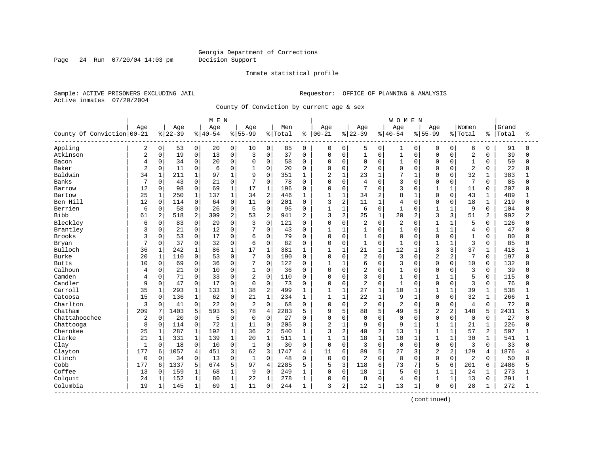Page 24 Run 07/20/04 14:03 pm Decision Support

#### Inmate statistical profile

Sample: ACTIVE PRISONERS EXCLUDING JAIL **Requestor:** OFFICE OF PLANNING & ANALYSIS Active inmates 07/20/2004

County Of Conviction by current age & sex

|                            |                |              |           |              | M E N       |                |                |                |         |                |                |                |                |              | <b>WOMEN</b>   |                |                |                |                |                |       |              |
|----------------------------|----------------|--------------|-----------|--------------|-------------|----------------|----------------|----------------|---------|----------------|----------------|----------------|----------------|--------------|----------------|----------------|----------------|----------------|----------------|----------------|-------|--------------|
|                            | Age            |              | Age       |              | Age         |                | Age            |                | Men     |                | Age            |                | Age            |              | Age            |                | Aqe            |                | Women          |                | Grand |              |
| County Of Conviction 00-21 |                |              | $8 22-39$ |              | $8140 - 54$ |                | $8155 - 99$    |                | % Total | ి              | $00 - 21$      |                | $ 22-39$       |              | $8140 - 54$    |                | $8 55-99$      |                | % Total        | နွ             | Total | ႜ            |
| Appling                    | 2              | 0            | 53        | 0            | 20          | 0              | 10             | 0              | 85      | $\mathbf 0$    | 0              | 0              | 5              | 0            | 1              | 0              | $\Omega$       | 0              | 6              | 0              | 91    | <sup>0</sup> |
| Atkinson                   | $\overline{2}$ | $\mathbf 0$  | 19        | $\mathbf 0$  | 13          | 0              | 3              | $\mathbf 0$    | 37      | $\Omega$       | $\Omega$       | $\mathbf 0$    | $\mathbf{1}$   | $\mathbf 0$  | $\mathbf{1}$   | 0              | $\mathbf 0$    | $\Omega$       | $\overline{2}$ | $\Omega$       | 39    | $\Omega$     |
| Bacon                      | 4              | $\mathbf 0$  | 34        | $\mathbf 0$  | 20          | 0              | $\Omega$       | $\mathbf 0$    | 58      | $\Omega$       | 0              | $\mathbf 0$    | 0              | $\Omega$     | $\mathbf{1}$   | $\Omega$       | $\mathbf 0$    | $\Omega$       | $\mathbf{1}$   | $\Omega$       | 59    | $\Omega$     |
| Baker                      | $\overline{2}$ | $\mathbf 0$  | 11        | $\mathsf 0$  | 6           | 0              |                | $\mathbf 0$    | 20      | $\Omega$       | 0              | $\mathbf 0$    | $\overline{2}$ | $\Omega$     | $\mathbf 0$    | $\Omega$       | $\Omega$       | $\cap$         | $\overline{2}$ | $\Omega$       | 22    |              |
| Baldwin                    | 34             | $\mathbf{1}$ | 211       | $\mathbf{1}$ | 97          | $\mathbf{1}$   | 9              | $\Omega$       | 351     | 1              | $\overline{a}$ | $\mathbf{1}$   | 23             | $\mathbf{1}$ | 7              | $\overline{1}$ | $\Omega$       | $\Omega$       | 32             | $\mathbf 1$    | 383   |              |
| Banks                      | 7              | $\Omega$     | 43        | $\mathbf 0$  | 21          | 0              | 7              | $\Omega$       | 78      | $\Omega$       | 0              | $\mathbf 0$    | 4              | $\Omega$     | 3              | $\Omega$       | $\mathbf 0$    | $\Omega$       | 7              | $\Omega$       | 85    |              |
| Barrow                     | 12             | $\mathbf 0$  | 98        | $\mathbf 0$  | 69          | $\mathbf{1}$   | 17             | $\mathbf 1$    | 196     | $\Omega$       | 0              | $\mathbf 0$    | 7              | $\Omega$     | 3              | $\mathbf 0$    | $\mathbf{1}$   | $\mathbf{1}$   | 11             | 0              | 207   |              |
| Bartow                     | 25             | $\mathbf 1$  | 250       | $\mathbf{1}$ | 137         | $\mathbf{1}$   | 34             | $\overline{2}$ | 446     | 1              | $\mathbf{1}$   | $\mathbf{1}$   | 34             | 2            | 8              | $\mathbf{1}$   | $\Omega$       | $\Omega$       | 43             | $\mathbf{1}$   | 489   |              |
| Ben Hill                   | 12             | $\mathbf 0$  | 114       | 0            | 64          | 0              | 11             | $\mathbf 0$    | 201     | 0              | 3              | $\overline{2}$ | 11             | $\mathbf{1}$ | 4              | $\Omega$       | $\mathbf 0$    | $\Omega$       | 18             | 1              | 219   | U            |
| Berrien                    | 6              | 0            | 58        | 0            | 26          | 0              | 5              | $\mathbf 0$    | 95      | 0              | $\mathbf{1}$   | $\mathbf{1}$   | 6              | $\mathbf 0$  | $\mathbf{1}$   | $\bigcap$      | 1              | 1              | 9              | 0              | 104   |              |
| Bibb                       | 61             | 2            | 518       | 2            | 309         | $\overline{a}$ | 53             | $\overline{2}$ | 941     | $\overline{2}$ | 3              | 2              | 25             | $\mathbf 1$  | 20             | $\overline{a}$ | 3              | 3              | 51             | $\overline{a}$ | 992   |              |
| Bleckley                   | 6              | $\Omega$     | 83        | $\Omega$     | 29          | $\Omega$       | 3              | $\Omega$       | 121     | $\Omega$       | $\Omega$       | $\Omega$       | $\overline{2}$ | $\Omega$     | $\overline{2}$ | $\Omega$       | $\mathbf{1}$   | $\mathbf{1}$   | 5              | $\Omega$       | 126   |              |
| Brantley                   | 3              | $\mathbf 0$  | 21        | $\mathbf 0$  | 12          | $\Omega$       | 7              | $\mathbf 0$    | 43      | $\Omega$       | $\mathbf{1}$   | $\mathbf{1}$   | $\mathbf{1}$   | $\Omega$     | $\mathbf{1}$   | $\Omega$       | $\overline{1}$ | $\mathbf{1}$   | $\overline{4}$ | $\Omega$       | 47    |              |
| Brooks                     | 3              | $\mathbf 0$  | 53        | $\mathbf 0$  | 17          | 0              | 6              | $\Omega$       | 79      | $\Omega$       | 0              | $\mathbf 0$    | $\mathbf{1}$   | $\Omega$     | $\mathbf 0$    | $\Omega$       | $\Omega$       | $\Omega$       | $\mathbf{1}$   | $\Omega$       | 80    |              |
| Bryan                      | 7              | $\mathbf 0$  | 37        | $\mathbf 0$  | 32          | 0              | 6              | $\mathbf 0$    | 82      | $\Omega$       | 0              | $\mathbf 0$    | $\mathbf{1}$   | $\Omega$     | $\mathbf{1}$   | $\Omega$       | $\mathbf{1}$   | $\mathbf{1}$   | 3              | $\Omega$       | 85    |              |
| Bulloch                    | 36             | 1            | 242       | 1            | 86          | $\mathbf{1}$   | 17             | $\mathbf{1}$   | 381     |                | 1              | $\mathbf{1}$   | 21             | $\mathbf{1}$ | 12             |                | 3              | 3              | 37             | $\mathbf{1}$   | 418   |              |
| Burke                      | 20             | $\mathbf 1$  | 110       | 0            | 53          | $\Omega$       | 7              | $\Omega$       | 190     | $\Omega$       | 0              | $\Omega$       | 2              | $\Omega$     | 3              | $\Omega$       | $\overline{2}$ | 2              | 7              | $\Omega$       | 197   | ∩            |
| <b>Butts</b>               | 10             | $\mathbf 0$  | 69        | $\mathbf 0$  | 36          | 0              | 7              | $\mathbf 0$    | 122     | 0              | $\mathbf{1}$   | $\mathbf{1}$   | 6              | $\Omega$     | $\overline{3}$ | $\Omega$       | $\mathbf 0$    | $\Omega$       | 10             | $\Omega$       | 132   |              |
| Calhoun                    | 4              | 0            | 21        | 0            | 10          | 0              | $\mathbf{1}$   | 0              | 36      | 0              | 0              | $\mathbf 0$    | 2              | $\Omega$     | $\mathbf{1}$   | $\Omega$       | $\Omega$       | 0              | 3              | $\mathbf 0$    | 39    |              |
| Camden                     | 4              | 0            | 71        | $\mathbf 0$  | 33          | $\Omega$       | $\overline{2}$ | $\mathbf 0$    | 110     | $\Omega$       | 0              | $\mathbf 0$    | 3              | $\Omega$     | $\mathbf{1}$   | $\Omega$       | $\mathbf{1}$   | 1              | 5              | $\Omega$       | 115   |              |
| Candler                    | 9              | $\mathbf 0$  | 47        | 0            | 17          | 0              | 0              | $\mathbf 0$    | 73      | 0              | 0              | $\mathbf 0$    | $\overline{2}$ | $\Omega$     | $\mathbf{1}$   | $\Omega$       | $\Omega$       | 0              | 3              | 0              | 76    |              |
| Carroll                    | 35             | $\mathbf{1}$ | 293       | $\mathbf 1$  | 133         | $\mathbf{1}$   | 38             | $\overline{2}$ | 499     | 1              | $\mathbf{1}$   | $\mathbf{1}$   | 27             | $\mathbf 1$  | 10             | $\mathbf{1}$   | $\mathbf{1}$   | $\mathbf{1}$   | 39             | $\mathbf 1$    | 538   |              |
| Catoosa                    | 15             | $\Omega$     | 136       | $\mathbf{1}$ | 62          | $\Omega$       | 21             | $\mathbf{1}$   | 234     | 1              | $\mathbf{1}$   | $\mathbf{1}$   | 22             | $\mathbf{1}$ | 9              | $\mathbf{1}$   | $\Omega$       | $\Omega$       | 32             | $\mathbf{1}$   | 266   |              |
| Charlton                   | 3              | 0            | 41        | 0            | 22          | 0              | $\overline{2}$ | $\Omega$       | 68      | $\Omega$       | 0              | $\mathbf 0$    | 2              | $\Omega$     | $\overline{2}$ | $\Omega$       | $\mathbf 0$    | 0              | $\overline{4}$ | $\Omega$       | 72    |              |
| Chatham                    | 209            | 7            | 1403      | 5            | 593         | 5              | 78             | $\overline{4}$ | 2283    | 5              | 9              | 5              | 88             | 5            | 49             | 5              | $\overline{c}$ | 2              | 148            | 5              | 2431  |              |
| Chattahoochee              | 2              | $\mathbf 0$  | 20        | $\mathbf 0$  | 5           | 0              | $\mathbf 0$    | $\mathbf 0$    | 27      | $\Omega$       | 0              | $\mathbf 0$    | 0              | $\Omega$     | $\mathbf 0$    | $\Omega$       | $\Omega$       | 0              | $\mathbf 0$    | $\Omega$       | 27    |              |
| Chattooga                  | 8              | $\mathbf 0$  | 114       | 0            | 72          | 1              | 11             | $\mathbf 0$    | 205     | 0              | $\overline{2}$ | $\mathbf{1}$   | 9              | $\Omega$     | 9              | -1             | 1              | 1              | 21             | 1              | 226   |              |
| Cherokee                   | 25             | 1            | 287       | 1            | 192         | $\mathbf 1$    | 36             | $\overline{2}$ | 540     | 1              | 3              | $\overline{2}$ | 40             | 2            | 13             | $\mathbf{1}$   | 1              | $\mathbf{1}$   | 57             | $\overline{2}$ | 597   |              |
| Clarke                     | 21             | $\mathbf 1$  | 331       | $\mathbf 1$  | 139         | $\mathbf{1}$   | 20             | $\mathbf{1}$   | 511     | 1              | $\mathbf{1}$   | $\mathbf{1}$   | 18             | $\mathbf{1}$ | 10             | $\mathbf{1}$   | $\mathbf{1}$   | $\mathbf{1}$   | 30             | $\mathbf 1$    | 541   |              |
| Clay                       | $\mathbf{1}$   | 0            | 18        | $\mathbf 0$  | 10          | 0              | $\mathbf{1}$   | $\mathbf 0$    | 30      | 0              | 0              | $\mathbf 0$    | 3              | $\mathbf 0$  | $\mathbf 0$    | $\Omega$       | $\mathbf 0$    | 0              | 3              | $\mathbf 0$    | 33    |              |
| Clayton                    | 177            | 6            | 1057      | 4            | 451         | 3              | 62             | 3              | 1747    | 4              | 11             | 6              | 89             | 5            | 27             | 3              | $\overline{2}$ | $\overline{2}$ | 129            | 4              | 1876  |              |
| Clinch                     | $\Omega$       | $\Omega$     | 34        | $\Omega$     | 13          | $\Omega$       | $\mathbf{1}$   | $\Omega$       | 48      | $\Omega$       | $\mathbf 0$    | $\mathbf 0$    | 2              | $\Omega$     | $\Omega$       | $\Omega$       | $\Omega$       | $\Omega$       | 2              | $\Omega$       | 50    |              |
| Cobb                       | 177            | 6            | 1337      | 5            | 674         | 5              | 97             | $\overline{4}$ | 2285    | 5              | 5              | 3              | 118            | 6            | 73             | 7              | 5              | 6              | 201            | 6              | 2486  |              |
| Coffee                     | 13             | $\Omega$     | 159       | $\mathbf{1}$ | 68          | $\mathbf{1}$   | 9              | $\Omega$       | 249     | $\mathbf{1}$   | 0              | $\Omega$       | 18             | $\mathbf{1}$ | 5              | $\Omega$       | $\mathbf{1}$   | $\mathbf 1$    | 24             | $\mathbf 1$    | 273   |              |
| Colquit                    | 24             | 1            | 152       | $\mathbf{1}$ | 80          | $\mathbf{1}$   | 22             | $\mathbf{1}$   | 278     | 1              | 0              | $\mathbf 0$    | 8              | $\Omega$     | $\overline{4}$ | $\Omega$       | $\mathbf{1}$   | $\mathbf{1}$   | 13             | $\Omega$       | 291   |              |
| Columbia                   | 19             | $\mathbf 1$  | 145       | $\mathbf 1$  | 69          | $\mathbf{1}$   | 11             | $\mathbf 0$    | 244     | 1              | 3              | 2              | 12             | $\mathbf 1$  | 13             | 1              | $\Omega$       | 0              | 28             | 1              | 272   |              |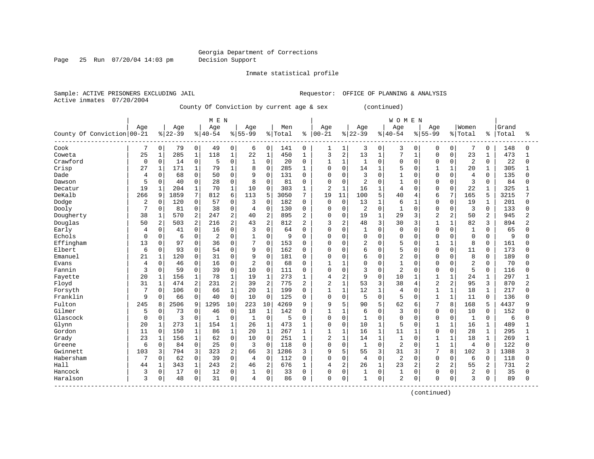Page 25 Run 07/20/04 14:03 pm Decision Support

Inmate statistical profile

Active inmates 07/20/2004

Sample: ACTIVE PRISONERS EXCLUDING JAIL **Requestor:** OFFICE OF PLANNING & ANALYSIS

County Of Conviction by current age & sex (continued)

|                            |             |                |          |                | M E N       |                |                |                |         |                |                |                |                |              | <b>WOMEN</b>   |                |                |                |                |              |       |                |
|----------------------------|-------------|----------------|----------|----------------|-------------|----------------|----------------|----------------|---------|----------------|----------------|----------------|----------------|--------------|----------------|----------------|----------------|----------------|----------------|--------------|-------|----------------|
|                            | Age         |                | Age      |                | Age         |                | Age            |                | Men     |                | Age            |                | Age            |              | Age            |                | Age            |                | Women          |              | Grand |                |
| County Of Conviction 00-21 |             |                | $ 22-39$ |                | $8140 - 54$ |                | $8155 - 99$    |                | % Total | ⊱              | $ 00 - 21$     |                | $8 22-39$      |              | $8140 - 54$    |                | $8155 - 99$    |                | % Total        | ႜ            | Total | ႜ              |
| Cook                       | 7           | 0              | 79       | $\mathbf 0$    | 49          | $\mathbf 0$    | 6              | $\mathbf 0$    | 141     | 0              | 1              | 1              | 3              | 0            | 3              | 0              | 0              | 0              | 7              | 0            | 148   |                |
| Coweta                     | 25          | $\mathbf{1}$   | 285      | 1              | 118         | $\mathbf{1}$   | 22             | $\mathbf 1$    | 450     | $\mathbf{1}$   | 3              | 2              | 13             | $\mathbf{1}$ | 7              | $\mathbf{1}$   | $\mathbf 0$    | $\Omega$       | 23             | $\mathbf{1}$ | 473   |                |
| Crawford                   | 0           | $\mathbf 0$    | 14       | $\mathsf 0$    | 5           | 0              | 1              | $\mathbf 0$    | 20      | $\Omega$       | 1              | $\mathbf{1}$   | 1              | $\Omega$     | 0              | $\Omega$       | $\mathbf 0$    | $\Omega$       | $\overline{a}$ | 0            | 22    | $\Omega$       |
| Crisp                      | 27          | $\mathbf{1}$   | 171      | $\mathbf{1}$   | 79          | $\mathbf{1}$   | 8              | $\mathbf 0$    | 285     | 1              | $\Omega$       | $\mathbf 0$    | 14             | $\mathbf{1}$ | 5              | $\Omega$       | 1              | $\mathbf{1}$   | 20             | $\mathbf{1}$ | 305   |                |
| Dade                       | 4           | 0              | 68       | $\mathbf 0$    | 50          | 0              | 9              | $\mathbf 0$    | 131     | $\Omega$       | O              | $\mathbf 0$    | 3              | $\Omega$     | $\mathbf{1}$   | $\Omega$       | $\mathbf 0$    | 0              | $\overline{4}$ | $\Omega$     | 135   |                |
| Dawson                     | 5           | 0              | 40       | $\mathbf 0$    | 28          | 0              | 8              | $\Omega$       | 81      | 0              | 0              | $\mathbf 0$    | 2              | $\Omega$     | $\mathbf{1}$   | $\Omega$       | $\mathbf 0$    | $\Omega$       | 3              | $\mathbf 0$  | 84    | n              |
| Decatur                    | 19          | 1              | 204      | 1              | 70          | 1              | 10             | $\Omega$       | 303     | 1              | 2              | $\mathbf{1}$   | 16             | 1            | 4              | $\Omega$       | $\Omega$       | $\Omega$       | 22             | 1            | 325   |                |
| DeKalb                     | 266         | 9              | 1859     | 7              | 812         | 6              | 113            | 5              | 3050    | 7              | 19             | 11             | 100            | 5            | 40             | 4              | 6              | 7              | 165            | 5            | 3215  |                |
| Dodge                      | 2           | $\mathbf 0$    | 120      | $\mathbf 0$    | 57          | $\mathbf 0$    | 3              | $\Omega$       | 182     | $\Omega$       | 0              | $\mathbf 0$    | 13             | $\mathbf{1}$ | 6              | $\mathbf{1}$   | $\mathbf 0$    | $\Omega$       | 19             | $\mathbf 1$  | 201   |                |
| Dooly                      | 7           | 0              | 81       | $\mathsf 0$    | 38          | $\mathbf 0$    | 4              | $\mathbf 0$    | 130     | $\Omega$       | 0              | $\mathbf 0$    | 2              | $\mathbf 0$  | $\mathbf{1}$   | $\Omega$       | $\mathbf 0$    | $\Omega$       | 3              | $\Omega$     | 133   |                |
| Dougherty                  | 38          | $\mathbf 1$    | 570      | 2              | 247         | $\overline{2}$ | 40             | $\overline{a}$ | 895     | $\overline{2}$ | 0              | 0              | 19             | $\mathbf{1}$ | 29             | 3              | $\overline{2}$ | 2              | 50             | 2            | 945   | 2              |
| Douglas                    | 50          | $\overline{c}$ | 503      | 2              | 216         | $\overline{2}$ | 43             | $\overline{a}$ | 812     | $\overline{2}$ | 3              | 2              | 48             | 3            | 30             | 3              | $\mathbf{1}$   | $\mathbf{1}$   | 82             | 3            | 894   | $\overline{c}$ |
| Early                      | 4           | 0              | 41       | $\mathbf 0$    | 16          | $\Omega$       | 3              | $\Omega$       | 64      | $\Omega$       | $\Omega$       | $\Omega$       | $\mathbf{1}$   | $\Omega$     | $\mathbf 0$    | $\Omega$       | $\Omega$       | $\Omega$       | $\mathbf 1$    | $\Omega$     | 65    |                |
| Echols                     | $\Omega$    | 0              | 6        | $\mathbf 0$    | 2           | $\Omega$       | 1              | $\Omega$       | 9       | $\Omega$       | 0              | $\Omega$       | $\Omega$       | $\Omega$     | $\Omega$       | $\Omega$       | $\Omega$       | $\Omega$       | $\Omega$       | $\Omega$     | 9     | $\cap$         |
| Effingham                  | 13          | $\mathbf 0$    | 97       | $\mathbf 0$    | 36          | 0              | $\overline{7}$ | $\mathbf 0$    | 153     | 0              | 0              | 0              | $\overline{2}$ | 0            | 5              | O              | 1              | 1              | 8              | $\mathbf 0$  | 161   |                |
| Elbert                     | 6           | 0              | 93       | $\mathbf 0$    | 54          | $\Omega$       | 9              | $\Omega$       | 162     | $\Omega$       | $\Omega$       | $\Omega$       | 6              | $\Omega$     | 5              | $\bigcap$      | $\Omega$       | $\Omega$       | 11             | $\Omega$     | 173   |                |
| Emanuel                    | 21          | $\mathbf{1}$   | 120      | $\Omega$       | 31          | $\Omega$       | 9              | $\Omega$       | 181     | $\Omega$       | $\Omega$       | $\cap$         | 6              | $\Omega$     | $\overline{2}$ | $\cap$         | $\Omega$       | $\Omega$       | 8              | $\Omega$     | 189   |                |
| Evans                      | 4           | $\Omega$       | 46       | $\mathbf 0$    | 16          | 0              | $\overline{2}$ | $\Omega$       | 68      | $\Omega$       | 1              | $\mathbf{1}$   | 0              | $\Omega$     | $\mathbf{1}$   | $\Omega$       | $\Omega$       | $\Omega$       | $\overline{2}$ | $\Omega$     | 70    |                |
| Fannin                     | 3           | $\mathbf 0$    | 59       | 0              | 39          | $\mathbf 0$    | 10             | $\mathbf 0$    | 111     | 0              | 0              | $\mathbf 0$    | 3              | $\mathbf 0$  | $\overline{2}$ | $\Omega$       | $\mathbf 0$    | 0              | 5              | $\mathbf 0$  | 116   |                |
| Fayette                    | 20          | 1              | 156      | 1              | 78          | $\mathbf{1}$   | 19             | $\mathbf 1$    | 273     | $\mathbf{1}$   | 4              | $\overline{2}$ | 9              | $\Omega$     | 10             | $\mathbf{1}$   | $\mathbf{1}$   | $\mathbf{1}$   | 24             | $\mathbf{1}$ | 297   |                |
| Floyd                      | 31          | $\mathbf{1}$   | 474      | $\overline{2}$ | 231         | 2              | 39             | $\overline{2}$ | 775     | 2              | 2              | $\mathbf{1}$   | 53             | 3            | 38             | 4              | $\overline{2}$ | 2              | 95             | 3            | 870   | $\overline{c}$ |
| Forsyth                    |             | 0              | 106      | $\mathbf 0$    | 66          | 1              | 20             | $\mathbf{1}$   | 199     | $\Omega$       | 1              | $\mathbf{1}$   | 12             | 1            | $\overline{4}$ | 0              | $\mathbf{1}$   | 1              | 18             | 1            | 217   |                |
| Franklin                   | 9           | $\mathbf 0$    | 66       | $\mathbf 0$    | 40          | $\mathbf 0$    | 10             | $\mathbf 0$    | 125     | 0              | 0              | $\mathbf 0$    | 5              | $\mathbf 0$  | 5              | $\Omega$       | 1              | $\mathbf{1}$   | 11             | $\mathbf 0$  | 136   |                |
| Fulton                     | 245         | 8              | 2506     | 9              | 1295        | 10             | 223            | 10             | 4269    | 9              | 9              | 5              | 90             | 5            | 62             | 6              | 7              | 8              | 168            | 5            | 4437  |                |
| Gilmer                     | 5           | $\mathbf 0$    | 73       | $\mathbf 0$    | 46          | $\mathbf 0$    | 18             | $\mathbf{1}$   | 142     | $\Omega$       | $\mathbf{1}$   | $\mathbf{1}$   | 6              | $\Omega$     | 3              | $\Omega$       | $\mathbf 0$    | 0              | 10             | $\Omega$     | 152   |                |
| Glascock                   | $\mathbf 0$ | 0              | 3        | $\mathbf 0$    | 1           | $\Omega$       | $\mathbf{1}$   | $\mathbf 0$    | 5       | $\Omega$       | 0              | $\mathbf 0$    | $\mathbf 1$    | $\Omega$     | $\mathbf 0$    | $\Omega$       | $\mathbf 0$    | $\Omega$       | $\mathbf{1}$   | $\Omega$     | 6     |                |
| Glynn                      | 20          | $\mathbf{1}$   | 273      | 1              | 154         | 1              | 26             | $1\,$          | 473     | 1              | 0              | $\mathbf 0$    | 10             | 1            | 5              | $\Omega$       | 1              | $\mathbf 1$    | 16             | $\mathbf{1}$ | 489   |                |
| Gordon                     | 11          | $\mathbf 0$    | 150      | $\mathbf{1}$   | 86          | $\mathbf{1}$   | 20             | $\mathbf{1}$   | 267     | 1              | $\mathbf{1}$   | $\mathbf{1}$   | 16             | $\mathbf{1}$ | 11             | $\mathbf{1}$   | $\Omega$       | $\Omega$       | 28             | $\mathbf{1}$ | 295   |                |
| Grady                      | 23          | $1\,$          | 156      | $\mathbf{1}$   | 62          | 0              | 10             | $\mathbf 0$    | 251     | 1              | $\overline{2}$ | $\mathbf{1}$   | 14             | $\mathbf{1}$ | $\mathbf{1}$   | $\Omega$       | $\mathbf{1}$   | $\mathbf{1}$   | 18             | $\mathbf{1}$ | 269   |                |
| Greene                     | 6           | 0              | 84       | $\mathbf 0$    | 25          | $\mathbf 0$    | 3              | $\Omega$       | 118     | 0              | 0              | $\mathbf 0$    | $\mathbf{1}$   | $\Omega$     | 2              | $\Omega$       | $\mathbf{1}$   | $\mathbf{1}$   | $\overline{4}$ | $\Omega$     | 122   | $\cap$         |
| Gwinnett                   | 103         | 3              | 794      | 3              | 323         | 2              | 66             | 3              | 1286    | 3              | 9              | 5              | 55             | 3            | 31             | 3              | 7              | 8              | 102            | 3            | 1388  |                |
| Habersham                  | 7           | $\Omega$       | 62       | $\Omega$       | 39          | $\Omega$       | 4              | $\Omega$       | 112     | $\Omega$       | $\Omega$       | $\Omega$       | 4              | $\Omega$     | $\overline{2}$ | $\Omega$       | $\Omega$       | <sup>0</sup>   | 6              | $\Omega$     | 118   |                |
| Hall                       | 44          | $\mathbf 1$    | 343      | $\mathbf{1}$   | 243         | $\overline{2}$ | 46             | 2              | 676     | 1              | 4              | $\overline{2}$ | 26             | $\mathbf{1}$ | 23             | $\overline{a}$ | $\overline{2}$ | $\overline{a}$ | 55             | 2            | 731   | 2              |
| Hancock                    | 3           | 0              | 17       | 0              | 12          | 0              | 1              | $\mathbf 0$    | 33      | $\Omega$       | 0              | $\mathbf 0$    | 1              | $\mathbf 0$  | $\mathbf{1}$   | 0              | 0              | $\Omega$       | 2              | 0            | 35    |                |
| Haralson                   | 3           | 0              | 48       | 0              | 31          | 0              | 4              | $\mathbf 0$    | 86      | 0              | 0              | 0              | $\mathbf{1}$   | 0            | $\overline{2}$ | 0              | $\Omega$       | 0              | 3              | 0            | 89    | $\Omega$       |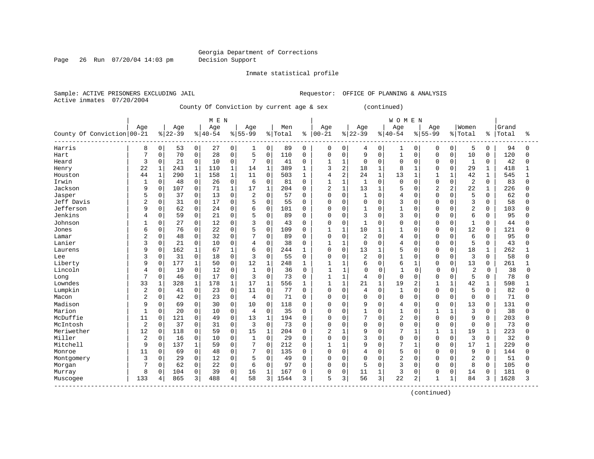Page 26 Run 07/20/04 14:03 pm Decision Support

Inmate statistical profile

Active inmates 07/20/2004

Sample: ACTIVE PRISONERS EXCLUDING JAIL **Requestor:** OFFICE OF PLANNING & ANALYSIS

County Of Conviction by current age & sex (continued)

|                                          |                |              |          |              | M E N     |              |                |              |         |              |                |                |                |              | <b>WOMEN</b>   |              |                |              |                |              |       |          |
|------------------------------------------|----------------|--------------|----------|--------------|-----------|--------------|----------------|--------------|---------|--------------|----------------|----------------|----------------|--------------|----------------|--------------|----------------|--------------|----------------|--------------|-------|----------|
|                                          | Age            |              | Age      |              | Age       |              | Age            |              | Men     |              | Age            |                | Age            |              | Age            |              | Age            |              | Women          |              | Grand |          |
| County Of Conviction 00-21               |                |              | $ 22-39$ |              | $8 40-54$ |              | $8155 - 99$    |              | % Total | ႜ            | $ 00-21$       |                | $8 22-39$      |              | $8 40-54$      |              | $8155 - 99$    |              | % Total        | ႜ            | Total | ႜ        |
| Harris                                   | 8              | 0            | 53       | 0            | 27        | $\mathbf 0$  | 1              | 0            | 89      | 0            | 0              | 0              | 4              | 0            | 1              | 0            | 0              | 0            | 5              | 0            | 94    | n        |
| Hart                                     | 7              | 0            | 70       | $\mathbf 0$  | 28        | $\mathbf 0$  | 5              | $\mathbf 0$  | 110     | $\mathbf 0$  | 0              | $\mathbf 0$    | 9              | $\Omega$     | $\mathbf{1}$   | $\Omega$     | $\Omega$       | 0            | 10             | $\Omega$     | 120   | U        |
| Heard                                    | 3              | 0            | 21       | $\mathbf 0$  | 10        | $\mathbf 0$  | 7              | $\mathbf 0$  | 41      | $\Omega$     | $\mathbf{1}$   | $\mathbf{1}$   | $\mathbf 0$    | $\Omega$     | $\mathbf 0$    | $\Omega$     | $\Omega$       | $\Omega$     | 1              | 0            | 42    | U        |
| Henry                                    | 22             | $\mathbf{1}$ | 243      | $\mathbf 1$  | 110       | $\mathbf 1$  | 14             | $\mathbf{1}$ | 389     | $\mathbf{1}$ | 3              | 2              | 18             | $\mathbf{1}$ | 8              | $\mathbf{1}$ | $\Omega$       | $\Omega$     | 29             | $\mathbf{1}$ | 418   |          |
| Houston                                  | 44             | $\mathbf{1}$ | 290      | $\mathbf 1$  | 158       | $\mathbf{1}$ | 11             | $\mathbf 0$  | 503     | 1            | 4              | $\overline{2}$ | 24             | $\mathbf{1}$ | 13             | $\mathbf 1$  | $\mathbf{1}$   | $\mathbf{1}$ | 42             | $\mathbf 1$  | 545   |          |
| Irwin                                    | $\mathbf{1}$   | 0            | 48       | 0            | 26        | $\mathbf 0$  | 6              | $\mathbf 0$  | 81      | $\Omega$     | $\mathbf{1}$   | $\mathbf{1}$   | $\mathbf{1}$   | $\Omega$     | $\mathbf 0$    | $\Omega$     | $\Omega$       | $\Omega$     | 2              | $\Omega$     | 83    | $\Omega$ |
| Jackson                                  | 9              | 0            | 107      | $\mathsf 0$  | 71        | 1            | 17             | $\mathbf{1}$ | 204     | $\Omega$     | $\overline{2}$ | $\mathbf{1}$   | 13             | $\mathbf{1}$ | 5              | O            | $\overline{2}$ | 2            | 22             |              | 226   |          |
| Jasper                                   |                | $\Omega$     | 37       | $\mathbf 0$  | 13        | $\Omega$     | $\overline{2}$ | $\Omega$     | 57      | $\Omega$     | $\Omega$       | $\Omega$       | $\mathbf{1}$   | $\Omega$     | 4              | $\Omega$     | $\Omega$       | O            | 5              | $\Omega$     | 62    |          |
| Jeff Davis                               | $\overline{2}$ | 0            | 31       | $\mathbf 0$  | 17        | $\Omega$     | 5              | $\Omega$     | 55      | $\Omega$     | $\Omega$       | $\Omega$       | $\mathbf 0$    | $\Omega$     | 3              | $\Omega$     | $\Omega$       | $\Omega$     | 3              | $\Omega$     | 58    |          |
| Jefferson                                | 9              | 0            | 62       | $\mathsf 0$  | 24        | $\mathbf 0$  | 6              | $\mathbf 0$  | 101     | $\Omega$     | 0              | $\mathbf 0$    | $\mathbf{1}$   | $\Omega$     | $\mathbf{1}$   | $\Omega$     | $\Omega$       | $\Omega$     | $\overline{2}$ | $\Omega$     | 103   |          |
| Jenkins                                  | 4              | 0            | 59       | $\mathsf 0$  | 21        | 0            | 5              | $\mathbf 0$  | 89      | $\Omega$     | O              | 0              | 3              | $\Omega$     | 3              | 0            | $\Omega$       | 0            | 6              | $\Omega$     | 95    |          |
| Johnson                                  |                | 0            | 27       | 0            | 12        | 0            | 3              | $\mathbf{0}$ | 43      | $\Omega$     | $\Omega$       | $\mathbf 0$    | $\mathbf{1}$   | $\Omega$     | $\Omega$       | 0            | $\Omega$       | 0            | $\mathbf{1}$   | $\Omega$     | 44    |          |
| Jones                                    | 6              | 0            | 76       | $\mathbf 0$  | 22        | $\Omega$     | 5              | $\mathbf 0$  | 109     | $\Omega$     | $\mathbf{1}$   | $\mathbf{1}$   | 10             | $\mathbf{1}$ | $\mathbf{1}$   | 0            | $\Omega$       | $\Omega$     | 12             | $\Omega$     | 121   |          |
| Lamar                                    | $\overline{c}$ | 0            | 48       | $\mathbf 0$  | 32        | $\Omega$     | 7              | $\Omega$     | 89      | $\Omega$     | $\Omega$       | $\mathbf 0$    | 2              | $\Omega$     | 4              | $\Omega$     | $\Omega$       | $\Omega$     | 6              | $\Omega$     | 95    |          |
| Lanier                                   | 3              | 0            | 21       | $\mathbf 0$  | 10        | 0            | $\overline{4}$ | $\mathbf 0$  | 38      | 0            | 1              | $\mathbf{1}$   | $\mathbf 0$    | $\Omega$     | $\overline{4}$ | 0            | $\Omega$       | $\mathbf 0$  | 5              | $\Omega$     | 43    |          |
| Laurens                                  | 9              | 0            | 162      | 1            | 67        | $\mathbf{1}$ | 6              | $\mathbf 0$  | 244     | -1           | $\Omega$       | $\mathbf 0$    | 13             | $\mathbf{1}$ | 5              | $\Omega$     | $\Omega$       | $\Omega$     | 18             | $\mathbf{1}$ | 262   |          |
| Lee                                      | κ              | $\Omega$     | 31       | $\Omega$     | 18        | $\Omega$     | 3              | $\Omega$     | 55      | $\Omega$     | $\Omega$       | $\Omega$       | $\overline{2}$ | $\Omega$     | $\mathbf{1}$   | $\Omega$     | $\Omega$       | $\Omega$     | 3              | $\Omega$     | 58    |          |
| Liberty                                  | 9              | 0            | 177      | $\mathbf{1}$ | 50        | $\mathbf 0$  | 12             | $\mathbf{1}$ | 248     | 1            | $\mathbf{1}$   | $\mathbf{1}$   | 6              | $\Omega$     | 6              | 1            | $\Omega$       | $\Omega$     | 13             | $\Omega$     | 261   |          |
| Lincoln                                  |                | 0            | 19       | $\mathbf 0$  | 12        | $\mathbf 0$  | $\mathbf{1}$   | $\mathbf 0$  | 36      | $\mathbf 0$  | $\mathbf{1}$   | $\mathbf{1}$   | $\Omega$       | $\mathbf 0$  | $\mathbf{1}$   | $\mathbf 0$  | $\Omega$       | $\mathbf 0$  | 2              | 0            | 38    | $\Omega$ |
| Long                                     | $\overline{7}$ | 0            | 46       | $\mathbf 0$  | 17        | 0            | 3              | $\Omega$     | 73      | $\Omega$     | $\mathbf{1}$   | $\mathbf{1}$   | $\overline{4}$ | $\Omega$     | $\Omega$       | $\Omega$     | $\Omega$       | $\Omega$     | 5              | $\Omega$     | 78    |          |
| Lowndes                                  | 33             | 1            | 328      | $\mathbf 1$  | 178       | 1            | 17             | $\mathbf{1}$ | 556     | 1            | 1              | 1              | 21             | $\mathbf{1}$ | 19             | 2            | 1              | $\mathbf{1}$ | 42             | $\mathbf{1}$ | 598   |          |
| Lumpkin                                  | $\overline{2}$ | 0            | 41       | $\mathsf 0$  | 23        | $\Omega$     | 11             | $\Omega$     | 77      | $\Omega$     | 0              | $\mathbf 0$    | 4              | 0            | $\mathbf{1}$   | 0            | $\Omega$       | $\Omega$     | 5              | $\Omega$     | 82    |          |
| Macon                                    | $\overline{2}$ | 0            | 42       | $\mathsf 0$  | 23        | 0            | 4              | $\mathbf 0$  | 71      | $\Omega$     | 0              | 0              | $\mathbf 0$    | $\Omega$     | $\mathbf 0$    | 0            | $\Omega$       | $\mathbf 0$  | $\mathbf 0$    | $\Omega$     | 71    |          |
| Madison                                  | 9              | $\Omega$     | 69       | $\mathbf 0$  | 30        | $\Omega$     | 10             | $\Omega$     | 118     | $\Omega$     | $\Omega$       | $\Omega$       | 9              | $\Omega$     | 4              | 0            | $\Omega$       | O            | 13             | $\Omega$     | 131   |          |
| Marion                                   | $\mathbf{1}$   | 0            | 20       | $\mathbf 0$  | 10        | $\Omega$     | $\overline{4}$ | $\Omega$     | 35      | $\Omega$     | $\Omega$       | $\Omega$       | $\mathbf{1}$   | $\Omega$     | $\mathbf{1}$   | $\Omega$     | $\mathbf{1}$   | $\mathbf{1}$ | 3              | $\Omega$     | 38    |          |
| McDuffie                                 | 11             | 0            | 121      | $\mathbf 0$  | 49        | 0            | 13             | $\mathbf{1}$ | 194     | 0            | $\Omega$       | $\Omega$       | 7              | $\Omega$     | $\overline{2}$ | $\Omega$     | $\Omega$       | $\Omega$     | 9              | $\Omega$     | 203   |          |
| McIntosh                                 | $\sqrt{2}$     | 0            | 37       | $\mathbf 0$  | 31        | $\mathbf 0$  | 3              | $\mathbf 0$  | 73      | $\Omega$     | 0              | 0              | $\mathbf 0$    | $\Omega$     | $\Omega$       | $\Omega$     | $\Omega$       | $\mathbf 0$  | $\mathbf 0$    | 0            | 73    |          |
| Meriwether                               | 12             | 0            | 118      | $\mathbf 0$  | 59        | $\Omega$     | 15             | $\mathbf{1}$ | 204     | $\Omega$     | $\overline{a}$ | $\mathbf{1}$   | 9              | $\Omega$     | 7              | $\mathbf{1}$ | $\mathbf{1}$   | $\mathbf{1}$ | 19             | $\mathbf{1}$ | 223   |          |
| Miller                                   | $\overline{2}$ | 0            | 16       | $\mathbf 0$  | 10        | 0            | $\mathbf{1}$   | $\mathbf 0$  | 29      | $\Omega$     | 0              | $\mathbf 0$    | 3              | $\Omega$     | $\Omega$       | 0            | $\Omega$       | $\Omega$     | 3              | $\Omega$     | 32    |          |
| Mitchell                                 | 9              | 0            | 137      | 1            | 59        | $\mathbf 0$  | 7              | $\mathbf 0$  | 212     | $\Omega$     | $\mathbf{1}$   | $\mathbf{1}$   | 9              | $\Omega$     | 7              | 1            | $\Omega$       | $\Omega$     | 17             | 1            | 229   |          |
| Monroe                                   | 11             | 0            | 69       | $\mathbf 0$  | 48        | 0            | 7              | $\Omega$     | 135     | $\Omega$     | $\Omega$       | 0              | 4              | $\Omega$     | 5              | $\Omega$     | $\Omega$       | U            | 9              | $\Omega$     | 144   |          |
| Montgomery                               | 3              | 0            | 29       | $\Omega$     | 12        | $\Omega$     | 5              | $\Omega$     | 49      | $\Omega$     | $\Omega$       | $\Omega$       | $\Omega$       | $\cap$       | $\overline{a}$ | $\Omega$     | $\Omega$       | O            | $\overline{2}$ | $\Omega$     | 51    |          |
| Morgan                                   | 7              | 0            | 62       | $\mathbf 0$  | 22        | $\mathbf 0$  | 6              | $\mathbf 0$  | 97      | $\Omega$     | 0              | $\mathbf 0$    | 5              | $\Omega$     | 3              | $\Omega$     | $\Omega$       | $\Omega$     | 8              | 0            | 105   |          |
| Murray                                   | 8              | 0            | 104      | $\mathsf 0$  | 39        | $\mathbf 0$  | 16             | $\mathbf{1}$ | 167     | O            | 0              | $\mathbf 0$    | 11             |              | 3              | 0            | $\Omega$       | 0            | 14             | $\mathbf 0$  | 181   |          |
| Muscogee<br>____________________________ | 133            | 4            | 865      | 3            | 488       | 4            | 58             | 3            | 1544    | 3            | 5              | 3              | 56             | 3            | 22             | 2            | 1              | $\mathbf{1}$ | 84             | 3            | 1628  | 3        |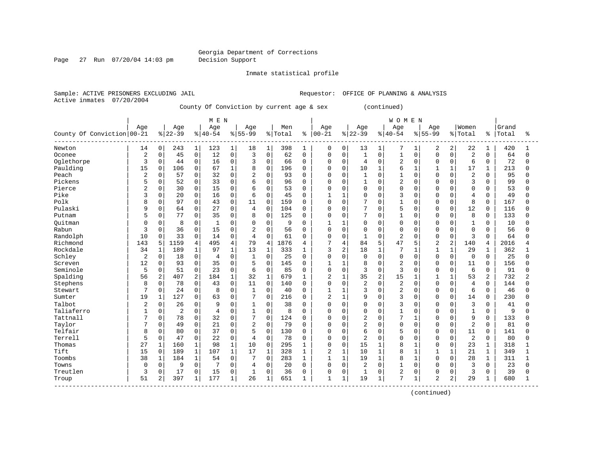Page 27 Run 07/20/04 14:03 pm Decision Support

Inmate statistical profile

Active inmates 07/20/2004

Sample: ACTIVE PRISONERS EXCLUDING JAIL **Requestor:** OFFICE OF PLANNING & ANALYSIS

County Of Conviction by current age & sex (continued)

|                            | Age            |              |                |                |                |              |                |              |         |              |                |                |                |              |                |              |                |              |                |                |       |                |
|----------------------------|----------------|--------------|----------------|----------------|----------------|--------------|----------------|--------------|---------|--------------|----------------|----------------|----------------|--------------|----------------|--------------|----------------|--------------|----------------|----------------|-------|----------------|
|                            |                |              | Age            |                | Age            |              | Age            |              | Men     |              | Age            |                | Age            |              | Age            |              | Age            |              | Women          |                | Grand |                |
| County Of Conviction 00-21 |                |              | $8 22-39$      |                | $8 40-54$      |              | $8155 - 99$    |              | % Total | ႜ            | $ 00 - 21$     |                | $8 22-39$      |              | $8140 - 54$    |              | $8155 - 99$    |              | % Total        | နွ             | Total | ႜ              |
| Newton                     | 14             | 0            | 243            | 1              | 123            | $\mathbf{1}$ | 18             | $\mathbf{1}$ | 398     | 1            | 0              | 0              | 13             | $\mathbf{1}$ | 7              | 1            | 2              | 2            | 22             | 1              | 420   |                |
| Oconee                     | 2              | 0            | 45             | 0              | 12             | $\mathbf 0$  | 3              | $\mathbf 0$  | 62      | $\Omega$     | 0              | $\mathbf 0$    | $\mathbf{1}$   | $\mathbf 0$  | $\mathbf{1}$   | $\Omega$     | $\Omega$       | $\Omega$     | $\overline{2}$ | $\Omega$       | 64    | $\Omega$       |
| Oglethorpe                 | 3              | $\mathsf 0$  | 44             | 0              | 16             | $\mathbf 0$  | 3              | 0            | 66      | $\Omega$     | 0              | $\mathbf 0$    | 4              | $\Omega$     | $\overline{2}$ | $\Omega$     | $\Omega$       | $\mathbf 0$  | 6              | $\mathbf 0$    | 72    |                |
| Paulding                   | 15             | $\Omega$     | 106            | 0              | 67             | $\mathbf{1}$ | 8              | $\Omega$     | 196     | $\Omega$     | $\Omega$       | $\mathbf 0$    | 10             | $\mathbf{1}$ | 6              | $\mathbf{1}$ | $\mathbf{1}$   | $\mathbf{1}$ | 17             | $\mathbf{1}$   | 213   |                |
| Peach                      | $\overline{2}$ | 0            | 57             | 0              | 32             | $\mathbf 0$  | $\overline{2}$ | 0            | 93      | $\Omega$     | $\Omega$       | $\mathbf 0$    | $\mathbf{1}$   | $\Omega$     | $\mathbf{1}$   | $\Omega$     | $\Omega$       | $\Omega$     | $\overline{2}$ | $\Omega$       | 95    | ∩              |
| Pickens                    | 5              | 0            | 52             | 0              | 33             | $\mathbf 0$  | 6              | 0            | 96      | $\Omega$     | $\Omega$       | $\mathbf 0$    | 1              | 0            | $\overline{2}$ | U            | $\Omega$       | U            | 3              | $\Omega$       | 99    |                |
| Pierce                     | 2              | 0            | 30             | 0              | 15             | $\mathbf{0}$ | 6              | $\Omega$     | 53      | $\Omega$     | $\Omega$       | $\mathbf 0$    | $\Omega$       | $\Omega$     | $\mathbf 0$    | $\Omega$     | $\Omega$       | $\Omega$     | $\Omega$       | $\Omega$       | 53    |                |
| Pike                       | 3              | 0            | 20             | $\Omega$       | 16             | $\Omega$     | 6              | $\Omega$     | 45      | $\Omega$     | 1              | 1              | 0              | $\Omega$     | 3              | $\cap$       | $\Omega$       | O            | 4              | $\Omega$       | 49    |                |
| Polk                       | 8              | 0            | 97             | 0              | 43             | $\mathbf 0$  | 11             | $\Omega$     | 159     | $\Omega$     | 0              | $\Omega$       | 7              | $\Omega$     | $\mathbf{1}$   | $\Omega$     | $\Omega$       | $\Omega$     | 8              | $\Omega$       | 167   |                |
| Pulaski                    | 9              | 0            | 64             | 0              | 27             | $\mathbf 0$  | $\overline{4}$ | $\mathsf 0$  | 104     | $\mathbf 0$  | $\Omega$       | $\mathbf 0$    | 7              | $\mathbf 0$  | 5              | <sup>0</sup> | $\Omega$       | $\mathbf 0$  | 12             | 0              | 116   |                |
| Putnam                     | 5              | 0            | 77             | 0              | 35             | $\mathbf 0$  | 8              | $\mathbf 0$  | 125     | $\mathbf 0$  | $\Omega$       | $\mathbf 0$    | 7              | $\mathbf 0$  | $\mathbf{1}$   | 0            | $\Omega$       | 0            | 8              | 0              | 133   |                |
| Ouitman                    |                | 0            | 8              | 0              | $\mathbf{1}$   | $\mathbf 0$  | $\Omega$       | $\mathbf 0$  | 9       | $\Omega$     |                | $\mathbf 1$    | 0              | $\Omega$     | $\mathbf 0$    | 0            | $\Omega$       | 0            | $\mathbf{1}$   | $\mathbf 0$    | 10    |                |
| Rabun                      | 3              | 0            | 36             | 0              | 15             | $\Omega$     | 2              | $\Omega$     | 56      | $\Omega$     | $\Omega$       | $\mathbf 0$    | 0              | $\Omega$     | $\Omega$       | $\Omega$     | $\Omega$       | $\Omega$     | $\Omega$       | $\Omega$       | 56    |                |
| Randolph                   | 10             | 0            | 33             | 0              | 14             | $\mathbf 0$  | $\overline{4}$ | $\Omega$     | 61      | $\Omega$     | 0              | $\mathbf 0$    | 1              | $\Omega$     | $\overline{2}$ | $\Omega$     | $\Omega$       | $\Omega$     | 3              | $\Omega$       | 64    | n              |
| Richmond                   | 143            | 5            | 1159           | $\overline{4}$ | 495            | 4            | 79             | 4            | 1876    | 4            | 7              | $\overline{4}$ | 84             | 5            | 47             | 5            | $\overline{a}$ | 2            | 140            | 4              | 2016  |                |
| Rockdale                   | 34             | 1            | 189            | $\mathbf{1}$   | 97             | $\mathbf{1}$ | 13             | $\mathbf{1}$ | 333     | 1            | 3              | $\overline{2}$ | 18             | $\mathbf{1}$ | 7              | 1            | $\mathbf{1}$   | $\mathbf{1}$ | 29             | 1              | 362   |                |
| Schley                     | $\overline{2}$ | 0            | 18             | 0              | 4              | $\mathbf 0$  | $\mathbf{1}$   | $\mathbf 0$  | 25      | $\Omega$     | $\Omega$       | $\Omega$       | $\Omega$       | $\Omega$     | $\Omega$       | $\Omega$     | $\Omega$       | $\Omega$     | $\Omega$       | $\Omega$       | 25    |                |
| Screven                    | 12             | 0            | 93             | $\mathbf{0}$   | 35             | $\mathbf 0$  | 5              | $\mathbf 0$  | 145     | $\Omega$     | 1              | $\mathbf{1}$   | 8              | $\Omega$     | $\overline{2}$ | $\Omega$     | $\Omega$       | $\Omega$     | 11             | $\Omega$       | 156   |                |
| Seminole                   | 5              | 0            | 51             | 0              | 23             | $\mathbf 0$  | 6              | 0            | 85      | $\Omega$     | 0              | $\mathbf 0$    | 3              | $\Omega$     | 3              | $\Omega$     | $\Omega$       | 0            | 6              | $\Omega$       | 91    |                |
| Spalding                   | 56             | 2            | 407            | $\overline{a}$ | 184            | $\mathbf{1}$ | 32             | $\mathbf{1}$ | 679     | 1            | $\overline{2}$ | $\mathbf{1}$   | 35             | 2            | 15             | 1            | $\mathbf{1}$   | $\mathbf{1}$ | 53             | $\overline{2}$ | 732   | $\overline{2}$ |
| Stephens                   | 8              | 0            | 78             | 0              | 43             | $\mathbf 0$  | 11             | 0            | 140     | 0            | 0              | $\mathbf 0$    | 2              | $\Omega$     | $\overline{2}$ | $\Omega$     | $\Omega$       | $\Omega$     | 4              | $\Omega$       | 144   | $\cap$         |
| Stewart                    |                | 0            | 24             | 0              | 8              | $\mathbf 0$  | $\mathbf{1}$   | $\mathbf 0$  | 40      | 0            |                | $\mathbf{1}$   | 3              | $\mathbf 0$  | $\overline{2}$ | 0            | $\Omega$       | $\Omega$     | 6              | $\Omega$       | 46    |                |
| Sumter                     | 19             | $\mathbf{1}$ | 127            | 0              | 63             | $\mathbf{0}$ | 7              | 0            | 216     | $\Omega$     | 2              | $\mathbf{1}$   | 9              | $\Omega$     | 3              | $\Omega$     | $\Omega$       | $\Omega$     | 14             | $\Omega$       | 230   |                |
| Talbot                     | $\overline{2}$ | 0            | 26             | 0              | 9              | $\Omega$     | $\mathbf{1}$   | $\mathbf 0$  | 38      | $\Omega$     | $\Omega$       | $\mathbf 0$    | 0              | $\Omega$     | 3              | U            | $\Omega$       | O            | 3              | $\Omega$       | 41    |                |
| Taliaferro                 | $\mathbf{1}$   | 0            | $\overline{2}$ | 0              | $\overline{4}$ | $\Omega$     | $\mathbf{1}$   | $\Omega$     | 8       | $\Omega$     | $\Omega$       | $\Omega$       | 0              | $\Omega$     | $\mathbf{1}$   | $\Omega$     | $\Omega$       | $\Omega$     | $\mathbf{1}$   | $\Omega$       | 9     |                |
| Tattnall                   |                | 0            | 78             | $\mathbf{0}$   | 32             | $\Omega$     | 7              | $\Omega$     | 124     | $\Omega$     | $\Omega$       | $\Omega$       | $\overline{2}$ | $\Omega$     | 7              | 1            | $\Omega$       | $\Omega$     | 9              | $\Omega$       | 133   |                |
| Taylor                     | 7              | 0            | 49             | $\mathbf{0}$   | 21             | $\Omega$     | $\overline{2}$ | $\mathbf 0$  | 79      | $\Omega$     | $\Omega$       | $\mathbf 0$    | $\overline{2}$ | $\Omega$     | $\mathbf 0$    | $\Omega$     | $\Omega$       | $\Omega$     | $\overline{2}$ | $\Omega$       | 81    |                |
| Telfair                    | 8              | 0            | 80             | 0              | 37             | $\mathbf 0$  | 5              | $\mathbf 0$  | 130     | $\Omega$     | $\Omega$       | $\mathbf 0$    | 6              | $\Omega$     | 5              | <sup>0</sup> | $\Omega$       | $\mathbf 0$  | 11             | $\Omega$       | 141   |                |
| Terrell                    | 5              | 0            | 47             | 0              | 22             | $\mathbf 0$  | $\overline{4}$ | $\Omega$     | 78      | $\Omega$     | 0              | $\mathbf 0$    | 2              | $\Omega$     | $\mathbf 0$    | $\Omega$     | $\Omega$       | $\Omega$     | 2              | $\Omega$       | 80    | ∩              |
| Thomas                     | 27             | $\mathbf{1}$ | 160            | $\mathbf{1}$   | 98             | $\mathbf{1}$ | 10             | 0            | 295     | 1            | 0              | $\mathbf 0$    | 15             | $\mathbf{1}$ | 8              | 1            | $\Omega$       | $\Omega$     | 23             | 1              | 318   |                |
| Tift                       | 15             | $\Omega$     | 189            | $\mathbf{1}$   | 107            | $\mathbf{1}$ | 17             | $\mathbf{1}$ | 328     | 1            | 2              | $\mathbf{1}$   | 10             | $\mathbf{1}$ | 8              | $\mathbf{1}$ | 1              | $\mathbf{1}$ | 21             | 1              | 349   |                |
| Toombs                     | 38             | $\mathbf 1$  | 184            | $\mathbf 1$    | 54             | $\mathbf 0$  | 7              | 0            | 283     | $\mathbf{1}$ | $\mathbf{1}$   | $\mathbf{1}$   | 19             | $\mathbf{1}$ | 8              | $\mathbf{1}$ | $\Omega$       | $\Omega$     | 28             | $\mathbf 1$    | 311   |                |
| Towns                      | $\Omega$       | $\mathbf 0$  | 9              | 0              |                | $\mathbf 0$  | 4              | $\mathbf 0$  | 20      | $\Omega$     | 0              | $\Omega$       | $\overline{2}$ | $\Omega$     | $\mathbf{1}$   | $\Omega$     | $\Omega$       | $\Omega$     | 3              | $\Omega$       | 23    | $\cap$         |
| Treutlen                   | 3              | 0            | 17             | 0              | 15             | $\mathbf 0$  |                | 0            | 36      | $\Omega$     | 0              | $\mathbf 0$    | 1              | $\mathbf 0$  | $\overline{2}$ | 0            | $\Omega$       | $\Omega$     | 3              | $\mathbf 0$    | 39    |                |
| Troup                      | 51             | 2            | 397            | $\mathbf{1}$   | 177            | $\mathbf{1}$ | 26             | $\mathbf{1}$ | 651     |              | $\mathbf{1}$   | $\mathbf{1}$   | 19             | $\mathbf{1}$ | 7              | $\mathbf{1}$ | $\overline{a}$ | 2            | 29             | 1              | 680   |                |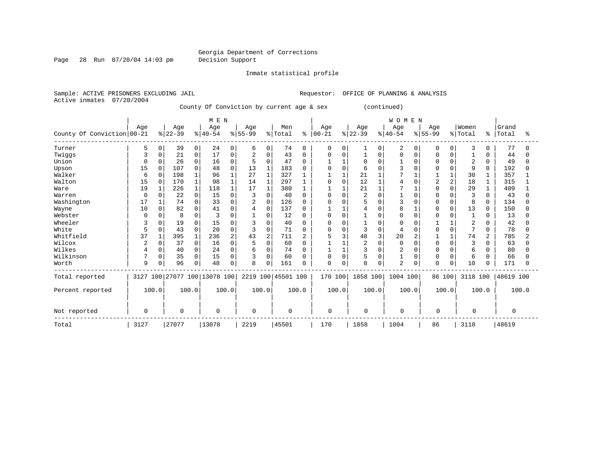#### Georgia Department of Corrections Page 28 Run 07/20/04 14:03 pm Decision Support

Inmate statistical profile

Sample: ACTIVE PRISONERS EXCLUDING JAIL **Requestor:** OFFICE OF PLANNING & ANALYSIS Active inmates 07/20/2004 County Of Conviction by current age & sex (continued)

 | M E N | W O M E N | | Age | Age | Age | Age | Men | Age | Age | Age | Age |Women |Grand County Of Conviction 00-21  $\frac{1}{2}$  2-39  $\frac{1}{40}$  40-54  $\frac{1}{8}$  55-99  $\frac{1}{8}$  Total  $\frac{1}{8}$   $\frac{1}{10}$   $\frac{1}{8}$   $\frac{1}{22}$   $\frac{1}{8}$   $\frac{1}{22}$   $\frac{1}{8}$   $\frac{1}{40}$   $\frac{1}{55}$   $\frac{1}{99}$   $\frac{1}{8}$   $\frac{1}{10}$   $\frac$ ------------------------------------------------------------------------------------------------------------------------------------ Turner | 5 0| 39 0| 24 0| 6 0| 74 0 | 0 0| 1 0| 2 0| 0 0| 3 0 | 77 0 Twiggs | 3 0| 21 0| 17 0| 2 0| 43 0 | 0 0| 1 0| 0 0| 0 0| 1 0 | 44 0 Union | 0 0| 26 0| 16 0| 5 0| 47 0 | 1 1| 0 0| 1 0| 0 0| 2 0 | 49 0 Upson | 15 0| 107 0| 48 0| 13 1| 183 0 | 0 0| 6 0| 3 0| 0 0| 9 0 | 192 0 Walker | 6 0| 198 1| 96 1| 27 1| 327 1 | 1 1| 21 1| 7 1| 1 1| 30 1 | 357 1 Walton | 15 0| 170 1| 98 1| 14 1| 297 1 | 0 0| 12 1| 4 0| 2 2| 18 1 | 315 1 Ware | 19 1| 226 1| 118 1| 17 1| 380 1 | 1 1| 21 1| 7 1| 0 0| 29 1 | 409 1 Warren | 0 0| 22 0| 15 0| 3 0| 40 0 | 0 0| 2 0| 1 0| 0 0| 3 0 | 43 0 Washington | 17 1| 74 0| 33 0| 2 0| 126 0 | 0 0| 5 0| 3 0| 0 0| 8 0 | 134 0 Wayne | 10 0| 82 0| 41 0| 4 0| 137 0 | 1 1| 4 0| 8 1| 0 0| 13 0 | 150 0 Webster | 0 0| 8 0| 3 0| 1 0| 12 0 | 0 0| 1 0| 0 0| 0 0| 1 0 | 13 0 Wheeler | 3 0| 19 0| 15 0| 3 0| 40 0 | 0 0| 1 0| 0 0| 1 1| 2 0 | 42 0 White | 5 0| 43 0| 20 0| 3 0| 71 0 | 0 0| 3 0| 4 0| 0 0| 7 0 | 78 0 Whitfield | 37 1| 395 1| 236 2| 43 2| 711 2 | 5 3| 48 3| 20 2| 1 1| 74 2 | 785 2 Wilcox | 2 0| 37 0| 16 0| 5 0| 60 0 | 1 1| 2 0| 0 0| 0 0| 3 0 | 63 0 Wilkes | 4 0| 40 0| 24 0| 6 0| 74 0 | 1 1| 3 0| 2 0| 0 0| 6 0 | 80 0 Wilkinson | 7 0| 35 0| 15 0| 3 0| 60 0 | 0 0| 5 0| 1 0| 0 0| 6 0 | 66 0 Worth | 9 0| 96 0| 48 0| 8 0| 161 0 | 0 0| 8 0| 2 0| 0 0| 10 0 | 171 0 ------------------------------------------------------------------------------------------------------------------------------------ Total reported | 3127 100|27077 100|13078 100| 2219 100|45501 100 | 170 100| 1858 100| 1004 100| 86 100| 3118 100 |48619 100 | | | | | | | | | | | Percent reported | 100.0| 100.0| 100.0| 100.0| 100.0 | 100.0| 100.0| 100.0| 100.0| 100.0 | 100.0 | | | | | | | | | | | | | | | | | | | | | | Not reported | 0 | 0 | 0 | 0 | 0 | 0 | 0 | 0 | 0 | 0 | 0 ------------------------------------------------------------------------------------------------------------------------------------ Total | 3127 |27077 |13078 | 2219 |45501 | 170 | 1858 | 1004 | 86 | 3118 |48619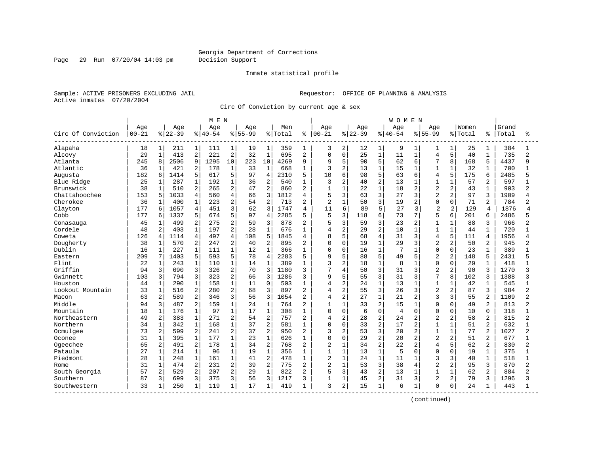Page 29 Run 07/20/04 14:03 pm Decision Support

#### Inmate statistical profile

Sample: ACTIVE PRISONERS EXCLUDING JAIL **Requestor:** OFFICE OF PLANNING & ANALYSIS Active inmates 07/20/2004

Circ Of Conviction by current age & sex

|                    |           |                |           |                | M E N     |                |             |                |         |                |                |                |          |                | <b>WOMEN</b>   |                |                |                |         |                |       |                |
|--------------------|-----------|----------------|-----------|----------------|-----------|----------------|-------------|----------------|---------|----------------|----------------|----------------|----------|----------------|----------------|----------------|----------------|----------------|---------|----------------|-------|----------------|
|                    | Age       |                | Age       |                | Age       |                | Age         |                | Men     |                | Age            |                | Age      |                | Age            |                | Aqe            |                | Women   |                | Grand |                |
| Circ Of Conviction | $00 - 21$ |                | $8 22-39$ |                | $8 40-54$ |                | $8155 - 99$ |                | % Total | ి              | $ 00 - 21$     |                | $ 22-39$ |                | $8 40-54$      |                | $8155 - 99$    |                | % Total | °              | Total | ႜ              |
| Alapaha            | 18        | 1              | 211       | 1              | 111       | $\mathbf{1}$   | 19          | 1              | 359     | 1              | 3              | 2              | 12       | 1              | 9              | 1              | 1              | 1              | 25      | 1              | 384   |                |
| Alcovy             | 29        | $\mathbf 1$    | 413       | 2              | 221       | $\overline{c}$ | 32          | $\mathbf{1}$   | 695     | $\overline{2}$ | $\Omega$       | $\mathbf 0$    | 25       | $\mathbf{1}$   | 11             | $\mathbf{1}$   | $\overline{4}$ | 5              | 40      | $\mathbf{1}$   | 735   | $\overline{a}$ |
| Atlanta            | 245       | 8              | 2506      | 9              | 1295      | 10             | 223         | 10             | 4269    | 9              | 9              | 5              | 90       | 5              | 62             | 6              | 7              | 8              | 168     | 5              | 4437  | q              |
| Atlantic           | 36        | 1              | 421       | 2              | 178       | $\mathbf{1}$   | 33          | $\mathbf 1$    | 668     |                | 3              | $\overline{c}$ | 13       | $\mathbf 1$    | 15             | 1              | $\mathbf{1}$   | $\mathbf{1}$   | 32      | 1              | 700   |                |
| Augusta            | 182       | 6              | 1414      | 5              | 617       | 5              | 97          | $\overline{4}$ | 2310    | 5              | 10             | 6              | 98       | 5              | 63             | 6              | 4              | 5              | 175     | 6              | 2485  |                |
| Blue Ridge         | 25        | 1              | 287       | $\mathbf 1$    | 192       | $\mathbf{1}$   | 36          | $\overline{2}$ | 540     | 1              | 3              | $\overline{2}$ | 40       | $\overline{a}$ | 13             | $\mathbf{1}$   | $\mathbf{1}$   | $\mathbf{1}$   | 57      | 2              | 597   |                |
| Brunswick          | 38        | $\mathbf{1}$   | 510       | $\overline{a}$ | 265       | 2              | 47          | $\overline{2}$ | 860     | $\overline{2}$ | $\mathbf{1}$   | $\mathbf{1}$   | 22       | $\mathbf{1}$   | 18             | $\overline{a}$ | $\overline{2}$ | 2              | 43      | $\mathbf{1}$   | 903   | 2              |
| Chattahoochee      | 153       | 5              | 1033      | 4              | 560       | 4              | 66          | $\overline{3}$ | 1812    | $\overline{4}$ | 5              | $\overline{3}$ | 63       | 3              | 27             | 3              | $\overline{2}$ | 2              | 97      | 3              | 1909  |                |
| Cherokee           | 36        | 1              | 400       | $\mathbf 1$    | 223       | 2              | 54          | $\overline{2}$ | 713     | 2              | 2              | 1              | 50       | 3              | 19             | 2              | $\Omega$       | 0              | 71      | $\overline{a}$ | 784   |                |
| Clayton            | 177       | 6              | 1057      | 4              | 451       | 3              | 62          | 3              | 1747    | 4              | 11             | 6              | 89       | 5              | 27             | 3              | $\overline{c}$ | 2              | 129     | 4              | 1876  | 4              |
| Cobb               | 177       | 6              | 1337      | 5              | 674       | 5              | 97          | $\overline{4}$ | 2285    | 5              | 5              | 3              | 118      | 6              | 73             | 7              | 5              | 6              | 201     | 6              | 2486  |                |
| Conasauga          | 45        | 1              | 499       | $\overline{a}$ | 275       | 2              | 59          | 3              | 878     | $\overline{a}$ | 5              | 3              | 59       | 3              | 23             | 2              | $\mathbf{1}$   | $\mathbf{1}$   | 88      | 3              | 966   |                |
| Cordele            | 48        | 2              | 403       | $\mathbf{1}$   | 197       | 2              | 28          | $\mathbf{1}$   | 676     | 1              | 4              | $\overline{2}$ | 29       | $\overline{a}$ | 10             | $\mathbf{1}$   | $\mathbf{1}$   | $\mathbf{1}$   | 44      | $\mathbf{1}$   | 720   |                |
| Coweta             | 126       | 4              | 1114      | $\overline{4}$ | 497       | $\overline{4}$ | 108         | 5              | 1845    | 4              | 8              | 5              | 68       | 4              | 31             | 3              | 4              | 5              | 111     | $\overline{4}$ | 1956  |                |
| Dougherty          | 38        | $\mathbf 1$    | 570       | 2              | 247       | $\overline{2}$ | 40          | $\overline{2}$ | 895     | $\overline{2}$ | 0              | $\mathbf 0$    | 19       | $\mathbf{1}$   | 29             | 3              | $\overline{a}$ | $\overline{2}$ | 50      | 2              | 945   |                |
| Dublin             | 16        | $\mathbf{1}$   | 227       | $\mathbf{1}$   | 111       | $\mathbf{1}$   | 12          | $\mathbf{1}$   | 366     |                | 0              | $\overline{0}$ | 16       | $\mathbf{1}$   | 7              | 1              | $\Omega$       | $\Omega$       | 23      | $\mathbf{1}$   | 389   |                |
| Eastern            | 209       | 7              | 1403      | 5              | 593       | 5              | 78          | $\overline{4}$ | 2283    | 5              | 9              | 5              | 88       | 5              | 49             | 5              | $\overline{2}$ | $\overline{a}$ | 148     | 5              | 2431  |                |
| Flint              | 22        | 1              | 243       | $\mathbf{1}$   | 110       | $\mathbf{1}$   | 14          | $\mathbf{1}$   | 389     | 1              | 3              | $\overline{2}$ | 18       | $\mathbf{1}$   | 8              | -1             | $\mathbf 0$    | $\Omega$       | 29      | $\mathbf{1}$   | 418   |                |
| Griffin            | 94        | 3              | 690       | 3              | 326       | 2              | 70          | 3              | 1180    | 3              | 7              | $\overline{4}$ | 50       | 3              | 31             | 3              | $\overline{c}$ | 2              | 90      | 3              | 1270  | 3              |
| Gwinnett           | 103       | 3              | 794       | 3              | 323       | $\overline{a}$ | 66          | 3              | 1286    | 3              | 9              | 5              | 55       | 3              | 31             | 3              | 7              | 8              | 102     | 3              | 1388  | ς              |
| Houston            | 44        | 1              | 290       | $\mathbf 1$    | 158       | $\mathbf 1$    | 11          | $\mathbf 0$    | 503     |                | 4              | $\overline{c}$ | 24       | $\mathbf{1}$   | 13             |                | $\mathbf{1}$   | $\mathbf{1}$   | 42      | 1              | 545   |                |
| Lookout Mountain   | 33        | $\mathbf 1$    | 516       | 2              | 280       | $\overline{2}$ | 68          | 3              | 897     | $\overline{2}$ | 4              | $\overline{2}$ | 55       | 3              | 26             | 3              | $\overline{2}$ | $\overline{2}$ | 87      | 3              | 984   |                |
| Macon              | 63        | 2              | 589       | $\overline{2}$ | 346       | 3              | 56          | 3              | 1054    | $\overline{a}$ | 4              | $\overline{a}$ | 27       | $\mathbf{1}$   | 21             | $\mathbf{2}$   | 3              | $\overline{3}$ | 55      | 2              | 1109  | 2              |
| Middle             | 94        | 3              | 487       | $\overline{2}$ | 159       | $\mathbf{1}$   | 24          | $\mathbf{1}$   | 764     | $\overline{2}$ | 1              | $\mathbf{1}$   | 33       | $\overline{a}$ | 15             | $\mathbf{1}$   | $\Omega$       | $\Omega$       | 49      | $\overline{2}$ | 813   |                |
| Mountain           | 18        | $1\,$          | 176       | $\mathbf{1}$   | 97        | $\mathbf 1$    | 17          | $\mathbf 1$    | 308     | 1              | 0              | $\mathbf 0$    | 6        | $\mathbf 0$    | $\overline{4}$ | 0              | $\Omega$       | $\Omega$       | 10      | $\Omega$       | 318   |                |
| Northeastern       | 49        | 2              | 383       | $\mathbf{1}$   | 271       | 2              | 54          | $\overline{2}$ | 757     | $\overline{2}$ | 4              | $\overline{2}$ | 28       | 2              | 24             | $\overline{2}$ | $\overline{2}$ | 2              | 58      | $\overline{2}$ | 815   | $\overline{a}$ |
| Northern           | 34        | 1              | 342       | $\mathbf 1$    | 168       | $\mathbf{1}$   | 37          | $\overline{2}$ | 581     |                | 0              | $\mathbf 0$    | 33       | $\overline{2}$ | 17             | 2              | $\mathbf{1}$   | $\mathbf{1}$   | 51      | 2              | 632   |                |
| Ocmulgee           | 73        | 2              | 599       | 2              | 241       | 2              | 37          | $\overline{2}$ | 950     | 2              | 3              | $\overline{2}$ | 53       | 3              | 20             | 2              | 1              | $\mathbf{1}$   | 77      |                | 1027  |                |
| Oconee             | 31        | $\mathbf 1$    | 395       | $\mathbf{1}$   | 177       | $\mathbf 1$    | 23          | $\mathbf{1}$   | 626     | 1              | 0              | $\mathbf 0$    | 29       | $\overline{a}$ | 20             | $\overline{2}$ | $\overline{a}$ | $\overline{a}$ | 51      | 2              | 677   |                |
| Ogeechee           | 65        | $\overline{c}$ | 491       | 2              | 178       | $\mathbf 1$    | 34          | $\overline{2}$ | 768     | $\overline{2}$ | 2              | $\mathbf{1}$   | 34       | $\overline{a}$ | 22             | 2              | $\overline{4}$ | 5              | 62      | $\overline{2}$ | 830   | 2              |
| Pataula            | 27        | $\mathbf 1$    | 214       | $\mathbf{1}$   | 96        | $\mathbf{1}$   | 19          | $\mathbf{1}$   | 356     | $\mathbf{1}$   | $\mathbf{1}$   | $\mathbf{1}$   | 13       | $\mathbf{1}$   | 5              | $\Omega$       | $\Omega$       | $\Omega$       | 19      | $\mathbf{1}$   | 375   | $\mathbf{1}$   |
| Piedmont           | 28        | $\mathbf{1}$   | 248       | $\mathbf 1$    | 161       | $\mathbf 1$    | 41          | $\overline{2}$ | 478     | $\mathbf{1}$   | $\overline{2}$ | $\mathbf{1}$   | 24       | $\mathbf{1}$   | 11             | $\mathbf{1}$   | 3              | 3              | 40      | $\mathbf{1}$   | 518   |                |
| Rome               | 31        | $\mathbf 1$    | 474       | $\overline{a}$ | 231       | $\overline{2}$ | 39          | $\overline{2}$ | 775     | $\overline{2}$ | $\overline{a}$ | $\mathbf{1}$   | 53       | 3              | 38             | 4              | $\overline{a}$ | $\overline{2}$ | 95      | 3              | 870   | 2              |
| South Georgia      | 57        | 2              | 529       | 2              | 207       | 2              | 29          | $\mathbf{1}$   | 822     | $\overline{2}$ | 5              | 3              | 43       | 2              | 13             | $\mathbf{1}$   | $\mathbf{1}$   | $\mathbf{1}$   | 62      | $\overline{2}$ | 884   | $\overline{2}$ |
| Southern           | 87        | 3              | 699       | 3              | 375       | 3              | 56          | 3              | 1217    | 3              | $\mathbf{1}$   | $\mathbf{1}$   | 45       | $\overline{a}$ | 31             | 3              | $\overline{2}$ | $\overline{a}$ | 79      | 3              | 1296  |                |
| Southwestern       | 33        | 1              | 250       | $\mathbf{1}$   | 119       | $\mathbf{1}$   | 17          | $\mathbf 1$    | 419     |                | 3              | 2              | 15       | $\mathbf{1}$   | 6              | 1              | $\Omega$       | 0              | 24      | 1              | 443   |                |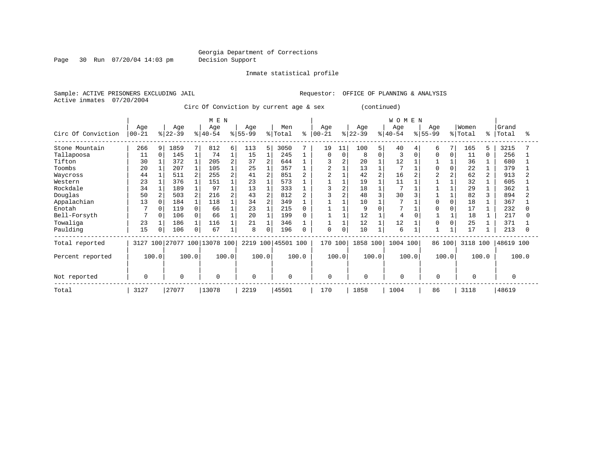Page 30 Run 07/20/04 14:03 pm Decision Support

Inmate statistical profile

Sample: ACTIVE PRISONERS EXCLUDING JAIL **Requestor:** OFFICE OF PLANNING & ANALYSIS Active inmates 07/20/2004

Circ Of Conviction by current age & sex (continued)

|                    |                  |          |                 |              | M E N                        |   |                 |                |                    |       |                 |          |                  |          | WOMEN            |          |                  |          |                  |       |                |       |
|--------------------|------------------|----------|-----------------|--------------|------------------------------|---|-----------------|----------------|--------------------|-------|-----------------|----------|------------------|----------|------------------|----------|------------------|----------|------------------|-------|----------------|-------|
| Circ Of Conviction | Age<br>$00 - 21$ |          | Age<br>$ 22-39$ |              | Age<br>$ 40-54 $             |   | Age<br>$ 55-99$ |                | Men<br>% Total     | ి     | Age<br>$ 00-21$ |          | Age<br>$ 22-39 $ |          | Age<br>$ 40-54 $ |          | Aqe<br>$ 55-99 $ |          | Women<br>% Total | ∻     | Grand<br>Total | °     |
| Stone Mountain     | 266              | 9        | 1859            | 7            | 812                          | 6 | 113             | 5 <sup>1</sup> | 3050               |       | 19              | 11       | 100              |          | 40               |          | 6                | 7        | 165              | 5     | 3215           |       |
| Tallapoosa         | 11               | $\Omega$ | 145             |              | 74                           |   | 15              |                | 245                |       | $\Omega$        | $\Omega$ | 8                | $\Omega$ | 3                | $\Omega$ | ∩                | 0        | 11               | 0     | 256            |       |
| Tifton             | 30               |          | 372             | $\mathbf{1}$ | 205                          |   | 37              | $\overline{a}$ | 644                |       |                 |          | 20               |          | 12               |          |                  |          | 36               |       | 680            |       |
| Toombs             | 20               |          | 207             | $\mathbf{1}$ | 105                          |   | 25              |                | 357                |       | $\overline{c}$  |          | 13               |          |                  |          |                  | 0        | 22               |       | 379            |       |
| Waycross           | 44               |          | 511             | 2            | 255                          |   | 41              | $\overline{2}$ | 851                |       |                 |          | 42               |          | 16               |          |                  | 2        | 62               | 2     | 913            |       |
| Western            | 23               |          | 376             |              | 151                          |   | 23              |                | 573                |       |                 |          | 19               |          | 11               |          |                  |          | 32               |       | 605            |       |
| Rockdale           | 34               |          | 189             |              | 97                           |   | 13              |                | 333                |       |                 |          | 18               |          |                  |          |                  |          | 29               |       | 362            |       |
| Douglas            | 50               |          | 503             | 2            | 216                          |   | 43              | $\mathfrak{D}$ | 812                |       |                 |          | 48               |          | 30               |          |                  |          | 82               |       | 894            |       |
| Appalachian        | 13               | $\Omega$ | 184             | $\mathbf{1}$ | 118                          |   | 34              | $\overline{a}$ | 349                |       |                 |          | 10               |          |                  |          |                  | $\Omega$ | 18               |       | 367            |       |
| Enotah             |                  | $\Omega$ | 119             | $\Omega$     | 66                           |   | 23              |                | 215                |       |                 |          | 9                |          |                  |          |                  |          | 17               |       | 232            |       |
| Bell-Forsyth       |                  | $\Omega$ | 106             | 0            | 66                           |   | 20              |                | 199                |       |                 |          | 12               |          |                  |          |                  |          | 18               |       | 217            |       |
| Towaliga           | 23               |          | 186             | $\mathbf 1$  | 116                          |   | 21              |                | 346                |       |                 |          | 12               |          | 12               |          | 0                | 0        | 25               |       | 371            |       |
| Paulding           | 15               | $\Omega$ | 106             | 0            | 67                           |   | 8               | 0              | 196                |       | $\mathbf 0$     |          | 10               |          | 6                |          |                  |          | 17               |       | 213            |       |
| Total reported     |                  |          |                 |              | 3127 100 27077 100 13078 100 |   |                 |                | 2219 100 45501 100 |       | 170 100         |          | 1858 100         |          | 1004 100         |          | 86 100           |          | 3118 100         |       | 48619 100      |       |
| Percent reported   |                  | 100.0    |                 | 100.0        | 100.0                        |   |                 | 100.0          |                    | 100.0 |                 | 100.0    | 100.0            |          | 100.0            |          | 100.0            |          |                  | 100.0 |                | 100.0 |
| Not reported       | 0                |          | $\Omega$        |              | 0                            |   | $\Omega$        |                | 0                  |       | $\Omega$        |          | 0                |          | $\Omega$         |          | $\Omega$         |          |                  |       | 0              |       |
| Total              | 3127             |          | 27077           |              | 13078                        |   | 2219            |                | 45501              |       | 170             |          | 1858             |          | 1004             |          | 86               |          | 3118             |       | 48619          |       |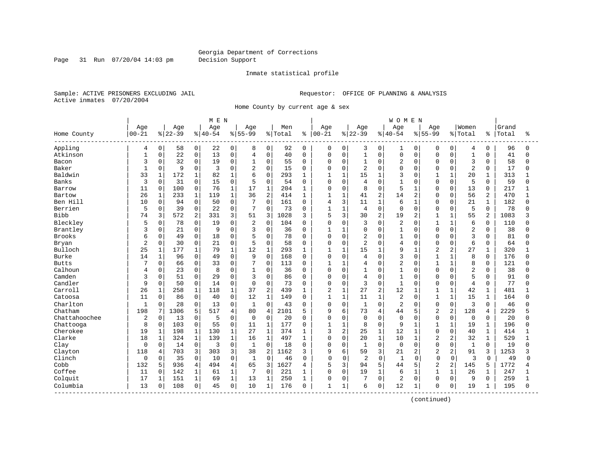Page 31 Run 07/20/04 14:03 pm Decision Support

#### Inmate statistical profile

Sample: ACTIVE PRISONERS EXCLUDING JAIL **Requestor:** OFFICE OF PLANNING & ANALYSIS Active inmates 07/20/2004

Home County by current age & sex

|                         |                |                |          |                | M E N    |              |                |                |         |              |                |                |                |                | WOMEN          |                |                |                |                |                |       |              |
|-------------------------|----------------|----------------|----------|----------------|----------|--------------|----------------|----------------|---------|--------------|----------------|----------------|----------------|----------------|----------------|----------------|----------------|----------------|----------------|----------------|-------|--------------|
|                         | Age            |                | Age      |                | Age      |              | Age            |                | Men     |              | Age            |                | Age            |                | Age            |                | Age            |                | Women          |                | Grand |              |
| Home County<br>-------- | $00 - 21$      |                | $ 22-39$ |                | $ 40-54$ |              | $8 55-99$      |                | % Total |              | $8   00 - 21$  |                | $ 22-39$       |                | $ 40-54$       |                | $8155 - 99$    |                | % Total        | ៖              | Total | ႜ            |
| Appling                 | 4              | 0 <sup>1</sup> | 58       | $\mathbf 0$    | 22       | 0            | 8              | $\mathbf{0}$   | 92      | $\mathbf 0$  | 0              | 0              | 3              | 0              | 1              | 0              | 0              | $\mathbf 0$    | 4              | 0              | 96    | $\Omega$     |
| Atkinson                | $\mathbf{1}$   | $\mathbf 0$    | 22       | $\mathbf 0$    | 13       | $\mathbf 0$  | $\overline{4}$ | 0              | 40      | $\Omega$     | $\mathbf 0$    | $\mathbf 0$    | $\overline{1}$ | $\mathsf{O}$   | 0              | $\mathbf 0$    | $\mathbf 0$    | $\mathbf 0$    | $\mathbf 1$    | 0              | 41    | $\Omega$     |
| Bacon                   | 3              | $\Omega$       | 32       | 0              | 19       | $\mathbf 0$  | $\mathbf 1$    | 0              | 55      | $\mathbf 0$  | $\mathbf 0$    | $\mathbf 0$    | $\mathbf{1}$   | $\mathbf 0$    | 2              | $\mathbf 0$    | $\Omega$       | $\Omega$       | 3              | $\Omega$       | 58    | $\Omega$     |
| Baker                   | $\mathbf{1}$   | $\mathbf 0$    | 9        | $\mathbf 0$    | 3        | 0            | $\overline{2}$ | $\Omega$       | 15      | $\mathbf 0$  | $\Omega$       | $\mathbf 0$    | 2              | $\mathbf 0$    | $\Omega$       | $\Omega$       | O              | $\Omega$       | $\overline{2}$ | 0              | 17    |              |
| Baldwin                 | 33             | $\mathbf{1}$   | 172      | $\mathbf 1$    | 82       | $\mathbf{1}$ | 6              | $\Omega$       | 293     | 1            | $\mathbf{1}$   | $\mathbf{1}$   | 15             | $\mathbf{1}$   | 3              | $\cap$         | $\mathbf{1}$   | $\mathbf{1}$   | 20             | $\mathbf{1}$   | 313   |              |
| Banks                   | 3              | $\Omega$       | 31       | $\mathbf 0$    | 15       | $\mathbf 0$  | 5              | 0              | 54      | $\Omega$     | $\Omega$       | $\Omega$       | $\overline{4}$ | $\Omega$       | $\mathbf{1}$   | $\Omega$       | $\Omega$       | $\Omega$       | 5              | $\Omega$       | 59    | $\Omega$     |
| Barrow                  | 11             | 0              | 100      | 0              | 76       | $\mathbf{1}$ | 17             | $\mathbf 1$    | 204     | 1            | 0              | 0              | 8              | $\mathsf{O}$   | 5              | $\mathbf{1}$   | 0              | $\mathbf 0$    | 13             | 0              | 217   |              |
| Bartow                  | 26             | $\mathbf{1}$   | 233      | $\mathbf 1$    | 119      | 1            | 36             | $\overline{2}$ | 414     | $\mathbf{1}$ | $\mathbf{1}$   | $\mathbf{1}$   | 41             | 2              | 14             | $\overline{2}$ | $\Omega$       | $\Omega$       | 56             | $\overline{a}$ | 470   |              |
| Ben Hill                | 10             | 0              | 94       | 0              | 50       | 0            | 7              | 0              | 161     | 0            | $\overline{4}$ | $\overline{3}$ | 11             | $\mathbf{1}$   | 6              | $\mathbf{1}$   | 0              | 0              | 21             | 1              | 182   |              |
| Berrien                 | 5              | 0              | 39       | $\mathbf 0$    | 22       | 0            | 7              | 0              | 73      | $\mathbf 0$  | $\mathbf{1}$   | $\mathbf{1}$   | 4              | $\mathbf 0$    | 0              | $\Omega$       | 0              | $\Omega$       | 5              | 0              | 78    |              |
| <b>Bibb</b>             | 74             | 3              | 572      | $\overline{a}$ | 331      | 3            | 51             | 3              | 1028    | 3            | 5              | 3              | 30             | $\overline{2}$ | 19             | $\overline{c}$ | $\mathbf{1}$   | $\mathbf{1}$   | 55             | $\mathbf{2}$   | 1083  | 3            |
| Bleckley                | 5              | $\Omega$       | 78       | $\mathbf 0$    | 19       | 0            | $\overline{2}$ | 0              | 104     | $\Omega$     | 0              | $\Omega$       | 3              | $\mathbf 0$    | 2              | $\Omega$       | 1              | $\mathbf{1}$   | 6              | $\Omega$       | 110   |              |
| Brantley                | 3              | 0              | 21       | $\mathbf 0$    | 9        | 0            | 3              | 0              | 36      | $\mathbf 0$  |                | $\mathbf{1}$   | $\Omega$       | $\mathbf 0$    | $\mathbf{1}$   | $\mathbf 0$    | 0              | $\Omega$       | $\overline{2}$ | 0              | 38    |              |
| <b>Brooks</b>           | 6              | $\Omega$       | 49       | $\mathbf 0$    | 18       | 0            | 5              | 0              | 78      | $\Omega$     | $\Omega$       | $\Omega$       | 2              | $\mathbf 0$    | 1              | $\Omega$       | O              | $\Omega$       | 3              | $\Omega$       | 81    |              |
| Bryan                   | 2              | 0              | 30       | 0              | 21       | 0            | 5              | 0              | 58      | 0            | $\Omega$       | 0              | $\overline{2}$ | $\mathbf 0$    | $\overline{4}$ | $\Omega$       | 0              | O              | 6              | 0              | 64    | $\Omega$     |
| Bulloch                 | 25             | 1              | 177      | 1              | 79       | 1            | 12             | 1              | 293     | 1            | 1              | $\mathbf{1}$   | 15             | $\mathbf{1}$   | 9              | $\mathbf{1}$   | 2              | $\overline{2}$ | 27             | $\mathbf{1}$   | 320   |              |
| Burke                   | 14             | $\mathbf{1}$   | 96       | $\Omega$       | 49       | $\Omega$     | 9              | $\Omega$       | 168     | $\Omega$     | $\Omega$       | $\Omega$       | 4              | $\Omega$       | 3              | $\Omega$       | $\mathbf{1}$   | $\mathbf{1}$   | 8              | $\Omega$       | 176   |              |
| <b>Butts</b>            |                | $\Omega$       | 66       | 0              | 33       | 0            | 7              | $\Omega$       | 113     | $\Omega$     | $\mathbf{1}$   | $\mathbf{1}$   | 4              | $\Omega$       | $\overline{c}$ | $\Omega$       |                | $\mathbf{1}$   | 8              | $\Omega$       | 121   |              |
| Calhoun                 | 4              | $\Omega$       | 23       | $\mathbf 0$    | 8        | 0            | $\mathbf{1}$   | 0              | 36      | $\Omega$     | $\Omega$       | $\Omega$       | $\overline{1}$ | $\mathbf 0$    | 1              | $\Omega$       | O              | $\Omega$       | $\overline{2}$ | $\Omega$       | 38    |              |
| Camden                  | 3              | $\Omega$       | 51       | $\mathbf 0$    | 29       | $\Omega$     | 3              | $\Omega$       | 86      | $\Omega$     | $\mathbf 0$    | $\Omega$       | $\overline{4}$ | $\mathbf 0$    | $\mathbf{1}$   | $\Omega$       | $\Omega$       | $\Omega$       | 5              | $\Omega$       | 91    | $\Omega$     |
| Candler                 | 9              | $\Omega$       | 50       | $\mathbf 0$    | 14       | 0            | $\Omega$       | 0              | 73      | $\mathbf 0$  | $\mathbf 0$    | $\mathbf 0$    | 3              | $\mathbf 0$    | $\mathbf{1}$   | $\Omega$       | O              | $\Omega$       | 4              | 0              | 77    |              |
| Carroll                 | 26             | $\mathbf{1}$   | 258      | 1              | 118      | $\mathbf{1}$ | 37             | $\overline{c}$ | 439     | 1            | 2              | $\mathbf{1}$   | 27             | 2              | 12             | $\mathbf{1}$   | $\mathbf{1}$   | $\mathbf{1}$   | 42             | $\mathbf{1}$   | 481   |              |
| Catoosa                 | 11             | $\mathbf 0$    | 86       | $\mathbf 0$    | 40       | $\mathbf 0$  | 12             | $\mathbf{1}$   | 149     | 0            | $\mathbf{1}$   | $\mathbf{1}$   | 11             | $\mathbf{1}$   | 2              | $\Omega$       | $\mathbf{1}$   | $\mathbf{1}$   | 15             | 1              | 164   |              |
| Charlton                | $\mathbf{1}$   | $\Omega$       | 28       | $\Omega$       | 13       | $\Omega$     | $\mathbf{1}$   | $\Omega$       | 43      | $\Omega$     | $\Omega$       | $\Omega$       | $\mathbf{1}$   | $\mathbf 0$    | 2              | $\Omega$       | $\mathbf 0$    | $\Omega$       | 3              | $\Omega$       | 46    |              |
| Chatham                 | 198            | 7              | 1306     | 5              | 517      | 4            | 80             | 4              | 2101    | 5            | 9              | 6              | 73             | $\overline{4}$ | 44             | 5              | 2              | $\overline{2}$ | 128            | 4              | 2229  |              |
| Chattahoochee           | $\overline{2}$ | $\mathbf 0$    | 13       | $\mathbf 0$    | 5        | 0            | $\mathbf 0$    | 0              | 20      | $\Omega$     | $\Omega$       | $\Omega$       | $\mathbf 0$    | $\mathbf 0$    | $\Omega$       | $\Omega$       | $\mathbf 0$    | $\Omega$       | $\mathbf 0$    | $\Omega$       | 20    |              |
| Chattooga               | 8              | $\Omega$       | 103      | $\mathbf 0$    | 55       | 0            | 11             | $\mathbf{1}$   | 177     | 0            |                | $\mathbf{1}$   | 8              | $\mathbf 0$    | 9              |                |                | $\mathbf{1}$   | 19             | 1              | 196   |              |
| Cherokee                | 19             | $\mathbf 1$    | 198      | $\mathbf{1}$   | 130      | $\mathbf{1}$ | 27             | $\mathbf{1}$   | 374     | 1            | 3              | $\overline{c}$ | 25             | $\mathbf{1}$   | 12             | $\mathbf{1}$   | $\Omega$       | $\Omega$       | 40             | $\mathbf{1}$   | 414   |              |
| Clarke                  | 18             | $\mathbf{1}$   | 324      | 1              | 139      | $\mathbf{1}$ | 16             | $\mathbf{1}$   | 497     | 1            | $\mathbf 0$    | $\Omega$       | 20             | $\mathbf{1}$   | 10             | $\mathbf{1}$   | $\overline{2}$ | $\overline{a}$ | 32             | $\mathbf{1}$   | 529   |              |
| Clay                    | 0              | $\mathbf 0$    | 14       | 0              | 3        | 0            | $\mathbf{1}$   | 0              | 18      | $\mathbf 0$  | $\mathbf 0$    | $\mathbf 0$    | $\mathbf 1$    | $\mathsf{O}$   | $\mathbf 0$    | $\mathbf 0$    | 0              | $\mathbf 0$    | $\mathbf{1}$   | 0              | 19    | <sup>0</sup> |
| Clayton                 | 118            | 4              | 703      | 3              | 303      | 3            | 38             | 2              | 1162    | 3            | 9              | 6              | 59             | 3              | 21             | 2              | 2              | 2              | 91             | 3              | 1253  |              |
| Clinch                  | 0              | $\mathbf 0$    | 35       | 0              | 10       | 0            | $\mathbf{1}$   | $\mathbf 0$    | 46      | 0            | 0              | 0              | $\overline{2}$ | 0              | $\mathbf{1}$   | 0              | $\mathbf 0$    | 0              | 3              | $\mathbf 0$    | 49    | $\Omega$     |
| Cobb                    | 132            | 5              | 936      | 4              | 494      | 4            | 65             | 3              | 1627    | 4            | 5              | 3              | 94             | 5              | 44             | 5              | 2              | $\overline{a}$ | 145            | 5              | 1772  |              |
| Coffee                  | 11             | $\Omega$       | 142      | 1              | 61       | $\mathbf{1}$ | 7              | $\Omega$       | 221     | 1            | $\Omega$       | $\Omega$       | 19             | $\mathbf{1}$   | 6              | $\mathbf{1}$   | $\mathbf{1}$   | $\mathbf{1}$   | 26             | $\mathbf{1}$   | 247   |              |
| Colquit                 | 17             | $\mathbf{1}$   | 151      | 1              | 69       | $\mathbf{1}$ | 13             | $\mathbf 1$    | 250     | 1            | 0              | $\mathbf 0$    | 7              | $\mathbf 0$    | $\overline{a}$ | $\Omega$       | $\Omega$       | $\Omega$       | 9              | $\Omega$       | 259   |              |
| Columbia                | 13             | 0              | 108      | 0              | 45       | 0            | 10             | $\mathbf{1}$   | 176     | 0            | 1              | 1              | 6              | 0              | 12             | $\mathbf{1}$   | 0              | $\mathbf 0$    | 19             | 1              | 195   | $\Omega$     |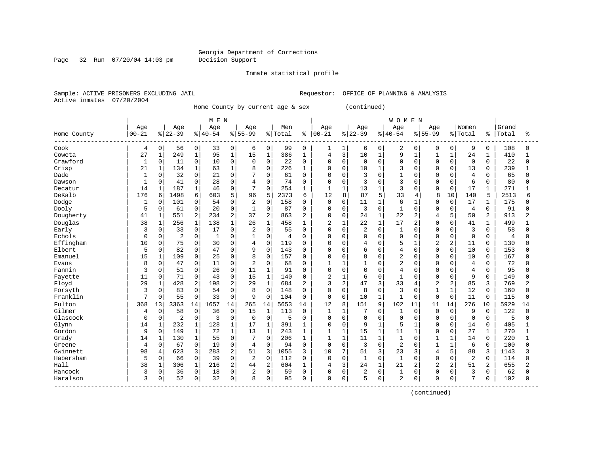#### Georgia Department of Corrections Page 32 Run 07/20/04 14:03 pm Decision Support

Inmate statistical profile

Active inmates 07/20/2004

Sample: ACTIVE PRISONERS EXCLUDING JAIL **Requestor:** OFFICE OF PLANNING & ANALYSIS

Home County by current age & sex (continued)

|                          |              |              |                |              | M E N        |                |                |                     |         |                |                |                |                |              | <b>WOMEN</b>   |                |                |                |                |              |                     |          |
|--------------------------|--------------|--------------|----------------|--------------|--------------|----------------|----------------|---------------------|---------|----------------|----------------|----------------|----------------|--------------|----------------|----------------|----------------|----------------|----------------|--------------|---------------------|----------|
|                          | Age          |              | Age            |              | Age          |                | Age            |                     | Men     |                | Age            |                | Age            |              | Age            |                | Age            |                | Women          |              | Grand               |          |
| Home County<br>--------- | $00 - 21$    |              | $ 22-39$       |              | $8140 - 54$  |                | $8155 - 99$    |                     | % Total | ႜ              | $ 00-21$       |                | $ 22-39$       |              | $ 40-54$       |                | $8155 - 99$    |                | % Total        | န္           | Total<br>---------- | ្ក<br>ក  |
| Cook                     | 4            | $\mathbf 0$  | 56             | 0            | 33           | 0              | 6              | 0                   | 99      | 0              | 1              | 1              | 6              | 0            | $\overline{2}$ | 0              | 0              | 0              | 9              | 0            | 108                 | $\Omega$ |
| Coweta                   | 27           | $\mathbf{1}$ | 249            | $\mathbf{1}$ | 95           | $\mathbf{1}$   | 15             | $\mathbf 1$         | 386     | 1              | 4              | $\overline{3}$ | 10             | $\mathbf{1}$ | 9              | $\mathbf{1}$   | $\mathbf{1}$   | $\mathbf{1}$   | 24             | 1            | 410                 |          |
| Crawford                 | 1            | $\mathbf 0$  | 11             | 0            | 10           | $\mathsf{O}$   | $\mathbf 0$    | $\mathbf 0$         | 22      | $\Omega$       | $\Omega$       | $\mathbf 0$    | $\mathbf 0$    | $\mathbf 0$  | $\Omega$       | $\Omega$       | O              | $\Omega$       | $\mathbf 0$    | $\Omega$     | 22                  | $\Omega$ |
| Crisp                    | 21           | 1            | 134            | $\mathbf{1}$ | 63           | $\mathbf 1$    | 8              | 0                   | 226     | 1              | 0              | $\mathbf 0$    | 10             | $\mathbf{1}$ | 3              | $\Omega$       | 0              | $\mathbf 0$    | 13             | 0            | 239                 |          |
| Dade                     |              | 0            | 32             | 0            | 21           | O              | 7              | $\mathbf 0$         | 61      | $\Omega$       | $\Omega$       | $\mathbf 0$    | 3              | $\Omega$     | $\mathbf{1}$   | $\Omega$       | O              | $\cap$         | $\overline{4}$ | $\Omega$     | 65                  |          |
| Dawson                   | $\mathbf{1}$ | 0            | 41             | 0            | 28           | 0              | $\overline{4}$ | $\mathbf 0$         | 74      | 0              | $\Omega$       | $\mathbf 0$    | 3              | $\mathbf 0$  | 3              | $\Omega$       | O              | $\Omega$       | 6              | 0            | 80                  | $\Omega$ |
| Decatur                  | 14           | 1            | 187            | $\mathbf{1}$ | 46           | 0              | 7              | $\mathbf 0$         | 254     | 1              | $\mathbf{1}$   | $\mathbf{1}$   | 13             | $\mathbf{1}$ | 3              | 0              | 0              | $\mathbf 0$    | 17             | 1            | 271                 |          |
| DeKalb                   | 176          | 6            | 1498           | 6            | 603          | 5              | 96             | 5                   | 2373    | 6              | 12             | 8              | 87             | 5            | 33             | 4              | 8              | 10             | 140            | 5            | 2513                | 6        |
| Dodge                    | $\mathbf{1}$ | $\Omega$     | 101            | 0            | 54           | $\Omega$       | $\overline{2}$ | $\mathbf 0$         | 158     | $\Omega$       | $\mathbf 0$    | $\mathbf 0$    | 11             | $\mathbf{1}$ | 6              |                | 0              | $\Omega$       | 17             | $\mathbf{1}$ | 175                 |          |
| Dooly                    | 5            | $\Omega$     | 61             | 0            | 20           | $\Omega$       | $\mathbf{1}$   | $\Omega$            | 87      | $\Omega$       | $\Omega$       | $\Omega$       | 3              | $\Omega$     | $\mathbf{1}$   | $\Omega$       | 0              | $\Omega$       | 4              | 0            | 91                  |          |
| Dougherty                | 41           | $\mathbf{1}$ | 551            | 2            | 234          | 2              | 37             | $\overline{2}$      | 863     | 2              | $\Omega$       | $\mathbf 0$    | 24             | $\mathbf{1}$ | 22             | $\overline{c}$ | 4              | 5              | 50             | 2            | 913                 | 2        |
| Douglas                  | 38           | $\mathbf{1}$ | 256            | $\mathbf{1}$ | 138          | $\mathbf{1}$   | 26             | $\mathbf{1}$        | 458     | 1              | 2              | $\mathbf 1$    | 22             | $\mathbf{1}$ | 17             | $\overline{a}$ | 0              | $\Omega$       | 41             | $\mathbf{1}$ | 499                 |          |
| Early                    | 3            | $\Omega$     | 33             | $\mathbf 0$  | 17           | $\Omega$       | 2              | $\mathbf 0$         | 55      | $\Omega$       | $\Omega$       | $\Omega$       | $\overline{2}$ | $\mathbf{0}$ | 1              | $\Omega$       | 0              | $\Omega$       | 3              | $\Omega$     | 58                  |          |
| Echols                   | $\Omega$     | $\Omega$     | $\overline{a}$ | 0            | $\mathbf{1}$ | $\Omega$       | $\mathbf{1}$   | $\mathbf 0$         | 4       | $\Omega$       | 0              | $\mathbf 0$    | 0              | $\mathbf 0$  | $\Omega$       | $\Omega$       | 0              | $\Omega$       | $\mathbf 0$    | $\Omega$     | $\overline{4}$      |          |
| Effingham                | 10           | 0            | 75             | 0            | 30           | U              | 4              | 0                   | 119     | $\Omega$       | 0              | 0              | 4              | $\mathbf 0$  | 5              | 1              | 2              | $\overline{2}$ | 11             | $\Omega$     | 130                 |          |
| Elbert                   | 5            | $\Omega$     | 82             | 0            | 47           | $\Omega$       | 9              | 0                   | 143     | $\Omega$       | $\Omega$       | 0              | б              | $\mathbf 0$  | 4              | $\Omega$       | $\Omega$       | $\Omega$       | 10             | 0            | 153                 |          |
| Emanuel                  | 15           | $\mathbf{1}$ | 109            | 0            | 25           | 0              | 8              | $\mathbf{0}$        | 157     | 0              | $\Omega$       | $\mathbf 0$    | 8              | $\mathbf 0$  | 2              | $\Omega$       | 0              | $\Omega$       | 10             | 0            | 167                 |          |
| Evans                    | 8            | 0            | 47             | 0            | 11           | 0              | $\overline{2}$ | $\mathbf 0$         | 68      | $\Omega$       |                | $\mathbf{1}$   |                | $\mathbf 0$  | 2              | 0              | 0              | $\Omega$       | $\overline{4}$ | 0            | 72                  |          |
| Fannin                   | 3            | 0            | 51             | 0            | 26           | 0              | 11             | $\mathbf{1}$        | 91      | $\Omega$       | $\Omega$       | $\mathbf 0$    | 0              | $\Omega$     | 4              | $\Omega$       | $\Omega$       | $\Omega$       | $\overline{4}$ | $\Omega$     | 95                  |          |
| Fayette                  | 11           | $\mathbf 0$  | 71             | 0            | 43           | 0              | 15             | $\mathbf{1}$        | 140     | 0              | $\overline{2}$ | $\mathbf{1}$   | 6              | $\mathbf 0$  | $\mathbf{1}$   | $\Omega$       | O              | $\Omega$       | 9              | $\Omega$     | 149                 |          |
| Floyd                    | 29           | $\mathbf{1}$ | 428            | 2            | 198          | $\overline{2}$ | 29             | $\mathbf{1}$        | 684     | $\overline{2}$ | 3              | 2              | 47             | 3            | 33             | 4              | $\overline{a}$ | $\overline{2}$ | 85             | 3            | 769                 |          |
| Forsyth                  | 3            | 0            | 83             | $\mathbf 0$  | 54           | 0              | 8              | $\mathbf 0$         | 148     | $\Omega$       | 0              | $\mathbf 0$    | 8              | $\mathbf 0$  | 3              | $\Omega$       | $\mathbf{1}$   | $\mathbf{1}$   | 12             | 0            | 160                 |          |
| Franklin                 | 7            | 0            | 55             | 0            | 33           | 0              | 9              | 0                   | 104     | $\Omega$       | $\mathbf 0$    | $\mathbf 0$    | 10             | $1\,$        | $\mathbf{1}$   | $\Omega$       | $\mathbf 0$    | $\mathbf 0$    | 11             | 0            | 115                 |          |
| Fulton                   | 368          | 13           | 3363           | 14           | 1657         | 14             | 265            | 14                  | 5653    | 14             | 12             | 8              | 151            | 9            | 102            | 11             | 11             | 14             | 276            | 10           | 5929                | 14       |
| Gilmer                   | 4            | $\mathbf 0$  | 58             | $\mathbf 0$  | 36           | $\mathbf 0$    | 15             | $1\,$               | 113     | $\Omega$       | $\mathbf{1}$   | $\mathbf{1}$   | 7              | $\Omega$     | $\mathbf{1}$   | $\Omega$       | $\mathbf 0$    | $\Omega$       | 9              | $\Omega$     | 122                 | $\Omega$ |
| Glascock                 | $\Omega$     | $\mathbf 0$  | $\overline{2}$ | 0            | 3            | 0              | 0              | 0                   | 5       | 0              | 0              | $\mathbf 0$    | 0              | $\Omega$     | $\Omega$       | $\Omega$       | 0              | $\Omega$       | $\mathbf 0$    | $\Omega$     | 5                   | ∩        |
| Glynn                    | 14           | 1            | 232            | 1            | 128          | 1              | 17             | $\mathbf 1$         | 391     |                | 0              | $\mathbf 0$    | 9              | $\mathbf{1}$ | 5              |                | O              | $\Omega$       | 14             | 0            | 405                 |          |
| Gordon                   | 9            | $\Omega$     | 149            | 1            | 72           | 1              | 13             | 1                   | 243     | 1              | $\mathbf{1}$   | 1              | 15             | $\mathbf{1}$ | 11             | -1             | O              | $\Omega$       | 27             | $\mathbf{1}$ | 270                 |          |
| Grady                    | 14           | $\mathbf{1}$ | 130            | $\mathbf{1}$ | 55           | $\Omega$       | 7              | $\Omega$            | 206     | $\mathbf{1}$   | $\mathbf{1}$   | $\mathbf{1}$   | 11             | $\mathbf{1}$ | $\mathbf{1}$   | $\cap$         | $\mathbf{1}$   | $\mathbf{1}$   | 14             | $\Omega$     | 220                 |          |
| Greene                   | 4            | $\mathbf 0$  | 67             | 0            | 19           | $\Omega$       | $\overline{4}$ | $\Omega$            | 94      | 0              | $\mathbf 0$    | $\mathbf 0$    | 3              | $\mathbf 0$  | 2              | $\Omega$       | $\mathbf{1}$   | $\mathbf{1}$   | 6              | $\Omega$     | 100                 |          |
| Gwinnett                 | 98           | 4            | 623            | 3            | 283          | 2              | 51             | 3                   | 1055    | 3              | 10             | 7              | 51             | 3            | 23             | 3              | 4              | 5              | 88             | 3            | 1143                |          |
| Habersham                | 5            | $\Omega$     | 66             | $\mathbf 0$  | 39           | $\Omega$       | 2              | $\mathbf 0$         | 112     | $\Omega$       | $\Omega$       | $\mathbf 0$    | $\mathbf{1}$   | $\mathbf 0$  | $\mathbf{1}$   | $\Omega$       | 0              | $\Omega$       | $\overline{2}$ | $\Omega$     | 114                 |          |
| Hall                     | 38           | 1            | 306            | $1\,$        | 216          | 2              | 44             | $\overline{c}$      | 604     | $\mathbf{1}$   | 4              | 3              | 24             | $\mathbf{1}$ | 21             | 2              | 2              | $\overline{2}$ | 51             | 2            | 655                 |          |
| Hancock                  | 3            | 0            | 36             | 0            | 18           | 0              | $\overline{2}$ | $\mathsf{O}\xspace$ | 59      | $\Omega$       | 0              | 0              | 2              | $\mathbf 0$  | $\mathbf{1}$   | $\mathbf 0$    | U              | $\Omega$       | 3              | $\Omega$     | 62                  |          |
| Haralson                 | ζ            | 0            | 52             | 0            | 32           | 0              | 8              | 0                   | 95      | $\Omega$       | $\Omega$       | 0              | 5              | $\mathbf 0$  | 2              | 0              | U              | 0              | 7              | 0            | 102                 | $\Omega$ |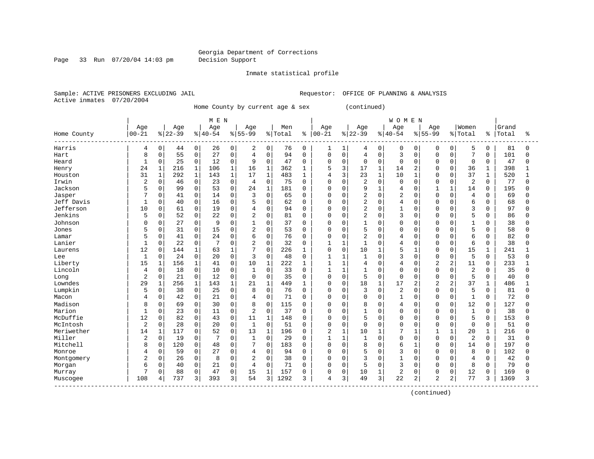#### Georgia Department of Corrections Page 33 Run 07/20/04 14:03 pm Decision Support

#### Inmate statistical profile

Sample: ACTIVE PRISONERS EXCLUDING JAIL **Requestor:** OFFICE OF PLANNING & ANALYSIS Active inmates 07/20/2004

Home County by current age & sex (continued)

| Age<br>Age<br>Women<br>Age<br>Age<br>Men<br>Age<br>Age<br>Age<br>Grand<br>Age<br>$00 - 21$<br>$ 22-39$<br>$8 40-54$<br>$ 00 - 21$<br>$ 22-39$<br>$8 40-54$<br>$8155 - 99$<br>$8 55-99$<br>% Total<br>% Total<br>Total<br>Home County<br>ႜ<br>နွ<br>81<br>Harris<br>0<br>0<br>0<br>0<br>76<br>$\mathbf 0$<br>0<br>5<br>$\mathbf 0$<br>44<br>26<br>2<br>0<br>1<br>0<br>$\mathbf 0$<br>0<br>$\Omega$<br>4<br>1<br>4<br>0<br>$\mathbf 0$<br>55<br>0<br>27<br>$\mathsf 0$<br>$\mathbf 0$<br>3<br>7<br>0<br>$\overline{4}$<br>94<br>$\mathbf 0$<br>0<br>4<br>$\mathbf 0$<br>0<br>101<br>8<br>$\Omega$<br>0<br>Hart<br>0<br>$\mathsf 0$<br>$\mathbf{1}$<br>0<br>25<br>0<br>12<br>0<br>9<br>0<br>$\Omega$<br>0<br>$\mathbf 0$<br>0<br>$\mathbf 0$<br>$\Omega$<br>0<br>$\mathbf 0$<br>47<br>Heard<br>47<br>0<br>3<br>$\mathbf{1}$<br>216<br>$\mathbf{1}$<br>16<br>$\mathbf{1}$<br>5<br>17<br>$\mathbf{1}$<br>398<br>24<br>1<br>106<br>362<br>2<br>$\Omega$<br>$\Omega$<br>36<br>$\mathbf{1}$<br>1<br>14<br>Henry<br>292<br>$\mathbf{1}$<br>17<br>$\mathbf{1}$<br>3<br>23<br>$\mathbf{1}$<br>10<br>37<br>31<br>$\mathbf{1}$<br>143<br>$\mathbf{1}$<br>483<br>520<br>Houston<br>1<br>4<br>$\mathbf{1}$<br>$\Omega$<br>$\Omega$<br>1<br>Irwin<br>$\overline{2}$<br>$\mathbf 0$<br>0<br>0<br>$\mathbf 0$<br>$\overline{2}$<br>$\mathbf 0$<br>2<br>77<br>46<br>23<br>0<br>$\overline{4}$<br>75<br>$\Omega$<br>0<br>$\Omega$<br>$\Omega$<br>0<br>$\Omega$<br>O<br>5<br>0<br>24<br>1<br>9<br>$\mathbf{1}$<br>195<br>Jackson<br>0<br>99<br>53<br>$\Omega$<br>181<br>$\Omega$<br>$\mathbf 0$<br>$\Omega$<br>$\mathbf{1}$<br>$\mathbf{1}$<br>14<br>$\mathbf 0$<br>$\Omega$<br>4<br>$\Omega$<br>2<br>$\overline{2}$<br>Jasper<br>0<br>3<br>$\mathbf 0$<br>$\Omega$<br>$\Omega$<br>$\Omega$<br>41<br>14<br>$\Omega$<br>0<br>$\Omega$<br>$\Omega$<br>4<br>$\Omega$<br>69<br>65<br>$\Omega$<br>$\overline{2}$<br>0<br>0<br>6<br>Jeff Davis<br>$\Omega$<br>40<br>16<br>$\Omega$<br>5<br>$\mathbf 0$<br>$\Omega$<br>4<br>$\Omega$<br>$\Omega$<br>68<br>1<br>62<br>$\Omega$<br>0<br>$\Omega$<br>$\Omega$<br>Jefferson<br>10<br>0<br>$\mathbf 0$<br>0<br>2<br>3<br>97<br>0<br>61<br>19<br>$\overline{4}$<br>$\mathbf 0$<br>$\mathbf 0$<br>1<br>$\Omega$<br>$\Omega$<br>0<br>$\mathbf 0$<br>94<br>0<br>0<br>Jenkins<br>2<br>5<br>5<br>$\mathbf 0$<br>52<br>0<br>22<br>$\overline{2}$<br>0<br>$\mathbf 0$<br>3<br>0<br>81<br>$\Omega$<br>$\Omega$<br>$\Omega$<br>0<br>$\mathbf 0$<br>86<br>$\Omega$<br>$\Omega$<br>0<br>27<br>0<br>$\Omega$<br>$\mathbf{1}$<br>0<br>37<br>$\mathbf 0$<br>0<br>$\mathbf{1}$<br>38<br>Johnson<br>C<br>9<br>$\Omega$<br>0<br>$\Omega$<br>$\Omega$<br>0<br>O<br>$\Omega$<br>5<br>31<br>0<br>15<br>$\overline{2}$<br>0<br>5<br>5<br>58<br>0<br>53<br>0<br>$\mathbf 0$<br>$\Omega$<br>$\Omega$<br>$\mathbf 0$<br>$\Omega$<br>$\Omega$<br>Jones<br>0<br>$\Omega$<br>0<br>∩<br>0<br>0<br>$\overline{2}$<br>6<br>82<br>5<br>0<br>41<br>24<br>6<br>76<br>$\Omega$<br>$\mathbf 0$<br>$\Omega$<br>$\Omega$<br>$\mathbf 0$<br>0<br>0<br>4<br>$\Omega$<br>O<br>Lamar<br>0<br>Lanier<br>0<br>22<br>0<br>$\Omega$<br>$\overline{2}$<br>32<br>6<br>38<br>$\mathbf{1}$<br>$\Omega$<br>$\mathbf{1}$<br>$\mathbf{1}$<br>1<br>$\Omega$<br>$\Omega$<br>$\Omega$<br>$\Omega$<br>$\mathbf 0$<br>4<br>$\overline{7}$<br>5<br>12<br>144<br>1<br>$\Omega$<br>$\Omega$<br>$\mathbf 0$<br>10<br>15<br>$\mathbf{1}$<br>$\Omega$<br>63<br>1<br>226<br>1<br>$\mathbf{1}$<br>$\mathbf{1}$<br><sup>0</sup><br>0<br>241<br>Laurens<br>$\Omega$<br>3<br>3<br>5<br>0<br>24<br>20<br>$\Omega$<br>0<br>48<br>$\mathbf{1}$<br>$\Omega$<br>$\Omega$<br>$\Omega$<br>$\Omega$<br>53<br>Lee<br>1<br>$\Omega$<br>1<br>1<br>$\Omega$<br>15<br>156<br>$\mathbf 1$<br>$\mathsf{O}$<br>10<br>$\mathbf 1$<br>$\mathbf{1}$<br>$\Omega$<br>$\overline{2}$<br>$\overline{a}$<br>233<br>Liberty<br>$\mathbf 1$<br>41<br>222<br>$\overline{4}$<br>4<br>$\Omega$<br>11<br>$\mathbf 0$<br>1<br>1<br>$\mathsf{O}$<br>0<br>$\mathbf{1}$<br>0<br>$\Omega$<br>$\overline{2}$<br>35<br>Lincoln<br>$\overline{4}$<br>18<br>10<br>0<br>33<br>$\Omega$<br>1<br>$\mathbf{1}$<br>$\mathbf{1}$<br>$\Omega$<br>$\Omega$<br>$\Omega$<br>0<br>$\mathbf 0$<br>$\overline{2}$<br>$\mathbf 0$<br>5<br>0<br>21<br>0<br>12<br>$\Omega$<br>35<br>0<br>$\mathbf 0$<br>5<br>$\mathbf 0$<br>$\Omega$<br>$\Omega$<br>40<br>0<br>$\Omega$<br>0<br>$\Omega$<br>Long<br>$\Omega$<br>18<br>Lowndes<br>29<br>256<br>1<br>143<br>21<br>1<br>449<br>$\mathbf 0$<br>$\mathbf{1}$<br>17<br>$\overline{c}$<br>2<br>37<br>486<br>1<br>1<br>0<br>2<br>1<br>1<br>Lumpkin<br>0<br>$\mathbf 2$<br>5<br>5<br>0<br>0<br>25<br>0<br>8<br>76<br>$\mathbf 0$<br>3<br>$\mathbf 0$<br>$\Omega$<br>81<br>38<br>0<br>0<br>0<br>$\Omega$<br>0<br>0<br>$\mathbf 0$<br>$\mathbf{1}$<br>72<br>0<br>42<br>21<br>0<br>71<br>$\Omega$<br>$\mathbf 0$<br>$\Omega$<br>$\mathbf 0$<br>$\mathbf{1}$<br>$\Omega$<br>$\Omega$<br>$\Omega$<br>Macon<br>4<br>$\Omega$<br>$\Omega$<br>4<br>Madison<br>$\Omega$<br>0<br>30<br>8<br>$\Omega$<br>115<br>12<br>127<br>8<br>69<br>$\Omega$<br>$\Omega$<br>0<br>0<br>8<br>$\Omega$<br><sup>0</sup><br>0<br>$\Omega$<br>4<br>$\Omega$<br>Marion<br>23<br>$\Omega$<br>$\overline{2}$<br>$\Omega$<br>$\mathbf{1}$<br>$\mathbf{1}$<br>$\Omega$<br>11<br>$\Omega$<br>37<br>$\Omega$<br>$\Omega$<br>$\mathbf{1}$<br>$\Omega$<br>0<br>$\Omega$<br>38<br>$\Omega$<br>$\Omega$<br>$\Omega$<br>$\Omega$<br>McDuffie<br>12<br>82<br>0<br>$\mathbf{1}$<br>5<br>5<br>$\mathbf 0$<br>43<br>0<br>11<br>148<br>$\mathbf 0$<br>$\Omega$<br>0<br>$\Omega$<br>$\Omega$<br>0<br>153<br>0<br>$\Omega$<br>0<br>$\overline{a}$<br>$\mathbf{1}$<br>0<br>$\mathbf 0$<br>28<br>0<br>$\mathsf{O}$<br>$\mathsf 0$<br>0<br>$\Omega$<br>0<br>$\mathbf 0$<br>51<br>McIntosh<br>20<br>51<br>$\Omega$<br>$\Omega$<br>$\mathbf 0$<br>$\Omega$<br>$\Omega$<br>$\mathbf 0$<br>2<br>14<br>117<br>0<br>13<br>1<br>$\mathbf{1}$<br>7<br>20<br>Meriwether<br>$\mathbf 1$<br>52<br>0<br>196<br>$\mathbf 0$<br>10<br>$\mathbf{1}$<br>$\mathbf{1}$<br>1<br>1<br>1<br>216<br>Miller<br>$\overline{2}$<br>0<br>19<br>0<br>$\Omega$<br>1<br>0<br>29<br>$\mathbf{1}$<br>$\Omega$<br>$\Omega$<br>2<br>31<br>7<br>$\Omega$<br>1<br>$\mathbf{1}$<br>$\Omega$<br>0<br>$\Omega$<br>$\Omega$<br>Mitchell<br>197<br>8<br>0<br>120<br>0<br>48<br>7<br>0<br>0<br>$\mathbf 0$<br>8<br>6<br>14<br>0<br>183<br>$\Omega$<br>$\Omega$<br>0<br>0<br>$\Omega$<br>5<br>0<br>59<br>0<br>27<br>0<br>$\Omega$<br>$\mathbf 0$<br>$\mathbf 0$<br>3<br>8<br>102<br>0<br>4<br>94<br>0<br>$\Omega$<br>0<br>U<br>0<br>Monroe<br>4<br>3<br>$\Omega$<br>26<br>0<br>$\overline{2}$<br>0<br>$\mathbf 0$<br>$\mathbf{1}$<br>42<br>8<br>$\Omega$<br>38<br>$\Omega$<br>$\Omega$<br>$\Omega$<br>$\Omega$<br>$\overline{4}$<br>$\Omega$<br>Montgomery<br>$\Omega$<br>$\Omega$<br>0<br>0<br>71<br>$\mathbf 0$<br>5<br>3<br>8<br>79<br>6<br>0<br>40<br>21<br>0<br>$\overline{4}$<br>$\Omega$<br>$\Omega$<br>$\Omega$<br>$\mathbf 0$<br>$\Omega$<br>$\Omega$<br>$\Omega$<br>Morgan<br>2<br>0<br>88<br>0<br>0<br>15<br>1<br>$\mathbf 0$<br>0<br>12<br>47<br>157<br>10<br>$\mathbf{1}$<br>0<br>0<br>$\mathbf 0$<br>169<br>0<br>0<br>Murray |          |     |   |     |   | MEN |   |    |   |      |   |   |   |    |   | <b>WOMEN</b> |   |                |   |    |      |   |
|-------------------------------------------------------------------------------------------------------------------------------------------------------------------------------------------------------------------------------------------------------------------------------------------------------------------------------------------------------------------------------------------------------------------------------------------------------------------------------------------------------------------------------------------------------------------------------------------------------------------------------------------------------------------------------------------------------------------------------------------------------------------------------------------------------------------------------------------------------------------------------------------------------------------------------------------------------------------------------------------------------------------------------------------------------------------------------------------------------------------------------------------------------------------------------------------------------------------------------------------------------------------------------------------------------------------------------------------------------------------------------------------------------------------------------------------------------------------------------------------------------------------------------------------------------------------------------------------------------------------------------------------------------------------------------------------------------------------------------------------------------------------------------------------------------------------------------------------------------------------------------------------------------------------------------------------------------------------------------------------------------------------------------------------------------------------------------------------------------------------------------------------------------------------------------------------------------------------------------------------------------------------------------------------------------------------------------------------------------------------------------------------------------------------------------------------------------------------------------------------------------------------------------------------------------------------------------------------------------------------------------------------------------------------------------------------------------------------------------------------------------------------------------------------------------------------------------------------------------------------------------------------------------------------------------------------------------------------------------------------------------------------------------------------------------------------------------------------------------------------------------------------------------------------------------------------------------------------------------------------------------------------------------------------------------------------------------------------------------------------------------------------------------------------------------------------------------------------------------------------------------------------------------------------------------------------------------------------------------------------------------------------------------------------------------------------------------------------------------------------------------------------------------------------------------------------------------------------------------------------------------------------------------------------------------------------------------------------------------------------------------------------------------------------------------------------------------------------------------------------------------------------------------------------------------------------------------------------------------------------------------------------------------------------------------------------------------------------------------------------------------------------------------------------------------------------------------------------------------------------------------------------------------------------------------------------------------------------------------------------------------------------------------------------------------------------------------------------------------------------------------------------------------------------------------------------------------------------------------------------------------------------------------------------------------------------------------------------------------------------------------------------------------------------------------------------------------------------------------------------------------------------------------------------------------------------------------------------------------------------------------------------------------------------------------------------------------------------------------------------------------------------------------------------------------------------------------------------------------------------------------------------------------------------------------------------------------------------------------------------------------------------------------------------------------------------------------------------------------------------------------------------------------------------------------------------------------------------------------------------------------------------------------------------------------------------------------------------------------------------------------------------------------------------------------------------------------------------------------------------------------------------------------------------------------------------------------------------------------------------------------------------------------------------------------------------------------------------------------------------------------------------------------------------------------------------------------------------------------------------------------------------------------------------------------------------------------------------------------------------------------------------------------------------------------------------------------------------------------------------------------------------------------------------------------------------------------------------------------------------------------------------------------------------------------------------------------------------------------------------------------------------------------------------------------------------------------------------------------------------------------------------------------------------------|----------|-----|---|-----|---|-----|---|----|---|------|---|---|---|----|---|--------------|---|----------------|---|----|------|---|
|                                                                                                                                                                                                                                                                                                                                                                                                                                                                                                                                                                                                                                                                                                                                                                                                                                                                                                                                                                                                                                                                                                                                                                                                                                                                                                                                                                                                                                                                                                                                                                                                                                                                                                                                                                                                                                                                                                                                                                                                                                                                                                                                                                                                                                                                                                                                                                                                                                                                                                                                                                                                                                                                                                                                                                                                                                                                                                                                                                                                                                                                                                                                                                                                                                                                                                                                                                                                                                                                                                                                                                                                                                                                                                                                                                                                                                                                                                                                                                                                                                                                                                                                                                                                                                                                                                                                                                                                                                                                                                                                                                                                                                                                                                                                                                                                                                                                                                                                                                                                                                                                                                                                                                                                                                                                                                                                                                                                                                                                                                                                                                                                                                                                                                                                                                                                                                                                                                                                                                                                                                                                                                                                                                                                                                                                                                                                                                                                                                                                                                                                                                                                                                                                                                                                                                                                                                                                                                                                                                                                                                                                                                                                                                         |          |     |   |     |   |     |   |    |   |      |   |   |   |    |   |              |   |                |   |    |      |   |
|                                                                                                                                                                                                                                                                                                                                                                                                                                                                                                                                                                                                                                                                                                                                                                                                                                                                                                                                                                                                                                                                                                                                                                                                                                                                                                                                                                                                                                                                                                                                                                                                                                                                                                                                                                                                                                                                                                                                                                                                                                                                                                                                                                                                                                                                                                                                                                                                                                                                                                                                                                                                                                                                                                                                                                                                                                                                                                                                                                                                                                                                                                                                                                                                                                                                                                                                                                                                                                                                                                                                                                                                                                                                                                                                                                                                                                                                                                                                                                                                                                                                                                                                                                                                                                                                                                                                                                                                                                                                                                                                                                                                                                                                                                                                                                                                                                                                                                                                                                                                                                                                                                                                                                                                                                                                                                                                                                                                                                                                                                                                                                                                                                                                                                                                                                                                                                                                                                                                                                                                                                                                                                                                                                                                                                                                                                                                                                                                                                                                                                                                                                                                                                                                                                                                                                                                                                                                                                                                                                                                                                                                                                                                                                         |          |     |   |     |   |     |   |    |   |      |   |   |   |    |   |              |   |                |   |    |      | ႜ |
|                                                                                                                                                                                                                                                                                                                                                                                                                                                                                                                                                                                                                                                                                                                                                                                                                                                                                                                                                                                                                                                                                                                                                                                                                                                                                                                                                                                                                                                                                                                                                                                                                                                                                                                                                                                                                                                                                                                                                                                                                                                                                                                                                                                                                                                                                                                                                                                                                                                                                                                                                                                                                                                                                                                                                                                                                                                                                                                                                                                                                                                                                                                                                                                                                                                                                                                                                                                                                                                                                                                                                                                                                                                                                                                                                                                                                                                                                                                                                                                                                                                                                                                                                                                                                                                                                                                                                                                                                                                                                                                                                                                                                                                                                                                                                                                                                                                                                                                                                                                                                                                                                                                                                                                                                                                                                                                                                                                                                                                                                                                                                                                                                                                                                                                                                                                                                                                                                                                                                                                                                                                                                                                                                                                                                                                                                                                                                                                                                                                                                                                                                                                                                                                                                                                                                                                                                                                                                                                                                                                                                                                                                                                                                                         |          |     |   |     |   |     |   |    |   |      |   |   |   |    |   |              |   |                |   |    |      |   |
|                                                                                                                                                                                                                                                                                                                                                                                                                                                                                                                                                                                                                                                                                                                                                                                                                                                                                                                                                                                                                                                                                                                                                                                                                                                                                                                                                                                                                                                                                                                                                                                                                                                                                                                                                                                                                                                                                                                                                                                                                                                                                                                                                                                                                                                                                                                                                                                                                                                                                                                                                                                                                                                                                                                                                                                                                                                                                                                                                                                                                                                                                                                                                                                                                                                                                                                                                                                                                                                                                                                                                                                                                                                                                                                                                                                                                                                                                                                                                                                                                                                                                                                                                                                                                                                                                                                                                                                                                                                                                                                                                                                                                                                                                                                                                                                                                                                                                                                                                                                                                                                                                                                                                                                                                                                                                                                                                                                                                                                                                                                                                                                                                                                                                                                                                                                                                                                                                                                                                                                                                                                                                                                                                                                                                                                                                                                                                                                                                                                                                                                                                                                                                                                                                                                                                                                                                                                                                                                                                                                                                                                                                                                                                                         |          |     |   |     |   |     |   |    |   |      |   |   |   |    |   |              |   |                |   |    |      |   |
|                                                                                                                                                                                                                                                                                                                                                                                                                                                                                                                                                                                                                                                                                                                                                                                                                                                                                                                                                                                                                                                                                                                                                                                                                                                                                                                                                                                                                                                                                                                                                                                                                                                                                                                                                                                                                                                                                                                                                                                                                                                                                                                                                                                                                                                                                                                                                                                                                                                                                                                                                                                                                                                                                                                                                                                                                                                                                                                                                                                                                                                                                                                                                                                                                                                                                                                                                                                                                                                                                                                                                                                                                                                                                                                                                                                                                                                                                                                                                                                                                                                                                                                                                                                                                                                                                                                                                                                                                                                                                                                                                                                                                                                                                                                                                                                                                                                                                                                                                                                                                                                                                                                                                                                                                                                                                                                                                                                                                                                                                                                                                                                                                                                                                                                                                                                                                                                                                                                                                                                                                                                                                                                                                                                                                                                                                                                                                                                                                                                                                                                                                                                                                                                                                                                                                                                                                                                                                                                                                                                                                                                                                                                                                                         |          |     |   |     |   |     |   |    |   |      |   |   |   |    |   |              |   |                |   |    |      |   |
|                                                                                                                                                                                                                                                                                                                                                                                                                                                                                                                                                                                                                                                                                                                                                                                                                                                                                                                                                                                                                                                                                                                                                                                                                                                                                                                                                                                                                                                                                                                                                                                                                                                                                                                                                                                                                                                                                                                                                                                                                                                                                                                                                                                                                                                                                                                                                                                                                                                                                                                                                                                                                                                                                                                                                                                                                                                                                                                                                                                                                                                                                                                                                                                                                                                                                                                                                                                                                                                                                                                                                                                                                                                                                                                                                                                                                                                                                                                                                                                                                                                                                                                                                                                                                                                                                                                                                                                                                                                                                                                                                                                                                                                                                                                                                                                                                                                                                                                                                                                                                                                                                                                                                                                                                                                                                                                                                                                                                                                                                                                                                                                                                                                                                                                                                                                                                                                                                                                                                                                                                                                                                                                                                                                                                                                                                                                                                                                                                                                                                                                                                                                                                                                                                                                                                                                                                                                                                                                                                                                                                                                                                                                                                                         |          |     |   |     |   |     |   |    |   |      |   |   |   |    |   |              |   |                |   |    |      |   |
|                                                                                                                                                                                                                                                                                                                                                                                                                                                                                                                                                                                                                                                                                                                                                                                                                                                                                                                                                                                                                                                                                                                                                                                                                                                                                                                                                                                                                                                                                                                                                                                                                                                                                                                                                                                                                                                                                                                                                                                                                                                                                                                                                                                                                                                                                                                                                                                                                                                                                                                                                                                                                                                                                                                                                                                                                                                                                                                                                                                                                                                                                                                                                                                                                                                                                                                                                                                                                                                                                                                                                                                                                                                                                                                                                                                                                                                                                                                                                                                                                                                                                                                                                                                                                                                                                                                                                                                                                                                                                                                                                                                                                                                                                                                                                                                                                                                                                                                                                                                                                                                                                                                                                                                                                                                                                                                                                                                                                                                                                                                                                                                                                                                                                                                                                                                                                                                                                                                                                                                                                                                                                                                                                                                                                                                                                                                                                                                                                                                                                                                                                                                                                                                                                                                                                                                                                                                                                                                                                                                                                                                                                                                                                                         |          |     |   |     |   |     |   |    |   |      |   |   |   |    |   |              |   |                |   |    |      |   |
|                                                                                                                                                                                                                                                                                                                                                                                                                                                                                                                                                                                                                                                                                                                                                                                                                                                                                                                                                                                                                                                                                                                                                                                                                                                                                                                                                                                                                                                                                                                                                                                                                                                                                                                                                                                                                                                                                                                                                                                                                                                                                                                                                                                                                                                                                                                                                                                                                                                                                                                                                                                                                                                                                                                                                                                                                                                                                                                                                                                                                                                                                                                                                                                                                                                                                                                                                                                                                                                                                                                                                                                                                                                                                                                                                                                                                                                                                                                                                                                                                                                                                                                                                                                                                                                                                                                                                                                                                                                                                                                                                                                                                                                                                                                                                                                                                                                                                                                                                                                                                                                                                                                                                                                                                                                                                                                                                                                                                                                                                                                                                                                                                                                                                                                                                                                                                                                                                                                                                                                                                                                                                                                                                                                                                                                                                                                                                                                                                                                                                                                                                                                                                                                                                                                                                                                                                                                                                                                                                                                                                                                                                                                                                                         |          |     |   |     |   |     |   |    |   |      |   |   |   |    |   |              |   |                |   |    |      |   |
|                                                                                                                                                                                                                                                                                                                                                                                                                                                                                                                                                                                                                                                                                                                                                                                                                                                                                                                                                                                                                                                                                                                                                                                                                                                                                                                                                                                                                                                                                                                                                                                                                                                                                                                                                                                                                                                                                                                                                                                                                                                                                                                                                                                                                                                                                                                                                                                                                                                                                                                                                                                                                                                                                                                                                                                                                                                                                                                                                                                                                                                                                                                                                                                                                                                                                                                                                                                                                                                                                                                                                                                                                                                                                                                                                                                                                                                                                                                                                                                                                                                                                                                                                                                                                                                                                                                                                                                                                                                                                                                                                                                                                                                                                                                                                                                                                                                                                                                                                                                                                                                                                                                                                                                                                                                                                                                                                                                                                                                                                                                                                                                                                                                                                                                                                                                                                                                                                                                                                                                                                                                                                                                                                                                                                                                                                                                                                                                                                                                                                                                                                                                                                                                                                                                                                                                                                                                                                                                                                                                                                                                                                                                                                                         |          |     |   |     |   |     |   |    |   |      |   |   |   |    |   |              |   |                |   |    |      |   |
|                                                                                                                                                                                                                                                                                                                                                                                                                                                                                                                                                                                                                                                                                                                                                                                                                                                                                                                                                                                                                                                                                                                                                                                                                                                                                                                                                                                                                                                                                                                                                                                                                                                                                                                                                                                                                                                                                                                                                                                                                                                                                                                                                                                                                                                                                                                                                                                                                                                                                                                                                                                                                                                                                                                                                                                                                                                                                                                                                                                                                                                                                                                                                                                                                                                                                                                                                                                                                                                                                                                                                                                                                                                                                                                                                                                                                                                                                                                                                                                                                                                                                                                                                                                                                                                                                                                                                                                                                                                                                                                                                                                                                                                                                                                                                                                                                                                                                                                                                                                                                                                                                                                                                                                                                                                                                                                                                                                                                                                                                                                                                                                                                                                                                                                                                                                                                                                                                                                                                                                                                                                                                                                                                                                                                                                                                                                                                                                                                                                                                                                                                                                                                                                                                                                                                                                                                                                                                                                                                                                                                                                                                                                                                                         |          |     |   |     |   |     |   |    |   |      |   |   |   |    |   |              |   |                |   |    |      |   |
|                                                                                                                                                                                                                                                                                                                                                                                                                                                                                                                                                                                                                                                                                                                                                                                                                                                                                                                                                                                                                                                                                                                                                                                                                                                                                                                                                                                                                                                                                                                                                                                                                                                                                                                                                                                                                                                                                                                                                                                                                                                                                                                                                                                                                                                                                                                                                                                                                                                                                                                                                                                                                                                                                                                                                                                                                                                                                                                                                                                                                                                                                                                                                                                                                                                                                                                                                                                                                                                                                                                                                                                                                                                                                                                                                                                                                                                                                                                                                                                                                                                                                                                                                                                                                                                                                                                                                                                                                                                                                                                                                                                                                                                                                                                                                                                                                                                                                                                                                                                                                                                                                                                                                                                                                                                                                                                                                                                                                                                                                                                                                                                                                                                                                                                                                                                                                                                                                                                                                                                                                                                                                                                                                                                                                                                                                                                                                                                                                                                                                                                                                                                                                                                                                                                                                                                                                                                                                                                                                                                                                                                                                                                                                                         |          |     |   |     |   |     |   |    |   |      |   |   |   |    |   |              |   |                |   |    |      |   |
|                                                                                                                                                                                                                                                                                                                                                                                                                                                                                                                                                                                                                                                                                                                                                                                                                                                                                                                                                                                                                                                                                                                                                                                                                                                                                                                                                                                                                                                                                                                                                                                                                                                                                                                                                                                                                                                                                                                                                                                                                                                                                                                                                                                                                                                                                                                                                                                                                                                                                                                                                                                                                                                                                                                                                                                                                                                                                                                                                                                                                                                                                                                                                                                                                                                                                                                                                                                                                                                                                                                                                                                                                                                                                                                                                                                                                                                                                                                                                                                                                                                                                                                                                                                                                                                                                                                                                                                                                                                                                                                                                                                                                                                                                                                                                                                                                                                                                                                                                                                                                                                                                                                                                                                                                                                                                                                                                                                                                                                                                                                                                                                                                                                                                                                                                                                                                                                                                                                                                                                                                                                                                                                                                                                                                                                                                                                                                                                                                                                                                                                                                                                                                                                                                                                                                                                                                                                                                                                                                                                                                                                                                                                                                                         |          |     |   |     |   |     |   |    |   |      |   |   |   |    |   |              |   |                |   |    |      |   |
|                                                                                                                                                                                                                                                                                                                                                                                                                                                                                                                                                                                                                                                                                                                                                                                                                                                                                                                                                                                                                                                                                                                                                                                                                                                                                                                                                                                                                                                                                                                                                                                                                                                                                                                                                                                                                                                                                                                                                                                                                                                                                                                                                                                                                                                                                                                                                                                                                                                                                                                                                                                                                                                                                                                                                                                                                                                                                                                                                                                                                                                                                                                                                                                                                                                                                                                                                                                                                                                                                                                                                                                                                                                                                                                                                                                                                                                                                                                                                                                                                                                                                                                                                                                                                                                                                                                                                                                                                                                                                                                                                                                                                                                                                                                                                                                                                                                                                                                                                                                                                                                                                                                                                                                                                                                                                                                                                                                                                                                                                                                                                                                                                                                                                                                                                                                                                                                                                                                                                                                                                                                                                                                                                                                                                                                                                                                                                                                                                                                                                                                                                                                                                                                                                                                                                                                                                                                                                                                                                                                                                                                                                                                                                                         |          |     |   |     |   |     |   |    |   |      |   |   |   |    |   |              |   |                |   |    |      |   |
|                                                                                                                                                                                                                                                                                                                                                                                                                                                                                                                                                                                                                                                                                                                                                                                                                                                                                                                                                                                                                                                                                                                                                                                                                                                                                                                                                                                                                                                                                                                                                                                                                                                                                                                                                                                                                                                                                                                                                                                                                                                                                                                                                                                                                                                                                                                                                                                                                                                                                                                                                                                                                                                                                                                                                                                                                                                                                                                                                                                                                                                                                                                                                                                                                                                                                                                                                                                                                                                                                                                                                                                                                                                                                                                                                                                                                                                                                                                                                                                                                                                                                                                                                                                                                                                                                                                                                                                                                                                                                                                                                                                                                                                                                                                                                                                                                                                                                                                                                                                                                                                                                                                                                                                                                                                                                                                                                                                                                                                                                                                                                                                                                                                                                                                                                                                                                                                                                                                                                                                                                                                                                                                                                                                                                                                                                                                                                                                                                                                                                                                                                                                                                                                                                                                                                                                                                                                                                                                                                                                                                                                                                                                                                                         |          |     |   |     |   |     |   |    |   |      |   |   |   |    |   |              |   |                |   |    |      |   |
|                                                                                                                                                                                                                                                                                                                                                                                                                                                                                                                                                                                                                                                                                                                                                                                                                                                                                                                                                                                                                                                                                                                                                                                                                                                                                                                                                                                                                                                                                                                                                                                                                                                                                                                                                                                                                                                                                                                                                                                                                                                                                                                                                                                                                                                                                                                                                                                                                                                                                                                                                                                                                                                                                                                                                                                                                                                                                                                                                                                                                                                                                                                                                                                                                                                                                                                                                                                                                                                                                                                                                                                                                                                                                                                                                                                                                                                                                                                                                                                                                                                                                                                                                                                                                                                                                                                                                                                                                                                                                                                                                                                                                                                                                                                                                                                                                                                                                                                                                                                                                                                                                                                                                                                                                                                                                                                                                                                                                                                                                                                                                                                                                                                                                                                                                                                                                                                                                                                                                                                                                                                                                                                                                                                                                                                                                                                                                                                                                                                                                                                                                                                                                                                                                                                                                                                                                                                                                                                                                                                                                                                                                                                                                                         |          |     |   |     |   |     |   |    |   |      |   |   |   |    |   |              |   |                |   |    |      |   |
|                                                                                                                                                                                                                                                                                                                                                                                                                                                                                                                                                                                                                                                                                                                                                                                                                                                                                                                                                                                                                                                                                                                                                                                                                                                                                                                                                                                                                                                                                                                                                                                                                                                                                                                                                                                                                                                                                                                                                                                                                                                                                                                                                                                                                                                                                                                                                                                                                                                                                                                                                                                                                                                                                                                                                                                                                                                                                                                                                                                                                                                                                                                                                                                                                                                                                                                                                                                                                                                                                                                                                                                                                                                                                                                                                                                                                                                                                                                                                                                                                                                                                                                                                                                                                                                                                                                                                                                                                                                                                                                                                                                                                                                                                                                                                                                                                                                                                                                                                                                                                                                                                                                                                                                                                                                                                                                                                                                                                                                                                                                                                                                                                                                                                                                                                                                                                                                                                                                                                                                                                                                                                                                                                                                                                                                                                                                                                                                                                                                                                                                                                                                                                                                                                                                                                                                                                                                                                                                                                                                                                                                                                                                                                                         |          |     |   |     |   |     |   |    |   |      |   |   |   |    |   |              |   |                |   |    |      |   |
|                                                                                                                                                                                                                                                                                                                                                                                                                                                                                                                                                                                                                                                                                                                                                                                                                                                                                                                                                                                                                                                                                                                                                                                                                                                                                                                                                                                                                                                                                                                                                                                                                                                                                                                                                                                                                                                                                                                                                                                                                                                                                                                                                                                                                                                                                                                                                                                                                                                                                                                                                                                                                                                                                                                                                                                                                                                                                                                                                                                                                                                                                                                                                                                                                                                                                                                                                                                                                                                                                                                                                                                                                                                                                                                                                                                                                                                                                                                                                                                                                                                                                                                                                                                                                                                                                                                                                                                                                                                                                                                                                                                                                                                                                                                                                                                                                                                                                                                                                                                                                                                                                                                                                                                                                                                                                                                                                                                                                                                                                                                                                                                                                                                                                                                                                                                                                                                                                                                                                                                                                                                                                                                                                                                                                                                                                                                                                                                                                                                                                                                                                                                                                                                                                                                                                                                                                                                                                                                                                                                                                                                                                                                                                                         |          |     |   |     |   |     |   |    |   |      |   |   |   |    |   |              |   |                |   |    |      |   |
|                                                                                                                                                                                                                                                                                                                                                                                                                                                                                                                                                                                                                                                                                                                                                                                                                                                                                                                                                                                                                                                                                                                                                                                                                                                                                                                                                                                                                                                                                                                                                                                                                                                                                                                                                                                                                                                                                                                                                                                                                                                                                                                                                                                                                                                                                                                                                                                                                                                                                                                                                                                                                                                                                                                                                                                                                                                                                                                                                                                                                                                                                                                                                                                                                                                                                                                                                                                                                                                                                                                                                                                                                                                                                                                                                                                                                                                                                                                                                                                                                                                                                                                                                                                                                                                                                                                                                                                                                                                                                                                                                                                                                                                                                                                                                                                                                                                                                                                                                                                                                                                                                                                                                                                                                                                                                                                                                                                                                                                                                                                                                                                                                                                                                                                                                                                                                                                                                                                                                                                                                                                                                                                                                                                                                                                                                                                                                                                                                                                                                                                                                                                                                                                                                                                                                                                                                                                                                                                                                                                                                                                                                                                                                                         |          |     |   |     |   |     |   |    |   |      |   |   |   |    |   |              |   |                |   |    |      |   |
|                                                                                                                                                                                                                                                                                                                                                                                                                                                                                                                                                                                                                                                                                                                                                                                                                                                                                                                                                                                                                                                                                                                                                                                                                                                                                                                                                                                                                                                                                                                                                                                                                                                                                                                                                                                                                                                                                                                                                                                                                                                                                                                                                                                                                                                                                                                                                                                                                                                                                                                                                                                                                                                                                                                                                                                                                                                                                                                                                                                                                                                                                                                                                                                                                                                                                                                                                                                                                                                                                                                                                                                                                                                                                                                                                                                                                                                                                                                                                                                                                                                                                                                                                                                                                                                                                                                                                                                                                                                                                                                                                                                                                                                                                                                                                                                                                                                                                                                                                                                                                                                                                                                                                                                                                                                                                                                                                                                                                                                                                                                                                                                                                                                                                                                                                                                                                                                                                                                                                                                                                                                                                                                                                                                                                                                                                                                                                                                                                                                                                                                                                                                                                                                                                                                                                                                                                                                                                                                                                                                                                                                                                                                                                                         |          |     |   |     |   |     |   |    |   |      |   |   |   |    |   |              |   |                |   |    |      |   |
|                                                                                                                                                                                                                                                                                                                                                                                                                                                                                                                                                                                                                                                                                                                                                                                                                                                                                                                                                                                                                                                                                                                                                                                                                                                                                                                                                                                                                                                                                                                                                                                                                                                                                                                                                                                                                                                                                                                                                                                                                                                                                                                                                                                                                                                                                                                                                                                                                                                                                                                                                                                                                                                                                                                                                                                                                                                                                                                                                                                                                                                                                                                                                                                                                                                                                                                                                                                                                                                                                                                                                                                                                                                                                                                                                                                                                                                                                                                                                                                                                                                                                                                                                                                                                                                                                                                                                                                                                                                                                                                                                                                                                                                                                                                                                                                                                                                                                                                                                                                                                                                                                                                                                                                                                                                                                                                                                                                                                                                                                                                                                                                                                                                                                                                                                                                                                                                                                                                                                                                                                                                                                                                                                                                                                                                                                                                                                                                                                                                                                                                                                                                                                                                                                                                                                                                                                                                                                                                                                                                                                                                                                                                                                                         |          |     |   |     |   |     |   |    |   |      |   |   |   |    |   |              |   |                |   |    |      |   |
|                                                                                                                                                                                                                                                                                                                                                                                                                                                                                                                                                                                                                                                                                                                                                                                                                                                                                                                                                                                                                                                                                                                                                                                                                                                                                                                                                                                                                                                                                                                                                                                                                                                                                                                                                                                                                                                                                                                                                                                                                                                                                                                                                                                                                                                                                                                                                                                                                                                                                                                                                                                                                                                                                                                                                                                                                                                                                                                                                                                                                                                                                                                                                                                                                                                                                                                                                                                                                                                                                                                                                                                                                                                                                                                                                                                                                                                                                                                                                                                                                                                                                                                                                                                                                                                                                                                                                                                                                                                                                                                                                                                                                                                                                                                                                                                                                                                                                                                                                                                                                                                                                                                                                                                                                                                                                                                                                                                                                                                                                                                                                                                                                                                                                                                                                                                                                                                                                                                                                                                                                                                                                                                                                                                                                                                                                                                                                                                                                                                                                                                                                                                                                                                                                                                                                                                                                                                                                                                                                                                                                                                                                                                                                                         |          |     |   |     |   |     |   |    |   |      |   |   |   |    |   |              |   |                |   |    |      |   |
|                                                                                                                                                                                                                                                                                                                                                                                                                                                                                                                                                                                                                                                                                                                                                                                                                                                                                                                                                                                                                                                                                                                                                                                                                                                                                                                                                                                                                                                                                                                                                                                                                                                                                                                                                                                                                                                                                                                                                                                                                                                                                                                                                                                                                                                                                                                                                                                                                                                                                                                                                                                                                                                                                                                                                                                                                                                                                                                                                                                                                                                                                                                                                                                                                                                                                                                                                                                                                                                                                                                                                                                                                                                                                                                                                                                                                                                                                                                                                                                                                                                                                                                                                                                                                                                                                                                                                                                                                                                                                                                                                                                                                                                                                                                                                                                                                                                                                                                                                                                                                                                                                                                                                                                                                                                                                                                                                                                                                                                                                                                                                                                                                                                                                                                                                                                                                                                                                                                                                                                                                                                                                                                                                                                                                                                                                                                                                                                                                                                                                                                                                                                                                                                                                                                                                                                                                                                                                                                                                                                                                                                                                                                                                                         |          |     |   |     |   |     |   |    |   |      |   |   |   |    |   |              |   |                |   |    |      |   |
|                                                                                                                                                                                                                                                                                                                                                                                                                                                                                                                                                                                                                                                                                                                                                                                                                                                                                                                                                                                                                                                                                                                                                                                                                                                                                                                                                                                                                                                                                                                                                                                                                                                                                                                                                                                                                                                                                                                                                                                                                                                                                                                                                                                                                                                                                                                                                                                                                                                                                                                                                                                                                                                                                                                                                                                                                                                                                                                                                                                                                                                                                                                                                                                                                                                                                                                                                                                                                                                                                                                                                                                                                                                                                                                                                                                                                                                                                                                                                                                                                                                                                                                                                                                                                                                                                                                                                                                                                                                                                                                                                                                                                                                                                                                                                                                                                                                                                                                                                                                                                                                                                                                                                                                                                                                                                                                                                                                                                                                                                                                                                                                                                                                                                                                                                                                                                                                                                                                                                                                                                                                                                                                                                                                                                                                                                                                                                                                                                                                                                                                                                                                                                                                                                                                                                                                                                                                                                                                                                                                                                                                                                                                                                                         |          |     |   |     |   |     |   |    |   |      |   |   |   |    |   |              |   |                |   |    |      |   |
|                                                                                                                                                                                                                                                                                                                                                                                                                                                                                                                                                                                                                                                                                                                                                                                                                                                                                                                                                                                                                                                                                                                                                                                                                                                                                                                                                                                                                                                                                                                                                                                                                                                                                                                                                                                                                                                                                                                                                                                                                                                                                                                                                                                                                                                                                                                                                                                                                                                                                                                                                                                                                                                                                                                                                                                                                                                                                                                                                                                                                                                                                                                                                                                                                                                                                                                                                                                                                                                                                                                                                                                                                                                                                                                                                                                                                                                                                                                                                                                                                                                                                                                                                                                                                                                                                                                                                                                                                                                                                                                                                                                                                                                                                                                                                                                                                                                                                                                                                                                                                                                                                                                                                                                                                                                                                                                                                                                                                                                                                                                                                                                                                                                                                                                                                                                                                                                                                                                                                                                                                                                                                                                                                                                                                                                                                                                                                                                                                                                                                                                                                                                                                                                                                                                                                                                                                                                                                                                                                                                                                                                                                                                                                                         |          |     |   |     |   |     |   |    |   |      |   |   |   |    |   |              |   |                |   |    |      |   |
|                                                                                                                                                                                                                                                                                                                                                                                                                                                                                                                                                                                                                                                                                                                                                                                                                                                                                                                                                                                                                                                                                                                                                                                                                                                                                                                                                                                                                                                                                                                                                                                                                                                                                                                                                                                                                                                                                                                                                                                                                                                                                                                                                                                                                                                                                                                                                                                                                                                                                                                                                                                                                                                                                                                                                                                                                                                                                                                                                                                                                                                                                                                                                                                                                                                                                                                                                                                                                                                                                                                                                                                                                                                                                                                                                                                                                                                                                                                                                                                                                                                                                                                                                                                                                                                                                                                                                                                                                                                                                                                                                                                                                                                                                                                                                                                                                                                                                                                                                                                                                                                                                                                                                                                                                                                                                                                                                                                                                                                                                                                                                                                                                                                                                                                                                                                                                                                                                                                                                                                                                                                                                                                                                                                                                                                                                                                                                                                                                                                                                                                                                                                                                                                                                                                                                                                                                                                                                                                                                                                                                                                                                                                                                                         |          |     |   |     |   |     |   |    |   |      |   |   |   |    |   |              |   |                |   |    |      |   |
|                                                                                                                                                                                                                                                                                                                                                                                                                                                                                                                                                                                                                                                                                                                                                                                                                                                                                                                                                                                                                                                                                                                                                                                                                                                                                                                                                                                                                                                                                                                                                                                                                                                                                                                                                                                                                                                                                                                                                                                                                                                                                                                                                                                                                                                                                                                                                                                                                                                                                                                                                                                                                                                                                                                                                                                                                                                                                                                                                                                                                                                                                                                                                                                                                                                                                                                                                                                                                                                                                                                                                                                                                                                                                                                                                                                                                                                                                                                                                                                                                                                                                                                                                                                                                                                                                                                                                                                                                                                                                                                                                                                                                                                                                                                                                                                                                                                                                                                                                                                                                                                                                                                                                                                                                                                                                                                                                                                                                                                                                                                                                                                                                                                                                                                                                                                                                                                                                                                                                                                                                                                                                                                                                                                                                                                                                                                                                                                                                                                                                                                                                                                                                                                                                                                                                                                                                                                                                                                                                                                                                                                                                                                                                                         |          |     |   |     |   |     |   |    |   |      |   |   |   |    |   |              |   |                |   |    |      |   |
|                                                                                                                                                                                                                                                                                                                                                                                                                                                                                                                                                                                                                                                                                                                                                                                                                                                                                                                                                                                                                                                                                                                                                                                                                                                                                                                                                                                                                                                                                                                                                                                                                                                                                                                                                                                                                                                                                                                                                                                                                                                                                                                                                                                                                                                                                                                                                                                                                                                                                                                                                                                                                                                                                                                                                                                                                                                                                                                                                                                                                                                                                                                                                                                                                                                                                                                                                                                                                                                                                                                                                                                                                                                                                                                                                                                                                                                                                                                                                                                                                                                                                                                                                                                                                                                                                                                                                                                                                                                                                                                                                                                                                                                                                                                                                                                                                                                                                                                                                                                                                                                                                                                                                                                                                                                                                                                                                                                                                                                                                                                                                                                                                                                                                                                                                                                                                                                                                                                                                                                                                                                                                                                                                                                                                                                                                                                                                                                                                                                                                                                                                                                                                                                                                                                                                                                                                                                                                                                                                                                                                                                                                                                                                                         |          |     |   |     |   |     |   |    |   |      |   |   |   |    |   |              |   |                |   |    |      |   |
|                                                                                                                                                                                                                                                                                                                                                                                                                                                                                                                                                                                                                                                                                                                                                                                                                                                                                                                                                                                                                                                                                                                                                                                                                                                                                                                                                                                                                                                                                                                                                                                                                                                                                                                                                                                                                                                                                                                                                                                                                                                                                                                                                                                                                                                                                                                                                                                                                                                                                                                                                                                                                                                                                                                                                                                                                                                                                                                                                                                                                                                                                                                                                                                                                                                                                                                                                                                                                                                                                                                                                                                                                                                                                                                                                                                                                                                                                                                                                                                                                                                                                                                                                                                                                                                                                                                                                                                                                                                                                                                                                                                                                                                                                                                                                                                                                                                                                                                                                                                                                                                                                                                                                                                                                                                                                                                                                                                                                                                                                                                                                                                                                                                                                                                                                                                                                                                                                                                                                                                                                                                                                                                                                                                                                                                                                                                                                                                                                                                                                                                                                                                                                                                                                                                                                                                                                                                                                                                                                                                                                                                                                                                                                                         |          |     |   |     |   |     |   |    |   |      |   |   |   |    |   |              |   |                |   |    |      |   |
|                                                                                                                                                                                                                                                                                                                                                                                                                                                                                                                                                                                                                                                                                                                                                                                                                                                                                                                                                                                                                                                                                                                                                                                                                                                                                                                                                                                                                                                                                                                                                                                                                                                                                                                                                                                                                                                                                                                                                                                                                                                                                                                                                                                                                                                                                                                                                                                                                                                                                                                                                                                                                                                                                                                                                                                                                                                                                                                                                                                                                                                                                                                                                                                                                                                                                                                                                                                                                                                                                                                                                                                                                                                                                                                                                                                                                                                                                                                                                                                                                                                                                                                                                                                                                                                                                                                                                                                                                                                                                                                                                                                                                                                                                                                                                                                                                                                                                                                                                                                                                                                                                                                                                                                                                                                                                                                                                                                                                                                                                                                                                                                                                                                                                                                                                                                                                                                                                                                                                                                                                                                                                                                                                                                                                                                                                                                                                                                                                                                                                                                                                                                                                                                                                                                                                                                                                                                                                                                                                                                                                                                                                                                                                                         |          |     |   |     |   |     |   |    |   |      |   |   |   |    |   |              |   |                |   |    |      |   |
|                                                                                                                                                                                                                                                                                                                                                                                                                                                                                                                                                                                                                                                                                                                                                                                                                                                                                                                                                                                                                                                                                                                                                                                                                                                                                                                                                                                                                                                                                                                                                                                                                                                                                                                                                                                                                                                                                                                                                                                                                                                                                                                                                                                                                                                                                                                                                                                                                                                                                                                                                                                                                                                                                                                                                                                                                                                                                                                                                                                                                                                                                                                                                                                                                                                                                                                                                                                                                                                                                                                                                                                                                                                                                                                                                                                                                                                                                                                                                                                                                                                                                                                                                                                                                                                                                                                                                                                                                                                                                                                                                                                                                                                                                                                                                                                                                                                                                                                                                                                                                                                                                                                                                                                                                                                                                                                                                                                                                                                                                                                                                                                                                                                                                                                                                                                                                                                                                                                                                                                                                                                                                                                                                                                                                                                                                                                                                                                                                                                                                                                                                                                                                                                                                                                                                                                                                                                                                                                                                                                                                                                                                                                                                                         |          |     |   |     |   |     |   |    |   |      |   |   |   |    |   |              |   |                |   |    |      |   |
|                                                                                                                                                                                                                                                                                                                                                                                                                                                                                                                                                                                                                                                                                                                                                                                                                                                                                                                                                                                                                                                                                                                                                                                                                                                                                                                                                                                                                                                                                                                                                                                                                                                                                                                                                                                                                                                                                                                                                                                                                                                                                                                                                                                                                                                                                                                                                                                                                                                                                                                                                                                                                                                                                                                                                                                                                                                                                                                                                                                                                                                                                                                                                                                                                                                                                                                                                                                                                                                                                                                                                                                                                                                                                                                                                                                                                                                                                                                                                                                                                                                                                                                                                                                                                                                                                                                                                                                                                                                                                                                                                                                                                                                                                                                                                                                                                                                                                                                                                                                                                                                                                                                                                                                                                                                                                                                                                                                                                                                                                                                                                                                                                                                                                                                                                                                                                                                                                                                                                                                                                                                                                                                                                                                                                                                                                                                                                                                                                                                                                                                                                                                                                                                                                                                                                                                                                                                                                                                                                                                                                                                                                                                                                                         |          |     |   |     |   |     |   |    |   |      |   |   |   |    |   |              |   |                |   |    |      |   |
|                                                                                                                                                                                                                                                                                                                                                                                                                                                                                                                                                                                                                                                                                                                                                                                                                                                                                                                                                                                                                                                                                                                                                                                                                                                                                                                                                                                                                                                                                                                                                                                                                                                                                                                                                                                                                                                                                                                                                                                                                                                                                                                                                                                                                                                                                                                                                                                                                                                                                                                                                                                                                                                                                                                                                                                                                                                                                                                                                                                                                                                                                                                                                                                                                                                                                                                                                                                                                                                                                                                                                                                                                                                                                                                                                                                                                                                                                                                                                                                                                                                                                                                                                                                                                                                                                                                                                                                                                                                                                                                                                                                                                                                                                                                                                                                                                                                                                                                                                                                                                                                                                                                                                                                                                                                                                                                                                                                                                                                                                                                                                                                                                                                                                                                                                                                                                                                                                                                                                                                                                                                                                                                                                                                                                                                                                                                                                                                                                                                                                                                                                                                                                                                                                                                                                                                                                                                                                                                                                                                                                                                                                                                                                                         |          |     |   |     |   |     |   |    |   |      |   |   |   |    |   |              |   |                |   |    |      |   |
|                                                                                                                                                                                                                                                                                                                                                                                                                                                                                                                                                                                                                                                                                                                                                                                                                                                                                                                                                                                                                                                                                                                                                                                                                                                                                                                                                                                                                                                                                                                                                                                                                                                                                                                                                                                                                                                                                                                                                                                                                                                                                                                                                                                                                                                                                                                                                                                                                                                                                                                                                                                                                                                                                                                                                                                                                                                                                                                                                                                                                                                                                                                                                                                                                                                                                                                                                                                                                                                                                                                                                                                                                                                                                                                                                                                                                                                                                                                                                                                                                                                                                                                                                                                                                                                                                                                                                                                                                                                                                                                                                                                                                                                                                                                                                                                                                                                                                                                                                                                                                                                                                                                                                                                                                                                                                                                                                                                                                                                                                                                                                                                                                                                                                                                                                                                                                                                                                                                                                                                                                                                                                                                                                                                                                                                                                                                                                                                                                                                                                                                                                                                                                                                                                                                                                                                                                                                                                                                                                                                                                                                                                                                                                                         |          |     |   |     |   |     |   |    |   |      |   |   |   |    |   |              |   |                |   |    |      |   |
|                                                                                                                                                                                                                                                                                                                                                                                                                                                                                                                                                                                                                                                                                                                                                                                                                                                                                                                                                                                                                                                                                                                                                                                                                                                                                                                                                                                                                                                                                                                                                                                                                                                                                                                                                                                                                                                                                                                                                                                                                                                                                                                                                                                                                                                                                                                                                                                                                                                                                                                                                                                                                                                                                                                                                                                                                                                                                                                                                                                                                                                                                                                                                                                                                                                                                                                                                                                                                                                                                                                                                                                                                                                                                                                                                                                                                                                                                                                                                                                                                                                                                                                                                                                                                                                                                                                                                                                                                                                                                                                                                                                                                                                                                                                                                                                                                                                                                                                                                                                                                                                                                                                                                                                                                                                                                                                                                                                                                                                                                                                                                                                                                                                                                                                                                                                                                                                                                                                                                                                                                                                                                                                                                                                                                                                                                                                                                                                                                                                                                                                                                                                                                                                                                                                                                                                                                                                                                                                                                                                                                                                                                                                                                                         |          |     |   |     |   |     |   |    |   |      |   |   |   |    |   |              |   |                |   |    |      |   |
|                                                                                                                                                                                                                                                                                                                                                                                                                                                                                                                                                                                                                                                                                                                                                                                                                                                                                                                                                                                                                                                                                                                                                                                                                                                                                                                                                                                                                                                                                                                                                                                                                                                                                                                                                                                                                                                                                                                                                                                                                                                                                                                                                                                                                                                                                                                                                                                                                                                                                                                                                                                                                                                                                                                                                                                                                                                                                                                                                                                                                                                                                                                                                                                                                                                                                                                                                                                                                                                                                                                                                                                                                                                                                                                                                                                                                                                                                                                                                                                                                                                                                                                                                                                                                                                                                                                                                                                                                                                                                                                                                                                                                                                                                                                                                                                                                                                                                                                                                                                                                                                                                                                                                                                                                                                                                                                                                                                                                                                                                                                                                                                                                                                                                                                                                                                                                                                                                                                                                                                                                                                                                                                                                                                                                                                                                                                                                                                                                                                                                                                                                                                                                                                                                                                                                                                                                                                                                                                                                                                                                                                                                                                                                                         |          |     |   |     |   |     |   |    |   |      |   |   |   |    |   |              |   |                |   |    |      |   |
|                                                                                                                                                                                                                                                                                                                                                                                                                                                                                                                                                                                                                                                                                                                                                                                                                                                                                                                                                                                                                                                                                                                                                                                                                                                                                                                                                                                                                                                                                                                                                                                                                                                                                                                                                                                                                                                                                                                                                                                                                                                                                                                                                                                                                                                                                                                                                                                                                                                                                                                                                                                                                                                                                                                                                                                                                                                                                                                                                                                                                                                                                                                                                                                                                                                                                                                                                                                                                                                                                                                                                                                                                                                                                                                                                                                                                                                                                                                                                                                                                                                                                                                                                                                                                                                                                                                                                                                                                                                                                                                                                                                                                                                                                                                                                                                                                                                                                                                                                                                                                                                                                                                                                                                                                                                                                                                                                                                                                                                                                                                                                                                                                                                                                                                                                                                                                                                                                                                                                                                                                                                                                                                                                                                                                                                                                                                                                                                                                                                                                                                                                                                                                                                                                                                                                                                                                                                                                                                                                                                                                                                                                                                                                                         |          |     |   |     |   |     |   |    |   |      |   |   |   |    |   |              |   |                |   |    |      |   |
|                                                                                                                                                                                                                                                                                                                                                                                                                                                                                                                                                                                                                                                                                                                                                                                                                                                                                                                                                                                                                                                                                                                                                                                                                                                                                                                                                                                                                                                                                                                                                                                                                                                                                                                                                                                                                                                                                                                                                                                                                                                                                                                                                                                                                                                                                                                                                                                                                                                                                                                                                                                                                                                                                                                                                                                                                                                                                                                                                                                                                                                                                                                                                                                                                                                                                                                                                                                                                                                                                                                                                                                                                                                                                                                                                                                                                                                                                                                                                                                                                                                                                                                                                                                                                                                                                                                                                                                                                                                                                                                                                                                                                                                                                                                                                                                                                                                                                                                                                                                                                                                                                                                                                                                                                                                                                                                                                                                                                                                                                                                                                                                                                                                                                                                                                                                                                                                                                                                                                                                                                                                                                                                                                                                                                                                                                                                                                                                                                                                                                                                                                                                                                                                                                                                                                                                                                                                                                                                                                                                                                                                                                                                                                                         | Muscogee | 108 | 4 | 737 | 3 | 393 | 3 | 54 | 3 | 1292 | 3 | 4 | 3 | 49 | 3 | 22           | 2 | $\overline{2}$ | 2 | 77 | 1369 | 3 |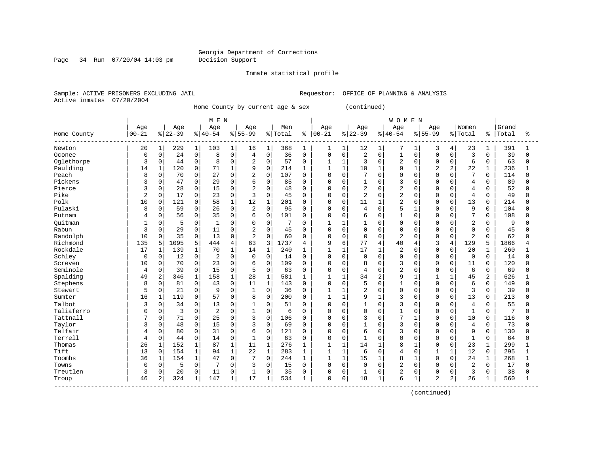Page 34 Run 07/20/04 14:03 pm Decision Support

Inmate statistical profile

Active inmates 07/20/2004

Sample: ACTIVE PRISONERS EXCLUDING JAIL **Requestor:** OFFICE OF PLANNING & ANALYSIS

Home County by current age & sex (continued)

| Age<br>Age<br>Women<br>Grand<br>Age<br>Age<br>Age<br>Men<br>Age<br>Age<br>Age<br>$ 22-39$<br>$00 - 21$<br>$8 40-54$<br>$8 55-99$<br>$ 00 - 21$<br>$ 22-39 $<br>$ 40-54$<br>$8155 - 99$<br>Home County<br>% Total<br>% Total<br>Total<br>ႜ<br>န္<br>391<br>20<br>$\mathbf 1$<br>229<br>$\mathbf{1}$<br>103<br>$\mathbf{1}$<br>$\mathbf{1}$<br>368<br>12<br>7<br>3<br>23<br>Newton<br>16<br>1<br>1<br>1<br>1<br>4<br>1<br>1<br>$\mathsf 0$<br>$\mathbf 0$<br>$\mathbf 0$<br>24<br>0<br>0<br>2<br>$\mathbf 0$<br>3<br>39<br>8<br>$\overline{4}$<br>36<br>$\mathbf 0$<br>0<br>$\mathbf{1}$<br>$\mathbf 0$<br>0<br>$\mathbf 0$<br>Oconee<br>0<br>$\Omega$<br>0<br>2<br>$\mathbf 0$<br>3<br>$\mathbf 0$<br>$\overline{a}$<br>6<br>63<br>Oglethorpe<br>3<br>$\mathbf 0$<br>44<br>0<br>8<br>57<br>$\mathbf 0$<br>$\mathbf{1}$<br>$\mathbf 0$<br>0<br>$\Omega$<br>0<br>1<br>Paulding<br>120<br>$\mathbf 0$<br>9<br>$\Omega$<br>$\mathbf{1}$<br>$\mathbf{1}$<br>9<br>2<br>$\overline{a}$<br>22<br>$\mathbf{1}$<br>14<br>1<br>71<br>$\mathbf 1$<br>214<br>10<br>$\mathbf{1}$<br>$\mathbf{1}$<br>236<br>1<br>Peach<br>8<br>$\mathbf 0$<br>$\mathbf 0$<br>7<br>0<br>70<br>27<br>0<br>2<br>107<br>0<br>$\mathbf 0$<br>7<br>$\mathbf 0$<br>0<br>$\Omega$<br>0<br>$\Omega$<br>$\Omega$<br>114<br>0<br>Pickens<br>3<br>47<br>0<br>$\mathsf 0$<br>$\mathbf 0$<br>3<br>0<br>29<br>O<br>6<br>$\Omega$<br>$\mathbf 0$<br>$\overline{4}$<br>0<br>89<br>85<br>0<br>0<br>0<br>$\cap$<br>Pierce<br>0<br>2<br>$\mathbf 0$<br>2<br>$\mathbf 0$<br>2<br>52<br>3<br>0<br>28<br>15<br>0<br>48<br>0<br>$\Omega$<br>$\mathbf 0$<br>$\Omega$<br>O<br>$\Omega$<br>$\overline{4}$<br>0<br>$\overline{2}$<br>17<br>$\mathbf 0$<br>3<br>$\Omega$<br>$\overline{2}$<br>$\overline{2}$<br>Pike<br>$\Omega$<br>23<br>$\Omega$<br>$\Omega$<br>$\Omega$<br>$\Omega$<br>O<br>$\Omega$<br>$\overline{4}$<br>$\Omega$<br>49<br>45<br>$\Omega$<br>$\Omega$<br>$\overline{2}$<br>Polk<br>121<br>0<br>12<br>$\mathbf{1}$<br>$\Omega$<br>13<br>10<br>$\mathbf 0$<br>58<br>$\mathbf{1}$<br>201<br>11<br>$\mathbf{1}$<br>$\Omega$<br>214<br>$\Omega$<br>0<br>$\Omega$<br>0<br>$\Omega$<br>$\mathbf 0$<br>Pulaski<br>59<br>$\mathbf 0$<br>$\mathsf{O}$<br>2<br>$\mathbf 0$<br>4<br>$\mathbf 0$<br>5<br>9<br>104<br>8<br>0<br>26<br>95<br>0<br>0<br>$\mathbf{1}$<br>0<br>$\mathbf 0$<br>0<br>7<br>56<br>0<br>0<br>6<br>$\mathbf 0$<br>0<br>35<br>0<br>6<br>101<br>$\Omega$<br>$\Omega$<br>$\mathbf 0$<br>$\mathbf{1}$<br>$\Omega$<br>0<br>$\Omega$<br>0<br>108<br>Putnam<br>4<br>5<br>$\overline{2}$<br>Ouitman<br>$\Omega$<br>0<br>$\mathbf{1}$<br>0<br>7<br>$\Omega$<br>$\mathbf{1}$<br>$\Omega$<br>0<br>9<br>$\Omega$<br>$\Omega$<br>1<br>0<br>0<br>$\Omega$<br>$\Omega$<br>Rabun<br>3<br>29<br>$\mathbf 0$<br>11<br>2<br>$\mathbf 0$<br>45<br>$\mathbf 0$<br>$\mathbf 0$<br>45<br>0<br>0<br>0<br>$\mathbf 0$<br>$\mathbf 0$<br>$\Omega$<br>0<br>0<br>0<br>0<br>$\Omega$<br>$\mathbf 0$<br>$\overline{2}$<br>Randolph<br>35<br>13<br>$\overline{2}$<br>$\mathbf 0$<br>$\overline{2}$<br>62<br>10<br>0<br>$\mathbf 0$<br>0<br>60<br>$\Omega$<br>$\mathbf 0$<br>$\mathbf 0$<br>$\Omega$<br>0<br>$\Omega$<br>$\Omega$<br>0<br>Richmond<br>135<br>1095<br>5<br>444<br>63<br>3<br>1737<br>9<br>6<br>77<br>40<br>3<br>129<br>1866<br>5<br>4<br>$\overline{4}$<br>4<br>5<br>4<br>4<br>Rockdale<br>$\mathbf{1}$<br>$\mathbf{1}$<br>17<br>2<br>70<br>$\mathbf{1}$<br>14<br>$\mathbf{1}$<br>$\mathbf{1}$<br>$\mathbf{1}$<br>O<br>20<br>$\mathbf{1}$<br>17<br>1<br>139<br>240<br>$\Omega$<br>$\Omega$<br>260<br>1<br>Schley<br>$\mathbf 0$<br>$\Omega$<br>$\Omega$<br>12<br>$\overline{2}$<br>$\Omega$<br>14<br>$\Omega$<br>$\Omega$<br>$\Omega$<br>$\Omega$<br>$\Omega$<br>$\Omega$<br>$\mathbf 0$<br>$\Omega$<br>14<br>$\mathbf 0$<br>$\Omega$<br>$\Omega$<br>$\Omega$<br>0<br>70<br>$\mathbf 0$<br>23<br>$\mathbf 0$<br>$\mathbf 0$<br>3<br>0<br>0<br>6<br>109<br>0<br>0<br>8<br>$\mathbf 0$<br>$\Omega$<br>$\mathbf 0$<br>120<br>Screven<br>10<br>0<br>11<br>0<br>Seminole<br>0<br>39<br>$\mathbf 0$<br>15<br>$\mathsf{O}$<br>5<br>$\mathsf 0$<br>$\mathsf 0$<br>$\mathbf 0$<br>$\overline{2}$<br>6<br>69<br>63<br>$\Omega$<br>0<br>4<br>$\Omega$<br>0<br>$\mathbf 0$<br>0<br>4<br>Spalding<br>28<br>$1\,$<br>2<br>2<br>2<br>$\mathbf{1}$<br>158<br>581<br>$\mathbf{1}$<br>34<br>9<br>45<br>626<br>49<br>346<br>1<br>$\mathbf{1}$<br>$\mathbf{1}$<br>$\mathbf{1}$<br>$\mathbf{1}$<br>1<br>Stephens<br>8<br>81<br>0<br>0<br>11<br>$\mathbf{1}$<br>$\Omega$<br>$\mathbf 0$<br>5<br>$\mathbf 0$<br>6<br>149<br>0<br>43<br>143<br>0<br>1<br>$\Omega$<br>0<br>$\Omega$<br>0<br>5<br>0<br>2<br>Stewart<br>0<br>21<br>0<br>$\Omega$<br>$\mathbf{1}$<br>$\mathbf{1}$<br>$\mathbf 0$<br>0<br>$\Omega$<br>3<br>39<br>9<br>36<br>0<br>0<br>0<br>$\Omega$<br>$\mathbf 0$<br>Sumter<br>16<br>1<br>119<br>0<br>57<br>0<br>8<br>200<br>1<br>$\mathbf{1}$<br>9<br>$\mathbf{1}$<br>3<br>0<br>$\Omega$<br>13<br>213<br>0<br>$\Omega$<br>0<br>Talbot<br>34<br>0<br>13<br>$\mathbf 0$<br>$\mathbf 0$<br>$\Omega$<br>3<br>55<br>3<br>0<br>$\Omega$<br>1<br>51<br>$\Omega$<br>$\Omega$<br>0<br>$\Omega$<br>4<br>$\Omega$<br>$\Omega$<br>Taliaferro<br>3<br>$\Omega$<br>$\overline{2}$<br>$\mathbf{1}$<br>$\Omega$<br>0<br>$\mathbf{1}$<br>$\mathbf{1}$<br>7<br>$\Omega$<br>$\Omega$<br>$\Omega$<br>$\Omega$<br>$\Omega$<br>0<br>$\Omega$<br>$\Omega$<br>$\Omega$<br>6<br>$\Omega$<br>$\Omega$<br>3<br>7<br>Tattnall<br>0<br>25<br>$\mathbf 0$<br>3<br>10<br>0<br>71<br>$\Omega$<br>106<br>$\mathbf 0$<br>$\mathbf 0$<br>$\mathbf{1}$<br>$\mathbf 0$<br>116<br>0<br>0<br>0<br>0<br>48<br>0<br>15<br>$\mathsf{O}$<br>3<br>$\mathsf{O}\xspace$<br>$\Omega$<br>$\mathsf 0$<br>3<br>$\overline{4}$<br>73<br>Taylor<br>3<br>0<br>69<br>0<br>1<br>$\mathbf 0$<br>$\mathbf 0$<br>0<br>$\Omega$<br>0 |              |
|--------------------------------------------------------------------------------------------------------------------------------------------------------------------------------------------------------------------------------------------------------------------------------------------------------------------------------------------------------------------------------------------------------------------------------------------------------------------------------------------------------------------------------------------------------------------------------------------------------------------------------------------------------------------------------------------------------------------------------------------------------------------------------------------------------------------------------------------------------------------------------------------------------------------------------------------------------------------------------------------------------------------------------------------------------------------------------------------------------------------------------------------------------------------------------------------------------------------------------------------------------------------------------------------------------------------------------------------------------------------------------------------------------------------------------------------------------------------------------------------------------------------------------------------------------------------------------------------------------------------------------------------------------------------------------------------------------------------------------------------------------------------------------------------------------------------------------------------------------------------------------------------------------------------------------------------------------------------------------------------------------------------------------------------------------------------------------------------------------------------------------------------------------------------------------------------------------------------------------------------------------------------------------------------------------------------------------------------------------------------------------------------------------------------------------------------------------------------------------------------------------------------------------------------------------------------------------------------------------------------------------------------------------------------------------------------------------------------------------------------------------------------------------------------------------------------------------------------------------------------------------------------------------------------------------------------------------------------------------------------------------------------------------------------------------------------------------------------------------------------------------------------------------------------------------------------------------------------------------------------------------------------------------------------------------------------------------------------------------------------------------------------------------------------------------------------------------------------------------------------------------------------------------------------------------------------------------------------------------------------------------------------------------------------------------------------------------------------------------------------------------------------------------------------------------------------------------------------------------------------------------------------------------------------------------------------------------------------------------------------------------------------------------------------------------------------------------------------------------------------------------------------------------------------------------------------------------------------------------------------------------------------------------------------------------------------------------------------------------------------------------------------------------------------------------------------------------------------------------------------------------------------------------------------------------------------------------------------------------------------------------------------------------------------------------------------------------------------------------------------------------------------------------------------------------------------------------------------------------------------------------------------------------------------------------------------------------------------------------------------------------------------------------------------------------------------------------------------------------------------------------------------------------------------------------------------------------------------------------------------------------------------------------------------------------------------------------------------------------------------------------------------------------------------------------------------------------------------------------------------------------------------------------------------------------------------------------------------------------------------------------------------------------------------------------------------------------------------------------------------------------------------------------------------------------------|--------------|
|                                                                                                                                                                                                                                                                                                                                                                                                                                                                                                                                                                                                                                                                                                                                                                                                                                                                                                                                                                                                                                                                                                                                                                                                                                                                                                                                                                                                                                                                                                                                                                                                                                                                                                                                                                                                                                                                                                                                                                                                                                                                                                                                                                                                                                                                                                                                                                                                                                                                                                                                                                                                                                                                                                                                                                                                                                                                                                                                                                                                                                                                                                                                                                                                                                                                                                                                                                                                                                                                                                                                                                                                                                                                                                                                                                                                                                                                                                                                                                                                                                                                                                                                                                                                                                                                                                                                                                                                                                                                                                                                                                                                                                                                                                                                                                                                                                                                                                                                                                                                                                                                                                                                                                                                                                                                                                                                                                                                                                                                                                                                                                                                                                                                                                                                                                                                              |              |
|                                                                                                                                                                                                                                                                                                                                                                                                                                                                                                                                                                                                                                                                                                                                                                                                                                                                                                                                                                                                                                                                                                                                                                                                                                                                                                                                                                                                                                                                                                                                                                                                                                                                                                                                                                                                                                                                                                                                                                                                                                                                                                                                                                                                                                                                                                                                                                                                                                                                                                                                                                                                                                                                                                                                                                                                                                                                                                                                                                                                                                                                                                                                                                                                                                                                                                                                                                                                                                                                                                                                                                                                                                                                                                                                                                                                                                                                                                                                                                                                                                                                                                                                                                                                                                                                                                                                                                                                                                                                                                                                                                                                                                                                                                                                                                                                                                                                                                                                                                                                                                                                                                                                                                                                                                                                                                                                                                                                                                                                                                                                                                                                                                                                                                                                                                                                              | ిక           |
|                                                                                                                                                                                                                                                                                                                                                                                                                                                                                                                                                                                                                                                                                                                                                                                                                                                                                                                                                                                                                                                                                                                                                                                                                                                                                                                                                                                                                                                                                                                                                                                                                                                                                                                                                                                                                                                                                                                                                                                                                                                                                                                                                                                                                                                                                                                                                                                                                                                                                                                                                                                                                                                                                                                                                                                                                                                                                                                                                                                                                                                                                                                                                                                                                                                                                                                                                                                                                                                                                                                                                                                                                                                                                                                                                                                                                                                                                                                                                                                                                                                                                                                                                                                                                                                                                                                                                                                                                                                                                                                                                                                                                                                                                                                                                                                                                                                                                                                                                                                                                                                                                                                                                                                                                                                                                                                                                                                                                                                                                                                                                                                                                                                                                                                                                                                                              |              |
|                                                                                                                                                                                                                                                                                                                                                                                                                                                                                                                                                                                                                                                                                                                                                                                                                                                                                                                                                                                                                                                                                                                                                                                                                                                                                                                                                                                                                                                                                                                                                                                                                                                                                                                                                                                                                                                                                                                                                                                                                                                                                                                                                                                                                                                                                                                                                                                                                                                                                                                                                                                                                                                                                                                                                                                                                                                                                                                                                                                                                                                                                                                                                                                                                                                                                                                                                                                                                                                                                                                                                                                                                                                                                                                                                                                                                                                                                                                                                                                                                                                                                                                                                                                                                                                                                                                                                                                                                                                                                                                                                                                                                                                                                                                                                                                                                                                                                                                                                                                                                                                                                                                                                                                                                                                                                                                                                                                                                                                                                                                                                                                                                                                                                                                                                                                                              | $\Omega$     |
|                                                                                                                                                                                                                                                                                                                                                                                                                                                                                                                                                                                                                                                                                                                                                                                                                                                                                                                                                                                                                                                                                                                                                                                                                                                                                                                                                                                                                                                                                                                                                                                                                                                                                                                                                                                                                                                                                                                                                                                                                                                                                                                                                                                                                                                                                                                                                                                                                                                                                                                                                                                                                                                                                                                                                                                                                                                                                                                                                                                                                                                                                                                                                                                                                                                                                                                                                                                                                                                                                                                                                                                                                                                                                                                                                                                                                                                                                                                                                                                                                                                                                                                                                                                                                                                                                                                                                                                                                                                                                                                                                                                                                                                                                                                                                                                                                                                                                                                                                                                                                                                                                                                                                                                                                                                                                                                                                                                                                                                                                                                                                                                                                                                                                                                                                                                                              |              |
|                                                                                                                                                                                                                                                                                                                                                                                                                                                                                                                                                                                                                                                                                                                                                                                                                                                                                                                                                                                                                                                                                                                                                                                                                                                                                                                                                                                                                                                                                                                                                                                                                                                                                                                                                                                                                                                                                                                                                                                                                                                                                                                                                                                                                                                                                                                                                                                                                                                                                                                                                                                                                                                                                                                                                                                                                                                                                                                                                                                                                                                                                                                                                                                                                                                                                                                                                                                                                                                                                                                                                                                                                                                                                                                                                                                                                                                                                                                                                                                                                                                                                                                                                                                                                                                                                                                                                                                                                                                                                                                                                                                                                                                                                                                                                                                                                                                                                                                                                                                                                                                                                                                                                                                                                                                                                                                                                                                                                                                                                                                                                                                                                                                                                                                                                                                                              |              |
|                                                                                                                                                                                                                                                                                                                                                                                                                                                                                                                                                                                                                                                                                                                                                                                                                                                                                                                                                                                                                                                                                                                                                                                                                                                                                                                                                                                                                                                                                                                                                                                                                                                                                                                                                                                                                                                                                                                                                                                                                                                                                                                                                                                                                                                                                                                                                                                                                                                                                                                                                                                                                                                                                                                                                                                                                                                                                                                                                                                                                                                                                                                                                                                                                                                                                                                                                                                                                                                                                                                                                                                                                                                                                                                                                                                                                                                                                                                                                                                                                                                                                                                                                                                                                                                                                                                                                                                                                                                                                                                                                                                                                                                                                                                                                                                                                                                                                                                                                                                                                                                                                                                                                                                                                                                                                                                                                                                                                                                                                                                                                                                                                                                                                                                                                                                                              | $\Omega$     |
|                                                                                                                                                                                                                                                                                                                                                                                                                                                                                                                                                                                                                                                                                                                                                                                                                                                                                                                                                                                                                                                                                                                                                                                                                                                                                                                                                                                                                                                                                                                                                                                                                                                                                                                                                                                                                                                                                                                                                                                                                                                                                                                                                                                                                                                                                                                                                                                                                                                                                                                                                                                                                                                                                                                                                                                                                                                                                                                                                                                                                                                                                                                                                                                                                                                                                                                                                                                                                                                                                                                                                                                                                                                                                                                                                                                                                                                                                                                                                                                                                                                                                                                                                                                                                                                                                                                                                                                                                                                                                                                                                                                                                                                                                                                                                                                                                                                                                                                                                                                                                                                                                                                                                                                                                                                                                                                                                                                                                                                                                                                                                                                                                                                                                                                                                                                                              |              |
|                                                                                                                                                                                                                                                                                                                                                                                                                                                                                                                                                                                                                                                                                                                                                                                                                                                                                                                                                                                                                                                                                                                                                                                                                                                                                                                                                                                                                                                                                                                                                                                                                                                                                                                                                                                                                                                                                                                                                                                                                                                                                                                                                                                                                                                                                                                                                                                                                                                                                                                                                                                                                                                                                                                                                                                                                                                                                                                                                                                                                                                                                                                                                                                                                                                                                                                                                                                                                                                                                                                                                                                                                                                                                                                                                                                                                                                                                                                                                                                                                                                                                                                                                                                                                                                                                                                                                                                                                                                                                                                                                                                                                                                                                                                                                                                                                                                                                                                                                                                                                                                                                                                                                                                                                                                                                                                                                                                                                                                                                                                                                                                                                                                                                                                                                                                                              |              |
|                                                                                                                                                                                                                                                                                                                                                                                                                                                                                                                                                                                                                                                                                                                                                                                                                                                                                                                                                                                                                                                                                                                                                                                                                                                                                                                                                                                                                                                                                                                                                                                                                                                                                                                                                                                                                                                                                                                                                                                                                                                                                                                                                                                                                                                                                                                                                                                                                                                                                                                                                                                                                                                                                                                                                                                                                                                                                                                                                                                                                                                                                                                                                                                                                                                                                                                                                                                                                                                                                                                                                                                                                                                                                                                                                                                                                                                                                                                                                                                                                                                                                                                                                                                                                                                                                                                                                                                                                                                                                                                                                                                                                                                                                                                                                                                                                                                                                                                                                                                                                                                                                                                                                                                                                                                                                                                                                                                                                                                                                                                                                                                                                                                                                                                                                                                                              |              |
|                                                                                                                                                                                                                                                                                                                                                                                                                                                                                                                                                                                                                                                                                                                                                                                                                                                                                                                                                                                                                                                                                                                                                                                                                                                                                                                                                                                                                                                                                                                                                                                                                                                                                                                                                                                                                                                                                                                                                                                                                                                                                                                                                                                                                                                                                                                                                                                                                                                                                                                                                                                                                                                                                                                                                                                                                                                                                                                                                                                                                                                                                                                                                                                                                                                                                                                                                                                                                                                                                                                                                                                                                                                                                                                                                                                                                                                                                                                                                                                                                                                                                                                                                                                                                                                                                                                                                                                                                                                                                                                                                                                                                                                                                                                                                                                                                                                                                                                                                                                                                                                                                                                                                                                                                                                                                                                                                                                                                                                                                                                                                                                                                                                                                                                                                                                                              |              |
|                                                                                                                                                                                                                                                                                                                                                                                                                                                                                                                                                                                                                                                                                                                                                                                                                                                                                                                                                                                                                                                                                                                                                                                                                                                                                                                                                                                                                                                                                                                                                                                                                                                                                                                                                                                                                                                                                                                                                                                                                                                                                                                                                                                                                                                                                                                                                                                                                                                                                                                                                                                                                                                                                                                                                                                                                                                                                                                                                                                                                                                                                                                                                                                                                                                                                                                                                                                                                                                                                                                                                                                                                                                                                                                                                                                                                                                                                                                                                                                                                                                                                                                                                                                                                                                                                                                                                                                                                                                                                                                                                                                                                                                                                                                                                                                                                                                                                                                                                                                                                                                                                                                                                                                                                                                                                                                                                                                                                                                                                                                                                                                                                                                                                                                                                                                                              |              |
|                                                                                                                                                                                                                                                                                                                                                                                                                                                                                                                                                                                                                                                                                                                                                                                                                                                                                                                                                                                                                                                                                                                                                                                                                                                                                                                                                                                                                                                                                                                                                                                                                                                                                                                                                                                                                                                                                                                                                                                                                                                                                                                                                                                                                                                                                                                                                                                                                                                                                                                                                                                                                                                                                                                                                                                                                                                                                                                                                                                                                                                                                                                                                                                                                                                                                                                                                                                                                                                                                                                                                                                                                                                                                                                                                                                                                                                                                                                                                                                                                                                                                                                                                                                                                                                                                                                                                                                                                                                                                                                                                                                                                                                                                                                                                                                                                                                                                                                                                                                                                                                                                                                                                                                                                                                                                                                                                                                                                                                                                                                                                                                                                                                                                                                                                                                                              |              |
|                                                                                                                                                                                                                                                                                                                                                                                                                                                                                                                                                                                                                                                                                                                                                                                                                                                                                                                                                                                                                                                                                                                                                                                                                                                                                                                                                                                                                                                                                                                                                                                                                                                                                                                                                                                                                                                                                                                                                                                                                                                                                                                                                                                                                                                                                                                                                                                                                                                                                                                                                                                                                                                                                                                                                                                                                                                                                                                                                                                                                                                                                                                                                                                                                                                                                                                                                                                                                                                                                                                                                                                                                                                                                                                                                                                                                                                                                                                                                                                                                                                                                                                                                                                                                                                                                                                                                                                                                                                                                                                                                                                                                                                                                                                                                                                                                                                                                                                                                                                                                                                                                                                                                                                                                                                                                                                                                                                                                                                                                                                                                                                                                                                                                                                                                                                                              |              |
|                                                                                                                                                                                                                                                                                                                                                                                                                                                                                                                                                                                                                                                                                                                                                                                                                                                                                                                                                                                                                                                                                                                                                                                                                                                                                                                                                                                                                                                                                                                                                                                                                                                                                                                                                                                                                                                                                                                                                                                                                                                                                                                                                                                                                                                                                                                                                                                                                                                                                                                                                                                                                                                                                                                                                                                                                                                                                                                                                                                                                                                                                                                                                                                                                                                                                                                                                                                                                                                                                                                                                                                                                                                                                                                                                                                                                                                                                                                                                                                                                                                                                                                                                                                                                                                                                                                                                                                                                                                                                                                                                                                                                                                                                                                                                                                                                                                                                                                                                                                                                                                                                                                                                                                                                                                                                                                                                                                                                                                                                                                                                                                                                                                                                                                                                                                                              |              |
|                                                                                                                                                                                                                                                                                                                                                                                                                                                                                                                                                                                                                                                                                                                                                                                                                                                                                                                                                                                                                                                                                                                                                                                                                                                                                                                                                                                                                                                                                                                                                                                                                                                                                                                                                                                                                                                                                                                                                                                                                                                                                                                                                                                                                                                                                                                                                                                                                                                                                                                                                                                                                                                                                                                                                                                                                                                                                                                                                                                                                                                                                                                                                                                                                                                                                                                                                                                                                                                                                                                                                                                                                                                                                                                                                                                                                                                                                                                                                                                                                                                                                                                                                                                                                                                                                                                                                                                                                                                                                                                                                                                                                                                                                                                                                                                                                                                                                                                                                                                                                                                                                                                                                                                                                                                                                                                                                                                                                                                                                                                                                                                                                                                                                                                                                                                                              | $\Omega$     |
|                                                                                                                                                                                                                                                                                                                                                                                                                                                                                                                                                                                                                                                                                                                                                                                                                                                                                                                                                                                                                                                                                                                                                                                                                                                                                                                                                                                                                                                                                                                                                                                                                                                                                                                                                                                                                                                                                                                                                                                                                                                                                                                                                                                                                                                                                                                                                                                                                                                                                                                                                                                                                                                                                                                                                                                                                                                                                                                                                                                                                                                                                                                                                                                                                                                                                                                                                                                                                                                                                                                                                                                                                                                                                                                                                                                                                                                                                                                                                                                                                                                                                                                                                                                                                                                                                                                                                                                                                                                                                                                                                                                                                                                                                                                                                                                                                                                                                                                                                                                                                                                                                                                                                                                                                                                                                                                                                                                                                                                                                                                                                                                                                                                                                                                                                                                                              |              |
|                                                                                                                                                                                                                                                                                                                                                                                                                                                                                                                                                                                                                                                                                                                                                                                                                                                                                                                                                                                                                                                                                                                                                                                                                                                                                                                                                                                                                                                                                                                                                                                                                                                                                                                                                                                                                                                                                                                                                                                                                                                                                                                                                                                                                                                                                                                                                                                                                                                                                                                                                                                                                                                                                                                                                                                                                                                                                                                                                                                                                                                                                                                                                                                                                                                                                                                                                                                                                                                                                                                                                                                                                                                                                                                                                                                                                                                                                                                                                                                                                                                                                                                                                                                                                                                                                                                                                                                                                                                                                                                                                                                                                                                                                                                                                                                                                                                                                                                                                                                                                                                                                                                                                                                                                                                                                                                                                                                                                                                                                                                                                                                                                                                                                                                                                                                                              |              |
|                                                                                                                                                                                                                                                                                                                                                                                                                                                                                                                                                                                                                                                                                                                                                                                                                                                                                                                                                                                                                                                                                                                                                                                                                                                                                                                                                                                                                                                                                                                                                                                                                                                                                                                                                                                                                                                                                                                                                                                                                                                                                                                                                                                                                                                                                                                                                                                                                                                                                                                                                                                                                                                                                                                                                                                                                                                                                                                                                                                                                                                                                                                                                                                                                                                                                                                                                                                                                                                                                                                                                                                                                                                                                                                                                                                                                                                                                                                                                                                                                                                                                                                                                                                                                                                                                                                                                                                                                                                                                                                                                                                                                                                                                                                                                                                                                                                                                                                                                                                                                                                                                                                                                                                                                                                                                                                                                                                                                                                                                                                                                                                                                                                                                                                                                                                                              | <sup>0</sup> |
|                                                                                                                                                                                                                                                                                                                                                                                                                                                                                                                                                                                                                                                                                                                                                                                                                                                                                                                                                                                                                                                                                                                                                                                                                                                                                                                                                                                                                                                                                                                                                                                                                                                                                                                                                                                                                                                                                                                                                                                                                                                                                                                                                                                                                                                                                                                                                                                                                                                                                                                                                                                                                                                                                                                                                                                                                                                                                                                                                                                                                                                                                                                                                                                                                                                                                                                                                                                                                                                                                                                                                                                                                                                                                                                                                                                                                                                                                                                                                                                                                                                                                                                                                                                                                                                                                                                                                                                                                                                                                                                                                                                                                                                                                                                                                                                                                                                                                                                                                                                                                                                                                                                                                                                                                                                                                                                                                                                                                                                                                                                                                                                                                                                                                                                                                                                                              |              |
|                                                                                                                                                                                                                                                                                                                                                                                                                                                                                                                                                                                                                                                                                                                                                                                                                                                                                                                                                                                                                                                                                                                                                                                                                                                                                                                                                                                                                                                                                                                                                                                                                                                                                                                                                                                                                                                                                                                                                                                                                                                                                                                                                                                                                                                                                                                                                                                                                                                                                                                                                                                                                                                                                                                                                                                                                                                                                                                                                                                                                                                                                                                                                                                                                                                                                                                                                                                                                                                                                                                                                                                                                                                                                                                                                                                                                                                                                                                                                                                                                                                                                                                                                                                                                                                                                                                                                                                                                                                                                                                                                                                                                                                                                                                                                                                                                                                                                                                                                                                                                                                                                                                                                                                                                                                                                                                                                                                                                                                                                                                                                                                                                                                                                                                                                                                                              |              |
|                                                                                                                                                                                                                                                                                                                                                                                                                                                                                                                                                                                                                                                                                                                                                                                                                                                                                                                                                                                                                                                                                                                                                                                                                                                                                                                                                                                                                                                                                                                                                                                                                                                                                                                                                                                                                                                                                                                                                                                                                                                                                                                                                                                                                                                                                                                                                                                                                                                                                                                                                                                                                                                                                                                                                                                                                                                                                                                                                                                                                                                                                                                                                                                                                                                                                                                                                                                                                                                                                                                                                                                                                                                                                                                                                                                                                                                                                                                                                                                                                                                                                                                                                                                                                                                                                                                                                                                                                                                                                                                                                                                                                                                                                                                                                                                                                                                                                                                                                                                                                                                                                                                                                                                                                                                                                                                                                                                                                                                                                                                                                                                                                                                                                                                                                                                                              |              |
|                                                                                                                                                                                                                                                                                                                                                                                                                                                                                                                                                                                                                                                                                                                                                                                                                                                                                                                                                                                                                                                                                                                                                                                                                                                                                                                                                                                                                                                                                                                                                                                                                                                                                                                                                                                                                                                                                                                                                                                                                                                                                                                                                                                                                                                                                                                                                                                                                                                                                                                                                                                                                                                                                                                                                                                                                                                                                                                                                                                                                                                                                                                                                                                                                                                                                                                                                                                                                                                                                                                                                                                                                                                                                                                                                                                                                                                                                                                                                                                                                                                                                                                                                                                                                                                                                                                                                                                                                                                                                                                                                                                                                                                                                                                                                                                                                                                                                                                                                                                                                                                                                                                                                                                                                                                                                                                                                                                                                                                                                                                                                                                                                                                                                                                                                                                                              | $\Omega$     |
|                                                                                                                                                                                                                                                                                                                                                                                                                                                                                                                                                                                                                                                                                                                                                                                                                                                                                                                                                                                                                                                                                                                                                                                                                                                                                                                                                                                                                                                                                                                                                                                                                                                                                                                                                                                                                                                                                                                                                                                                                                                                                                                                                                                                                                                                                                                                                                                                                                                                                                                                                                                                                                                                                                                                                                                                                                                                                                                                                                                                                                                                                                                                                                                                                                                                                                                                                                                                                                                                                                                                                                                                                                                                                                                                                                                                                                                                                                                                                                                                                                                                                                                                                                                                                                                                                                                                                                                                                                                                                                                                                                                                                                                                                                                                                                                                                                                                                                                                                                                                                                                                                                                                                                                                                                                                                                                                                                                                                                                                                                                                                                                                                                                                                                                                                                                                              |              |
|                                                                                                                                                                                                                                                                                                                                                                                                                                                                                                                                                                                                                                                                                                                                                                                                                                                                                                                                                                                                                                                                                                                                                                                                                                                                                                                                                                                                                                                                                                                                                                                                                                                                                                                                                                                                                                                                                                                                                                                                                                                                                                                                                                                                                                                                                                                                                                                                                                                                                                                                                                                                                                                                                                                                                                                                                                                                                                                                                                                                                                                                                                                                                                                                                                                                                                                                                                                                                                                                                                                                                                                                                                                                                                                                                                                                                                                                                                                                                                                                                                                                                                                                                                                                                                                                                                                                                                                                                                                                                                                                                                                                                                                                                                                                                                                                                                                                                                                                                                                                                                                                                                                                                                                                                                                                                                                                                                                                                                                                                                                                                                                                                                                                                                                                                                                                              |              |
|                                                                                                                                                                                                                                                                                                                                                                                                                                                                                                                                                                                                                                                                                                                                                                                                                                                                                                                                                                                                                                                                                                                                                                                                                                                                                                                                                                                                                                                                                                                                                                                                                                                                                                                                                                                                                                                                                                                                                                                                                                                                                                                                                                                                                                                                                                                                                                                                                                                                                                                                                                                                                                                                                                                                                                                                                                                                                                                                                                                                                                                                                                                                                                                                                                                                                                                                                                                                                                                                                                                                                                                                                                                                                                                                                                                                                                                                                                                                                                                                                                                                                                                                                                                                                                                                                                                                                                                                                                                                                                                                                                                                                                                                                                                                                                                                                                                                                                                                                                                                                                                                                                                                                                                                                                                                                                                                                                                                                                                                                                                                                                                                                                                                                                                                                                                                              |              |
|                                                                                                                                                                                                                                                                                                                                                                                                                                                                                                                                                                                                                                                                                                                                                                                                                                                                                                                                                                                                                                                                                                                                                                                                                                                                                                                                                                                                                                                                                                                                                                                                                                                                                                                                                                                                                                                                                                                                                                                                                                                                                                                                                                                                                                                                                                                                                                                                                                                                                                                                                                                                                                                                                                                                                                                                                                                                                                                                                                                                                                                                                                                                                                                                                                                                                                                                                                                                                                                                                                                                                                                                                                                                                                                                                                                                                                                                                                                                                                                                                                                                                                                                                                                                                                                                                                                                                                                                                                                                                                                                                                                                                                                                                                                                                                                                                                                                                                                                                                                                                                                                                                                                                                                                                                                                                                                                                                                                                                                                                                                                                                                                                                                                                                                                                                                                              |              |
|                                                                                                                                                                                                                                                                                                                                                                                                                                                                                                                                                                                                                                                                                                                                                                                                                                                                                                                                                                                                                                                                                                                                                                                                                                                                                                                                                                                                                                                                                                                                                                                                                                                                                                                                                                                                                                                                                                                                                                                                                                                                                                                                                                                                                                                                                                                                                                                                                                                                                                                                                                                                                                                                                                                                                                                                                                                                                                                                                                                                                                                                                                                                                                                                                                                                                                                                                                                                                                                                                                                                                                                                                                                                                                                                                                                                                                                                                                                                                                                                                                                                                                                                                                                                                                                                                                                                                                                                                                                                                                                                                                                                                                                                                                                                                                                                                                                                                                                                                                                                                                                                                                                                                                                                                                                                                                                                                                                                                                                                                                                                                                                                                                                                                                                                                                                                              |              |
|                                                                                                                                                                                                                                                                                                                                                                                                                                                                                                                                                                                                                                                                                                                                                                                                                                                                                                                                                                                                                                                                                                                                                                                                                                                                                                                                                                                                                                                                                                                                                                                                                                                                                                                                                                                                                                                                                                                                                                                                                                                                                                                                                                                                                                                                                                                                                                                                                                                                                                                                                                                                                                                                                                                                                                                                                                                                                                                                                                                                                                                                                                                                                                                                                                                                                                                                                                                                                                                                                                                                                                                                                                                                                                                                                                                                                                                                                                                                                                                                                                                                                                                                                                                                                                                                                                                                                                                                                                                                                                                                                                                                                                                                                                                                                                                                                                                                                                                                                                                                                                                                                                                                                                                                                                                                                                                                                                                                                                                                                                                                                                                                                                                                                                                                                                                                              |              |
| Telfair<br>80<br>0<br>31<br>6<br>0<br>$\mathbf 0$<br>6<br>$\Omega$<br>3<br>9<br>$\Omega$<br>130<br>0<br>0<br>121<br>$\Omega$<br>$\Omega$<br>$\Omega$<br>O<br>$\Omega$<br>4                                                                                                                                                                                                                                                                                                                                                                                                                                                                                                                                                                                                                                                                                                                                                                                                                                                                                                                                                                                                                                                                                                                                                                                                                                                                                                                                                                                                                                                                                                                                                                                                                                                                                                                                                                                                                                                                                                                                                                                                                                                                                                                                                                                                                                                                                                                                                                                                                                                                                                                                                                                                                                                                                                                                                                                                                                                                                                                                                                                                                                                                                                                                                                                                                                                                                                                                                                                                                                                                                                                                                                                                                                                                                                                                                                                                                                                                                                                                                                                                                                                                                                                                                                                                                                                                                                                                                                                                                                                                                                                                                                                                                                                                                                                                                                                                                                                                                                                                                                                                                                                                                                                                                                                                                                                                                                                                                                                                                                                                                                                                                                                                                                   |              |
| Terrell<br>0<br>0<br>14<br>0<br>$\mathbf 0$<br>0<br>$\Omega$<br>$\Omega$<br>$\mathbf{1}$<br>64<br>4<br>44<br>1<br>63<br>$\Omega$<br>0<br>1<br>$\Omega$<br>U<br>$\Omega$<br>$\Omega$                                                                                                                                                                                                                                                                                                                                                                                                                                                                                                                                                                                                                                                                                                                                                                                                                                                                                                                                                                                                                                                                                                                                                                                                                                                                                                                                                                                                                                                                                                                                                                                                                                                                                                                                                                                                                                                                                                                                                                                                                                                                                                                                                                                                                                                                                                                                                                                                                                                                                                                                                                                                                                                                                                                                                                                                                                                                                                                                                                                                                                                                                                                                                                                                                                                                                                                                                                                                                                                                                                                                                                                                                                                                                                                                                                                                                                                                                                                                                                                                                                                                                                                                                                                                                                                                                                                                                                                                                                                                                                                                                                                                                                                                                                                                                                                                                                                                                                                                                                                                                                                                                                                                                                                                                                                                                                                                                                                                                                                                                                                                                                                                                          | U            |
| 152<br>$1\,$<br>26<br>$\mathbf{1}$<br>$\mathbf 1$<br>87<br>11<br>276<br>$\mathbf{1}$<br>14<br>$\mathbf{1}$<br>8<br>23<br>299<br>Thomas<br>1<br>1<br>0<br>$\Omega$<br>1<br>1                                                                                                                                                                                                                                                                                                                                                                                                                                                                                                                                                                                                                                                                                                                                                                                                                                                                                                                                                                                                                                                                                                                                                                                                                                                                                                                                                                                                                                                                                                                                                                                                                                                                                                                                                                                                                                                                                                                                                                                                                                                                                                                                                                                                                                                                                                                                                                                                                                                                                                                                                                                                                                                                                                                                                                                                                                                                                                                                                                                                                                                                                                                                                                                                                                                                                                                                                                                                                                                                                                                                                                                                                                                                                                                                                                                                                                                                                                                                                                                                                                                                                                                                                                                                                                                                                                                                                                                                                                                                                                                                                                                                                                                                                                                                                                                                                                                                                                                                                                                                                                                                                                                                                                                                                                                                                                                                                                                                                                                                                                                                                                                                                                  |              |
| Tift<br>$\mathbf{1}$<br>22<br>$1\,$<br>$\mathbf 0$<br>12<br>13<br>$\mathbf 0$<br>154<br>$\mathbf 1$<br>283<br>$\mathbf{1}$<br>$\mathbf{1}$<br>6<br>$\Omega$<br>$\mathbf{1}$<br>0<br>295<br>94<br>1<br>4<br>1                                                                                                                                                                                                                                                                                                                                                                                                                                                                                                                                                                                                                                                                                                                                                                                                                                                                                                                                                                                                                                                                                                                                                                                                                                                                                                                                                                                                                                                                                                                                                                                                                                                                                                                                                                                                                                                                                                                                                                                                                                                                                                                                                                                                                                                                                                                                                                                                                                                                                                                                                                                                                                                                                                                                                                                                                                                                                                                                                                                                                                                                                                                                                                                                                                                                                                                                                                                                                                                                                                                                                                                                                                                                                                                                                                                                                                                                                                                                                                                                                                                                                                                                                                                                                                                                                                                                                                                                                                                                                                                                                                                                                                                                                                                                                                                                                                                                                                                                                                                                                                                                                                                                                                                                                                                                                                                                                                                                                                                                                                                                                                                                 |              |
| $\mathbf 0$<br>Toombs<br>$\mathbf{1}$<br>$\Omega$<br>7<br>$\mathbf{1}$<br>$\mathbf{1}$<br>15<br>$\mathbf{1}$<br>8<br>$\Omega$<br>24<br>36<br>$\mathbf{1}$<br>154<br>47<br>$\mathbf{1}$<br>O<br>$\mathbf{1}$<br>268<br>244<br>1                                                                                                                                                                                                                                                                                                                                                                                                                                                                                                                                                                                                                                                                                                                                                                                                                                                                                                                                                                                                                                                                                                                                                                                                                                                                                                                                                                                                                                                                                                                                                                                                                                                                                                                                                                                                                                                                                                                                                                                                                                                                                                                                                                                                                                                                                                                                                                                                                                                                                                                                                                                                                                                                                                                                                                                                                                                                                                                                                                                                                                                                                                                                                                                                                                                                                                                                                                                                                                                                                                                                                                                                                                                                                                                                                                                                                                                                                                                                                                                                                                                                                                                                                                                                                                                                                                                                                                                                                                                                                                                                                                                                                                                                                                                                                                                                                                                                                                                                                                                                                                                                                                                                                                                                                                                                                                                                                                                                                                                                                                                                                                               |              |
| 2<br>$\mathbf 0$<br>0<br>7<br>3<br>0<br>$\mathbf 0$<br>$\Omega$<br>$\mathbf 0$<br>$\mathbf 0$<br>2<br>5<br>0<br>15<br>$\mathbf 0$<br>$\mathbf 0$<br>0<br>$\Omega$<br>$\Omega$<br>17<br>Towns<br>$\Omega$                                                                                                                                                                                                                                                                                                                                                                                                                                                                                                                                                                                                                                                                                                                                                                                                                                                                                                                                                                                                                                                                                                                                                                                                                                                                                                                                                                                                                                                                                                                                                                                                                                                                                                                                                                                                                                                                                                                                                                                                                                                                                                                                                                                                                                                                                                                                                                                                                                                                                                                                                                                                                                                                                                                                                                                                                                                                                                                                                                                                                                                                                                                                                                                                                                                                                                                                                                                                                                                                                                                                                                                                                                                                                                                                                                                                                                                                                                                                                                                                                                                                                                                                                                                                                                                                                                                                                                                                                                                                                                                                                                                                                                                                                                                                                                                                                                                                                                                                                                                                                                                                                                                                                                                                                                                                                                                                                                                                                                                                                                                                                                                                     | $\cap$       |
| $\mathsf{O}\xspace$<br>2<br>Treutlen<br>0<br>20<br>0<br>11<br>$\mathbf 0$<br>$\mathbf 0$<br>3<br>38<br>3<br>0<br>1<br>35<br>$\Omega$<br>0<br>$\mathbf 0$<br>0<br>$\Omega$<br>0                                                                                                                                                                                                                                                                                                                                                                                                                                                                                                                                                                                                                                                                                                                                                                                                                                                                                                                                                                                                                                                                                                                                                                                                                                                                                                                                                                                                                                                                                                                                                                                                                                                                                                                                                                                                                                                                                                                                                                                                                                                                                                                                                                                                                                                                                                                                                                                                                                                                                                                                                                                                                                                                                                                                                                                                                                                                                                                                                                                                                                                                                                                                                                                                                                                                                                                                                                                                                                                                                                                                                                                                                                                                                                                                                                                                                                                                                                                                                                                                                                                                                                                                                                                                                                                                                                                                                                                                                                                                                                                                                                                                                                                                                                                                                                                                                                                                                                                                                                                                                                                                                                                                                                                                                                                                                                                                                                                                                                                                                                                                                                                                                               |              |
| 324<br>17<br>$\Omega$<br>$\mathbf{1}$<br>6<br>$\overline{a}$<br>26<br>46<br>2<br>147<br>$\mathbf{1}$<br>$\mathbf{1}$<br>534<br>$\mathbf 0$<br>18<br>$\mathbf{1}$<br>2<br>$\mathbf{1}$<br>560<br>1<br>$\mathbf{1}$<br>Troup                                                                                                                                                                                                                                                                                                                                                                                                                                                                                                                                                                                                                                                                                                                                                                                                                                                                                                                                                                                                                                                                                                                                                                                                                                                                                                                                                                                                                                                                                                                                                                                                                                                                                                                                                                                                                                                                                                                                                                                                                                                                                                                                                                                                                                                                                                                                                                                                                                                                                                                                                                                                                                                                                                                                                                                                                                                                                                                                                                                                                                                                                                                                                                                                                                                                                                                                                                                                                                                                                                                                                                                                                                                                                                                                                                                                                                                                                                                                                                                                                                                                                                                                                                                                                                                                                                                                                                                                                                                                                                                                                                                                                                                                                                                                                                                                                                                                                                                                                                                                                                                                                                                                                                                                                                                                                                                                                                                                                                                                                                                                                                                   |              |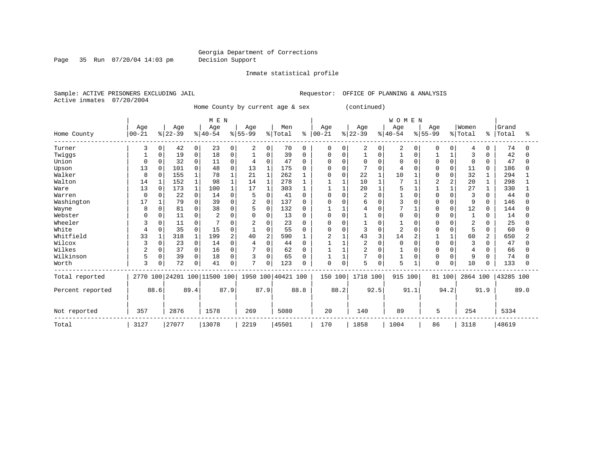Page 35 Run 07/20/04 14:03 pm Decision Support

Inmate statistical profile

Active inmates 07/20/2004

Sample: ACTIVE PRISONERS EXCLUDING JAIL **Requestor:** OFFICE OF PLANNING & ANALYSIS

Home County by current age & sex (continued)

|                  |              |              |           |             | MEN                          |                |                |                |                    |              |            |          |                |          | <b>WOMEN</b>   |          |              |          |          |                |           |      |
|------------------|--------------|--------------|-----------|-------------|------------------------------|----------------|----------------|----------------|--------------------|--------------|------------|----------|----------------|----------|----------------|----------|--------------|----------|----------|----------------|-----------|------|
|                  | Age          |              | Age       |             | Age                          |                | Age            |                | Men                |              | Aqe        |          | Age            |          | Age            |          | Age          |          | Women    |                | Grand     |      |
| Home County      | $00 - 21$    |              | $ 22-39 $ |             | $ 40-54 $                    |                | $8 55-99$      |                | % Total            | ႜ            | $ 00 - 21$ |          | $ 22-39 $      |          | $ 40-54$       |          | $8155 - 99$  |          | % Total  | ⊱              | Total     | °≈   |
| Turner           | 3            | 0            | 42        | 0           | 23                           | 0              | 2              | 0              | 70                 | 0            | 0          | $\Omega$ | 2              | 0        | 2              | 0        | $\Omega$     | 0        | 4        | $\Omega$       | 74        |      |
| Twiggs           |              | 0            | 19        | 0           | 18                           | 0              |                | 0              | 39                 | 0            | 0          | $\Omega$ |                | O        |                | O        |              |          | 3        | O              | 42        |      |
| Union            | <sup>0</sup> | <sup>0</sup> | 32        | $\mathbf 0$ | 11                           | O              | 4              | $\Omega$       | 47                 | <sup>0</sup> | O          | $\Omega$ | 0              | $\Omega$ | $\Omega$       | $\Omega$ | $\Omega$     | $\Omega$ | $\Omega$ | $\Omega$       | 47        |      |
| Upson            | 13           | $\Omega$     | 101       | $\Omega$    | 48                           | $\Omega$       | 13             | $\mathbf{1}$   | 175                | 0            | 0          | $\Omega$ |                | $\Omega$ |                |          | O            | $\Omega$ | 11       | $\Omega$       | 186       |      |
| Walker           | 8            | $\Omega$     | 155       |             | 78                           |                | 21             | $\mathbf{1}$   | 262                |              | 0          | 0        | 22             |          | 10             |          | U            | U        | 32       |                | 294       |      |
| Walton           | 14           |              | 152       | $\mathbf 1$ | 98                           |                | 14             | $\mathbf 1$    | 278                |              |            |          | 10             |          |                |          |              |          | 20       | 1              | 298       |      |
| Ware             | 13           | $\Omega$     | 173       |             | 100                          |                | 17             |                | 303                |              |            |          | 20             |          | 5              |          |              |          | 27       |                | 330       |      |
| Warren           | $\Omega$     |              | 22        | 0           | 14                           | O              | 5              | $\Omega$       | 41                 | <sup>o</sup> | 0          | $\Omega$ | $\overline{2}$ | $\Omega$ |                |          | <sup>0</sup> | O        | 3        | $\Omega$       | 44        |      |
| Washington       | 17           |              | 79        | 0           | 39                           | 0              | $\overline{c}$ | $\mathbf 0$    | 137                | 0            | 0          | $\Omega$ | 6              | $\Omega$ | 3              |          | O            | 0        | 9        | $\Omega$       | 146       |      |
| Wayne            | 8            | 0            | 81        | 0           | 38                           | O              |                | $\Omega$       | 132                | <sup>0</sup> |            |          | 4              | $\Omega$ |                |          | O            | U        | 12       | $\Omega$       | 144       |      |
| Webster          | C            |              | 11        | 0           |                              |                |                | $\Omega$       | 13                 | 0            | U          | $\Omega$ |                | $\Omega$ | O              |          |              |          |          | 0              | 14        |      |
| Wheeler          | 3            |              | 11        | 0           |                              |                |                | $\Omega$       | 23                 | ∩            | U          | $\Omega$ |                | O        |                |          |              |          | 2        | ∩              | 25        |      |
| White            | 4            | 0            | 35        | 0           | 15                           | 0              |                | 0              | 55                 | <sup>0</sup> | O          | $\Omega$ | 3              | $\Omega$ | $\overline{2}$ |          |              | O        | 5        | $\Omega$       | 60        |      |
| Whitfield        | 33           |              | 318       |             | 199                          | $\overline{2}$ | 40             | $\overline{2}$ | 590                |              | 2          |          | 43             | 3        | 14             |          |              |          | 60       | $\overline{a}$ | 650       |      |
| Wilcox           | 3            | <sup>0</sup> | 23        | 0           | 14                           | O              |                | $\Omega$       | 44                 | O            |            |          | $\overline{2}$ | $\Omega$ | $\Omega$       |          | <sup>0</sup> | O        |          | $\Omega$       | 47        |      |
| Wilkes           |              |              | 37        | 0           | 16                           | 0              |                | 0              | 62                 | 0            |            |          | 2              | $\Omega$ |                |          |              | O        | 4        | O              | 66        |      |
| Wilkinson        | 5            | 0            | 39        | 0           | 18                           | 0              | 3              | $\Omega$       | 65                 | <sup>0</sup> |            |          | 7              | $\Omega$ |                | $\Omega$ | <sup>0</sup> | O        | 9        | $\Omega$       | 74        |      |
| Worth            | 3            | 0            | 72        | 0           | 41                           | 0              | 7              | 0              | 123                | ∩            | 0          | 0        | 5              | 0        | 5              |          | 0            | 0        | 10       | 0              | 133       |      |
| Total reported   |              |              |           |             | 2770 100 24201 100 11500 100 |                |                |                | 1950 100 40421 100 |              | 150 100    |          | 1718 100       |          | 915 100        |          | 81 100       |          | 2864 100 |                | 43285 100 |      |
| Percent reported |              | 88.6         |           | 89.4        |                              | 87.9           |                | 87.9           |                    | 88.8         |            | 88.2     |                | 92.5     |                | 91.1     |              | 94.2     |          | 91.9           |           | 89.0 |
| Not reported     | 357          |              | 2876      |             | 1578                         |                | 269            |                | 5080               |              | 20         |          | 140            |          | 89             |          | 5            |          | 254      |                | 5334      |      |
| Total            | 3127         |              | 27077     |             | 13078                        |                | 2219           |                | 45501              |              | 170        |          | 1858           |          | 1004           |          | 86           |          | 3118     |                | 48619     |      |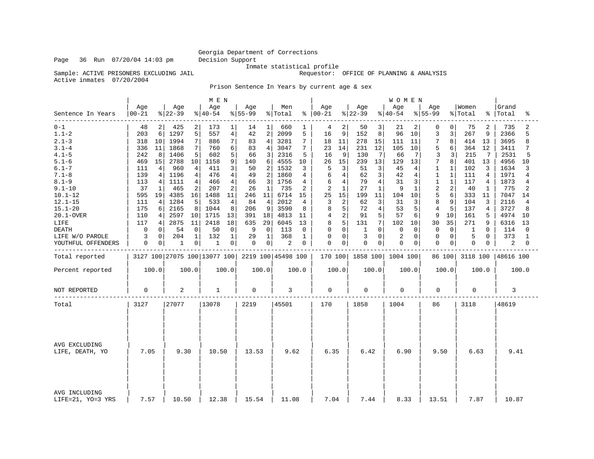Sample: ACTIVE PRISONERS EXCLUDING JAIL

Inmate statistical profile<br>Requestor: OFFICE OF PLANNING & ANALYSIS

Active inmates 07/20/2004

Prison Sentence In Years by current age & sex

|                                    |                  |                |                              |                 | M E N            |                |                  |                 |                    |       |                      |       |                 |                | WOMEN           |                |                  |              |                  |       |                |                |
|------------------------------------|------------------|----------------|------------------------------|-----------------|------------------|----------------|------------------|-----------------|--------------------|-------|----------------------|-------|-----------------|----------------|-----------------|----------------|------------------|--------------|------------------|-------|----------------|----------------|
| Sentence In Years                  | Age<br>$00 - 21$ |                | Age<br>$ 22-39$              |                 | Age<br>$ 40-54 $ |                | Age<br>$8 55-99$ |                 | Men<br>% Total     |       | Age<br>$8   00 - 21$ |       | Age<br>$ 22-39$ |                | Age<br>$ 40-54$ |                | Age<br>$8 55-99$ |              | Women<br>% Total | နွ    | Grand<br>Total | ిక             |
| $0 - 1$                            | 48               | $\overline{2}$ | 425                          | 2               | 173              | 1              | 14               | $1\vert$        | 660                |       | 4                    | 2     | 50              | 3              | 21              | 2              | 0                | $\Omega$     | 75               | 2     | 735            | 2              |
| $1.1 - 2$                          | 203              | 6              | 1297                         | 5               | 557              | $\overline{4}$ | 42               | 2               | 2099               | 5     | 16                   | 9     | 152             | 8              | 96              | 10             | 3                | 3            | 267              | 9     | 2366           | 5              |
| $2.1 - 3$                          | 318              | 10             | 1994                         | $7\phantom{.0}$ | 886              | 7              | 83               | 4               | 3281               | 7     | 18                   | 11    | 278             | 15             | 111             | 11             | 7                | 8            | 414              | 13    | 3695           | 8              |
| $3.1 - 4$                          | 336              | 11             | 1868                         | 7               | 760              | 6              | 83               | 4               | 3047               | 7     | 23                   | 14    | 231             | 12             | 105             | 10             | 5                | 6            | 364              | 12    | 3411           | 7              |
| $4.1 - 5$                          | 242              | 8              | 1406                         | 5               | 602              | 5              | 66               | 3               | 2316               | 5     | 16                   | 9     | 130             | 7              | 66              | 7              | 3                | 3            | 215              | 7     | 2531           | 5              |
| $5.1 - 6$                          | 469              | 15             | 2788                         | 10              | 1158             | 9              | 140              | 6               | 4555               | 10    | 26                   | 15    | 239             | 13             | 129             | 13             | 7                | 8            | 401              | 13    | 4956           | 10             |
| $6.1 - 7$                          | 111              | 4              | 960                          | 4               | 411              | 3              | 50               | 2               | 1532               | 3     | 5                    | 3     | 51              | 3              | 45              | 4              | 1                | $\mathbf{1}$ | 102              | 3     | 1634           | 3              |
| $7.1 - 8$                          | 139              | 4              | 1196                         | 4               | 476              | $\overline{4}$ | 49               | 2               | 1860               | 4     | 6                    | 4     | 62              | 3              | 42              | $\overline{4}$ | $\mathbf{1}$     | $\mathbf{1}$ | 111              | 4     | 1971           | 4              |
| $8.1 - 9$                          | 113              | 4              | 1111                         | 4               | 466              | $\overline{4}$ | 66               | 3               | 1756               | 4     | 6                    | 4     | 79              | 4              | 31              | 3              | $\mathbf{1}$     | $\mathbf{1}$ | 117              | 4     | 1873           | 4              |
| $9.1 - 10$                         | 37               | 1              | 465                          | 2               | 207              | 2              | 26               | 1               | 735                | 2     | $\overline{2}$       | 1     | 27              | 1              | q               | 1              | $\overline{c}$   | 2            | 40               | 1     | 775            | $\overline{2}$ |
| $10.1 - 12$                        | 595              | 19             | 4385                         | 16              | 1488             | 11             | 246              | 11              | 6714               | 15    | 25                   | 15    | 199             | 11             | 104             | 10             | 5                | 6            | 333              | 11    | 7047           | 14             |
| $12.1 - 15$                        | 111              | 4              | 1284                         | 5               | 533              | $\overline{4}$ | 84               | 4               | 2012               | 4     | 3                    | 2     | 62              | 3              | 31              | 3              | 8                | 9            | 104              | 3     | 2116           | 4              |
| $15.1 - 20$                        | 175              | 6              | 2165                         | 8               | 1044             | 8              | 206              | 9               | 3590               | 8     | 8                    | 5     | 72              | 4              | 53              | 5              | $\overline{4}$   | 5            | 137              | 4     | 3727           | 8              |
| 20.1-OVER                          | 110              | 4              | 2597                         | 10              | 1715             | 13             | 391              | 18 <sup>1</sup> | 4813               | 11    | 4                    | 2     | 91              | 5 <sup>1</sup> | 57              | 6              | 9                | 10           | 161              | 5     | 4974           | 10             |
| LIFE                               | 117              | 4              | 2875                         | 11              | 2418             | 18             | 635              | 29              | 6045               | 13    | 8                    | 5     | 131             | 7              | 102             | 10             | 30               | 35           | 271              | 9     | 6316           | 13             |
| <b>DEATH</b>                       | 0                | 0              | 54                           | $\mathbf 0$     | 50               | $\mathbf 0$    | 9                | $\mathbf 0$     | 113                | 0     | 0                    | 0     | 1               | $\Omega$       | $\mathbf 0$     | 0              | 0                | $\mathbf 0$  | 1                | 0     | 114            | 0              |
| LIFE W/O PAROLE                    | 3                | 0              | 204                          | 1               | 132              | 1              | 29               | 1               | 368                | 1     | 0                    | 0     | 3               | $\Omega$       | $\overline{2}$  | $\Omega$       | $\Omega$         | $\Omega$     | 5                | 0     | 373            | -1             |
| YOUTHFUL OFFENDERS                 | 0                | 0              | 1                            | 0               | 1                | $\mathsf 0$    | 0                | $\overline{0}$  | 2                  | 0     | 0                    | 0     | $\mathsf 0$     | 0              | $\mathbf 0$     | 0              | $\mathbf 0$      | 0            | 0                | 0     | 2              | 0              |
| Total reported                     |                  |                | 3127 100 27075 100 13077 100 |                 |                  |                |                  |                 | 2219 100 45498 100 |       | 170 100              |       | 1858 100        |                | 1004 100        |                |                  | 86 100       | 3118 100         |       | 48616 100      |                |
| Percent reported                   |                  | 100.0          |                              | 100.0           |                  | 100.0          |                  | 100.0           |                    | 100.0 |                      | 100.0 |                 | 100.0          |                 | 100.0          |                  | 100.0        |                  | 100.0 |                | 100.0          |
| NOT REPORTED                       | $\mathbf 0$      |                | 2                            |                 | $\mathbf{1}$     |                | 0                |                 | 3                  |       | $\mathbf 0$          |       | $\mathbf 0$     |                | 0               |                | 0                |              | 0                |       | 3              |                |
| Total                              | 3127             |                | 27077                        |                 | 13078            |                | 2219             |                 | 45501              |       | 170                  |       | 1858            |                | 1004            |                | 86               |              | 3118             |       | 48619          |                |
| AVG EXCLUDING<br>LIFE, DEATH, YO   | 7.05             |                | 9.30                         |                 | 10.50            |                | 13.53            |                 | 9.62               |       | 6.35                 |       | 6.42            |                | 6.90            |                | 9.50             |              | 6.63             |       | 9.41           |                |
|                                    |                  |                |                              |                 |                  |                |                  |                 |                    |       |                      |       |                 |                |                 |                |                  |              |                  |       |                |                |
| AVG INCLUDING<br>LIFE=21, YO=3 YRS | 7.57             |                | 10.50                        |                 | 12.38            |                | 15.54            |                 | 11.08              |       | 7.04                 |       | 7.44            |                | 8.33            |                | 13.51            |              | 7.87             |       | 10.87          |                |

Page 36 Run 07/20/04 14:03 pm Decision Support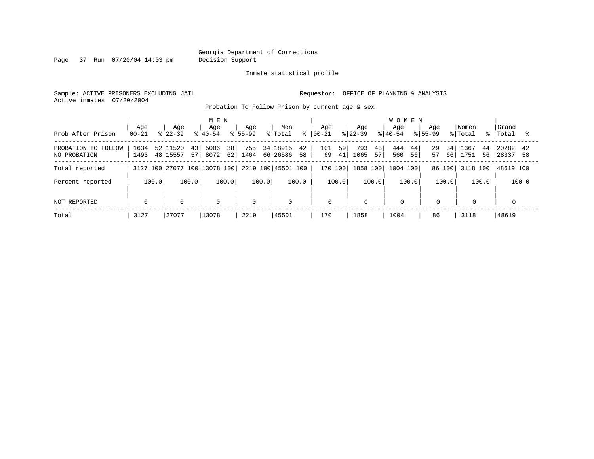Page 37 Run 07/20/04 14:03 pm Decision Support

#### Inmate statistical profile

Sample: ACTIVE PRISONERS EXCLUDING JAIL **Requestor:** OFFICE OF PLANNING & ANALYSIS Active inmates 07/20/2004

Probation To Follow Prison by current age & sex

| Prob After Prison                   | Age<br>$00 - 21$ | Age<br>$8122 - 39$               | M E N<br>Age<br>$8140 - 54$  | Age<br>$8155 - 99$ | Men<br>% Total<br>°              | Aqe<br>$ 00-21 $      | Age<br>$8 22-39$        | <b>WOMEN</b><br>Age<br>$8140 - 54$ | Aqe<br>$8155 - 99$   | Women<br>% Total<br>$\approx$ 1 | Grand<br>Total         |
|-------------------------------------|------------------|----------------------------------|------------------------------|--------------------|----------------------------------|-----------------------|-------------------------|------------------------------------|----------------------|---------------------------------|------------------------|
| PROBATION TO FOLLOW<br>NO PROBATION | 1634<br>1493     | 52 11520<br>43<br>48 15557<br>57 | 381<br>5006<br>$62 $<br>8072 | 755<br>1464        | 34 18915<br>42<br>66 26586<br>58 | 101<br>59<br>41<br>69 | 793<br>43<br>1065<br>57 | 444<br>44<br>560<br>56             | 29<br>34<br>57<br>66 | 1367<br>44<br>1751<br>56        | 20282<br>- 58<br>28337 |
| Total reported                      |                  |                                  | 3127 100 27077 100 13078 100 |                    | 2219 100 45501 100               | 170 100               | 1858 100                | 1004 100                           | 86 100               | 3118 100                        | 48619 100              |
| Percent reported                    | 100.0            | 100.0                            | 100.0                        | 100.0              | 100.0                            | 100.0                 | 100.0                   | 100.0                              | 100.0                | 100.0                           | 100.0                  |
| NOT REPORTED                        | $\Omega$         | $\mathbf 0$                      | $\mathbf 0$                  | $\mathbf 0$        | $\mathbf 0$                      | $\mathbf 0$           | $\Omega$                | $\Omega$                           | $\mathbf 0$          | $\mathbf 0$                     |                        |
| Total                               | 3127             | 27077                            | 13078                        | 2219               | 45501                            | 170                   | 1858                    | 1004                               | 86                   | 3118                            | 48619                  |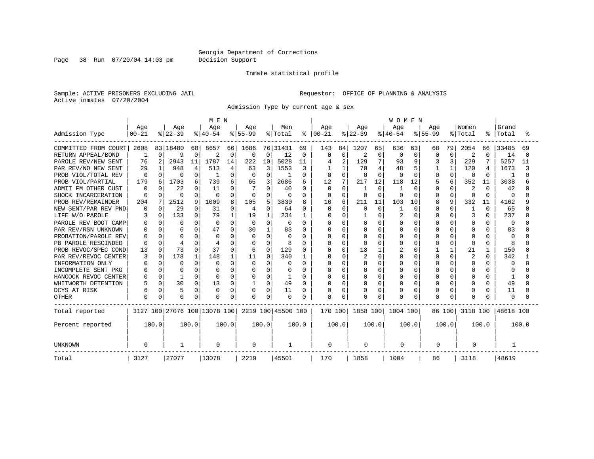Page 38 Run 07/20/04 14:03 pm Decision Support

#### Inmate statistical profile

Sample: ACTIVE PRISONERS EXCLUDING JAIL **Requestor:** OFFICE OF PLANNING & ANALYSIS Active inmates 07/20/2004

Admission Type by current age & sex

|                        |              |          |              |          | M E N                        |          |             |              |                    |               |          |             |              |              | WOMEN        |          |           |          |                |              |              |       |
|------------------------|--------------|----------|--------------|----------|------------------------------|----------|-------------|--------------|--------------------|---------------|----------|-------------|--------------|--------------|--------------|----------|-----------|----------|----------------|--------------|--------------|-------|
|                        | Age          |          | Age          |          | Age                          |          | Age         |              | Men                |               | Age      |             | Age          |              | Age          |          | Age       |          | Women          |              | Grand        |       |
| Admission Type         | $00 - 21$    |          | $ 22-39$     |          | $ 40-54$                     |          | $8 55-99$   |              | % Total            | $\frac{8}{6}$ | $ 00-21$ |             | $ 22-39 $    |              | $ 40-54$     |          | $8 55-99$ |          | % Total        | °            | Total        |       |
| COMMITTED FROM COURT   | 2608         |          | 83 18480     | 68       | 8657                         | 66       | 1686        |              | 76 31431           | 69            | 143      | 84          | 1207         | 65           | 636          | 63       | 68        | 79       | 2054           | 66           | 33485        | 69    |
| RETURN APPEAL/BOND     | 1            | 0        | 9            | $\Omega$ | 2                            | 0        | $\Omega$    | $\Omega$     | 12                 | $\Omega$      | $\Omega$ | 0           | 2            | 0            | $\Omega$     | 0        | $\Omega$  | $\Omega$ | 2              | $\Omega$     | 14           |       |
| PAROLE REV/NEW SENT    | 76           | 2        | 2943         | 11       | 1787                         | 14       | 222         | 10           | 5028               | 11            |          | 2           | 129          | 7            | 93           | 9        | 3         | 3        | 229            |              | 5257         | 11    |
| PAR REV/NO NEW SENT    | 29           |          | 948          |          | 513                          | 4        | 63          | 3            | 1553               | 3             |          |             | 70           | 4            | 48           | 5        |           |          | 120            | 4            | 1673         |       |
| PROB VIOL/TOTAL REV    | $\Omega$     | 0        | $\Omega$     | O        |                              | $\Omega$ | 0           | $\Omega$     | -1                 | 0             |          | $\Omega$    | <sup>0</sup> | $\cap$       | <sup>0</sup> | $\Omega$ | U         | $\Omega$ | $\Omega$       | $\Omega$     | -1           |       |
| PROB VIOL/PARTIAL      | 179          | 6        | 1703         |          | 739                          | 6        | 65          | 3            | 2686               | 6             | 12       | 7           | 217          | 12           | 118          | 12       |           | 6        | 352            | 11           | 3038         |       |
| FM OTHER CUST<br>ADMIT | $\Omega$     |          | 22           |          | 11                           |          |             | O            | 40                 | 0             | $\Omega$ | 0           |              | $\Omega$     |              | $\Omega$ | U         | O        | 2              | <sup>0</sup> | 42           |       |
| SHOCK INCARCERATION    | $\Omega$     | 0        | $\Omega$     | O        | 0                            | $\Omega$ | 0           | <sup>0</sup> | $\Omega$           | 0             | 0        | $\mathbf 0$ | <sup>0</sup> | $\Omega$     | O            | $\Omega$ | U         | $\Omega$ | $\Omega$       | $\Omega$     | $\Omega$     |       |
| PROB REV/REMAINDER     | 204          | 7        | 2512         | 9        | 1009                         | 8        | 105         | 5            | 3830               | 8             | 10       | 6           | 211          | 11           | 103          | 10       | 8         | 9        | 332            | 11           | 4162         |       |
| NEW SENT/PAR REV PND   | 0            | $\Omega$ | 29           | O        | 31                           | 0        | 4           | $\Omega$     | 64                 | 0             |          | 0           | $\Omega$     | $\mathbf 0$  |              | 0        | U         | $\Omega$ | 1              | $\Omega$     | 65           |       |
| LIFE W/O PAROLE        |              | $\Omega$ | 133          | O        | 79                           |          | 19          |              | 234                | 1             |          | $\Omega$    |              | $\Omega$     | 2            | $\Omega$ |           | $\Omega$ | 3              | $\Omega$     | 237          |       |
| PAROLE REV BOOT CAMP   |              |          | $\Omega$     |          | 0                            | $\Omega$ | $\Omega$    | U            | 0                  | 0             |          | U           | U            | $\cap$       | O            | ∩        |           | U        | O              | U            | $\Omega$     |       |
| PAR REV/RSN UNKNOWN    |              | U        |              |          | 47                           |          | 30          |              | 83                 | O             |          | $\cap$      | $\cap$       | <sup>n</sup> | U            | $\Omega$ |           | $\cap$   | <sup>0</sup>   | U            | 83           |       |
| PROBATION/PAROLE REV   |              | U        | $\Omega$     |          | O                            |          | $\Omega$    | $\Omega$     | $\Omega$           | 0             |          | $\Omega$    |              | $\cap$       | O            | $\Omega$ |           | $\cap$   | $\Omega$       |              | $\Omega$     |       |
| PB PAROLE RESCINDED    |              | O        | 4            |          |                              |          | 0           | $\Omega$     | 8                  | O             |          | $\Omega$    |              | $\Omega$     | O            | $\Omega$ |           | $\Omega$ | $\Omega$       | O            | 8            |       |
| PROB REVOC/SPEC COND   | 13           | 0        | 73           |          | 37                           | O        | 6           | 0            | 129                | 0             |          | $\Omega$    | 18           |              |              | 0        |           |          | 21             |              | 150          |       |
| PAR REV/REVOC CENTER   |              | $\Omega$ | 178          |          | 148                          |          | 11          | $\Omega$     | 340                | 1             |          | $\Omega$    |              | $\Omega$     | N            | $\Omega$ |           | $\Omega$ | $\overline{2}$ | <sup>0</sup> | 342          |       |
| INFORMATION ONLY       |              | 0        | $\Omega$     | U        | O                            |          | 0           | O            | O                  | 0             |          | $\Omega$    |              | $\Omega$     | Ω            | $\Omega$ |           | O        | O              | O            | O            |       |
| INCOMPLETE SENT PKG    |              | 0        | <sup>0</sup> |          |                              |          | 0           | O            | 0                  | 0             |          | O           |              | $\Omega$     |              | $\Omega$ |           | O        | O              | U            | <sup>0</sup> |       |
| HANCOCK REVOC CENTER   |              | 0        |              | O        | 0                            | $\Omega$ | 0           | 0            | 1                  | 0             |          | $\Omega$    | <sup>0</sup> | $\Omega$     |              | $\Omega$ |           | O        | O              | O            | -1           |       |
| WHITWORTH DETENTION    |              | $\Omega$ | 30           | 0        | 13                           | 0        |             | 0            | 49                 | 0             |          | $\Omega$    | 0            | $\Omega$     |              | 0        |           | O        | 0              | O            | 49           |       |
| DCYS AT RISK           |              | 0        | 5            | $\Omega$ | 0                            | $\Omega$ | 0           | 0            | 11                 | 0             |          | 0           |              | $\mathbf 0$  | Ω            | 0        |           | $\Omega$ | 0              | O            | 11           |       |
| <b>OTHER</b>           | <sup>0</sup> | 0        | $\Omega$     | $\Omega$ | $\Omega$                     | $\Omega$ | $\Omega$    | $\Omega$     | $\Omega$           | O             | O        | $\Omega$    |              | $\Omega$     | O            | $\Omega$ |           | $\Omega$ | $\Omega$       |              | $\Omega$     |       |
| Total reported         |              |          |              |          | 3127 100 27076 100 13078 100 |          |             |              | 2219 100 45500 100 |               | 170 100  |             | 1858 100     |              | 1004 100     |          |           | 86 100   | 3118 100       |              | 48618 100    |       |
| Percent reported       |              | 100.0    |              | 100.0    |                              | 100.0    |             | 100.0        |                    | 100.0         |          | 100.0       |              | 100.0        |              | 100.0    |           | 100.0    |                | 100.0        |              | 100.0 |
| <b>UNKNOWN</b>         | $\Omega$     |          | -1           |          | 0                            |          | $\mathbf 0$ |              |                    |               | 0        |             | 0            |              | 0            |          | 0         |          | 0              |              |              |       |
| Total                  | 3127         |          | 27077        |          | 13078                        |          | 2219        |              | 45501              |               | 170      |             | 1858         |              | 1004         |          | 86        |          | 3118           |              | 48619        |       |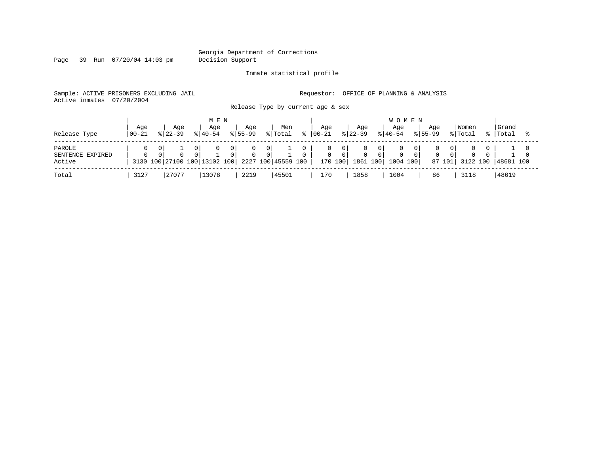Page 39 Run 07/20/04 14:03 pm Decision Support

Inmate statistical profile

Sample: ACTIVE PRISONERS EXCLUDING JAIL **Requestor:** OFFICE OF PLANNING & ANALYSIS Active inmates 07/20/2004

Release Type by current age & sex

| Release Type                         | Age<br>  00-21 | Age<br>$8122 - 39$ |          | M E N<br>Age<br>$8140 - 54$       |                                  | Aqe<br>$8155 - 99$           |                     | Men<br>% Total     | °≈ | Aqe<br>$ 00-21 $ |                                       | Age<br>$ 22-39 $           |                       | <b>WOMEN</b><br>Aqe<br>$ 40-54 $ | Aqe<br>$8155 - 99$ |                           | Women<br>% Total | Grand<br>%   Total |  |
|--------------------------------------|----------------|--------------------|----------|-----------------------------------|----------------------------------|------------------------------|---------------------|--------------------|----|------------------|---------------------------------------|----------------------------|-----------------------|----------------------------------|--------------------|---------------------------|------------------|--------------------|--|
| PAROLE<br>SENTENCE EXPIRED<br>Active |                |                    | $\Omega$ | 0<br>3130 100 27100 100 13102 100 | $\overline{0}$<br>$\overline{0}$ | $\mathbf{0}$<br>$\mathbf{0}$ | 0<br>0 <sup>1</sup> | 2227 100 45559 100 |    | U<br>0           | $\overline{0}$<br>$\Omega$<br>170 100 | $\overline{0}$<br>1861 100 | 0 I<br>0 <sup>1</sup> | 1004 100                         | $\Omega$           | 0 I<br>$\Omega$<br>87 101 | 3122 100         | 48681 100          |  |
| Total                                | 3127           | 27077              |          | 13078                             |                                  | 2219                         |                     | 45501              |    | 170              |                                       | 1858                       |                       | 1004                             | 86                 |                           | 3118             | 48619              |  |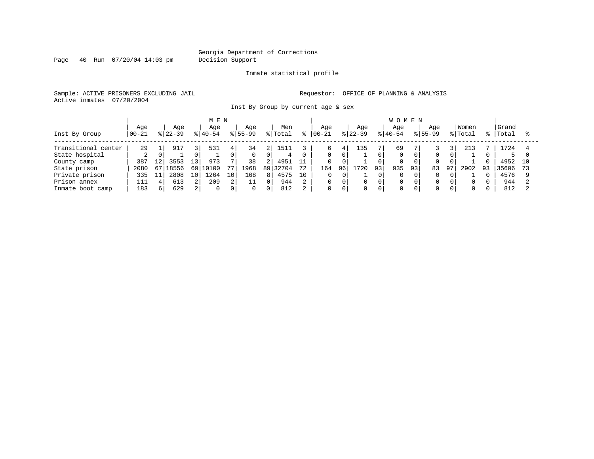Page 40 Run 07/20/04 14:03 pm Decision Support

### Inmate statistical profile

Sample: ACTIVE PRISONERS EXCLUDING JAIL **Requestor:** OFFICE OF PLANNING & ANALYSIS Active inmates 07/20/2004

Inst By Group by current age & sex

|                     |            |    |             |     | MEN      |                        |           |                |         |    |            |          |           |                | <b>WOMEN</b> |                |             |    |         |     |        |    |
|---------------------|------------|----|-------------|-----|----------|------------------------|-----------|----------------|---------|----|------------|----------|-----------|----------------|--------------|----------------|-------------|----|---------|-----|--------|----|
|                     | Age        |    | Aqe         |     | Aqe      |                        | Aqe       |                | Men     |    | Aqe        |          | Aqe       |                | Aqe          |                | Aqe         |    | Women   |     | Grand  |    |
| Inst By Group       | $ 00 - 21$ |    | $ 22 - 39 $ |     | $ 40-54$ |                        | $8 55-99$ |                | % Total | °≈ | $ 00 - 21$ |          | $ 22-39 $ |                | $ 40-54$     |                | $8155 - 99$ |    | % Total | %   | 'Total |    |
|                     |            |    |             |     |          |                        |           |                |         |    |            |          |           |                |              |                |             |    |         |     |        |    |
| Transitional center | 29         |    | 917         | 3 I | 531      | 4                      | 34        |                | 1511    |    | 6          | 41       | 135       |                | 69           |                |             |    | 213     |     | .724   |    |
| State hospital      | 2          | 0  |             |     |          |                        |           |                | 4       |    | 0          | $\Omega$ |           | $\Omega$       |              |                | $\mathbf 0$ | 0  |         |     | 5.     |    |
| County camp         | 387        | 12 | 3553        | 13' | 973      | $\overline{ }$         | 38        | 2 <sub>1</sub> | 4951    | 11 |            |          |           |                | 0            |                |             | 0  |         |     | 4952   | 10 |
| State prison        | 2080       | 67 | 18556       | 69  | 10100    | 77                     | 1968      | 89             | 32704   | 72 | 164        | 96       | 720       | 93             | 935          | 93             | 83          | 97 | 2902    | -93 | 35606  |    |
| Private prison      | 335        |    | 2808        | 10  | 1264     | 10                     | 168       | 81             | 4575    | 10 |            |          |           |                | 0            | 0 I            | $\Omega$    | 0  |         |     | 4576   |    |
| Prison annex        | 111        | 4  | 613         | 2 I | 209      | $\Omega$<br>$\epsilon$ | ᆂᆂ        | $\Omega$       | 944     |    |            |          | $\Omega$  | 0              | 0            | $\overline{0}$ | 0           | 0  | 0       |     | 944    |    |
| Inmate boot camp    | 183        | 6  | 629         | 21  | $\Omega$ | 0                      | $\Omega$  | $\Omega$       | 812     |    | 0          |          | $\Omega$  | $\overline{0}$ |              | $\Omega$       | $\Omega$    | 0  | 0       |     | 812    |    |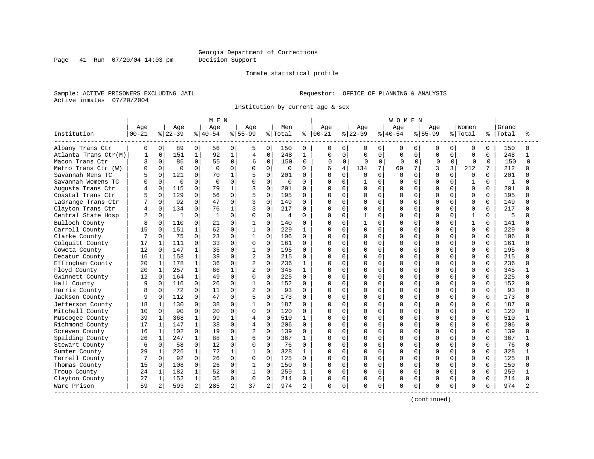#### Georgia Department of Corrections Page 41 Run 07/20/04 14:03 pm Decision Support

#### Inmate statistical profile

Sample: ACTIVE PRISONERS EXCLUDING JAIL **Requestor:** OFFICE OF PLANNING & ANALYSIS Active inmates 07/20/2004

Institution by current age & sex

|                      |           |              |           |                | M E N     |              |                |                |             |              |               |             |           |             | WOMEN        |             |           |              |              |          |       |          |
|----------------------|-----------|--------------|-----------|----------------|-----------|--------------|----------------|----------------|-------------|--------------|---------------|-------------|-----------|-------------|--------------|-------------|-----------|--------------|--------------|----------|-------|----------|
|                      | Age       |              | Age       |                | Age       |              | Aqe            |                | Men         |              | Age           |             | Age       |             | Age          |             | Aqe       |              | Women        |          | Grand |          |
| Institution          | $00 - 21$ |              | $8 22-39$ |                | $8 40-54$ |              | $8155 - 99$    |                | % Total     |              | $8   00 - 21$ |             | $ 22-39 $ |             | $ 40-54$     |             | $8 55-99$ |              | % Total      | နွ       | Total |          |
| Albany Trans Ctr     | 0         | 0            | 89        | $\Omega$       | 56        | 0            | 5              | 0              | 150         | 0            | 0             | 0           | 0         | 0           | 0            | 0           | 0         | 0            | 0            | $\Omega$ | 150   |          |
| Atlanta Trans Ctr(M) | 1         | 0            | 151       | 1              | 92        | $\mathbf{1}$ | 4              | 0              | 248         | $\mathbf{1}$ | 0             | $\mathbf 0$ | $\Omega$  | $\mathbf 0$ | 0            | 0           | 0         | 0            | $\Omega$     | $\Omega$ | 248   |          |
| Macon Trans Ctr      | ζ         | $\Omega$     | 86        | 0              | 55        | $\mathbf 0$  | 6              | $\Omega$       | 150         | $\Omega$     | $\Omega$      | $\Omega$    | $\Omega$  | $\Omega$    | $\Omega$     | $\Omega$    | $\Omega$  | 0            | $\Omega$     | $\Omega$ | 150   | $\Omega$ |
| Metro Trans Ctr (W)  |           | $\Omega$     | $\Omega$  | $\Omega$       | $\Omega$  | $\Omega$     | <sup>0</sup>   | $\Omega$       | 0           | 0            |               | 4           | 134       | 7           | 69           |             | ζ         | 3            | 212          | 7        | 212   |          |
| Savannah Mens TC     |           | $\Omega$     | 121       | $\Omega$       | 70        | 1            | 5              | $\Omega$       | 201         | 0            | U             | $\cap$      | U         | $\Omega$    | <sup>n</sup> | $\cap$      | U         | U            | $\Omega$     | $\Omega$ | 201   |          |
| Savannah Womens TC   |           | $\Omega$     | $\Omega$  | $\Omega$       | $\Omega$  | $\Omega$     | $\Omega$       | $\Omega$       | $\mathbf 0$ | O            |               | $\cap$      |           | $\Omega$    | U            | $\Omega$    | O         | $\Omega$     | 1            | $\Omega$ | 1     |          |
| Augusta Trans Ctr    |           | $\mathbf 0$  | 115       | $\Omega$       | 79        | $\mathbf 1$  | 3              | $\Omega$       | 201         | <sup>0</sup> | N             | $\Omega$    | 0         | $\mathbf 0$ | O            | $\Omega$    | O         | $\Omega$     | $\Omega$     | 0        | 201   |          |
| Coastal Trans Ctr    |           | $\Omega$     | 129       | $\Omega$       | 56        | $\Omega$     | 5              | $\Omega$       | 195         | $\Omega$     | U             | $\Omega$    | 0         | $\mathbf 0$ | U            | $\Omega$    | U         | 0            | $\Omega$     | $\Omega$ | 195   |          |
| LaGrange Trans Ctr   |           | $\Omega$     | 92        | $\Omega$       | 47        | $\Omega$     | 3              | 0              | 149         | $\Omega$     | O             | $\Omega$    | O         | $\mathbf 0$ | U            | $\Omega$    | O         | U            | <sup>0</sup> | $\Omega$ | 149   |          |
| Clayton Trans Ctr    |           | $\Omega$     | 134       | 0              | 76        |              | 3              | $\Omega$       | 217         | <sup>0</sup> | O             | $\Omega$    | O         | $\mathbf 0$ | U            | $\Omega$    | O         | U            | $\Omega$     | $\Omega$ | 217   |          |
| Central State Hosp   |           | $\Omega$     | 1         | $\Omega$       | -1        | 0            | $\Omega$       | $\Omega$       | 4           | O            | U             | $\Omega$    |           | $\Omega$    | U            | $\Omega$    | U         | $\Omega$     | 1            | $\Omega$ | 5     |          |
| Bulloch County       |           | $\Omega$     | 110       | $\Omega$       | 21        | $\Omega$     | $\mathbf{1}$   | $\Omega$       | 140         | O            | O             | $\Omega$    |           | $\Omega$    | O            | $\Omega$    | O         | 0            | 1            | $\Omega$ | 141   |          |
| Carroll County       | 15        | $\Omega$     | 151       | $\mathbf{1}$   | 62        | 0            | $\mathbf{1}$   | $\Omega$       | 229         | $\mathbf{1}$ | Ω             | $\Omega$    | $\Omega$  | $\Omega$    | O            | $\Omega$    | O         | $\Omega$     | $\Omega$     | $\Omega$ | 229   |          |
| Clarke County        |           | $\Omega$     | 75        | $\Omega$       | 23        | $\Omega$     | $\mathbf{1}$   | 0              | 106         | $\Omega$     |               | $\Omega$    | O         | $\mathbf 0$ | U            | $\Omega$    | U         | 0            | $\Omega$     | $\Omega$ | 106   |          |
| Colquitt County      | 17        | 1            | 111       | 0              | 33        | 0            | 0              | $\Omega$       | 161         | $\Omega$     | O             | $\Omega$    | O         | $\Omega$    | O            | $\Omega$    | O         | U            | $\Omega$     | $\Omega$ | 161   |          |
| Coweta County        | 12        | $\Omega$     | 147       | 1              | 35        | 0            | $\mathbf{1}$   | $\Omega$       | 195         | $\Omega$     | Λ             | $\Omega$    | O         | $\Omega$    | U            | $\Omega$    | U         |              | $\Omega$     | $\Omega$ | 195   |          |
| Decatur County       | 16        | 1            | 158       | 1              | 39        | 0            | $\overline{2}$ | $\Omega$       | 215         | $\Omega$     | Λ             | $\cap$      | U         | $\Omega$    | U            | $\cap$      | U         | ∩            | $\Omega$     | $\Omega$ | 215   |          |
| Effingham County     | 20        | $\mathbf{1}$ | 178       | $\mathbf{1}$   | 36        | 0            | $\overline{2}$ | $\Omega$       | 236         | 1            | Ω             | $\Omega$    | O         | $\Omega$    | O            | $\Omega$    | O         | $\Omega$     | 0            | $\Omega$ | 236   |          |
| Floyd County         | 20        | $\mathbf 1$  | 257       | $\mathbf{1}$   | 66        | 1            | $\overline{2}$ | $\Omega$       | 345         | $\mathbf{1}$ |               | $\mathbf 0$ | Λ         | $\mathbf 0$ | O            | $\Omega$    | O         | $\Omega$     | $\Omega$     | 0        | 345   |          |
| Gwinnett County      | 12        | 0            | 164       | $\mathbf{1}$   | 49        | $\Omega$     | 0              | $\Omega$       | 225         | $\Omega$     | U             | $\Omega$    | 0         | $\mathbf 0$ | U            | $\Omega$    | O         | U            | $\Omega$     | $\Omega$ | 225   |          |
| Hall County          |           | $\Omega$     | 116       | $\Omega$       | 26        | $\Omega$     | 1              | 0              | 152         | $\Omega$     | O             | $\Omega$    | O         | $\mathbf 0$ | O            | $\Omega$    | O         | U            | 0            | $\Omega$ | 152   |          |
| Harris County        |           | $\Omega$     | 72        | $\Omega$       | 11        | 0            | 2              | $\Omega$       | 93          | O            | U             | $\Omega$    | U         | $\mathbf 0$ | O            | $\Omega$    | O         | U            | $\Omega$     | $\Omega$ | 93    |          |
| Jackson County       |           | $\Omega$     | 112       | $\Omega$       | 47        | $\Omega$     | 5              | $\Omega$       | 173         | 0            | O             | $\Omega$    | 0         | $\Omega$    | 0            | $\Omega$    | U         | $\Omega$     | $\Omega$     | $\Omega$ | 173   |          |
| Jefferson County     | 18        |              | 130       | 0              | 38        | 0            | $\mathbf{1}$   | $\Omega$       | 187         | 0            | Ω             | $\Omega$    | O         | $\Omega$    | O            | $\Omega$    | U         | 0            | <sup>0</sup> | $\Omega$ | 187   |          |
| Mitchell County      | 10        | $\Omega$     | 90        | $\Omega$       | 20        | $\Omega$     | 0              | $\Omega$       | 120         | $\Omega$     | N             | $\Omega$    | O         | $\mathbf 0$ | O            | $\mathbf 0$ | U         | $\Omega$     | $\Omega$     | 0        | 120   |          |
| Muscogee County      | 39        | $\mathbf{1}$ | 368       | $\mathbf{1}$   | 99        | 1            | 4              | $\Omega$       | 510         | 1            | Λ             | $\Omega$    | O         | $\Omega$    | U            | $\Omega$    | U         | 0            | $\Omega$     | $\Omega$ | 510   |          |
| Richmond County      | 17        | 1            | 147       | $\mathbf{1}$   | 38        | 0            | 4              | $\Omega$       | 206         | 0            | Ω             | $\Omega$    | O         | $\Omega$    | O            | $\Omega$    | U         | U            | 0            | $\Omega$ | 206   |          |
| Screven County       | 16        | 1            | 102       | 0              | 19        | 0            | 2              | $\Omega$       | 139         | $\Omega$     | U             | $\Omega$    | U         | $\mathbf 0$ | U            | $\Omega$    | U         |              | $\Omega$     | $\Omega$ | 139   |          |
| Spalding County      | 26        | $\mathbf{1}$ | 247       | $\mathbf{1}$   | 88        | 1            | 6              | $\Omega$       | 367         | $\mathbf{1}$ | Λ             | $\cap$      | 0         | $\Omega$    | U            | $\Omega$    | U         | <sup>n</sup> | $\Omega$     | $\Omega$ | 367   |          |
| Stewart County       | 6         | $\Omega$     | 58        | $\Omega$       | 12        | $\mathsf{O}$ | 0              | $\Omega$       | 76          | $\Omega$     | O             | $\Omega$    | O         | $\mathbf 0$ | O            | $\Omega$    | U         | $\Omega$     | $\Omega$     | $\Omega$ | 76    |          |
| Sumter County        | 29        |              | 226       | 1              | 72        | 1            | $\mathbf{1}$   | 0              | 328         | 1            |               | $\Omega$    | O         | $\mathbf 0$ | O            | $\Omega$    | O         | $\Omega$     | $\Omega$     | 0        | 328   |          |
| Terrell County       | 7         | $\Omega$     | 92        | $\Omega$       | 26        | $\Omega$     | $\Omega$       | $\Omega$       | 125         | $\Omega$     | O             | $\Omega$    | 0         | $\Omega$    | U            | $\Omega$    | O         | 0            | $\Omega$     | $\Omega$ | 125   | ∩        |
| Thomas County        | 15        | $\Omega$     | 108       | $\Omega$       | 26        | 0            | $\mathbf{1}$   | $\Omega$       | 150         | $\Omega$     | $\Omega$      | $\Omega$    | O         | $\Omega$    | O            | $\Omega$    | O         | O            | $\Omega$     | $\Omega$ | 150   |          |
| Troup County         | 24        | $\mathbf{1}$ | 182       | $\mathbf{1}$   | 52        | 0            | $\mathbf{1}$   | $\Omega$       | 259         | $\mathbf{1}$ | U             | $\Omega$    | 0         | $\Omega$    | $\Omega$     | $\Omega$    | O         | $\Omega$     | $\Omega$     | $\Omega$ | 259   |          |
| Clayton County       | 27        | $\mathbf{1}$ | 152       | $\mathbf{1}$   | 35        | 0            | $\mathbf 0$    | $\Omega$       | 214         | 0            | $\Omega$      | $\Omega$    | 0         | $\mathbf 0$ | 0            | $\mathbf 0$ | 0         | $\Omega$     | 0            | $\Omega$ | 214   |          |
| Ware Prison          | 59        | 2            | 593       | $\overline{a}$ | 285       | 2            | 37             | $\overline{2}$ | 974         | 2            | 0             | 0           | O         | 0           | $\Omega$     | 0           | O         | 0            | 0            | 0        | 974   |          |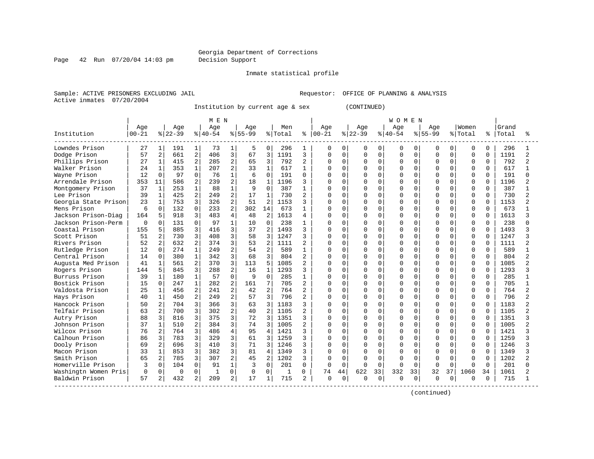Page 42 Run 07/20/04 14:03 pm Decision Support

#### Inmate statistical profile

Sample: ACTIVE PRISONERS EXCLUDING JAIL **Requestor:** OFFICE OF PLANNING & ANALYSIS Active inmates 07/20/2004

Institution by current age & sex (CONTINUED)

|                      |           |                |           |                | M E N     |                |           |                |         |                |               |             |          |             | <b>WOMEN</b> |          |              |          |              |              |       |                          |
|----------------------|-----------|----------------|-----------|----------------|-----------|----------------|-----------|----------------|---------|----------------|---------------|-------------|----------|-------------|--------------|----------|--------------|----------|--------------|--------------|-------|--------------------------|
|                      | Age       |                | Age       |                | Age       |                | Age       |                | Men     |                | Age           |             | Age      |             | Age          |          | Age          |          | Women        |              | Grand |                          |
| Institution          | $00 - 21$ |                | $8 22-39$ |                | $8 40-54$ |                | $8 55-99$ |                | % Total |                | $8   00 - 21$ |             | $ 22-39$ |             | $8 40-54$    |          | $8155 - 99$  |          | % Total      | ႜ            | Total |                          |
| Lowndes Prison       | 27        | $\mathbf{1}$   | 191       | 1              | 73        | 1              | 5         | 0              | 296     | 1              | 0             | 0           | 0        | 0           | 0            | 0        | 0            | 0        | 0            | $\Omega$     | 296   |                          |
| Dodge Prison         | 57        | $\overline{2}$ | 661       | $\overline{2}$ | 406       | 3              | 67        | 3              | 1191    | 3              | 0             | $\Omega$    | 0        | $\mathbf 0$ | 0            | $\Omega$ | $\Omega$     | $\Omega$ | $\mathbf 0$  | $\Omega$     | 1191  | 2                        |
| Phillips Prison      | 27        | 1              | 415       | 2              | 285       | 2              | 65        | 3              | 792     | $\overline{a}$ | 0             | $\mathbf 0$ | 0        | 0           | 0            | $\Omega$ | $\Omega$     | 0        | $\mathbf 0$  | $\mathbf 0$  | 792   | 2                        |
| Walker Prison        | 24        | $\mathbf{1}$   | 353       | $\mathbf{1}$   | 207       | 2              | 33        | $\mathbf{1}$   | 617     | $\mathbf{1}$   | ი             | $\mathbf 0$ | 0        | 0           | 0            | 0        | $\cap$       | 0        | $\Omega$     | $\Omega$     | 617   |                          |
| Wayne Prison         | 12        | $\Omega$       | 97        | $\Omega$       | 76        |                | 6         | $\Omega$       | 191     | 0              | Λ             | $\Omega$    | $\Omega$ | $\Omega$    | $\Omega$     | $\Omega$ | U            | 0        | $\Omega$     | $\Omega$     | 191   |                          |
| Arrendale Prison     | 353       | 11             | 586       | 2              | 239       | 2              | 18        | 1              | 1196    | 3              | ი             | $\Omega$    | O        | $\Omega$    | O            | $\Omega$ | U            | 0        | $\Omega$     | $\Omega$     | 1196  |                          |
| Montgomery Prison    | 37        | $\mathbf{1}$   | 253       | $\mathbf{1}$   | 88        |                | 9         | $\Omega$       | 387     |                | O             | $\Omega$    |          | $\Omega$    | $\Omega$     | O        | U            | 0        | $\Omega$     | $\Omega$     | 387   |                          |
| Lee Prison           | 39        | $\mathbf{1}$   | 425       | 2              | 249       | 2              | 17        | $\mathbf{1}$   | 730     | 2              | ი             | $\Omega$    | O        | $\Omega$    | $\Omega$     | O        | U            | U        | $\Omega$     | <sup>0</sup> | 730   |                          |
| Georgia State Prison | 23        | 1              | 753       | 3              | 326       | 2              | 51        | $\overline{a}$ | 1153    | 3              | O             | $\Omega$    | O        | $\Omega$    | $\cap$       | $\Omega$ | U            | 0        | $\Omega$     | U            | 1153  |                          |
| Mens Prison          | 6         | $\Omega$       | 132       | $\Omega$       | 233       | 2              | 302       | 14             | 673     | 1              | O             | $\Omega$    | O        | $\Omega$    | O            | $\Omega$ | $\cap$       | 0        | $\Omega$     | $\Omega$     | 673   |                          |
| Jackson Prison-Diag  | 164       | 5              | 918       | 3              | 483       | $\overline{4}$ | 48        | $\overline{2}$ | 1613    | 4              | O             | $\Omega$    | O        | $\Omega$    | O            | $\Omega$ | $\Omega$     | 0        | $\Omega$     | $\Omega$     | 1613  |                          |
| Jackson Prison-Perm  | ∩         | $\Omega$       | 131       | $\Omega$       | 97        | $\mathbf{1}$   | 10        | $\Omega$       | 238     | 1              | Ω             | $\mathbf 0$ | 0        | $\Omega$    | O            | $\Omega$ | O            | 0        | 0            | $\Omega$     | 238   |                          |
| Coastal Prison       | 155       | 5              | 885       | 3              | 416       | 3              | 37        | $\overline{2}$ | 1493    | 3              | ი             | $\Omega$    | O        | $\Omega$    | $\Omega$     | $\Omega$ | $\Omega$     | $\Omega$ | $\Omega$     | <sup>0</sup> | 1493  |                          |
| Scott Prison         | 51        |                | 730       | 3              | 408       | 3              | 58        | 3              | 1247    | 3              | ი             | $\mathbf 0$ | O        | $\Omega$    | 0            | $\Omega$ | <sup>0</sup> | 0        | $\Omega$     | $\Omega$     | 1247  |                          |
| Rivers Prison        | 52        | $\overline{a}$ | 632       | $\overline{a}$ | 374       | 3              | 53        | $\overline{2}$ | 1111    | 2              | ი             | $\Omega$    | O        | $\Omega$    | O            | $\Omega$ | U            | 0        | $\Omega$     | $\Omega$     | 1111  |                          |
| Rutledge Prison      | 12        | $\Omega$       | 274       | $\mathbf{1}$   | 249       | 2              | 54        | $\overline{a}$ | 589     | 1              | U             | $\Omega$    | 0        | $\Omega$    | 0            | O        | $\cap$       | 0        | $\Omega$     | $\Omega$     | 589   |                          |
| Central Prison       | 14        |                | 380       | 1              | 342       | 3              | 68        | 3              | 804     | 2              | ი             | 0           |          | $\Omega$    | $\Omega$     | U        |              | O        | $\Omega$     | <sup>0</sup> | 804   |                          |
| Augusta Med Prison   | 41        |                | 561       | 2              | 370       | 3              | 113       | 5              | 1085    | 2              | ი             | $\Omega$    | O        | $\Omega$    | $\Omega$     | $\cap$   | $\cap$       | U        | $\Omega$     | <sup>0</sup> | 1085  |                          |
| Rogers Prison        | 144       | 5              | 845       | 3              | 288       | $\overline{2}$ | 16        | 1              | 1293    | 3              | ი             | $\Omega$    | O        | $\Omega$    | $\Omega$     | $\Omega$ | $\cap$       | O        | $\Omega$     | $\Omega$     | 1293  |                          |
| Burruss Prison       | 39        | 1              | 180       | $\mathbf{1}$   | 57        | $\Omega$       | 9         | $\Omega$       | 285     | 1              | Λ             | $\Omega$    | O        | $\Omega$    | O            | $\Omega$ | <sup>0</sup> | 0        | $\Omega$     | $\Omega$     | 285   |                          |
| Bostick Prison       | 15        | $\Omega$       | 247       | $\mathbf{1}$   | 282       | 2              | 161       | 7              | 705     | $\overline{a}$ | ი             | $\Omega$    | O        | $\Omega$    | $\Omega$     | $\Omega$ | $\Omega$     | 0        | $\Omega$     | $\Omega$     | 705   |                          |
| Valdosta Prison      | 25        | $\mathbf{1}$   | 456       | 2              | 241       | 2              | 42        | 2              | 764     | 2              |               | $\mathbf 0$ | O        | $\Omega$    | 0            | 0        | $\cap$       | 0        | $\Omega$     | $\Omega$     | 764   |                          |
| Hays Prison          | 40        | 1              | 450       | 2              | 249       | 2              | 57        | 3              | 796     | 2              | ი             | $\mathbf 0$ | O        | $\Omega$    | $\Omega$     | $\Omega$ | $\cap$       | 0        | $\Omega$     | $\Omega$     | 796   | $\overline{\mathcal{L}}$ |
| Hancock Prison       | 50        | 2              | 704       | 3              | 366       | 3              | 63        | 3              | 1183    | 3              | ი             | $\Omega$    | 0        | $\Omega$    | O            | 0        | U            | 0        | $\Omega$     | $\Omega$     | 1183  |                          |
| Telfair Prison       | 63        | $\overline{a}$ | 700       | 3              | 302       | 2              | 40        | $\overline{2}$ | 1105    | 2              | U             | $\Omega$    | O        | $\Omega$    | O            | $\Omega$ | <sup>0</sup> | 0        | $\Omega$     | $\Omega$     | 1105  | $\mathfrak{D}$           |
| Autry Prison         | 88        | ζ              | 816       | 3              | 375       | 3              | 72        | 3              | 1351    | 3              | U             | $\Omega$    | O        | $\Omega$    | O            | $\Omega$ | <sup>0</sup> | 0        | 0            | $\Omega$     | 1351  |                          |
| Johnson Prison       | 37        |                | 510       | 2              | 384       | 3              | 74        | 3              | 1005    | 2              | U             | 0           | O        | $\Omega$    | $\Omega$     | $\Omega$ | <sup>0</sup> |          | $\Omega$     | <sup>0</sup> | 1005  |                          |
| Wilcox Prison        | 76        | 2              | 764       | 3              | 486       | 4              | 95        | 4              | 1421    | 3              | U             | $\Omega$    | O        | $\Omega$    | $\cap$       | $\cap$   | U            | U        | $\Omega$     | $\Omega$     | 1421  |                          |
| Calhoun Prison       | 86        | 3              | 783       | 3              | 329       | 3              | 61        | ζ              | 1259    | 3              | U             | $\Omega$    | U        | $\Omega$    | $\cap$       | $\cap$   | U            | U        | $\Omega$     | $\cap$       | 1259  |                          |
| Dooly Prison         | 69        | 2              | 696       | 3              | 410       | 3              | 71        | 3              | 1246    | 3              | ი             | $\Omega$    | O        | $\Omega$    | $\Omega$     | $\Omega$ | $\Omega$     | 0        | $\mathbf 0$  | $\Omega$     | 1246  |                          |
| Macon Prison         | 33        |                | 853       | 3              | 382       | 3              | 81        | 4              | 1349    | 3              | ი             | $\mathbf 0$ | O        | $\Omega$    | $\Omega$     | $\Omega$ | <sup>0</sup> | 0        | $\Omega$     | $\Omega$     | 1349  |                          |
| Smith Prison         | 65        | 2              | 785       | 3              | 307       | 2              | 45        | 2              | 1202    | 3              | U             | $\mathbf 0$ | O        | $\cap$      | $\Omega$     | $\Omega$ | <sup>0</sup> | U        | $\mathbf 0$  | $\Omega$     | 1202  |                          |
| Homerville Prison    | ζ         | $\Omega$       | 104       | $\mathbf 0$    | 91        | 1              | 3         | $\Omega$       | 201     | $\Omega$       | ∩             | $\mathbf 0$ | U        | $\Omega$    | U            | $\Omega$ | $\Omega$     | $\Omega$ | $\Omega$     | $\Omega$     | 201   |                          |
| Washingtn Women Pris | $\Omega$  | $\Omega$       | 0         | 0              | -1        | 0              | 0         | 0              | 1       | 0              | 74            | 44          | 622      | 33          | 332          | 33       | 32           | 37       | 1060         | 34           | 1061  |                          |
| Baldwin Prison       | 57        | 2              | 432       | 2              | 209       | 2              | 17        | $\mathbf 1$    | 715     | 2              | 0             | 0           | U        | 0           | O            | 0        | O            | 0        | <sup>0</sup> | 0            | 715   |                          |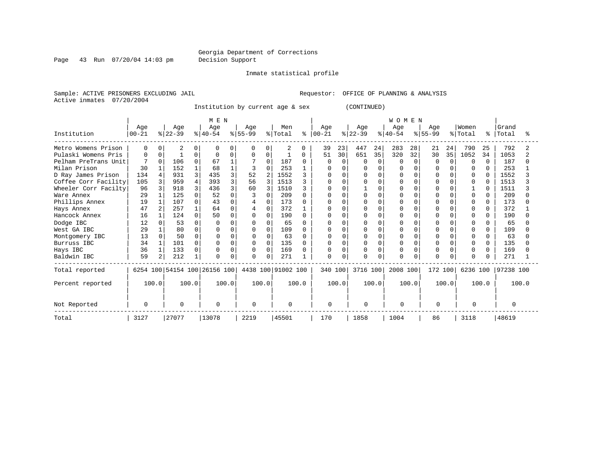Inmate statistical profile

Page 43 Run 07/20/04 14:03 pm Decision Support

Sample: ACTIVE PRISONERS EXCLUDING JAIL **Requestor:** OFFICE OF PLANNING & ANALYSIS Active inmates 07/20/2004

Institution by current age & sex (CONTINUED)

|                      |                  |          |                  |              | MEN                          |              |                  |          |                    |              |                 |          |                  |          | WOMEN           |        |                  |              |                  |              |                |       |
|----------------------|------------------|----------|------------------|--------------|------------------------------|--------------|------------------|----------|--------------------|--------------|-----------------|----------|------------------|----------|-----------------|--------|------------------|--------------|------------------|--------------|----------------|-------|
| Institution          | Age<br>$00 - 21$ |          | Age<br>$ 22-39 $ |              | Age<br>$ 40-54 $             |              | Age<br>$8 55-99$ |          | Men<br>% Total     | ៖            | Age<br>$ 00-21$ |          | Age<br>$ 22-39 $ |          | Age<br>$ 40-54$ |        | Age<br>$8 55-99$ |              | Women<br>% Total | °            | Grand<br>Total |       |
| Metro Womens Prison  | $\Omega$         | U        | $\overline{2}$   |              |                              | 0            | $\Omega$         | 0        | 2                  | 0            | 39              | 23       | 447              | 24       | 283             | 28     | 21               | 24           | 790              | 25           | 792            |       |
| Pulaski Womens Pris  | <sup>0</sup>     |          |                  | $\Omega$     |                              | 0            | 0                | 0        | $\mathbf{1}$       | 0            | 51              | 30       | 651              | 35       | 320             | 32     | 30               | 35           | 1052             | 34           | 1053           |       |
| Pelham PreTrans Unit |                  | $\Omega$ | 106              | 0            | 67                           |              |                  | $\Omega$ | 187                | <sup>0</sup> | O               | $\Omega$ | U                | $\Omega$ | <sup>0</sup>    | $\cap$ | $\Omega$         | <sup>n</sup> | <sup>0</sup>     | $\Omega$     | 187            |       |
| Milan Prison         | 30               |          | 152              |              | 68                           |              | 3                | $\Omega$ | 253                |              |                 |          |                  |          |                 |        |                  |              | <sup>0</sup>     | 0            | 253            |       |
| D Ray James Prison   | 134              |          | 931              | 3            | 435                          | 3            | 52               |          | 1552               |              |                 |          |                  | U        |                 |        |                  |              | <sup>0</sup>     | <sup>0</sup> | 1552           |       |
| Coffee Corr Facility | 105              | ζ        | 959              | 4            | 393                          | 3            | 56               | 3        | 1513               |              |                 |          |                  | U        |                 |        |                  |              | $\Omega$         |              | 1513           |       |
| Wheeler Corr Facilty | 96               |          | 918              | 3            | 436                          | $\mathbf{3}$ | 60               |          | 1510               |              |                 | n        |                  | U        |                 |        |                  |              |                  | U            | 1511           |       |
| Ware Annex           | 29               |          | 125              | U            | 52                           |              |                  | $\Omega$ | 209                |              |                 | n        |                  | U        | O               |        |                  |              | <sup>0</sup>     | O            | 209            |       |
| Phillips Annex       | 19               |          | 107              | <sup>0</sup> | 43                           | U            |                  | $\Omega$ | 173                |              |                 |          |                  |          |                 |        |                  |              |                  | 0            | 173            |       |
| Hays Annex           | 47               |          | 257              |              | 64                           | <sup>0</sup> |                  | $\Omega$ | 372                |              |                 | n        |                  | C        | O               |        |                  |              | $\Omega$         | $\Omega$     | 372            |       |
| Hancock Annex        | 16               |          | 124              | $\Omega$     | 50                           | $\Omega$     |                  | $\Omega$ | 190                |              |                 | $\cap$   |                  | O        | O               |        |                  |              | $\Omega$         |              | 190            |       |
| Dodge IBC            | 12               |          | 53               | 0            | n                            |              |                  | $\Omega$ | 65                 |              | U               |          |                  |          |                 |        |                  |              | $\Omega$         | 0            | 65             |       |
| West GA IBC          | 29               |          | 80               | 0            |                              | U            |                  | $\Omega$ | 109                |              |                 | ∩        |                  | U        |                 |        |                  |              | <sup>0</sup>     | <sup>0</sup> | 109            |       |
| Montgomery IBC       | 13               |          | 50               | $\Omega$     |                              | $\Omega$     |                  | $\Omega$ | 63                 |              |                 |          |                  | U        | U               |        |                  |              | $\Omega$         | 0            | 63             |       |
| Burruss IBC          | 34               |          | 101              | 0            |                              | $\Omega$     |                  | $\Omega$ | 135                |              | U               | ∩        |                  | U        |                 |        |                  |              | $\Omega$         | $\Omega$     | 135            |       |
| Hays IBC             | 36               |          | 133              | 0            |                              | $\Omega$     |                  | $\Omega$ | 169                |              | O               | n        |                  | O        | O               |        |                  |              | $\Omega$         | $\Omega$     | 169            |       |
| Baldwin IBC          | 59               | 2        | 212              | 1            |                              | 0            |                  | $\Omega$ | 271                |              | 0               | $\cap$   |                  | O        | O               |        |                  |              | $\Omega$         |              | 271            |       |
| Total reported       |                  |          |                  |              | 6254 100 54154 100 26156 100 |              |                  |          | 4438 100 91002 100 |              | 340 100         |          | 3716 100         |          | 2008 100        |        | 172 100          |              | 6236 100         |              | 97238 100      |       |
| Percent reported     |                  | 100.0    |                  | 100.0        |                              | 100.0        |                  | 100.0    |                    | 100.0        |                 | 100.0    |                  | 100.0    |                 | 100.0  |                  | 100.0        |                  | 100.0        |                | 100.0 |
| Not Reported         | O                |          | $\Omega$         |              | $\Omega$                     |              |                  |          | $\Omega$           |              | $\Omega$        |          | $\Omega$         |          | $\cap$          |        | $\Omega$         |              | ∩                |              | $\Omega$       |       |
| Total                | 3127             |          | 27077            |              | 13078                        |              | 2219             |          | 45501              |              | 170             |          | 1858             |          | 1004            |        | 86               |              | 3118             |              | 48619          |       |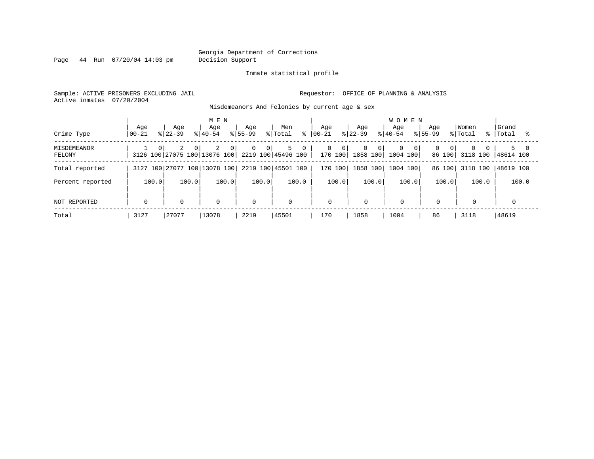Page 44 Run 07/20/04 14:03 pm Decision Support

#### Inmate statistical profile

Sample: ACTIVE PRISONERS EXCLUDING JAIL **Requestor:** OFFICE OF PLANNING & ANALYSIS Active inmates 07/20/2004

Misdemeanors And Felonies by current age & sex

| Crime Type            | Age<br>$00 - 21$ | Aqe<br>$8122 - 39$ | M E N<br>Age<br>$8140 - 54$                                     | Age<br>$8155 - 99$               | Men<br>% Total<br>⊱ | Aqe<br>$ 00-21 $ | Age<br>$ 22-39 $                                          | <b>WOMEN</b><br>Age<br>$8140 - 54$ | Aqe<br>$8155 - 99$                   | Women<br>% Total<br>$\approx$ 1 | Grand<br>Total      |
|-----------------------|------------------|--------------------|-----------------------------------------------------------------|----------------------------------|---------------------|------------------|-----------------------------------------------------------|------------------------------------|--------------------------------------|---------------------------------|---------------------|
| MISDEMEANOR<br>FELONY | $\Omega$         | 2<br>$\Omega$      | 2<br>$\circ$<br>3126 100 27075 100 13076 100 2219 100 45496 100 | $\overline{0}$<br>0 <sup>1</sup> | 5<br>$\mathbf{0}$   | 0<br>- 0 I       | $\Omega$<br>$\overline{0}$<br>170 100  1858 100  1004 100 | $\mathbf 0$<br>$\overline{0}$      | $\Omega$<br>0 <sup>1</sup><br>86 100 | $\Omega$<br>3118 100            | $5 -$<br>148614 100 |
| Total reported        |                  |                    | 3127 100 27077 100 13078 100                                    |                                  | 2219 100 45501 100  | 170 100          | 1858 100                                                  | 1004 100                           | 86 100                               | 3118 100                        | 48619 100           |
| Percent reported      | 100.0            | 100.0              | 100.0                                                           | 100.0                            | 100.0               | 100.0            | 100.0                                                     | 100.0                              | 100.0                                | 100.0                           | 100.0               |
| NOT REPORTED          | $\mathbf 0$      | $\mathbf 0$        | 0                                                               | $\mathbf 0$                      | $\mathbf 0$         | 0                | $\mathbf 0$                                               | $\mathbf 0$                        | $\mathbf 0$                          | 0                               |                     |
| Total                 | 3127             | 27077              | 13078                                                           | 2219                             | 45501               | 170              | 1858                                                      | 1004                               | 86                                   | 3118                            | 48619               |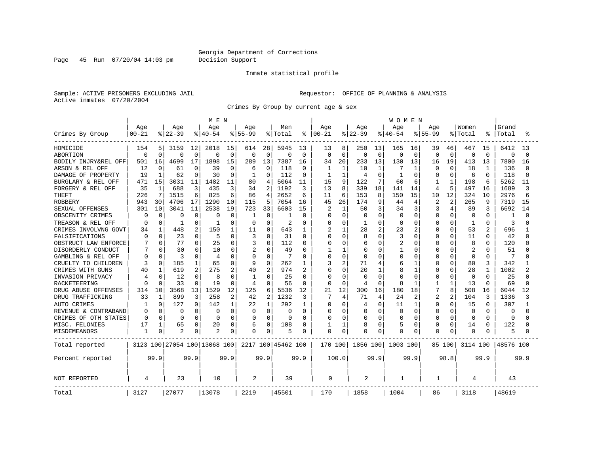Page 45 Run 07/20/04 14:03 pm Decision Support

### Inmate statistical profile

Sample: ACTIVE PRISONERS EXCLUDING JAIL **Requestor:** OFFICE OF PLANNING & ANALYSIS Active inmates 07/20/2004

Crimes By Group by current age & sex

|                      |           |              |          |          | M E N                        |             |              |                |                    |                |           |                |          |              | W O M E N    |              |           |             |          |              |           |          |
|----------------------|-----------|--------------|----------|----------|------------------------------|-------------|--------------|----------------|--------------------|----------------|-----------|----------------|----------|--------------|--------------|--------------|-----------|-------------|----------|--------------|-----------|----------|
|                      | Age       |              | Age      |          | Age                          |             | Age          |                | Men                |                | Age       |                | Age      |              | Age          |              | Age       |             | Women    |              | Grand     |          |
| Crimes By Group      | $00 - 21$ |              | $ 22-39$ |          | $8 40-54$                    |             | $8155 - 99$  |                | % Total            | ႜ              | $00 - 21$ |                | $ 22-39$ |              | $8 40-54$    |              | $8 55-99$ |             | % Total  |              | Total     |          |
| HOMICIDE             | 154       | 5.           | 3159     | 12       | 2018                         | 15          | 614          | 28             | 5945               | 13             | 13        | 8              | 250      | 13           | 165          | 16           | 39        | 46          | 467      | 15           | 6412      | 13       |
| <b>ABORTION</b>      | $\Omega$  | $\Omega$     | $\Omega$ | $\Omega$ | $\Omega$                     | $\mathbf 0$ | $\mathbf 0$  | $\Omega$       | 0                  | $\mathbf 0$    | $\Omega$  | $\mathbf 0$    | $\Omega$ | $\mathbf 0$  | $\mathbf 0$  | $\mathbf 0$  | 0         | $\mathbf 0$ | 0        | $\mathbf 0$  | $\Omega$  | $\Omega$ |
| BODILY INJRY&REL OFF | 501       | 16           | 4699     | 17       | 1898                         | 15          | 289          | 13             | 7387               | 16             | 34        | 20             | 233      | 13           | 130          | 13           | 16        | 19          | 413      | 13           | 7800      | 16       |
| ARSON & REL OFF      | 12        | O            | 61       | $\Omega$ | 39                           | 0           | 6            | $\Omega$       | 118                | 0              |           | $\mathbf{1}$   | 10       | $\mathbf{1}$ |              | 1            | Ω         | $\Omega$    | 18       | 1            | 136       | ∩        |
| DAMAGE OF PROPERTY   | 19        | 1            | 62       | ∩        | 30                           | O           | 1            | ∩              | 112                | 0              | 1         | 1              | 4        | $\cap$       |              | $\Omega$     | Ω         | $\Omega$    | 6        | $\Omega$     | 118       | n        |
| BURGLARY & REL OFF   | 471       | 15           | 3031     | 11       | 1482                         | 11          | 80           | 4              | 5064               | 11             | 15        | 9              | 122      | 7            | 60           | 6            |           | 1           | 198      | 6            | 5262      | 11       |
| FORGERY & REL OFF    | 35        | $\mathbf 1$  | 688      | 3        | 435                          | 3           | 34           | 2              | 1192               | 3              | 13        | 8              | 339      | 18           | 141          | 14           | 4         | 5           | 497      | 16           | 1689      | 3        |
| <b>THEFT</b>         | 226       | 7            | 1515     | 6        | 825                          | 6           | 86           | 4              | 2652               | 6              | 11        | 6              | 153      | 8            | 150          | 15           | 10        | 12          | 324      | 10           | 2976      | 6        |
| <b>ROBBERY</b>       | 943       | 30           | 4706     | 17       | 1290                         | 10          | 115          | 5              | 7054               | 16             | 45        | 26             | 174      | 9            | 44           | 4            | 2         | 2           | 265      | 9            | 7319      | 15       |
| SEXUAL OFFENSES      | 301       | 10           | 3041     | 11       | 2538                         | 19          | 723          | 33             | 6603               | 15             |           | $\mathbf{1}$   | 50       | 3            | 34           | 3            | 3         | 4           | 89       | 3            | 6692      | 14       |
| OBSCENITY CRIMES     | 0         | $\Omega$     | 0        | 0        | O                            | $\Omega$    | -1           | 0              | 1                  | $\Omega$       | O         | $\Omega$       | $\Omega$ | $\Omega$     | $\Omega$     | $\Omega$     | 0         | $\Omega$    | $\Omega$ | $\Omega$     | 1         | ∩        |
| TREASON & REL OFF    | n         | $\Omega$     | -1       | $\Omega$ |                              | O           | $\Omega$     | U              | 2                  | 0              | O         | $\Omega$       |          | $\Omega$     | O            | 0            | 0         | $\Omega$    | 1        | $\Omega$     | 3         |          |
| CRIMES INVOLVNG GOVT | 34        |              | 448      | 2        | 150                          |             | 11           | 0              | 643                | 1              | 2         | 1              | 28       | 2            | 23           | 2            | 0         | 0           | 53       | 2            | 696       |          |
| FALSIFICATIONS       | $\Omega$  | $\Omega$     | 23       | 0        | 5                            | $\Omega$    | 3            | 0              | 31                 | $\Omega$       | Λ         | $\Omega$       | 8        | $\Omega$     | 3            | $\Omega$     | 0         | $\Omega$    | 11       | $\Omega$     | 42        |          |
| OBSTRUCT LAW ENFORCE |           | $\Omega$     | 77       | 0        | 25                           | 0           | 3            | O              | 112                | 0              | O         | 0              | 6        | $\Omega$     | 2            | 0            | Ω         | $\Omega$    | 8        | 0            | 120       |          |
| DISORDERLY CONDUCT   |           | 0            | 30       | 0        | 10                           | $\Omega$    | 2            | U              | 49                 | 0              |           | 1              | C        | O            |              | 0            |           | $\Omega$    | 2        | O            | 51        |          |
| GAMBLING & REL OFF   | O         | $\Omega$     | 3        | $\Omega$ | 4                            | 0           | $\Omega$     | $\Omega$       | 7                  | $\Omega$       | $\Omega$  | $\Omega$       | $\Omega$ | ∩            | Ω            | $\Omega$     | Ω         | $\Omega$    | $\Omega$ | $\Omega$     | 7         |          |
| CRUELTY TO CHILDREN  | 3         | $\Omega$     | 185      | 1        | 65                           | $\Omega$    | 9            | 0              | 262                | 1              | 3         | $\overline{2}$ | 71       | 4            | 6            | $\mathbf{1}$ | 0         | $\Omega$    | 80       | 3            | 342       |          |
| CRIMES WITH GUNS     | 40        | 1            | 619      | 2        | 275                          | 2           | 40           | 2              | 974                | $\overline{2}$ | Ω         | $\Omega$       | 20       | $\mathbf{1}$ | 8            | $\mathbf{1}$ | O         | $\Omega$    | 28       | $\mathbf{1}$ | 1002      |          |
| INVASION PRIVACY     | 4         | $\Omega$     | 12       | $\Omega$ | 8                            | $\Omega$    | $\mathbf{1}$ | <sup>0</sup>   | 25                 | $\Omega$       | $\Omega$  | $\Omega$       | $\Omega$ | $\Omega$     | Ω            | $\Omega$     | O         | $\Omega$    | $\Omega$ | $\Omega$     | 25        | U        |
| RACKETEERING         | n         |              | 33       | $\Omega$ | 19                           | $\Omega$    | 4            | O              | 56                 | 0              |           | 0              | 4        | $\Omega$     | 8            | -1           |           | 1           | 13       | $\Omega$     | 69        |          |
| DRUG ABUSE OFFENSES  | 314       | 10           | 3568     | 13       | 1529                         | 12          | 125          | 6              | 5536               | 12             | 21        | 12             | 300      | 16           | 180          | 18           |           | 8           | 508      | 16           | 6044      | 12       |
| DRUG TRAFFICKING     | 33        | $\mathbf{1}$ | 899      | 3        | 258                          | 2           | 42           | $\overline{2}$ | 1232               | 3              | 7         | 4              | 71       | 4            | 24           | 2            | 2         | 2           | 104      | 3            | 1336      |          |
| <b>AUTO CRIMES</b>   |           | $\Omega$     | 127      | $\Omega$ | 142                          | 1           | 22           | $\mathbf{1}$   | 292                | 1              | 0         | $\Omega$       | 4        | $\Omega$     | 11           | $\mathbf{1}$ | 0         | $\Omega$    | 15       | 0            | 307       |          |
| REVENUE & CONTRABAND | 0         | $\Omega$     | 0        | $\Omega$ | 0                            | $\Omega$    | 0            | $\Omega$       | 0                  | $\Omega$       | O         | $\Omega$       | $\Omega$ | $\Omega$     | $\Omega$     | $\mathbf 0$  | 0         | $\Omega$    | $\Omega$ | $\Omega$     | $\Omega$  |          |
| CRIMES OF OTH STATES | $\Omega$  | $\Omega$     | $\Omega$ | $\Omega$ | $\Omega$                     | $\Omega$    | $\Omega$     | O              | $\Omega$           | $\Omega$       | $\Omega$  | $\Omega$       | O        | $\Omega$     | O            | $\Omega$     | O         | $\Omega$    | $\Omega$ | $\Omega$     | $\Omega$  |          |
| MISC. FELONIES       | 17        |              | 65       | 0        | 20                           | 0           | 6            | 0              | 108                | 0              |           | 1              | 8        | $\Omega$     | 5            | $\mathbf 0$  | 0         | $\Omega$    | 14       | 0            | 122       |          |
| MISDEMEANORS         | 1         | 0            |          |          | $\overline{c}$               | 0           | 0            | 0              | 5                  | 0              | $\Omega$  | 0              |          | 0            | U            | 0            | O         | $\Omega$    | $\Omega$ | O            | 5         |          |
| Total reported       |           |              |          |          | 3123 100 27054 100 13068 100 |             |              |                | 2217 100 45462 100 |                | 170 100   |                | 1856 100 |              | 1003 100     |              |           | 85 100      | 3114 100 |              | 48576 100 |          |
| Percent reported     |           | 99.9         |          | 99.9     |                              | 99.9        |              | 99.9           |                    | 99.9           |           | 100.0          |          | 99.9         |              | 99.9         |           | 98.8        |          | 99.9         |           | 99.9     |
| NOT REPORTED         | 4         |              | 23       |          | 10                           |             | 2            |                | 39                 |                | 0         |                | 2        |              | $\mathbf{1}$ |              | 1         |             | 4        |              | 43        |          |
| Total                | 3127      |              | 27077    |          | 13078                        |             | 2219         |                | 45501              |                | 170       |                | 1858     |              | 1004         |              | 86        |             | 3118     |              | 48619     |          |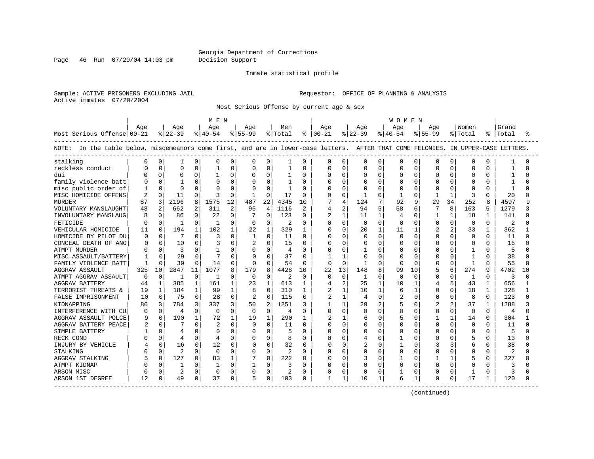Page 46 Run 07/20/04 14:03 pm Decision Support

#### Inmate statistical profile

Sample: ACTIVE PRISONERS EXCLUDING JAIL **Requestor:** OFFICE OF PLANNING & ANALYSIS Active inmates 07/20/2004

Most Serious Offense by current age & sex

|                                                                                                                                   |                |              |                |              | M E N          |              |              |                |         |              |                |                |              |              | W O M E N      |              |              |              |          |              |           |          |
|-----------------------------------------------------------------------------------------------------------------------------------|----------------|--------------|----------------|--------------|----------------|--------------|--------------|----------------|---------|--------------|----------------|----------------|--------------|--------------|----------------|--------------|--------------|--------------|----------|--------------|-----------|----------|
|                                                                                                                                   | Age            |              | Age            |              | Age            |              | Aqe          |                | Men     |              | Age            |                | Age          |              | Aqe            |              | Aqe          |              | Women    |              | Grand     |          |
| Most Serious Offense 00-21                                                                                                        |                |              | $ 22-39 $      |              | $ 40-54 $      |              | $ 55-99$     |                | % Total |              | $8   00 - 21$  |                | $ 22-39 $    |              | $8 40-54$      |              | $8155 - 99$  |              | % Total  |              | %   Total |          |
| NOTE: In the table below, misdemeanors come first, and are in lower-case letters. AFTER THAT COME FELONIES, IN UPPER-CASE LETTERS |                |              |                |              |                |              |              |                |         |              |                |                |              |              |                |              |              |              |          |              |           |          |
| stalking                                                                                                                          | 0              | 0            |                | 0            | 0              | 0            | O            | 0              | 1       | 0            | 0              | 0              | 0            | $\Omega$     | $\Omega$       | $\Omega$     | 0            | 0            | 0        | 0            |           | O        |
| reckless conduct                                                                                                                  |                | 0            | $\Omega$       | $\Omega$     |                | 0            | $\Omega$     | $\Omega$       |         | $\Omega$     | O              | U              | $\Omega$     | $\Omega$     | $\cap$         | $\Omega$     | O            | 0            | $\Omega$ | U            |           | ∩        |
| dui                                                                                                                               |                | $\cap$       | $\cap$         | 0            | $\mathbf{1}$   | 0            | $\Omega$     | $\Omega$       | -1      | $\Omega$     | U              | $\Omega$       | U            | 0            | $\cap$         | $\Omega$     | $\Omega$     | $\Omega$     | $\Omega$ | U            |           |          |
| family violence batt                                                                                                              |                | $\Omega$     | -1             | U            |                | $\Omega$     | $\Omega$     | $\Omega$       | 1       | $\Omega$     | O              | $\Omega$       | O            | $\Omega$     | $\Omega$       | $\Omega$     | $\Omega$     | $\Omega$     | $\Omega$ | O            |           |          |
| misc public order of                                                                                                              |                | 0            | $\Omega$       | $\cap$       |                | $\mathbf 0$  |              | $\Omega$       |         | $\Omega$     | O              | U              | O            |              | $\Omega$       | $\Omega$     |              | 0            | $\Omega$ | U            |           |          |
| MISC HOMICIDE OFFENS                                                                                                              | $\overline{2}$ | $\Omega$     | 11             | 0            | κ              | $\Omega$     | $\mathbf{1}$ | $\Omega$       | 17      | $\Omega$     | U              | $\Omega$       | $\mathbf{1}$ | $\cap$       | $\mathbf{1}$   | $\Omega$     | $\mathbf{1}$ | 1            | 3        | $\Omega$     | 20        | ∩        |
| <b>MURDER</b>                                                                                                                     | 87             | 3            | 2196           | 8            | 1575           | 12           | 487          | 22             | 4345    | 10           | 7              | 4              | 124          | 7            | 92             | 9            | 29           | 34           | 252      | 8            | 4597      |          |
| VOLUNTARY MANSLAUGHT                                                                                                              | 48             | 2            | 662            | 2            | 311            | 2            | 95           | 4              | 1116    | 2            | 4              | $\overline{c}$ | 94           | 5            | 58             | 6            |              | 8            | 163      | 5            | 1279      | 3        |
| INVOLUNTARY MANSLAUG                                                                                                              | 8              | $\Omega$     | 86             | 0            | 22             | $\Omega$     | 7            | $\Omega$       | 123     | <sup>0</sup> | 2              | $\mathbf{1}$   | 11           | $\mathbf{1}$ | $\overline{4}$ | $\Omega$     | 1            | 1            | 18       | 1            | 141       | ∩        |
| FETICIDE                                                                                                                          | O              | $\Omega$     | $\mathbf{1}$   | 0            | -1             | O            | $\Omega$     | $\Omega$       | 2       | $\Omega$     | U              | $\Omega$       | $\Omega$     | $\Omega$     | $\Omega$       | $\Omega$     | $\Omega$     | $\Omega$     | $\Omega$ | $\Omega$     | 2         | ∩        |
| VEHICULAR HOMICIDE                                                                                                                | 11             | $\Omega$     | 194            | $\mathbf{1}$ | 102            | 1            | 22           | $\mathbf{1}$   | 329     | -1           | $\Omega$       | $\Omega$       | 20           | $\mathbf{1}$ | 11             | 1            | 2            | 2            | 33       | 1            | 362       |          |
| HOMICIDE BY PILOT DU                                                                                                              | 0              | 0            |                | 0            | 3              | 0            | 1            | $\mathbf 0$    | 11      | $\Omega$     | 0              | $\Omega$       | <sup>0</sup> | $\Omega$     | $\mathbf 0$    | $\Omega$     | O            | 0            | 0        | $\Omega$     | 11        | ∩        |
| CONCEAL DEATH OF ANO                                                                                                              |                | $\Omega$     | 10             | $\Omega$     | 3              | $\Omega$     | 2            | $\Omega$       | 15      | $\Omega$     | $\Omega$       | O              | $\Omega$     | $\Omega$     | $\Omega$       | <sup>0</sup> | $\Omega$     | $\Omega$     | $\Omega$ | O            | 15        |          |
| <b>ATMPT MURDER</b>                                                                                                               |                | $\Omega$     | 3              | 0            |                | 0            | 0            | $\Omega$       | 4       | <sup>0</sup> | O              | 0              |              |              | $\cap$         | $\Omega$     | ∩            | 0            | -1       | 0            | 5         | ∩        |
| MISC ASSAULT/BATTERY                                                                                                              |                | O            | 29             | $\Omega$     |                | $\Omega$     | $\Omega$     | $\Omega$       | 37      | $\Omega$     |                |                |              |              | $\sqrt{ }$     |              | O            | $\Omega$     |          | O            | 38        |          |
| FAMILY VIOLENCE BATT                                                                                                              | -1             | $\Omega$     | 39             | $\Omega$     | 14             | $\Omega$     | $\cap$       | $\Omega$       | 54      | ∩            | $\Omega$       | $\Omega$       | -1           |              | $\sqrt{ }$     |              | O            | $\Omega$     | -1       | U            | 55        | ∩        |
| AGGRAV ASSAULT                                                                                                                    | 325            | 10           | 2847           | 11           | 1077           | $\mathsf{R}$ | 179          | 8              | 4428    | 10           | 22             | 13             | 148          | 8            | 99             | 10           | 5            | 6            | 274      | 9            | 4702      | 10       |
| ATMPT AGGRAV ASSAULT                                                                                                              | 0              | $\Omega$     | -1             | 0            | 1              | 0            | $\Omega$     | $\Omega$       | 2       | $\Omega$     | 0              | $\Omega$       | $\mathbf{1}$ | $\Omega$     | $\Omega$       | $\Omega$     | $\Omega$     | $\Omega$     | 1        | 0            | 3         | $\Omega$ |
| <b>AGGRAV BATTERY</b>                                                                                                             | 44             | $\mathbf 1$  | 385            | $\mathbf 1$  | 161            | 1            | 23           | $\mathbf{1}$   | 613     | 1            | 4              | 2              | 25           | $\mathbf{1}$ | 10             |              | 4            | 5            | 43       | $\mathbf{1}$ | 656       |          |
| TERRORIST THREATS &                                                                                                               | 19             | $\mathbf{1}$ | 184            | $\mathbf{1}$ | 99             | $\mathbf{1}$ | 8            | $\Omega$       | 310     | $\mathbf{1}$ | $\overline{c}$ | 1              | 10           | $\mathbf{1}$ | 6              | 1            | $\Omega$     | $\Omega$     | 18       | 1            | 328       | 1        |
| FALSE IMPRISONMENT                                                                                                                | 10             | 0            | 75             | $\Omega$     | 28             | 0            | 2            | $\Omega$       | 115     | $\Omega$     | $\overline{2}$ | 1              | 4            | $\Omega$     | 2              | $\Omega$     | $\Omega$     | 0            | 8        | $\Omega$     | 123       | $\cap$   |
| KIDNAPPING                                                                                                                        | 80             | 3            | 784            | 3            | 337            | 3            | 50           | $\overline{2}$ | 1251    | 3            |                | 1              | 29           |              | 5              | $\Omega$     |              | 2            | 37       | 1            | 1288      |          |
| INTERFERENCE WITH CU                                                                                                              | 0              | $\Omega$     | 4              | $\Omega$     | $\Omega$       | $\Omega$     | $\Omega$     | $\Omega$       | 4       | $\Omega$     | 0              | $\Omega$       | $\Omega$     |              | $\cap$         | $\Omega$     | $\sqrt{ }$   | $\Omega$     | $\Omega$ | O            | 4         | $\cap$   |
| AGGRAV ASSAULT POLCE                                                                                                              |                | $\Omega$     | 190            | $\mathbf{1}$ | 72             | 1            | 19           | 1              | 290     | $\mathbf{1}$ | 2              | $\mathbf{1}$   | 6            | <sup>n</sup> | $\overline{a}$ | U            |              | $\mathbf{1}$ | 14       | $\Omega$     | 304       |          |
| AGGRAV BATTERY PEACE                                                                                                              |                | $\Omega$     |                | $\Omega$     | $\overline{c}$ | $\Omega$     | $\Omega$     | $\Omega$       | 11      | $\Omega$     | $\Omega$       | $\Omega$       | $\Omega$     | $\Omega$     | $\Omega$       | $\Omega$     | O            | $\Omega$     | $\Omega$ | 0            | 11        | $\cap$   |
| SIMPLE BATTERY                                                                                                                    |                | $\Omega$     | 4              | 0            | <sup>0</sup>   | $\mathbf 0$  | $\Omega$     | $\mathbf 0$    | 5       | $\Omega$     | O              | $\Omega$       | O            | <sup>0</sup> | $\Omega$       | $\Omega$     | $\Omega$     | 0            | $\Omega$ | 0            | 5         |          |
| RECK COND                                                                                                                         |                | $\Omega$     | 4              | $\Omega$     | 4              | $\Omega$     | $\Omega$     | $\Omega$       | 8       | $\Omega$     | U              | $\Omega$       | 4            | $\Omega$     |                | $\Omega$     | $\bigcap$    | $\Omega$     | 5        | U            | 13        | ∩        |
| INJURY BY VEHICLE                                                                                                                 |                | $\Omega$     | 16             | 0            | 12             | 0            | 0            | $\Omega$       | 32      | $\Omega$     | O              | $\Omega$       | 2            | $\Omega$     | -1             | O            |              | 3            | 6        | 0            | 38        | U        |
| STALKING                                                                                                                          |                | <sup>0</sup> | $\overline{c}$ | $\Omega$     | $\Omega$       | $\Omega$     |              | $\Omega$       | 2       | $\Omega$     | $\Omega$       | $\Omega$       | $\Omega$     |              | $\Omega$       | $\Omega$     |              | $\Omega$     | O        | O            | 2         |          |
| AGGRAV STALKING                                                                                                                   |                | $\Omega$     | 127            | $\Omega$     | 83             | 1            |              | $\Omega$       | 222     | $\Omega$     | U              | $\Omega$       |              | $\Omega$     |                | $\Omega$     |              | 1            | 5        | U            | 227       | ∩        |
| ATMPT KIDNAP                                                                                                                      |                | <sup>0</sup> | -1             | $\Omega$     | $\mathbf{1}$   | $\Omega$     |              | $\Omega$       | 3       | <sup>0</sup> | U              | $\Omega$       | $\cap$       | <sup>0</sup> | $\cap$         | $\Omega$     | $\Omega$     | $\Omega$     | $\Omega$ | 0            | 3         |          |
| ARSON MISC                                                                                                                        |                | 0            | 2              | $\Omega$     | $\Omega$       | $\Omega$     | $\Omega$     | $\Omega$       | 2       | $\cap$       | 0              | $\Omega$       | $\Omega$     | $\Omega$     |                | $\Omega$     | 0            | $\Omega$     | 1        | 0            | 3         |          |
| ARSON 1ST DEGREE                                                                                                                  | 12             | 0            | 49             | 0            | 37             | 0            |              | $\mathbf 0$    | 103     | 0            | $\mathbf{1}$   |                | 10           | 1            | 6              |              | $\Omega$     | 0            | 17       |              | 120       | U        |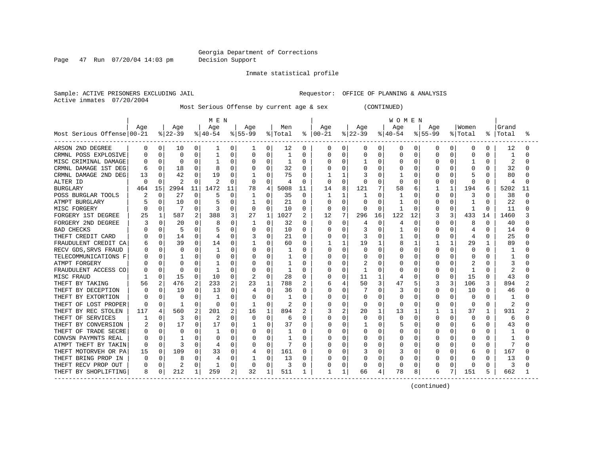Page 47 Run 07/20/04 14:03 pm Decision Support

#### Inmate statistical profile

Sample: ACTIVE PRISONERS EXCLUDING JAIL **Requestor:** OFFICE OF PLANNING & ANALYSIS Active inmates 07/20/2004

Most Serious Offense by current age & sex (CONTINUED)

|                            |     |              |          |             | M E N    |             |              |              |         |             |              |              |          |                | <b>WOMEN</b> |          |             |          |              |              |       |    |
|----------------------------|-----|--------------|----------|-------------|----------|-------------|--------------|--------------|---------|-------------|--------------|--------------|----------|----------------|--------------|----------|-------------|----------|--------------|--------------|-------|----|
|                            | Age |              | Age      |             | Age      |             | Age          |              | Men     |             | Age          |              | Age      |                | Age          |          | Age         |          | Women        |              | Grand |    |
| Most Serious Offense 00-21 |     |              | $ 22-39$ |             | $ 40-54$ |             | $8 55-99$    |              | % Total | ႜၟ          | $ 00-21$     |              | $ 22-39$ |                | $ 40-54 $    |          | $8155 - 99$ |          | % Total      | ႜ            | Total |    |
| ARSON 2ND DEGREE           | 0   | 0            | 10       | 0           | 1        | 0           | ı            | 0            | 12      | 0           | 0            | 0            | 0        | $\overline{0}$ | 0            | 0        | 0           | 0        | 0            | 0            | 12    |    |
| CRMNL POSS EXPLOSIVE       |     | $\Omega$     | 0        | 0           |          | 0           | 0            | $\Omega$     | 1       | 0           |              | $\Omega$     | 0        | $\mathbf 0$    | 0            | 0        | 0           | 0        | 0            | O            | 1     |    |
| MISC CRIMINAL DAMAGE       |     | 0            | $\Omega$ | 0           |          | 0           | 0            | 0            |         | $\Omega$    |              | $\Omega$     |          | 0              | 0            | 0        | U           | 0        |              | O            |       |    |
| CRMNL DAMAGE 1ST DEG       | 6   | 0            | 18       | O           |          | O           | O            | O            | 32      | $\Omega$    |              | $\Omega$     | U        | $\Omega$       | U            | $\Omega$ |             | O        | U            | <sup>0</sup> | 32    |    |
| CRMNL DAMAGE 2ND DEG       | 13  | 0            | 42       | 0           | 19       | $\Omega$    |              | O            | 75      | $\Omega$    |              | $\mathbf{1}$ |          | U              |              | $\Omega$ |             | $\Omega$ | 5            | 0            | 80    |    |
| ALTER ID                   | n   | <sup>0</sup> | 2        | O           |          | O           | 0            | $\Omega$     | 4       | $\Omega$    | $\Omega$     | $\Omega$     | U        | $\Omega$       | $\Omega$     | $\Omega$ | 0           | $\Omega$ | $\Omega$     | $\Omega$     | 4     |    |
| <b>BURGLARY</b>            | 464 | 15           | 2994     | 11          | 1472     | 11          | 78           | 4            | 5008    | 11          | 14           | 8            | 121      | 7              | 58           | 6        |             | 1        | 194          | 6            | 5202  | 11 |
| POSS BURGLAR TOOLS         |     | 0            | 27       | 0           | 5        | $\mathbf 0$ |              | 0            | 35      | $\mathbf 0$ |              | 1            |          | $\mathbf 0$    |              | 0        | 0           | 0        | 3            | $\Omega$     | 38    |    |
| ATMPT BURGLARY             |     | $\Omega$     | 10       | O           |          | 0           | 1            | O            | 21      | $\Omega$    | <sup>0</sup> | $\Omega$     | U        | $\Omega$       |              | $\Omega$ | 0           | O        | $\mathbf{1}$ | $\Omega$     | 22    |    |
| MISC FORGERY               |     | $\Omega$     | 7        | 0           |          | 0           | 0            | $\Omega$     | 10      | $\Omega$    | 0            | $\Omega$     | ∩        | $\Omega$       |              | $\Omega$ | 0           | $\Omega$ | 1            | $\Omega$     | 11    |    |
| FORGERY 1ST DEGREE         | 25  | 1            | 587      | 2           | 388      | 3           | 27           | 1            | 1027    | 2           | 12           | 7            | 296      | 16             | 122          | 12       | 3           | 3        | 433          | 14           | 1460  |    |
| FORGERY 2ND DEGREE         |     | $\Omega$     | 20       | 0           | 8        | 0           |              | $\Omega$     | 32      | $\Omega$    | 0            | 0            | 4        | 0              | 4            | 0        | U           | O        | 8            | $\Omega$     | 40    |    |
| <b>BAD CHECKS</b>          |     | 0            | 5        | 0           |          | 0           | 0            | $\Omega$     | 10      | $\Omega$    | N            | $\Omega$     | 3        | $\Omega$       |              | 0        | U           | O        | 4            | $\Omega$     | 14    |    |
| THEFT CREDIT CARD          |     | 0            | 14       | $\Omega$    |          | 0           | 3            | $\Omega$     | 21      | 0           | 0            | $\Omega$     | 3        | $\Omega$       |              | 0        | 0           | 0        | 4            | $\Omega$     | 25    |    |
| FRAUDULENT CREDIT CA       |     | 0            | 39       | 0           | 14       | 0           |              | $\Omega$     | 60      | $\Omega$    |              | 1            | 19       | 1              | 8            | 1        |             |          | 29           |              | 89    |    |
| RECV GDS, SRVS FRAUD       |     | 0            | $\Omega$ | U           |          | O           |              | O            |         | O           | Ω            | 0            | U        | $\Omega$       |              | ∩        |             | C        | O            |              |       |    |
| TELECOMMUNICATIONS F       |     | U            |          | U           |          | U           |              | $\Omega$     |         | U           | U            | $\Omega$     | C        | <sup>0</sup>   | Λ            | $\Omega$ |             | C        | O            |              |       |    |
| ATMPT FORGERY              |     | U            | O        | 0           |          | U           | O            | O            |         | O           |              | $\Omega$     |          | 0              | O            | $\Omega$ |             | U        | 2            | U            |       |    |
| FRAUDULENT ACCESS CO       |     | $\Omega$     | O        | 0           | -1       | O           | O            | $\Omega$     |         | 0           |              | $\Omega$     |          | 0              | O            | $\Omega$ | 0           | $\Omega$ | 1            | 0            | 2     |    |
| MISC FRAUD                 |     | 0            | 15       | 0           | 10       | $\Omega$    | 2            | $\Omega$     | 28      | $\Omega$    |              | 0            | 11       | 1              | 4            | 0        | 0           | 0        | 15           | $\Omega$     | 43    |    |
| THEFT BY TAKING            | 56  | 2            | 476      | 2           | 233      | 2           | 23           | 1            | 788     | 2           |              | 4            | 50       | 3              | 47           | 5        | 3           | 3        | 106          | 3            | 894   |    |
| THEFT BY DECEPTION         |     | 0            | 19       | $\mathbf 0$ | 13       | 0           | 4            | $\mathbf 0$  | 36      | $\Omega$    |              | 0            |          | $\Omega$       | 3            | $\Omega$ | 0           | $\Omega$ | 10           | U            | 46    |    |
| THEFT BY EXTORTION         |     | $\Omega$     | $\Omega$ | 0           |          | 0           | $\Omega$     | $\Omega$     | 1       | 0           | Λ            | $\Omega$     | C        | $\Omega$       | O            | $\Omega$ | U           | O        | $\Omega$     | 0            |       |    |
| THEFT OF LOST PROPER       | U   | 0            | -1       | 0           | $\Omega$ | 0           |              | 0            |         | $\Omega$    |              | 0            | 0        | $\Omega$       | O            | $\Omega$ | 0           | $\Omega$ | 0            | $\Omega$     | 2     |    |
| THEFT BY REC STOLEN        | 117 | 4            | 560      | 2           | 201      | 2           | 16           | $\mathbf{1}$ | 894     | 2           |              | 2            | 20       | $\mathbf{1}$   | 13           | 1        |             | -1       | 37           | 1            | 931   |    |
| THEFT OF SERVICES          |     | 0            | 3        | 0           | 2        | U           | $\Omega$     | $\mathbf 0$  | 6       | 0           | Ω            | $\Omega$     | 0        | $\mathbf 0$    | $\Omega$     | $\Omega$ | 0           | 0        | 0            | 0            | 6     |    |
| THEFT BY CONVERSION        |     | 0            | 17       | 0           | 17       | 0           |              | 0            | 37      | 0           | Ω            | 0            |          | $\Omega$       | 5            | $\Omega$ | O           | O        | 6            | O            | 43    |    |
| THEFT OF TRADE SECRE       |     | 0            | $\Omega$ | 0           |          | 0           |              | $\Omega$     |         | O           |              | $\Omega$     | O        | $\Omega$       | Ω            | $\Omega$ |             | 0        | 0            |              |       |    |
| CONVSN PAYMNTS REAL        |     | 0            |          | U           |          | 0           |              | $\Omega$     |         | O           |              | 0            |          | $\Omega$       | Ω            | $\Omega$ |             | C        | O            | U            |       |    |
| ATMPT THEFT BY TAKIN       | O   | $\Omega$     |          | U           | 4        | O           | <sup>0</sup> | $\Omega$     |         | O           |              | $\Omega$     | C        | $\Omega$       | Ω            | $\Omega$ |             | C        | O            | O            | 7     |    |
| THEFT MOTORVEH OR PA       | 15  | $\Omega$     | 109      | 0           | 33       | 0           |              | $\Omega$     | 161     | O           | Ω            | 0            | 3        | $\Omega$       | 3            | $\Omega$ |             | O        | 6            | $\Omega$     | 167   |    |
| THEFT BRING PROP IN        |     | 0            | 8        | U           |          | 0           |              | 0            | 13      | O           | Ω            | $\Omega$     | U        | $\Omega$       | O            | $\Omega$ | U           | C        | O            | $\Omega$     | 13    |    |
| THEFT RECV PROP OUT        |     | $\Omega$     | 2        | 0           | 1        | $\Omega$    | $\Omega$     | $\Omega$     | 3       | 0           |              | $\Omega$     | 0        | $\Omega$       | 0            | 0        |             | $\Omega$ | 0            | 0            | 3     |    |
| THEFT BY SHOPLIFTING       | 8   | 0            | 212      | 1           | 259      | 2           | 32           | 1            | 511     |             |              | 1            | 66       | 4              | 78           | 8        | 6           | 7        | 151          | 5            | 662   |    |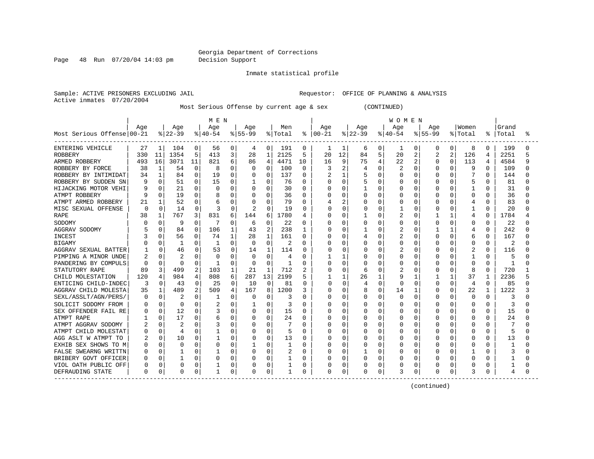Page 48 Run 07/20/04 14:03 pm Decision Support

#### Inmate statistical profile

Sample: ACTIVE PRISONERS EXCLUDING JAIL **Requestor:** OFFICE OF PLANNING & ANALYSIS Active inmates 07/20/2004

Most Serious Offense by current age & sex (CONTINUED)

|                            |     |              |                |              | M E N        |                |             |                |         |              |               |               |           |              | <b>WOMEN</b> |                |             |          |          |              |       |  |
|----------------------------|-----|--------------|----------------|--------------|--------------|----------------|-------------|----------------|---------|--------------|---------------|---------------|-----------|--------------|--------------|----------------|-------------|----------|----------|--------------|-------|--|
|                            | Age |              | Age            |              | Age          |                | Age         |                | Men     |              | Age           |               | Age       |              | Age          |                | Age         |          | Women    |              | Grand |  |
| Most Serious Offense 00-21 |     |              | $ 22-39$       |              | $ 40-54$     |                | $8155 - 99$ |                | % Total |              | $8   00 - 21$ |               | $ 22-39 $ |              | $ 40-54$     |                | $8155 - 99$ |          | % Total  | ႜ            | Total |  |
| ENTERING VEHICLE           | 27  |              | 104            | 0            | 56           | 0              | 4           | 0              | 191     | 0            | 1             | 1             | 6         | $\circ$      | 1            | 0              | 0           | 0        | 8        | 0            | 199   |  |
| <b>ROBBERY</b>             | 330 | 11           | 1354           | 5            | 413          | 3              | 28          | 1              | 2125    | 5            | 20            | 12            | 84        | 5            | 20           | 2              | 2           | 2        | 126      | 4            | 2251  |  |
| ARMED ROBBERY              | 493 | 16           | 3071           | 11           | 821          | 6              | 86          | 4              | 4471    | 10           | 16            | 9             | 75        | 4            | 22           | $\overline{2}$ | 0           | $\Omega$ | 113      | 4            | 4584  |  |
| ROBBERY BY FORCE           | 38  | 1            | 54             | $\Omega$     |              | O              | O           | O              | 100     | 0            | 3             | $\mathcal{D}$ |           | $\Omega$     | 2            | $\Omega$       | U           | n        | 9        | 0            | 109   |  |
| ROBBERY BY INTIMIDAT       | 34  | 1            | 84             | $\Omega$     | 19           | 0              | 0           | $\Omega$       | 137     | 0            |               | $\mathbf{1}$  |           | $\Omega$     | O            | $\Omega$       | U           | $\Omega$ | 7        | 0            | 144   |  |
| ROBBERY BY SUDDEN SN       |     | $\Omega$     | 51             | 0            | 15           | O              |             | 0              | 76      | $\Omega$     | 0             | $\Omega$      |           | $\Omega$     | 0            | $\Omega$       | U           | $\Omega$ | 5        | 0            | 81    |  |
| HIJACKING MOTOR VEHI       |     | $\Omega$     | 21             | $\Omega$     | O            | 0              | 0           | 0              | 30      | $\Omega$     |               | $\Omega$      |           | $\Omega$     | Ω            | 0              |             | $\Omega$ | 1        | 0            | 31    |  |
| ATMPT ROBBERY              |     | $\Omega$     | 19             | 0            |              | 0              |             | 0              | 36      | 0            |               | $\Omega$      |           | $\mathbf 0$  | Ω            | 0              |             | 0        | $\Omega$ | $\Omega$     | 36    |  |
| ATMPT ARMED ROBBERY        | 21  |              | 52             | $\Omega$     | 6            | 0              | 0           | $\Omega$       | 79      | 0            |               | 2             | O         | $\Omega$     | Ω            | $\Omega$       |             | $\Omega$ | 4        | 0            | 83    |  |
| MISC SEXUAL OFFENSE        | O   | $\Omega$     | 14             | $\Omega$     |              | $\Omega$       | 2           | $\Omega$       | 19      | 0            | ი             | $\Omega$      | 0         | $\Omega$     |              | 0              | 0           | O        | 1        | $\Omega$     | 20    |  |
| <b>RAPE</b>                | 38  | 1            | 767            | 3            | 831          | 6              | 144         | 6              | 1780    | 4            | O             | 0             |           | 0            | 2            | 0              |             |          | 4        | O            | 1784  |  |
| SODOMY                     |     | O            | 9              | 0            | 7            | 0              | 6           | 0              | 22      | 0            | Λ             | 0             |           | $\Omega$     | U            | 0              | 0           | $\Omega$ | 0        | $\Omega$     | 22    |  |
| AGGRAV SODOMY              |     | 0            | 84             | 0            | 106          | 1              | 43          | $\overline{2}$ | 238     | 1            | O             | 0             |           | $\Omega$     | 2            | $\Omega$       |             |          | 4        | 0            | 242   |  |
| <b>INCEST</b>              |     |              | 56             | $\Omega$     | 74           |                | 28          | 1              | 161     | 0            |               | $\Omega$      |           | $\Omega$     | 2            | 0              |             | 0        | 6        | O            | 167   |  |
| <b>BIGAMY</b>              |     |              | 1              | 0            |              | 0              | 0           | 0              | 2       | 0            |               | 0             |           | $\Omega$     | Ω            | 0              |             | O        | $\Omega$ | 0            | 2     |  |
| AGGRAV SEXUAL BATTER       |     | O            | 46             | $\Omega$     | 53           | 0              | 14          | 1              | 114     | $\Omega$     | Ω             | 0             |           | $\Omega$     |              | n              | U           |          |          | $\Omega$     | 116   |  |
| PIMPING A MINOR UNDE       |     |              | $\overline{2}$ | 0            | ∩            | O              | $\Omega$    | U              | 4       | <sup>0</sup> |               | -1            | U         | <sup>0</sup> | O            | $\Omega$       |             |          | 1        | U            | 5     |  |
| PANDERING BY COMPULS       | ∩   | 0            | $\Omega$       | O            | -1           | O              | $\Omega$    | U              |         | O            | Ω             | $\Omega$      | C         | <sup>0</sup> | U            | $\Omega$       |             | O        | $\Omega$ | <sup>0</sup> | -1    |  |
| STATUTORY RAPE             | 89  | 3            | 499            | 2            | 103          | 1              | 21          | 1              | 712     | 2            | Ω             | $\Omega$      | 6         | $\Omega$     |              | $\Omega$       | 0           | O        | 8        | $\Omega$     | 720   |  |
| CHILD MOLESTATION          | 120 | 4            | 984            | 4            | 808          | 6              | 287         | 13             | 2199    | 5            |               | 1             | 26        | 1            | 9            |                |             |          | 37       | -1           | 2236  |  |
| ENTICING CHILD-INDEC       | 3   | <sup>0</sup> | 43             | $\Omega$     | 25           | $\mathbf 0$    | 10          | $\Omega$       | 81      | $\Omega$     | U             | $\Omega$      | 4         | $\Omega$     | 0            | $\Omega$       | O           | $\Omega$ | 4        | $\Omega$     | 85    |  |
| AGGRAV CHILD MOLESTA       | 35  | 1            | 489            | 2            | 509          | $\overline{4}$ | 167         | 8              | 1200    | 3            |               | 0             | 8         | $\mathbf 0$  | 14           | 1              | 0           | 0        | 22       | 1            | 1222  |  |
| SEXL/ASSLT/AGN/PERS/       | O   | $\Omega$     | 2              | 0            | -1           | $\Omega$       | $\Omega$    | O              | 3       | O            | Ω             | $\Omega$      | C         | $\Omega$     | O            | $\Omega$       | U           | O        | $\Omega$ | <sup>0</sup> | 3     |  |
| SOLICIT SODOMY FROM        |     | $\Omega$     | $\Omega$       | O            |              | 0              |             | 0              | 3       | $\Omega$     |               | $\Omega$      | C         | $\Omega$     | U            | $\Omega$       | O           | O        | $\Omega$ | O            | 3     |  |
| SEX OFFENDER FAIL RE       |     | $\Omega$     | 12             | 0            |              | $\Omega$       | O           | $\Omega$       | 15      | $\Omega$     | Λ             | $\Omega$      | C         | $\Omega$     | U            | $\Omega$       | U           | O        | O        | 0            | 15    |  |
| ATMPT RAPE                 |     | $\Omega$     | 17             | 0            |              | 0              | 0           | 0              | 24      | 0            |               | $\Omega$      | O         | 0            | N            | $\Omega$       | O           | O        | 0        | 0            | 24    |  |
| ATMPT AGGRAV SODOMY        |     | 0            | 2              | 0            |              | 0              | 0           | U              |         | 0            |               | $\Omega$      | O         | $\Omega$     | N            | 0              | O           | O        | O        | O            |       |  |
| ATMPT CHILD MOLESTAT       |     | 0            | 4              | 0            |              | 0              |             | 0              | 5       | 0            |               | 0             |           | $\Omega$     | Ω            | $\Omega$       |             |          | 0        | 0            | 5     |  |
| AGG ASLT W ATMPT TO        |     | 0            | 10             | 0            |              | 0              | 0           | 0              | 13      | O            | U             | 0             |           | $\Omega$     | U            | 0              |             |          | $\Omega$ | 0            | 13    |  |
| EXHIB SEX SHOWS TO M       | C   | 0            | -C             | <sup>0</sup> | Ω            | O              | 1           | U              | 1       | <sup>0</sup> |               | $\Omega$      | O         | $\Omega$     | O            | $\Omega$       | U           |          | $\Omega$ | O            |       |  |
| FALSE SWEARNG WRITTN       |     | 0            |                | 0            |              | 0              | O           | 0              |         | O            |               | $\Omega$      |           | $\Omega$     | U            | $\Omega$       | O           | O        | 1        | U            |       |  |
| BRIBERY GOVT OFFICER       |     | $\Omega$     |                | 0            | O            | 0              | U           | 0              |         | 0            |               | $\Omega$      | O         | $\Omega$     | O            | $\Omega$       | U           | O        | O        | O            |       |  |
| VIOL OATH PUBLIC OFF       |     | 0            | 0              | 0            |              | 0              |             | 0              |         | 0            |               | $\Omega$      | C         | 0            |              | 0              |             | 0        | 0        |              |       |  |
| DEFRAUDING STATE           | 0   | 0            | $\Omega$       | 0            | $\mathbf{1}$ | 0              | 0           | 0              |         | 0            | 0             | 0             | Ω         | 0            | 3            | 0              |             | 0        | 3        | 0            | 4     |  |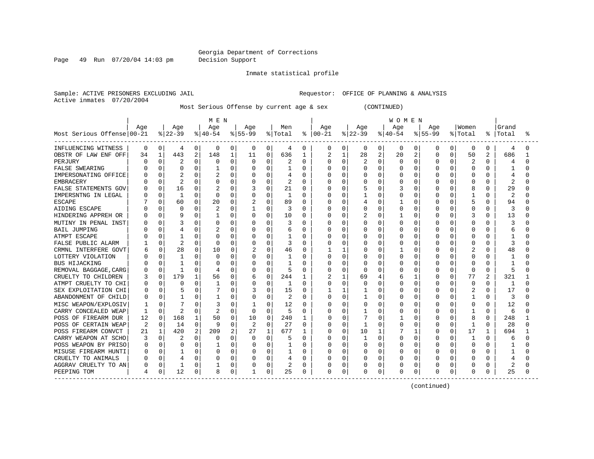Page 49 Run 07/20/04 14:03 pm Decision Support

#### Inmate statistical profile

Sample: ACTIVE PRISONERS EXCLUDING JAIL **Requestor:** OFFICE OF PLANNING & ANALYSIS Active inmates 07/20/2004

Most Serious Offense by current age & sex (CONTINUED)

|                            |     |              |                |                | M E N    |          |              |              |                |              |               |              |           |                | <b>WOMEN</b> |              |             |          |          |                |              |  |
|----------------------------|-----|--------------|----------------|----------------|----------|----------|--------------|--------------|----------------|--------------|---------------|--------------|-----------|----------------|--------------|--------------|-------------|----------|----------|----------------|--------------|--|
|                            | Age |              | Age            |                | Age      |          | Age          |              | Men            |              | Age           |              | Age       |                | Age          |              | Age         |          | Women    |                | Grand        |  |
| Most Serious Offense 00-21 |     |              | $ 22-39$       |                | $ 40-54$ |          | $ 55-99$     |              | % Total        |              | $8   00 - 21$ |              | $ 22-39 $ |                | $ 40-54 $    |              | $8155 - 99$ |          | % Total  | ి              | Total        |  |
| INFLUENCING WITNESS        | 0   | 0            | 4              | 0              | 0        | 0        | 0            | 0            | 4              | 0            | 0             | 0            | 0         | $\overline{0}$ | 0            | 0            | 0           | 0        | 0        | 0              | 4            |  |
| OBSTR OF LAW ENF OFF       | 34  | $\mathbf 1$  | 443            | $\overline{2}$ | 148      | 1        | 11           | 0            | 636            | $\mathbf{1}$ |               | $\mathbf{1}$ | 28        | $\overline{2}$ | 20           | 2            | 0           | $\Omega$ | 50       | 2              | 686          |  |
| PERJURY                    |     | $\cap$       |                | $\cap$         | O        | $\Omega$ | $\Omega$     | $\Omega$     |                | $\Omega$     | Λ             | $\Omega$     | 2         | $\Omega$       | $\Omega$     | $\Omega$     | O           | $\cap$   | 2        | 0              | 4            |  |
| <b>FALSE SWEARING</b>      |     | 0            | $\Omega$       | $\Omega$       |          | $\Omega$ | O            | O            | $\mathbf{1}$   | 0            |               | $\Omega$     | U         | $\Omega$       | O            | $\Omega$     | O           | $\Omega$ | $\Omega$ | <sup>0</sup>   | 1            |  |
| IMPERSONATING OFFICE       |     | $\Omega$     | 2              | $\Omega$       |          | $\Omega$ | 0            | O            | 4              | 0            |               | $\Omega$     | 0         | $\Omega$       | 0            | $\Omega$     | 0           | $\Omega$ | $\Omega$ | O              |              |  |
| <b>EMBRACERY</b>           |     | $\Omega$     | $\overline{2}$ | $\Omega$       | O        | $\Omega$ | 0            | 0            | 2              | $\Omega$     |               | $\Omega$     |           | $\Omega$       | N            | $\Omega$     |             | $\Omega$ | $\Omega$ | O              | 2            |  |
| FALSE STATEMENTS GOV       |     | 0            | 16             | $\Omega$       |          | $\Omega$ | 3            | O            | 21             | U            |               | $\Omega$     |           | $\Omega$       | 3            | 0            |             | $\Omega$ | 8        | O              | 29           |  |
| IMPERSNTNG IN LEGAL        |     | 0            | $\mathbf{1}$   | $\Omega$       | $\Omega$ | 0        | 0            | 0            | $\mathbf{1}$   | 0            |               | 0            |           | $\Omega$       | Ω            | $\Omega$     | 0           | $\Omega$ |          | 0              | 2            |  |
| <b>ESCAPE</b>              |     | U            | 60             | $\Omega$       | 20       | $\Omega$ | 2            | 0            | 89             | $\Omega$     |               | $\Omega$     |           | $\Omega$       |              | $\Omega$     | O           | $\cap$   | 5        | O              | 94           |  |
| AIDING ESCAPE              |     | O            | $\Omega$       | 0              | 2        | $\Omega$ | -1           | 0            | 3              | 0            |               | $\Omega$     | 0         | $\Omega$       | 0            | $\Omega$     | 0           | O        | $\Omega$ | $\Omega$       | 3            |  |
| HINDERING APPREH OR        |     | $\Omega$     | q              | 0              |          | 0        | 0            | 0            | 10             | 0            |               | 0            |           | 0              |              | 0            | 0           | 0        | 3        | 0              | 13           |  |
| MUTINY IN PENAL INST       |     | 0            | 3              | $\Omega$       | O        | $\Omega$ | 0            | 0            | 3              | 0            |               | $\Omega$     | U         | $\Omega$       | 0            | $\Omega$     | 0           | 0        | 0        | O              |              |  |
| <b>BAIL JUMPING</b>        |     | U            | 4              | 0              |          | $\Omega$ | 0            | 0            | 6              | 0            |               | 0            | 0         | $\Omega$       | 0            | $\Omega$     | 0           | U        | $\Omega$ | O              | 6            |  |
| ATMPT ESCAPE               |     |              |                |                | C        | O        | O            | 0            |                | O            |               | $\Omega$     |           | $\Omega$       | N            | C            | O           |          | O        |                |              |  |
| FALSE PUBLIC ALARM         |     |              |                |                | C        | 0        | $\Omega$     | 0            |                | $\Omega$     |               | $\Omega$     |           | $\Omega$       | N            | 0            | 0           |          | $\Omega$ | O              |              |  |
| CRMNL INTERFERE GOVT       |     |              | 28             | 0              | 10       | 0        | 2            | U            | 46             | $\Omega$     |               | -1           | Ω         | $\Omega$       |              | C            | U           |          | 2        | U              | 48           |  |
| LOTTERY VIOLATION          |     |              | -1             | <sup>0</sup>   | C        | U        | O            | <sup>0</sup> | -1             | U            |               | $\Omega$     | U         | $\Omega$       | N            | C            | O           | U        | $\Omega$ | U              |              |  |
| BUS HIJACKING              |     |              |                | O              | C        | O        | <sup>0</sup> | <sup>0</sup> |                | 0            |               | ∩            | n         | $\Omega$       | U            | C            | O           | U        | $\Omega$ | U              |              |  |
| REMOVAL BAGGAGE, CARG      |     | <sup>0</sup> | -1             | $\Omega$       |          | 0        | <sup>0</sup> | <sup>0</sup> | 5              | U            |               | $\Omega$     | O         | $\Omega$       | N            | O            | O           | $\Omega$ | $\Omega$ | $\Omega$       | 5            |  |
| CRUELTY TO CHILDREN        |     | $\Omega$     | 179            |                | 56       | 0        | 6            | 0            | 244            | 1            | 2             | $\mathbf{1}$ | 69        | 4              | 6            | $\mathbf{1}$ | 0           | $\Omega$ | 77       | $\overline{2}$ | 321          |  |
| ATMPT CRUELTY TO CHI       |     | 0            | 0              | 0              |          | O        | 0            | 0            |                | 0            |               | 0            | O         | 0              |              | $\Omega$     | 0           | U        | $\Omega$ | O              | $\mathbf{1}$ |  |
| SEX EXPLOITATION CHI       |     | $\Omega$     | 5              | $\Omega$       |          | 0        | 3            | $\Omega$     | 15             | $\Omega$     |               | 1            |           | $\Omega$       | U            | $\Omega$     | O           | O        | 2        | O              | 17           |  |
| ABANDONMENT OF CHILD       |     | 0            | 1              | 0              |          | 0        | 0            | $\Omega$     | $\overline{c}$ | $\Omega$     | O             | $\Omega$     |           | $\Omega$       | O            | $\Omega$     | O           | 0        | 1        | $\Omega$       | 3            |  |
| MISC WEAPON/EXPLOSIV       |     | $\Omega$     |                | O              |          | 0        | 1            | U            | 12             | $\Omega$     | N             | $\Omega$     | Ω         | $\Omega$       | O            | $\Omega$     | O           | O        | O        | $\Omega$       | 12           |  |
| CARRY CONCEALED WEAP       |     | $\Omega$     | $\overline{2}$ | $\Omega$       | 2        | 0        | 0            | 0            | 5              | $\Omega$     |               | 0            |           | $\Omega$       | N            | 0            | 0           | O        | 1        | $\Omega$       | 6            |  |
| POSS OF FIREARM DUR        | 12  | $\Omega$     | 168            | 1              | 50       | 0        | 10           | $\Omega$     | 240            | 1            | N             | 0            |           | $\Omega$       |              | <sup>0</sup> | O           | U        | 8        | $\Omega$       | 248          |  |
| POSS OF CERTAIN WEAP       | 2   | $\Omega$     | 14             | $\Omega$       | 9        | 0        | 2            | $\Omega$     | 27             | $\Omega$     | ი             | $\Omega$     |           | $\Omega$       | O            | 0            | 0           | O        | 1        | $\Omega$       | 28           |  |
| POSS FIREARM CONVCT        | 21  |              | 420            | 2              | 209      | 2        | 27           | 1            | 677            | 1            | N             | 0            | 10        | 1              |              |              | 0           | O        | 17       | -1             | 694          |  |
| CARRY WEAPON AT SCHO       |     | O            |                | O              | O        |          | O            | O            | 5              | U            |               | $\Omega$     |           | $\Omega$       | O            | $\Omega$     | O           |          | 1        | O              | 6            |  |
| POSS WEAPON BY PRISO       |     |              | $\Omega$       | $\Omega$       |          | O        | 0            | 0            |                | O            | በ             | $\Omega$     | U         | $\Omega$       | O            | -C           | O           | U        | O        | U              |              |  |
| MISUSE FIREARM HUNTI       |     |              |                | 0              |          | O        | $\Omega$     | U            |                | O            | በ             | $\cap$       | U         | $\Omega$       | U            | $\Omega$     | O           | $\Omega$ | $\Omega$ | U              |              |  |
| CRUELTY TO ANIMALS         |     | <sup>0</sup> | 4              | $\Omega$       | C        | 0        | O            | 0            |                | $\Omega$     |               | $\Omega$     | O         | $\Omega$       | N            | $\Omega$     | O           | $\Omega$ | O        | O              |              |  |
| AGGRAV CRUELTY TO AN       |     | $\Omega$     |                | $\Omega$       |          | 0        |              | 0            |                | 0            |               | $\Omega$     | Ω         | 0              |              | 0            | 0           | O        | 0        | 0              | 2            |  |
| PEEPING TOM                |     | 0            | 12             | 0              | 8        | 0        |              | 0            | 25             | 0            | $\Omega$      | 0            | O         | 0              | $\Omega$     | 0            | 0           | 0        | $\Omega$ | 0              | 25           |  |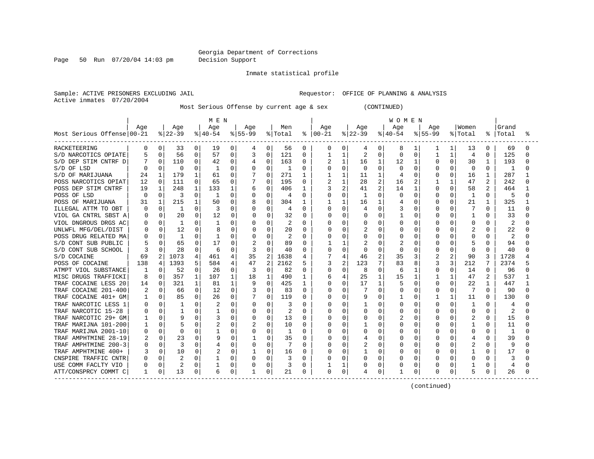Page 50 Run 07/20/04 14:03 pm Decision Support

#### Inmate statistical profile

Sample: ACTIVE PRISONERS EXCLUDING JAIL **Requestor:** OFFICE OF PLANNING & ANALYSIS Active inmates 07/20/2004

Most Serious Offense by current age & sex (CONTINUED)

|                            |                  |              |              |              | M E N    |             |          |                |         |              |          |                |              |                | <b>WOMEN</b> |              |             |                |          |              |       |  |
|----------------------------|------------------|--------------|--------------|--------------|----------|-------------|----------|----------------|---------|--------------|----------|----------------|--------------|----------------|--------------|--------------|-------------|----------------|----------|--------------|-------|--|
|                            | Age              |              | Age          |              | Age      |             | Aqe      |                | Men     |              | Aqe      |                | Aqe          |                | Aqe          |              | Aqe         |                | Women    |              | Grand |  |
| Most Serious Offense 00-21 |                  |              | $ 22-39 $    |              | $ 40-54$ |             | $ 55-99$ |                | % Total | ⊱            | $ 00-21$ |                | $ 22-39 $    |                | $ 40-54$     |              | $8155 - 99$ |                | % Total  | ႜ            | Total |  |
| <b>RACKETEERING</b>        | 0                | 0            | 33           | 0            | 19       | 0           | 4        | 0              | 56      | 0            | 0        | 0              | 4            | 0              | 8            | 1            | 1           | 1              | 13       | 0            | 69    |  |
| S/D NARCOTICS OPIATE       |                  |              | 56           | 0            | 57       | 0           | 3        | $\Omega$       | 121     | 0            |          | 1              | 2            | $\Omega$       | <sup>0</sup> | $\Omega$     | 1           | 1              | 4        | 0            | 125   |  |
| S/D DEP STIM CNTRF D       |                  | 0            | 110          | 0            | 42       | 0           | 4        | 0              | 163     | 0            |          | 1              | 16           | 1              | 12           |              | 0           | 0              | 30       | $\mathbf{1}$ | 193   |  |
| S/D OF LSD                 |                  |              | $\Omega$     | $\Omega$     | -1       | 0           | $\Omega$ | $\Omega$       | 1       | $\Omega$     | U        | $\Omega$       | <sup>0</sup> | $\Omega$       | O            | $\Omega$     | $\Omega$    | $\Omega$       | $\Omega$ | $\Omega$     | 1     |  |
| S/D OF MARIJUANA           | 24               | $\mathbf{1}$ | 179          | $\mathbf{1}$ | 61       | 0           |          | $\Omega$       | 271     | 1            |          | $\mathbf{1}$   | 11           | 1              |              | $\Omega$     | $\Omega$    | 0              | 16       | 1            | 287   |  |
| POSS NARCOTICS OPIAT       | 12               | $\Omega$     | 111          | 0            | 65       | 0           |          | $\Omega$       | 195     | $\Omega$     |          | $\mathbf{1}$   | 28           | $\overline{2}$ | 16           | 2            |             | $\mathbf{1}$   | 47       |              | 242   |  |
| POSS DEP STIM CNTRF        | 19               | 1            | 248          | 1            | 133      | 1           | 6        | $\Omega$       | 406     | 1            | 3        | 2              | 41           | 2              | 14           |              | $\Omega$    | $\Omega$       | 58       |              | 464   |  |
| POSS OF LSD                | 0                | $\Omega$     | 3            | 0            | -1       | 0           | 0        | 0              | 4       | 0            |          | $\mathbf 0$    |              | $\Omega$       | $\Omega$     | 0            | 0           | $\Omega$       | 1        | $\Omega$     | 5     |  |
| POSS OF MARIJUANA          | 31               | $\mathbf{1}$ | 215          | 1            | 50       | 0           | 8        | 0              | 304     | $\mathbf{1}$ |          | 1              | 16           | 1              |              | $\Omega$     | 0           | 0              | 21       | 1            | 325   |  |
| ILLEGAL ATTM TO OBT        |                  | 0            | 1            | 0            | 3        | 0           | 0        | 0              | 4       | $\Omega$     | U        | $\Omega$       | 4            | $\Omega$       | 3            | $\Omega$     | $\Omega$    | 0              |          | $\Omega$     | 11    |  |
| VIOL GA CNTRL SBST A       |                  | 0            | 20           | 0            | 12       | 0           |          | 0              | 32      | 0            | U        | $\Omega$       | U            | $\Omega$       | 1            | 0            | O           | 0              | 1        | <sup>0</sup> | 33    |  |
| VIOL DNGROUS DRGS AC       |                  | $\Omega$     | 1            | 0            | -1       | 0           | 0        | U              | 2       | $\Omega$     |          | $\Omega$       | 0            | $\Omega$       | 0            | $\Omega$     | O           | 0              | $\Omega$ | <sup>0</sup> | 2     |  |
| UNLWFL MFG/DEL/DIST        |                  | $\Omega$     | 12           | $\Omega$     |          | $\Omega$    |          | 0              | 20      | 0            | Ω        | $\Omega$       | 2            | $\Omega$       | 0            | 0            | O           | 0              | 2        | $\Omega$     | 22    |  |
| POSS DRUG RELATED MA       | $\left( \right)$ | 0            | 1            | 0            | -1       | 0           | 0        | O              | 2       | 0            | Ω        | 0              | 0            | $\Omega$       | 0            | 0            | O           | 0              | $\Omega$ | ∩            | 2     |  |
| S/D CONT SUB PUBLIC        | 5                | $\Omega$     | 65           | 0            | 17       | O           | 2        | <sup>0</sup>   | 89      | 0            |          | 1              |              | $\Omega$       | 2            | U            | O           |                |          |              | 94    |  |
| S/D CONT SUB SCHOOL        |                  | 0            | 28           | 0            | 6        | 0           | 3        | $\Omega$       | 40      | <sup>0</sup> |          | 0              | 0            | <sup>0</sup>   | $\Omega$     | <sup>0</sup> | $\Omega$    | 0              | $\Omega$ | $\Omega$     | 40    |  |
| S/D COCAINE                | 69               |              | 1073         | 4            | 461      | 4           | 35       | 2              | 1638    | 4            |          | 4              | 46           |                | 35           | 3            |             | $\overline{2}$ | 90       |              | 1728  |  |
| POSS OF COCAINE            | 138              |              | 1393         | 5            | 584      | 4           | 47       | $\mathfrak{D}$ | 2162    |              | 3        | $\overline{2}$ | 123          | 7              | 83           | 8            | 3           | 3              | 212      |              | 2374  |  |
| ATMPT VIOL SUBSTANCE       |                  | $\Omega$     | 52           | 0            | 26       | $\Omega$    | 3        | $\Omega$       | 82      | 0            | 0        | 0              | 8            | $\Omega$       | 6            |              | $\Omega$    | $\Omega$       | 14       | $\Omega$     | 96    |  |
| MISC DRUGS TRAFFICKI       | 8                | 0            | 357          |              | 107      | 1           | 18       | $\mathbf{1}$   | 490     | 1            | 6        | $\overline{4}$ | 25           | 1              | 15           |              |             | $\mathbf{1}$   | 47       | 2            | 537   |  |
| TRAF COCAINE LESS 20       | 14               | 0            | 321          | 1            | 81       | 1           | 9        | $\Omega$       | 425     | 1            |          | $\mathbf 0$    | 17           | $\mathbf{1}$   | 5            | $\Omega$     | $\Omega$    | $\Omega$       | 22       | $\mathbf{1}$ | 447   |  |
| TRAF COCAINE 201-400       |                  | 0            | 66           | $\Omega$     | 12       | $\mathbf 0$ |          | $\Omega$       | 83      | $\Omega$     |          | $\Omega$       |              | $\Omega$       | 0            | O            | $\Omega$    | 0              | 7        | $\Omega$     | 90    |  |
| TRAF COCAINE 401+ GM       |                  | 0            | 85           | 0            | 26       | $\Omega$    |          | 0              | 119     | $\Omega$     | Λ        | 0              | 9            | $\Omega$       | 1            | $\Omega$     | 1           | 1              | 11       | $\Omega$     | 130   |  |
| TRAF NARCOTIC LESS 1       |                  | $\Omega$     | 1            | 0            |          | $\Omega$    | 0        | $\Omega$       | 3       | $\Omega$     | Ω        | 0              |              | <sup>0</sup>   | 0            | 0            | $\Omega$    | 0              | 1        | $\cap$       | 4     |  |
| TRAF NARCOTIC 15-28        |                  | $\Omega$     | 1            | 0            |          | O           | 0        | 0              | 2       | $\Omega$     | በ        | $\Omega$       | U            | $\Omega$       | O            | <sup>0</sup> | $\Omega$    | 0              | $\Omega$ | $\Omega$     | 2     |  |
| TRAF NARCOTIC 29+ GM       |                  | 0            | 9            | 0            |          | 0           | 0        | $\Omega$       | 13      | $\Omega$     | Ω        | $\Omega$       | Ω            | 0              | 2            | $\Omega$     | O           | 0              | 2        | $\Omega$     | 15    |  |
| TRAF MARIJNA 101-200       |                  | $\Omega$     | 5            | 0            |          | O           |          | 0              | 10      | $\Omega$     | U        | 0              |              | 0              | 0            | 0            | $\Omega$    | 0              |          | $\Omega$     | 11    |  |
| TRAF MARIJNA 2001-10       | n                | $\Omega$     | <sup>0</sup> | 0            |          | O           | 0        | U              |         | 0            | Ω        | 0              |              | $\Omega$       | U            | O            |             |                | $\Omega$ |              | -1    |  |
| TRAF AMPHTMINE 28-19       |                  | 0            | 23           | 0            | 9        | 0           |          | 0              | 35      | O            |          | $\Omega$       | 4            | O              | 0            | 0            | O           |                | 4        | O            | 39    |  |
| TRAF AMPHTMINE 200-3       |                  | 0            | २            | 0            | 4        | O           | O        | O              |         | 0            | U        | $\Omega$       |              | <sup>0</sup>   | O            | O            | O           | 0              |          | O            | q     |  |
| TRAF AMPHTMINE 400+        |                  | $\Omega$     | 10           | 0            |          | $\Omega$    |          | 0              | 16      | 0            | Ω        | $\Omega$       |              | $\Omega$       | U            | O            | O           | 0              |          | O            | 17    |  |
| CNSPIRE TRAFFIC CNTR       |                  | $\Omega$     | 2            | $\mathbf{0}$ |          | 0           | 0        | 0              | 3       | $\Omega$     |          | $\Omega$       | U            | $\Omega$       | 0            | $\Omega$     | $\Omega$    | $\Omega$       | $\Omega$ | <sup>0</sup> |       |  |
| USE COMM FACLTY VIO        |                  | $\Omega$     | 2            | 0            |          | 0           | 0        | 0              | 3       | 0            |          | 1              | Ω            | $\Omega$       |              | 0            | 0           | 0              |          |              |       |  |
| ATT/CONSPRCY COMMT C       | 1                | 0            | 13           | 0            | 6        | 0           |          | 0              | 21      | 0            | 0        | $\mathbf 0$    |              | 0              |              | 0            | 0           | 0              | 5        | 0            | 26    |  |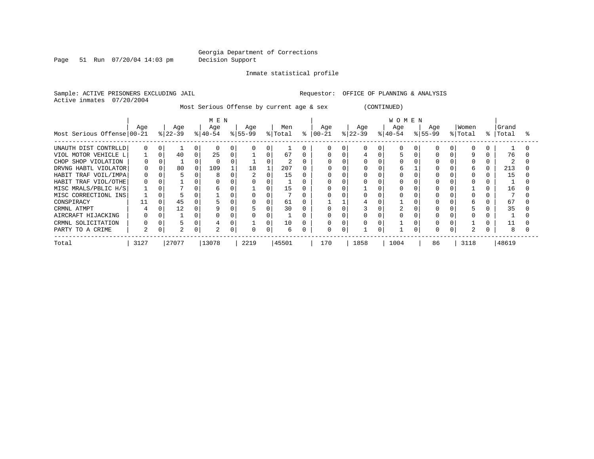Page 51 Run 07/20/04 14:03 pm Decision Support

Inmate statistical profile

Sample: ACTIVE PRISONERS EXCLUDING JAIL **Requestor:** OFFICE OF PLANNING & ANALYSIS Active inmates 07/20/2004

Most Serious Offense by current age & sex (CONTINUED)

|                            | MEN      |   |                  |   |                  |   |                 |          |                |   | <b>WOMEN</b>      |  |                  |          |                 |  |                    |          |                  |   |                |  |
|----------------------------|----------|---|------------------|---|------------------|---|-----------------|----------|----------------|---|-------------------|--|------------------|----------|-----------------|--|--------------------|----------|------------------|---|----------------|--|
| Most Serious Offense 00-21 | Age      |   | Age<br>$ 22-39 $ |   | Age<br>$ 40-54 $ |   | Age<br>$ 55-99$ |          | Men<br>% Total | ႜ | Age<br>$ 00 - 21$ |  | Age<br>$ 22-39 $ |          | Age<br>$ 40-54$ |  | Age<br>$8155 - 99$ |          | Women<br>% Total | ႜ | Grand<br>Total |  |
| UNAUTH DIST CONTRLLD       | $\Omega$ |   |                  | 0 | $\Omega$         |   |                 | 0        |                |   |                   |  |                  | 0        |                 |  |                    |          | $\Omega$         |   |                |  |
| VIOL MOTOR VEHICLE L       |          |   | 40               | 0 | 25               | 0 |                 | 0        | 67             |   |                   |  | 4                |          |                 |  |                    |          | 9                |   | 76             |  |
| CHOP SHOP VIOLATION        | 0        |   |                  |   |                  |   |                 |          | 2              |   |                   |  |                  |          |                 |  |                    |          |                  |   |                |  |
| DRVNG HABTL VIOLATOR       | 0        |   | 80               |   | 109              |   | 18              |          | 207            |   |                   |  |                  |          | h               |  |                    |          | h                |   | 213            |  |
| HABIT TRAF VOIL/IMPA       | 0        |   |                  |   |                  |   |                 | $\Omega$ | 15             |   |                   |  |                  |          |                 |  |                    |          |                  |   | 15             |  |
| HABIT TRAF VIOL/OTHE       | 0        |   |                  | 0 |                  |   |                 |          |                |   |                   |  |                  |          |                 |  |                    |          |                  |   |                |  |
| MISC MRALS/PBLIC H/S       |          |   |                  | 0 |                  |   |                 | $\Omega$ | 15             |   |                   |  |                  |          |                 |  |                    |          |                  |   | 16             |  |
| MISC CORRECTIONL INS       |          |   |                  | 0 |                  |   |                 | $\Omega$ |                |   |                   |  |                  |          |                 |  |                    |          |                  |   |                |  |
| CONSPIRACY                 |          |   | 45               |   |                  |   |                 |          | 61             |   |                   |  |                  |          |                 |  |                    |          | h                |   | 67             |  |
| CRMNL ATMPT                |          |   | 12               |   |                  |   |                 | $\Omega$ | 30             |   |                   |  |                  |          |                 |  |                    |          |                  |   | 35             |  |
| AIRCRAFT HIJACKING         |          |   |                  | 0 |                  |   |                 | 0        |                |   |                   |  |                  |          |                 |  |                    |          |                  |   |                |  |
| CRMNL SOLICITATION         |          |   |                  | 0 |                  |   |                 | $\Omega$ | 10             |   |                   |  |                  |          |                 |  |                    |          |                  |   |                |  |
| PARTY TO A CRIME           | 2        | 0 | $\bigcap$        | 0 | 2                | 0 |                 | 0        | 6              |   |                   |  |                  | $\Omega$ |                 |  |                    | $\Omega$ | 2                |   |                |  |
| Total                      | 3127     |   | 27077            |   | 13078            |   | 2219            |          | 45501          |   | 170               |  | 1858             |          | 1004            |  | 86                 |          | 3118             |   | 48619          |  |